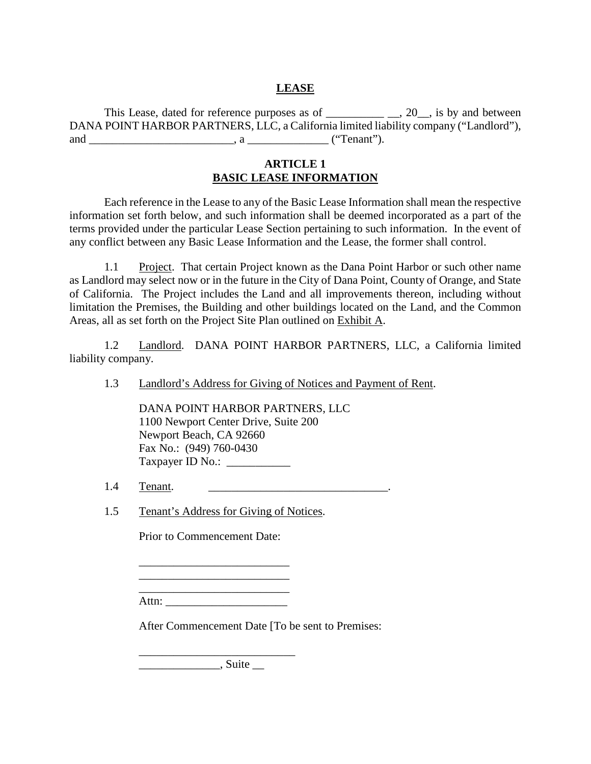# **LEASE**

This Lease, dated for reference purposes as of \_\_\_\_\_\_\_\_\_\_\_\_\_\_\_\_, 20\_\_, is by and between DANA POINT HARBOR PARTNERS, LLC, a California limited liability company ("Landlord"), and \_\_\_\_\_\_\_\_\_\_\_\_\_\_\_\_\_\_\_\_\_\_\_\_\_, a \_\_\_\_\_\_\_\_\_\_\_\_\_\_ ("Tenant").

# **ARTICLE 1 BASIC LEASE INFORMATION**

Each reference in the Lease to any of the Basic Lease Information shall mean the respective information set forth below, and such information shall be deemed incorporated as a part of the terms provided under the particular Lease Section pertaining to such information. In the event of any conflict between any Basic Lease Information and the Lease, the former shall control.

1.1 Project. That certain Project known as the Dana Point Harbor or such other name as Landlord may select now or in the future in the City of Dana Point, County of Orange, and State of California. The Project includes the Land and all improvements thereon, including without limitation the Premises, the Building and other buildings located on the Land, and the Common Areas, all as set forth on the Project Site Plan outlined on Exhibit A.

1.2 Landlord. DANA POINT HARBOR PARTNERS, LLC, a California limited liability company.

1.3 Landlord's Address for Giving of Notices and Payment of Rent.

DANA POINT HARBOR PARTNERS, LLC 1100 Newport Center Drive, Suite 200 Newport Beach, CA 92660 Fax No.: (949) 760-0430 Taxpayer ID No.: \_\_\_\_\_\_\_\_\_\_\_

1.4 Tenant.

1.5 Tenant's Address for Giving of Notices.

Prior to Commencement Date:

\_\_\_\_\_\_\_\_\_\_\_\_\_\_\_\_\_\_\_\_\_\_\_\_\_\_ \_\_\_\_\_\_\_\_\_\_\_\_\_\_\_\_\_\_\_\_\_\_\_\_\_\_ Attn:

\_\_\_\_\_\_\_\_\_\_\_\_\_\_\_\_\_\_\_\_\_\_\_\_\_\_

After Commencement Date [To be sent to Premises:

\_\_\_\_\_\_\_\_\_\_\_\_\_\_\_\_\_\_\_\_\_\_\_\_\_\_\_  $\Box$  Suite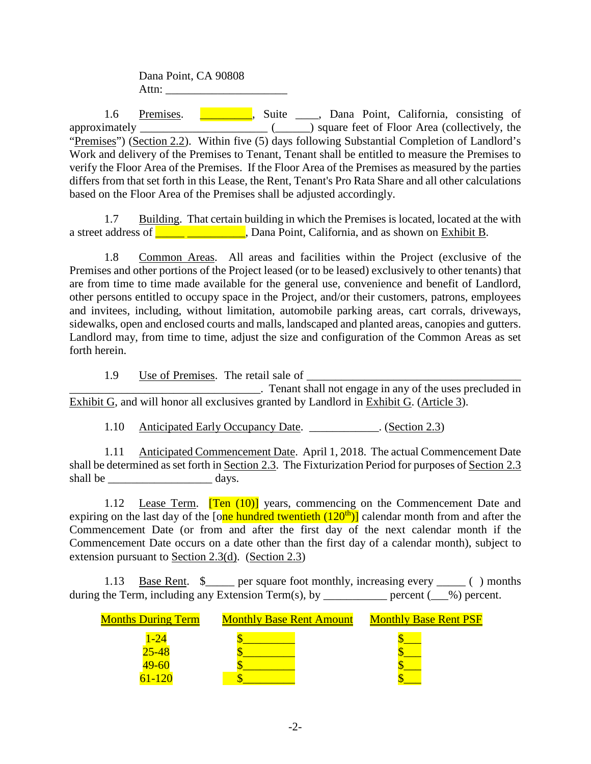Dana Point, CA 90808 Attn:

1.6 Premises. **The Community Exercise**, Suite \_\_\_\_, Dana Point, California, consisting of approximately \_\_\_\_\_\_\_\_\_\_\_\_\_\_\_\_\_\_\_\_\_\_ (\_\_\_\_\_\_) square feet of Floor Area (collectively, the "Premises") (Section 2.2). Within five (5) days following Substantial Completion of Landlord's Work and delivery of the Premises to Tenant, Tenant shall be entitled to measure the Premises to verify the Floor Area of the Premises. If the Floor Area of the Premises as measured by the parties differs from that set forth in this Lease, the Rent, Tenant's Pro Rata Share and all other calculations based on the Floor Area of the Premises shall be adjusted accordingly.

1.7 Building. That certain building in which the Premises is located, located at the with a street address of **Exhibit B.** Dana Point, California, and as shown on Exhibit B.

1.8 Common Areas. All areas and facilities within the Project (exclusive of the Premises and other portions of the Project leased (or to be leased) exclusively to other tenants) that are from time to time made available for the general use, convenience and benefit of Landlord, other persons entitled to occupy space in the Project, and/or their customers, patrons, employees and invitees, including, without limitation, automobile parking areas, cart corrals, driveways, sidewalks, open and enclosed courts and malls, landscaped and planted areas, canopies and gutters. Landlord may, from time to time, adjust the size and configuration of the Common Areas as set forth herein.

1.9 Use of Premises. The retail sale of \_\_\_\_\_\_\_\_\_\_\_\_\_\_\_\_\_\_\_\_\_\_\_\_\_\_\_\_\_\_\_\_\_\_\_\_\_

\_\_\_\_\_\_\_\_\_\_\_\_\_\_\_\_\_\_\_\_\_\_\_\_\_\_\_\_\_\_\_\_\_. Tenant shall not engage in any of the uses precluded in Exhibit G, and will honor all exclusives granted by Landlord in Exhibit G. (Article 3).

1.10 Anticipated Early Occupancy Date. \_\_\_\_\_\_\_\_\_\_\_\_. (Section 2.3)

1.11 Anticipated Commencement Date. April 1, 2018. The actual Commencement Date shall be determined as set forth in Section 2.3. The Fixturization Period for purposes of Section 2.3 shall be  $\qquad \qquad \text{days}.$ 

1.12 Lease Term. **[Ten (10)]** years, commencing on the Commencement Date and expiring on the last day of the [one hundred twentieth  $(120<sup>th</sup>)$ ] calendar month from and after the Commencement Date (or from and after the first day of the next calendar month if the Commencement Date occurs on a date other than the first day of a calendar month), subject to extension pursuant to Section 2.3(d). (Section 2.3)

1.13 Base Rent. \$\_\_\_\_\_ per square foot monthly, increasing every \_\_\_\_\_ ( ) months during the Term, including any Extension Term(s), by \_\_\_\_\_\_\_\_\_\_\_\_ percent (\_\_\_%) percent.

| <b>Months During Term</b> | <b>Monthly Base Rent Amount</b> |  | <b>Monthly Base Rent PSF</b> |  |
|---------------------------|---------------------------------|--|------------------------------|--|
|                           |                                 |  |                              |  |
| $25 - 48$                 |                                 |  |                              |  |
| <u>49-60</u>              |                                 |  |                              |  |
| <b>61-120</b>             |                                 |  |                              |  |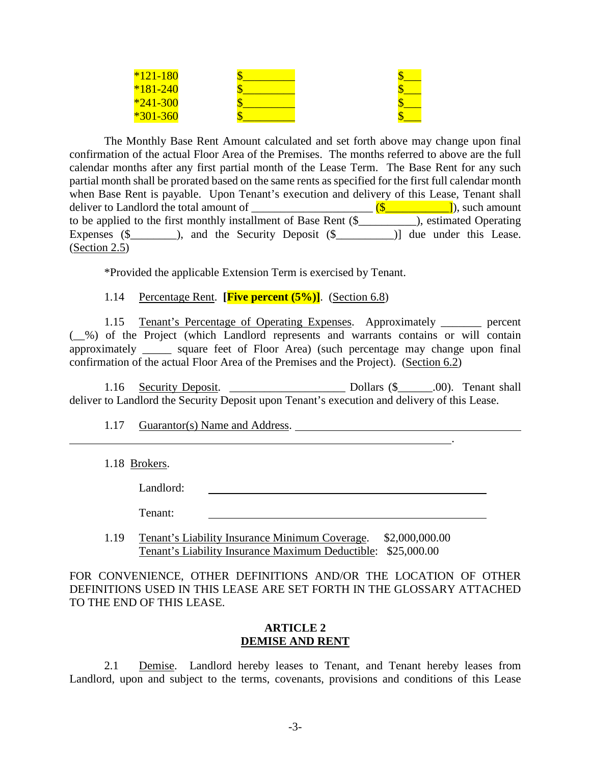| $*121 - 180$ |  |  |
|--------------|--|--|
| $*181-240$   |  |  |
| $*241-300$   |  |  |
| $*301-360$   |  |  |

The Monthly Base Rent Amount calculated and set forth above may change upon final confirmation of the actual Floor Area of the Premises. The months referred to above are the full calendar months after any first partial month of the Lease Term. The Base Rent for any such partial month shall be prorated based on the same rents as specified for the first full calendar month when Base Rent is payable. Upon Tenant's execution and delivery of this Lease, Tenant shall deliver to Landlord the total amount of  $\frac{S_{\text{max}}(S_{\text{max}}-1)}{S_{\text{max}}(S_{\text{max}}-1)}$ , such amount to be applied to the first monthly installment of Base Rent (\$\_\_\_\_\_\_\_\_\_\_), estimated Operating Expenses (\$\_\_\_\_\_\_\_\_), and the Security Deposit (\$\_\_\_\_\_\_\_\_\_)] due under this Lease. (Section 2.5)

\*Provided the applicable Extension Term is exercised by Tenant.

1.14 Percentage Rent. **[Five percent (5%)]**. (Section 6.8)

1.15 Tenant's Percentage of Operating Expenses. Approximately \_\_\_\_\_\_\_ percent (\_\_%) of the Project (which Landlord represents and warrants contains or will contain approximately \_\_\_\_\_ square feet of Floor Area) (such percentage may change upon final confirmation of the actual Floor Area of the Premises and the Project). (Section 6.2)

1.16 Security Deposit. \_\_\_\_\_\_\_\_\_\_\_\_\_\_\_\_\_\_\_\_ Dollars (\$\_\_\_\_\_\_.00). Tenant shall deliver to Landlord the Security Deposit upon Tenant's execution and delivery of this Lease.

.

1.17 Guarantor(s) Name and Address.

1.18 Brokers.

Landlord:

Tenant:

1.19 Tenant's Liability Insurance Minimum Coverage. \$2,000,000.00 Tenant's Liability Insurance Maximum Deductible: \$25,000.00

## FOR CONVENIENCE, OTHER DEFINITIONS AND/OR THE LOCATION OF OTHER DEFINITIONS USED IN THIS LEASE ARE SET FORTH IN THE GLOSSARY ATTACHED TO THE END OF THIS LEASE.

# **ARTICLE 2 DEMISE AND RENT**

2.1 Demise. Landlord hereby leases to Tenant, and Tenant hereby leases from Landlord, upon and subject to the terms, covenants, provisions and conditions of this Lease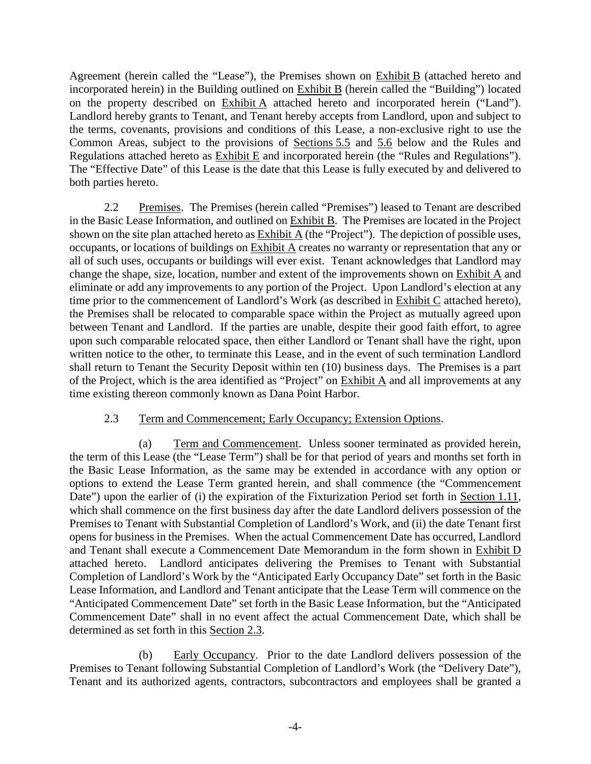Agreement (herein called the "Lease"), the Premises shown on Exhibit B (attached hereto and incorporated herein) in the Building outlined on Exhibit B (herein called the "Building") located on the property described on Exhibit A attached hereto and incorporated herein ("Land"). Landlord hereby grants to Tenant, and Tenant hereby accepts from Landlord, upon and subject to the terms, covenants, provisions and conditions of this Lease, a non-exclusive right to use the Common Areas, subject to the provisions of Sections 5.5 and 5.6 below and the Rules and Regulations attached hereto as Exhibit E and incorporated herein (the "Rules and Regulations"). The "Effective Date" of this Lease is the date that this Lease is fully executed by and delivered to both parties hereto.

2.2 Premises. The Premises (herein called "Premises") leased to Tenant are described in the Basic Lease Information, and outlined on Exhibit B. The Premises are located in the Project shown on the site plan attached hereto as  $\overline{\text{Exhibit A}}$  (the "Project"). The depiction of possible uses, occupants, or locations of buildings on Exhibit A creates no warranty or representation that any or all of such uses, occupants or buildings will ever exist. Tenant acknowledges that Landlord may change the shape, size, location, number and extent of the improvements shown on Exhibit A and eliminate or add any improvements to any portion of the Project. Upon Landlord's election at any time prior to the commencement of Landlord's Work (as described in Exhibit C attached hereto), the Premises shall be relocated to comparable space within the Project as mutually agreed upon between Tenant and Landlord. If the parties are unable, despite their good faith effort, to agree upon such comparable relocated space, then either Landlord or Tenant shall have the right, upon written notice to the other, to terminate this Lease, and in the event of such termination Landlord shall return to Tenant the Security Deposit within ten (10) business days. The Premises is a part of the Project, which is the area identified as "Project" on Exhibit A and all improvements at any time existing thereon commonly known as Dana Point Harbor.

# 2.3 Term and Commencement; Early Occupancy; Extension Options.

(a) Term and Commencement. Unless sooner terminated as provided herein, the term of this Lease (the "Lease Term") shall be for that period of years and months set forth in the Basic Lease Information, as the same may be extended in accordance with any option or options to extend the Lease Term granted herein, and shall commence (the "Commencement Date") upon the earlier of (i) the expiration of the Fixturization Period set forth in Section 1.11, which shall commence on the first business day after the date Landlord delivers possession of the Premises to Tenant with Substantial Completion of Landlord's Work, and (ii) the date Tenant first opens for business in the Premises. When the actual Commencement Date has occurred, Landlord and Tenant shall execute a Commencement Date Memorandum in the form shown in Exhibit D attached hereto. Landlord anticipates delivering the Premises to Tenant with Substantial Completion of Landlord's Work by the "Anticipated Early Occupancy Date" set forth in the Basic Lease Information, and Landlord and Tenant anticipate that the Lease Term will commence on the "Anticipated Commencement Date" set forth in the Basic Lease Information, but the "Anticipated Commencement Date" shall in no event affect the actual Commencement Date, which shall be determined as set forth in this Section 2.3.

(b) Early Occupancy. Prior to the date Landlord delivers possession of the Premises to Tenant following Substantial Completion of Landlord's Work (the "Delivery Date"), Tenant and its authorized agents, contractors, subcontractors and employees shall be granted a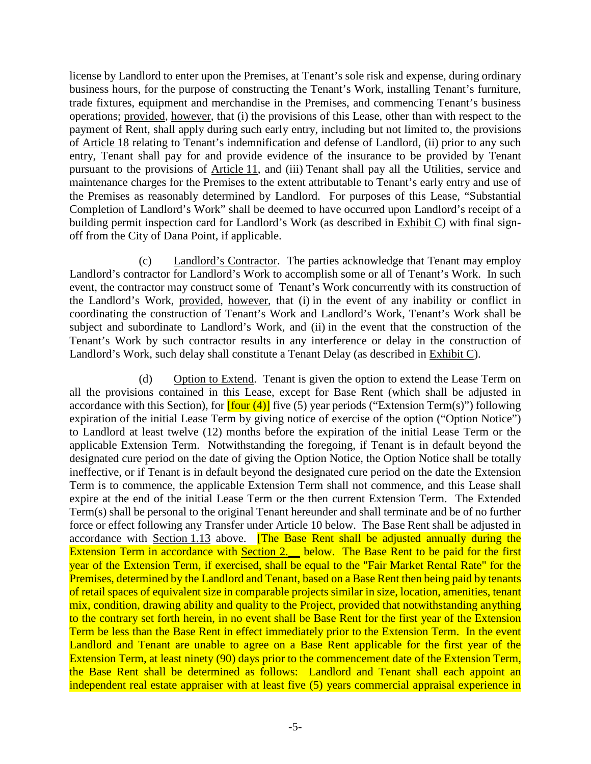license by Landlord to enter upon the Premises, at Tenant's sole risk and expense, during ordinary business hours, for the purpose of constructing the Tenant's Work, installing Tenant's furniture, trade fixtures, equipment and merchandise in the Premises, and commencing Tenant's business operations; provided, however, that (i) the provisions of this Lease, other than with respect to the payment of Rent, shall apply during such early entry, including but not limited to, the provisions of Article 18 relating to Tenant's indemnification and defense of Landlord, (ii) prior to any such entry, Tenant shall pay for and provide evidence of the insurance to be provided by Tenant pursuant to the provisions of Article 11, and (iii) Tenant shall pay all the Utilities, service and maintenance charges for the Premises to the extent attributable to Tenant's early entry and use of the Premises as reasonably determined by Landlord. For purposes of this Lease, "Substantial Completion of Landlord's Work" shall be deemed to have occurred upon Landlord's receipt of a building permit inspection card for Landlord's Work (as described in Exhibit C) with final signoff from the City of Dana Point, if applicable.

(c) Landlord's Contractor. The parties acknowledge that Tenant may employ Landlord's contractor for Landlord's Work to accomplish some or all of Tenant's Work. In such event, the contractor may construct some of Tenant's Work concurrently with its construction of the Landlord's Work, provided, however, that (i) in the event of any inability or conflict in coordinating the construction of Tenant's Work and Landlord's Work, Tenant's Work shall be subject and subordinate to Landlord's Work, and (ii) in the event that the construction of the Tenant's Work by such contractor results in any interference or delay in the construction of Landlord's Work, such delay shall constitute a Tenant Delay (as described in Exhibit C).

(d) Option to Extend. Tenant is given the option to extend the Lease Term on all the provisions contained in this Lease, except for Base Rent (which shall be adjusted in accordance with this Section), for  $\frac{[four (4)]}{]}$  five (5) year periods ("Extension Term(s)") following expiration of the initial Lease Term by giving notice of exercise of the option ("Option Notice") to Landlord at least twelve (12) months before the expiration of the initial Lease Term or the applicable Extension Term. Notwithstanding the foregoing, if Tenant is in default beyond the designated cure period on the date of giving the Option Notice, the Option Notice shall be totally ineffective, or if Tenant is in default beyond the designated cure period on the date the Extension Term is to commence, the applicable Extension Term shall not commence, and this Lease shall expire at the end of the initial Lease Term or the then current Extension Term. The Extended Term(s) shall be personal to the original Tenant hereunder and shall terminate and be of no further force or effect following any Transfer under Article 10 below. The Base Rent shall be adjusted in accordance with Section 1.13 above. **The Base Rent shall be adjusted annually during the** Extension Term in accordance with Section 2. below. The Base Rent to be paid for the first year of the Extension Term, if exercised, shall be equal to the "Fair Market Rental Rate" for the Premises, determined by the Landlord and Tenant, based on a Base Rent then being paid by tenants of retail spaces of equivalent size in comparable projects similar in size, location, amenities, tenant mix, condition, drawing ability and quality to the Project, provided that notwithstanding anything to the contrary set forth herein, in no event shall be Base Rent for the first year of the Extension Term be less than the Base Rent in effect immediately prior to the Extension Term. In the event Landlord and Tenant are unable to agree on a Base Rent applicable for the first year of the Extension Term, at least ninety (90) days prior to the commencement date of the Extension Term, the Base Rent shall be determined as follows: Landlord and Tenant shall each appoint an independent real estate appraiser with at least five (5) years commercial appraisal experience in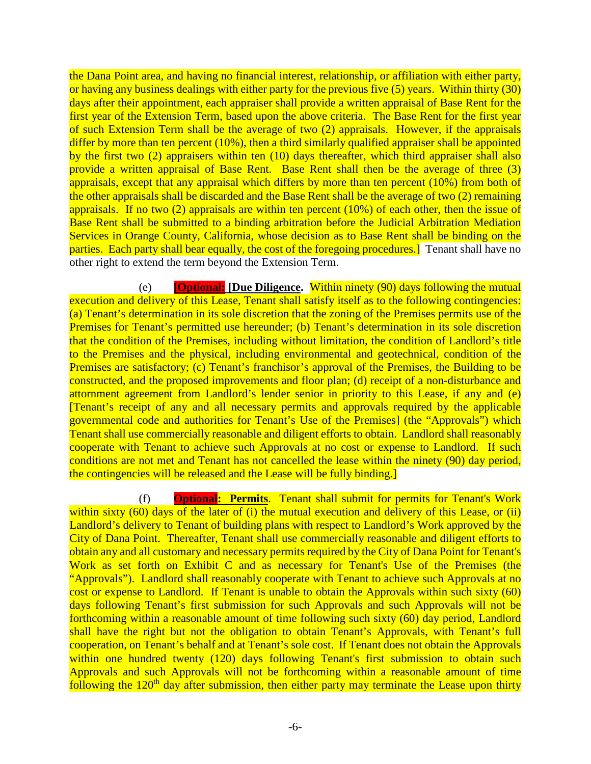the Dana Point area, and having no financial interest, relationship, or affiliation with either party, or having any business dealings with either party for the previous five (5) years. Within thirty (30) days after their appointment, each appraiser shall provide a written appraisal of Base Rent for the first year of the Extension Term, based upon the above criteria. The Base Rent for the first year of such Extension Term shall be the average of two (2) appraisals. However, if the appraisals differ by more than ten percent (10%), then a third similarly qualified appraiser shall be appointed by the first two (2) appraisers within ten (10) days thereafter, which third appraiser shall also provide a written appraisal of Base Rent. Base Rent shall then be the average of three (3) appraisals, except that any appraisal which differs by more than ten percent (10%) from both of the other appraisals shall be discarded and the Base Rent shall be the average of two (2) remaining appraisals. If no two (2) appraisals are within ten percent (10%) of each other, then the issue of Base Rent shall be submitted to a binding arbitration before the Judicial Arbitration Mediation Services in Orange County, California, whose decision as to Base Rent shall be binding on the parties. Each party shall bear equally, the cost of the foregoing procedures.] Tenant shall have no other right to extend the term beyond the Extension Term.

(e) **[Optional: [Due Diligence.** Within ninety (90) days following the mutual execution and delivery of this Lease, Tenant shall satisfy itself as to the following contingencies: (a) Tenant's determination in its sole discretion that the zoning of the Premises permits use of the Premises for Tenant's permitted use hereunder; (b) Tenant's determination in its sole discretion that the condition of the Premises, including without limitation, the condition of Landlord's title to the Premises and the physical, including environmental and geotechnical, condition of the Premises are satisfactory; (c) Tenant's franchisor's approval of the Premises, the Building to be constructed, and the proposed improvements and floor plan; (d) receipt of a non-disturbance and attornment agreement from Landlord's lender senior in priority to this Lease, if any and (e) [Tenant's receipt of any and all necessary permits and approvals required by the applicable governmental code and authorities for Tenant's Use of the Premises] (the "Approvals") which Tenant shall use commercially reasonable and diligent efforts to obtain. Landlord shall reasonably cooperate with Tenant to achieve such Approvals at no cost or expense to Landlord. If such conditions are not met and Tenant has not cancelled the lease within the ninety (90) day period, the contingencies will be released and the Lease will be fully binding.]

(f) **Optional: Permits**. Tenant shall submit for permits for Tenant's Work within sixty (60) days of the later of (i) the mutual execution and delivery of this Lease, or (ii) Landlord's delivery to Tenant of building plans with respect to Landlord's Work approved by the City of Dana Point. Thereafter, Tenant shall use commercially reasonable and diligent efforts to obtain any and all customary and necessary permits required by the City of Dana Point for Tenant's Work as set forth on Exhibit C and as necessary for Tenant's Use of the Premises (the "Approvals"). Landlord shall reasonably cooperate with Tenant to achieve such Approvals at no cost or expense to Landlord. If Tenant is unable to obtain the Approvals within such sixty (60) days following Tenant's first submission for such Approvals and such Approvals will not be forthcoming within a reasonable amount of time following such sixty (60) day period, Landlord shall have the right but not the obligation to obtain Tenant's Approvals, with Tenant's full cooperation, on Tenant's behalf and at Tenant's sole cost. If Tenant does not obtain the Approvals within one hundred twenty (120) days following Tenant's first submission to obtain such Approvals and such Approvals will not be forthcoming within a reasonable amount of time following the 120<sup>th</sup> day after submission, then either party may terminate the Lease upon thirty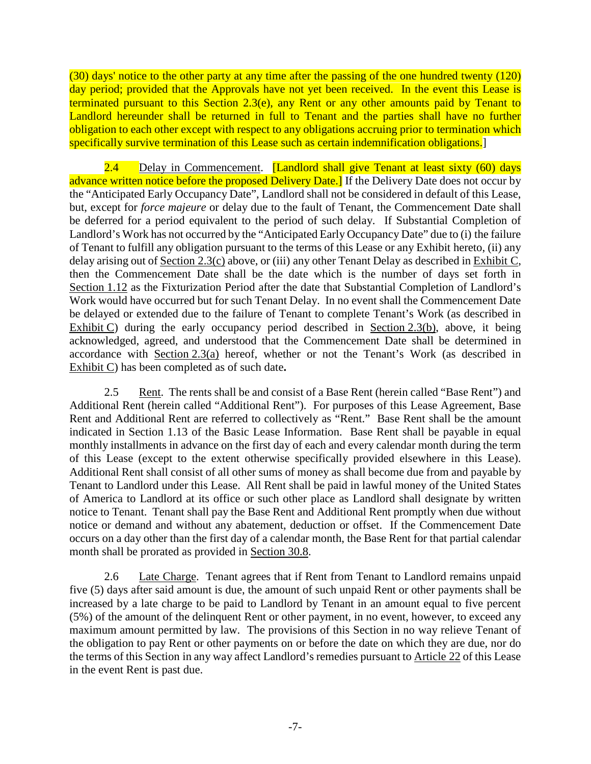$(30)$  days' notice to the other party at any time after the passing of the one hundred twenty  $(120)$ day period; provided that the Approvals have not yet been received. In the event this Lease is terminated pursuant to this Section 2.3(e), any Rent or any other amounts paid by Tenant to Landlord hereunder shall be returned in full to Tenant and the parties shall have no further obligation to each other except with respect to any obligations accruing prior to termination which specifically survive termination of this Lease such as certain indemnification obligations.

2.4 **Delay in Commencement.** [Landlord shall give Tenant at least sixty (60) days advance written notice before the proposed Delivery Date.] If the Delivery Date does not occur by the "Anticipated Early Occupancy Date", Landlord shall not be considered in default of this Lease, but, except for *force majeure* or delay due to the fault of Tenant, the Commencement Date shall be deferred for a period equivalent to the period of such delay. If Substantial Completion of Landlord's Work has not occurred by the "Anticipated Early Occupancy Date" due to (i) the failure of Tenant to fulfill any obligation pursuant to the terms of this Lease or any Exhibit hereto, (ii) any delay arising out of Section 2.3(c) above, or (iii) any other Tenant Delay as described in Exhibit C, then the Commencement Date shall be the date which is the number of days set forth in Section 1.12 as the Fixturization Period after the date that Substantial Completion of Landlord's Work would have occurred but for such Tenant Delay. In no event shall the Commencement Date be delayed or extended due to the failure of Tenant to complete Tenant's Work (as described in Exhibit C) during the early occupancy period described in Section 2.3(b), above, it being acknowledged, agreed, and understood that the Commencement Date shall be determined in accordance with Section 2.3(a) hereof, whether or not the Tenant's Work (as described in Exhibit C) has been completed as of such date**.** 

2.5 Rent. The rents shall be and consist of a Base Rent (herein called "Base Rent") and Additional Rent (herein called "Additional Rent"). For purposes of this Lease Agreement, Base Rent and Additional Rent are referred to collectively as "Rent." Base Rent shall be the amount indicated in Section 1.13 of the Basic Lease Information. Base Rent shall be payable in equal monthly installments in advance on the first day of each and every calendar month during the term of this Lease (except to the extent otherwise specifically provided elsewhere in this Lease). Additional Rent shall consist of all other sums of money as shall become due from and payable by Tenant to Landlord under this Lease. All Rent shall be paid in lawful money of the United States of America to Landlord at its office or such other place as Landlord shall designate by written notice to Tenant. Tenant shall pay the Base Rent and Additional Rent promptly when due without notice or demand and without any abatement, deduction or offset. If the Commencement Date occurs on a day other than the first day of a calendar month, the Base Rent for that partial calendar month shall be prorated as provided in Section 30.8.

2.6 Late Charge. Tenant agrees that if Rent from Tenant to Landlord remains unpaid five (5) days after said amount is due, the amount of such unpaid Rent or other payments shall be increased by a late charge to be paid to Landlord by Tenant in an amount equal to five percent (5%) of the amount of the delinquent Rent or other payment, in no event, however, to exceed any maximum amount permitted by law. The provisions of this Section in no way relieve Tenant of the obligation to pay Rent or other payments on or before the date on which they are due, nor do the terms of this Section in any way affect Landlord's remedies pursuant to Article 22 of this Lease in the event Rent is past due.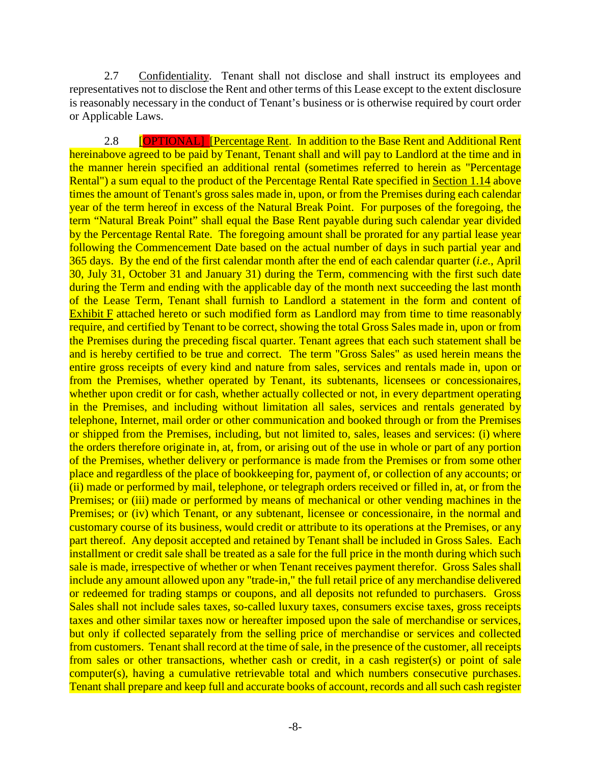2.7 Confidentiality. Tenant shall not disclose and shall instruct its employees and representatives not to disclose the Rent and other terms of this Lease except to the extent disclosure is reasonably necessary in the conduct of Tenant's business or is otherwise required by court order or Applicable Laws.

2.8 **[OPTIONAL]** [Percentage Rent. In addition to the Base Rent and Additional Rent hereinabove agreed to be paid by Tenant, Tenant shall and will pay to Landlord at the time and in the manner herein specified an additional rental (sometimes referred to herein as "Percentage Rental") a sum equal to the product of the Percentage Rental Rate specified in Section 1.14 above times the amount of Tenant's gross sales made in, upon, or from the Premises during each calendar year of the term hereof in excess of the Natural Break Point. For purposes of the foregoing, the term "Natural Break Point" shall equal the Base Rent payable during such calendar year divided by the Percentage Rental Rate. The foregoing amount shall be prorated for any partial lease year following the Commencement Date based on the actual number of days in such partial year and 365 days. By the end of the first calendar month after the end of each calendar quarter (*i.e.*, April 30, July 31, October 31 and January 31) during the Term, commencing with the first such date during the Term and ending with the applicable day of the month next succeeding the last month of the Lease Term, Tenant shall furnish to Landlord a statement in the form and content of Exhibit F attached hereto or such modified form as Landlord may from time to time reasonably require, and certified by Tenant to be correct, showing the total Gross Sales made in, upon or from the Premises during the preceding fiscal quarter. Tenant agrees that each such statement shall be and is hereby certified to be true and correct. The term "Gross Sales" as used herein means the entire gross receipts of every kind and nature from sales, services and rentals made in, upon or from the Premises, whether operated by Tenant, its subtenants, licensees or concessionaires, whether upon credit or for cash, whether actually collected or not, in every department operating in the Premises, and including without limitation all sales, services and rentals generated by telephone, Internet, mail order or other communication and booked through or from the Premises or shipped from the Premises, including, but not limited to, sales, leases and services: (i) where the orders therefore originate in, at, from, or arising out of the use in whole or part of any portion of the Premises, whether delivery or performance is made from the Premises or from some other place and regardless of the place of bookkeeping for, payment of, or collection of any accounts; or (ii) made or performed by mail, telephone, or telegraph orders received or filled in, at, or from the Premises; or (iii) made or performed by means of mechanical or other vending machines in the Premises; or (iv) which Tenant, or any subtenant, licensee or concessionaire, in the normal and customary course of its business, would credit or attribute to its operations at the Premises, or any part thereof. Any deposit accepted and retained by Tenant shall be included in Gross Sales. Each installment or credit sale shall be treated as a sale for the full price in the month during which such sale is made, irrespective of whether or when Tenant receives payment therefor. Gross Sales shall include any amount allowed upon any "trade-in," the full retail price of any merchandise delivered or redeemed for trading stamps or coupons, and all deposits not refunded to purchasers. Gross Sales shall not include sales taxes, so-called luxury taxes, consumers excise taxes, gross receipts taxes and other similar taxes now or hereafter imposed upon the sale of merchandise or services, but only if collected separately from the selling price of merchandise or services and collected from customers. Tenant shall record at the time of sale, in the presence of the customer, all receipts from sales or other transactions, whether cash or credit, in a cash register(s) or point of sale computer(s), having a cumulative retrievable total and which numbers consecutive purchases. Tenant shall prepare and keep full and accurate books of account, records and all such cash register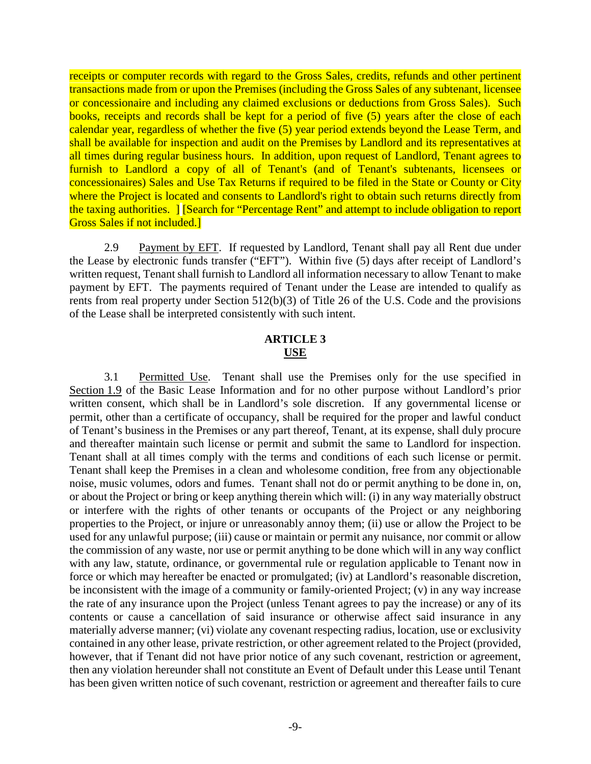receipts or computer records with regard to the Gross Sales, credits, refunds and other pertinent transactions made from or upon the Premises (including the Gross Sales of any subtenant, licensee or concessionaire and including any claimed exclusions or deductions from Gross Sales). Such books, receipts and records shall be kept for a period of five (5) years after the close of each calendar year, regardless of whether the five (5) year period extends beyond the Lease Term, and shall be available for inspection and audit on the Premises by Landlord and its representatives at all times during regular business hours. In addition, upon request of Landlord, Tenant agrees to furnish to Landlord a copy of all of Tenant's (and of Tenant's subtenants, licensees or concessionaires) Sales and Use Tax Returns if required to be filed in the State or County or City where the Project is located and consents to Landlord's right to obtain such returns directly from the taxing authorities. ] [Search for "Percentage Rent" and attempt to include obligation to report Gross Sales if not included.]

2.9 Payment by EFT. If requested by Landlord, Tenant shall pay all Rent due under the Lease by electronic funds transfer ("EFT"). Within five (5) days after receipt of Landlord's written request, Tenant shall furnish to Landlord all information necessary to allow Tenant to make payment by EFT. The payments required of Tenant under the Lease are intended to qualify as rents from real property under Section 512(b)(3) of Title 26 of the U.S. Code and the provisions of the Lease shall be interpreted consistently with such intent.

## **ARTICLE 3 USE**

3.1 Permitted Use. Tenant shall use the Premises only for the use specified in Section 1.9 of the Basic Lease Information and for no other purpose without Landlord's prior written consent, which shall be in Landlord's sole discretion. If any governmental license or permit, other than a certificate of occupancy, shall be required for the proper and lawful conduct of Tenant's business in the Premises or any part thereof, Tenant, at its expense, shall duly procure and thereafter maintain such license or permit and submit the same to Landlord for inspection. Tenant shall at all times comply with the terms and conditions of each such license or permit. Tenant shall keep the Premises in a clean and wholesome condition, free from any objectionable noise, music volumes, odors and fumes. Tenant shall not do or permit anything to be done in, on, or about the Project or bring or keep anything therein which will: (i) in any way materially obstruct or interfere with the rights of other tenants or occupants of the Project or any neighboring properties to the Project, or injure or unreasonably annoy them; (ii) use or allow the Project to be used for any unlawful purpose; (iii) cause or maintain or permit any nuisance, nor commit or allow the commission of any waste, nor use or permit anything to be done which will in any way conflict with any law, statute, ordinance, or governmental rule or regulation applicable to Tenant now in force or which may hereafter be enacted or promulgated; (iv) at Landlord's reasonable discretion, be inconsistent with the image of a community or family-oriented Project; (v) in any way increase the rate of any insurance upon the Project (unless Tenant agrees to pay the increase) or any of its contents or cause a cancellation of said insurance or otherwise affect said insurance in any materially adverse manner; (vi) violate any covenant respecting radius, location, use or exclusivity contained in any other lease, private restriction, or other agreement related to the Project (provided, however, that if Tenant did not have prior notice of any such covenant, restriction or agreement, then any violation hereunder shall not constitute an Event of Default under this Lease until Tenant has been given written notice of such covenant, restriction or agreement and thereafter fails to cure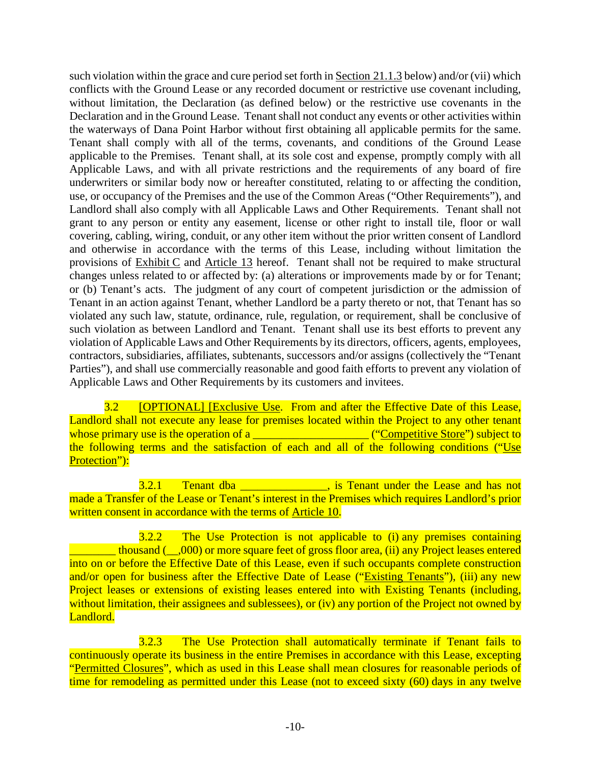such violation within the grace and cure period set forth in Section 21.1.3 below) and/or (vii) which conflicts with the Ground Lease or any recorded document or restrictive use covenant including, without limitation, the Declaration (as defined below) or the restrictive use covenants in the Declaration and in the Ground Lease. Tenant shall not conduct any events or other activities within the waterways of Dana Point Harbor without first obtaining all applicable permits for the same. Tenant shall comply with all of the terms, covenants, and conditions of the Ground Lease applicable to the Premises. Tenant shall, at its sole cost and expense, promptly comply with all Applicable Laws, and with all private restrictions and the requirements of any board of fire underwriters or similar body now or hereafter constituted, relating to or affecting the condition, use, or occupancy of the Premises and the use of the Common Areas ("Other Requirements"), and Landlord shall also comply with all Applicable Laws and Other Requirements. Tenant shall not grant to any person or entity any easement, license or other right to install tile, floor or wall covering, cabling, wiring, conduit, or any other item without the prior written consent of Landlord and otherwise in accordance with the terms of this Lease, including without limitation the provisions of Exhibit C and Article 13 hereof. Tenant shall not be required to make structural changes unless related to or affected by: (a) alterations or improvements made by or for Tenant; or (b) Tenant's acts. The judgment of any court of competent jurisdiction or the admission of Tenant in an action against Tenant, whether Landlord be a party thereto or not, that Tenant has so violated any such law, statute, ordinance, rule, regulation, or requirement, shall be conclusive of such violation as between Landlord and Tenant. Tenant shall use its best efforts to prevent any violation of Applicable Laws and Other Requirements by its directors, officers, agents, employees, contractors, subsidiaries, affiliates, subtenants, successors and/or assigns (collectively the "Tenant Parties"), and shall use commercially reasonable and good faith efforts to prevent any violation of Applicable Laws and Other Requirements by its customers and invitees.

3.2 **[OPTIONAL]** [Exclusive Use. From and after the Effective Date of this Lease, Landlord shall not execute any lease for premises located within the Project to any other tenant whose primary use is the operation of a \_\_\_\_\_\_\_\_\_\_\_\_\_\_\_\_\_\_\_\_ ("Competitive Store") subject to the following terms and the satisfaction of each and all of the following conditions ("Use Protection"):

3.2.1 Tenant dba **Figure 1.2.1** Tenant dba **Figure 1.3.1** Tenant under the Lease and has not made a Transfer of the Lease or Tenant's interest in the Premises which requires Landlord's prior written consent in accordance with the terms of Article 10.

3.2.2 The Use Protection is not applicable to (i) any premises containing \_\_\_\_\_\_\_\_ thousand (\_\_,000) or more square feet of gross floor area, (ii) any Project leases entered into on or before the Effective Date of this Lease, even if such occupants complete construction and/or open for business after the Effective Date of Lease ("Existing Tenants"), (iii) any new Project leases or extensions of existing leases entered into with Existing Tenants (including, without limitation, their assignees and sublessees), or (iv) any portion of the Project not owned by Landlord.

3.2.3 The Use Protection shall automatically terminate if Tenant fails to continuously operate its business in the entire Premises in accordance with this Lease, excepting "Permitted Closures", which as used in this Lease shall mean closures for reasonable periods of time for remodeling as permitted under this Lease (not to exceed sixty (60) days in any twelve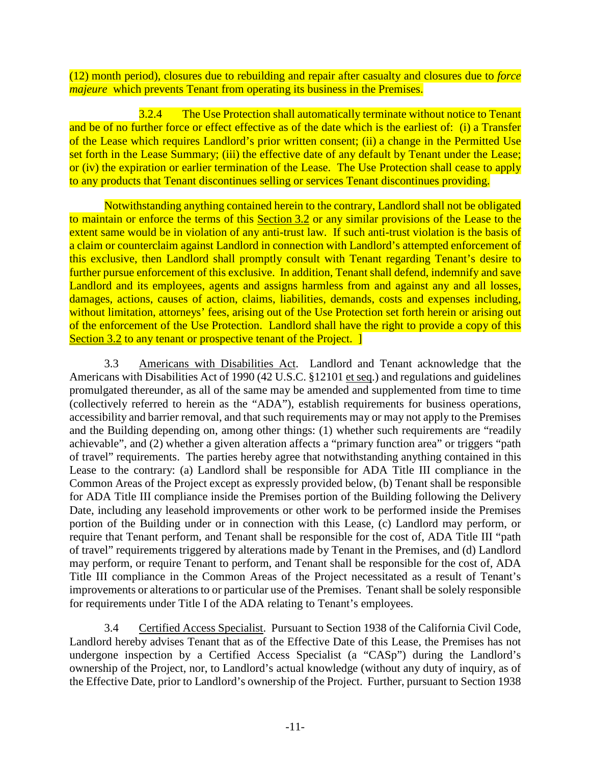(12) month period), closures due to rebuilding and repair after casualty and closures due to *force majeure* which prevents Tenant from operating its business in the Premises.

3.2.4 The Use Protection shall automatically terminate without notice to Tenant and be of no further force or effect effective as of the date which is the earliest of: (i) a Transfer of the Lease which requires Landlord's prior written consent; (ii) a change in the Permitted Use set forth in the Lease Summary; (iii) the effective date of any default by Tenant under the Lease; or (iv) the expiration or earlier termination of the Lease. The Use Protection shall cease to apply to any products that Tenant discontinues selling or services Tenant discontinues providing.

Notwithstanding anything contained herein to the contrary, Landlord shall not be obligated to maintain or enforce the terms of this Section 3.2 or any similar provisions of the Lease to the extent same would be in violation of any anti-trust law. If such anti-trust violation is the basis of a claim or counterclaim against Landlord in connection with Landlord's attempted enforcement of this exclusive, then Landlord shall promptly consult with Tenant regarding Tenant's desire to further pursue enforcement of this exclusive. In addition, Tenant shall defend, indemnify and save Landlord and its employees, agents and assigns harmless from and against any and all losses, damages, actions, causes of action, claims, liabilities, demands, costs and expenses including, without limitation, attorneys' fees, arising out of the Use Protection set forth herein or arising out of the enforcement of the Use Protection. Landlord shall have the right to provide a copy of this Section 3.2 to any tenant or prospective tenant of the Project.  $\vert$ 

3.3 Americans with Disabilities Act. Landlord and Tenant acknowledge that the Americans with Disabilities Act of 1990 (42 U.S.C. §12101 et seq.) and regulations and guidelines promulgated thereunder, as all of the same may be amended and supplemented from time to time (collectively referred to herein as the "ADA"), establish requirements for business operations, accessibility and barrier removal, and that such requirements may or may not apply to the Premises and the Building depending on, among other things: (1) whether such requirements are "readily achievable", and (2) whether a given alteration affects a "primary function area" or triggers "path of travel" requirements. The parties hereby agree that notwithstanding anything contained in this Lease to the contrary: (a) Landlord shall be responsible for ADA Title III compliance in the Common Areas of the Project except as expressly provided below, (b) Tenant shall be responsible for ADA Title III compliance inside the Premises portion of the Building following the Delivery Date, including any leasehold improvements or other work to be performed inside the Premises portion of the Building under or in connection with this Lease, (c) Landlord may perform, or require that Tenant perform, and Tenant shall be responsible for the cost of, ADA Title III "path of travel" requirements triggered by alterations made by Tenant in the Premises, and (d) Landlord may perform, or require Tenant to perform, and Tenant shall be responsible for the cost of, ADA Title III compliance in the Common Areas of the Project necessitated as a result of Tenant's improvements or alterations to or particular use of the Premises. Tenant shall be solely responsible for requirements under Title I of the ADA relating to Tenant's employees.

3.4 Certified Access Specialist. Pursuant to Section 1938 of the California Civil Code, Landlord hereby advises Tenant that as of the Effective Date of this Lease, the Premises has not undergone inspection by a Certified Access Specialist (a "CASp") during the Landlord's ownership of the Project, nor, to Landlord's actual knowledge (without any duty of inquiry, as of the Effective Date, prior to Landlord's ownership of the Project. Further, pursuant to Section 1938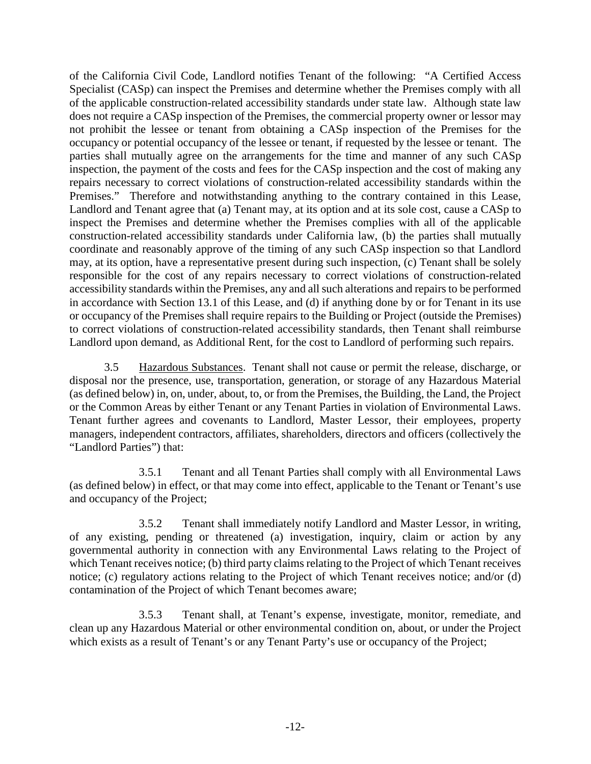of the California Civil Code, Landlord notifies Tenant of the following: "A Certified Access Specialist (CASp) can inspect the Premises and determine whether the Premises comply with all of the applicable construction-related accessibility standards under state law. Although state law does not require a CASp inspection of the Premises, the commercial property owner or lessor may not prohibit the lessee or tenant from obtaining a CASp inspection of the Premises for the occupancy or potential occupancy of the lessee or tenant, if requested by the lessee or tenant. The parties shall mutually agree on the arrangements for the time and manner of any such CASp inspection, the payment of the costs and fees for the CASp inspection and the cost of making any repairs necessary to correct violations of construction-related accessibility standards within the Premises." Therefore and notwithstanding anything to the contrary contained in this Lease, Landlord and Tenant agree that (a) Tenant may, at its option and at its sole cost, cause a CASp to inspect the Premises and determine whether the Premises complies with all of the applicable construction-related accessibility standards under California law, (b) the parties shall mutually coordinate and reasonably approve of the timing of any such CASp inspection so that Landlord may, at its option, have a representative present during such inspection, (c) Tenant shall be solely responsible for the cost of any repairs necessary to correct violations of construction-related accessibility standards within the Premises, any and all such alterations and repairs to be performed in accordance with Section 13.1 of this Lease, and (d) if anything done by or for Tenant in its use or occupancy of the Premises shall require repairs to the Building or Project (outside the Premises) to correct violations of construction-related accessibility standards, then Tenant shall reimburse Landlord upon demand, as Additional Rent, for the cost to Landlord of performing such repairs.

3.5 Hazardous Substances. Tenant shall not cause or permit the release, discharge, or disposal nor the presence, use, transportation, generation, or storage of any Hazardous Material (as defined below) in, on, under, about, to, or from the Premises, the Building, the Land, the Project or the Common Areas by either Tenant or any Tenant Parties in violation of Environmental Laws. Tenant further agrees and covenants to Landlord, Master Lessor, their employees, property managers, independent contractors, affiliates, shareholders, directors and officers (collectively the "Landlord Parties") that:

3.5.1 Tenant and all Tenant Parties shall comply with all Environmental Laws (as defined below) in effect, or that may come into effect, applicable to the Tenant or Tenant's use and occupancy of the Project;

3.5.2 Tenant shall immediately notify Landlord and Master Lessor, in writing, of any existing, pending or threatened (a) investigation, inquiry, claim or action by any governmental authority in connection with any Environmental Laws relating to the Project of which Tenant receives notice; (b) third party claims relating to the Project of which Tenant receives notice; (c) regulatory actions relating to the Project of which Tenant receives notice; and/or (d) contamination of the Project of which Tenant becomes aware;

3.5.3 Tenant shall, at Tenant's expense, investigate, monitor, remediate, and clean up any Hazardous Material or other environmental condition on, about, or under the Project which exists as a result of Tenant's or any Tenant Party's use or occupancy of the Project;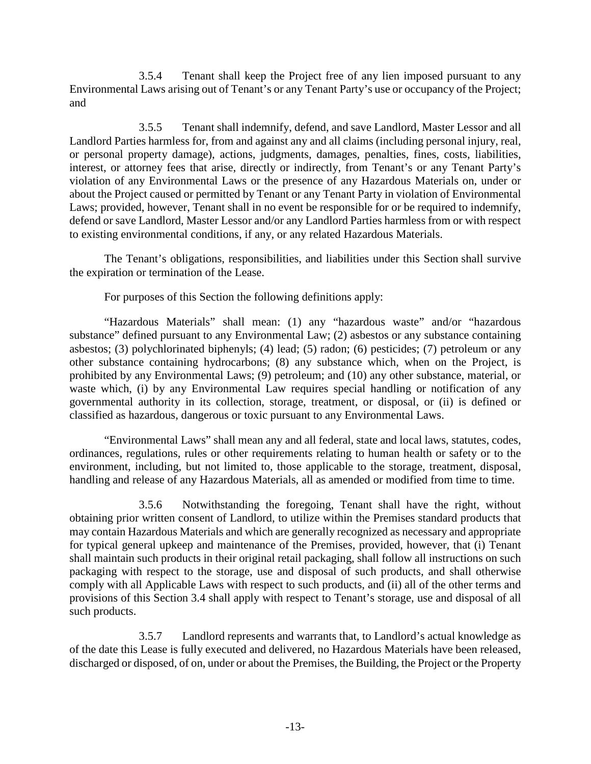3.5.4 Tenant shall keep the Project free of any lien imposed pursuant to any Environmental Laws arising out of Tenant's or any Tenant Party's use or occupancy of the Project; and

3.5.5 Tenant shall indemnify, defend, and save Landlord, Master Lessor and all Landlord Parties harmless for, from and against any and all claims (including personal injury, real, or personal property damage), actions, judgments, damages, penalties, fines, costs, liabilities, interest, or attorney fees that arise, directly or indirectly, from Tenant's or any Tenant Party's violation of any Environmental Laws or the presence of any Hazardous Materials on, under or about the Project caused or permitted by Tenant or any Tenant Party in violation of Environmental Laws; provided, however, Tenant shall in no event be responsible for or be required to indemnify, defend or save Landlord, Master Lessor and/or any Landlord Parties harmless from or with respect to existing environmental conditions, if any, or any related Hazardous Materials.

The Tenant's obligations, responsibilities, and liabilities under this Section shall survive the expiration or termination of the Lease.

For purposes of this Section the following definitions apply:

"Hazardous Materials" shall mean: (1) any "hazardous waste" and/or "hazardous substance" defined pursuant to any Environmental Law; (2) asbestos or any substance containing asbestos; (3) polychlorinated biphenyls; (4) lead; (5) radon; (6) pesticides; (7) petroleum or any other substance containing hydrocarbons; (8) any substance which, when on the Project, is prohibited by any Environmental Laws; (9) petroleum; and (10) any other substance, material, or waste which, (i) by any Environmental Law requires special handling or notification of any governmental authority in its collection, storage, treatment, or disposal, or (ii) is defined or classified as hazardous, dangerous or toxic pursuant to any Environmental Laws.

"Environmental Laws" shall mean any and all federal, state and local laws, statutes, codes, ordinances, regulations, rules or other requirements relating to human health or safety or to the environment, including, but not limited to, those applicable to the storage, treatment, disposal, handling and release of any Hazardous Materials, all as amended or modified from time to time.

3.5.6 Notwithstanding the foregoing, Tenant shall have the right, without obtaining prior written consent of Landlord, to utilize within the Premises standard products that may contain Hazardous Materials and which are generally recognized as necessary and appropriate for typical general upkeep and maintenance of the Premises, provided, however, that (i) Tenant shall maintain such products in their original retail packaging, shall follow all instructions on such packaging with respect to the storage, use and disposal of such products, and shall otherwise comply with all Applicable Laws with respect to such products, and (ii) all of the other terms and provisions of this Section 3.4 shall apply with respect to Tenant's storage, use and disposal of all such products.

3.5.7 Landlord represents and warrants that, to Landlord's actual knowledge as of the date this Lease is fully executed and delivered, no Hazardous Materials have been released, discharged or disposed, of on, under or about the Premises, the Building, the Project or the Property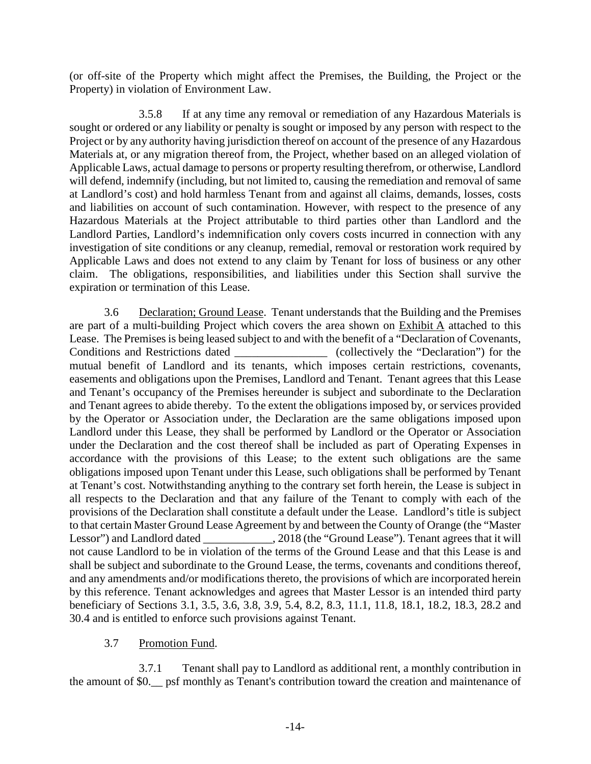(or off-site of the Property which might affect the Premises, the Building, the Project or the Property) in violation of Environment Law.

3.5.8 If at any time any removal or remediation of any Hazardous Materials is sought or ordered or any liability or penalty is sought or imposed by any person with respect to the Project or by any authority having jurisdiction thereof on account of the presence of any Hazardous Materials at, or any migration thereof from, the Project, whether based on an alleged violation of Applicable Laws, actual damage to persons or property resulting therefrom, or otherwise, Landlord will defend, indemnify (including, but not limited to, causing the remediation and removal of same at Landlord's cost) and hold harmless Tenant from and against all claims, demands, losses, costs and liabilities on account of such contamination. However, with respect to the presence of any Hazardous Materials at the Project attributable to third parties other than Landlord and the Landlord Parties, Landlord's indemnification only covers costs incurred in connection with any investigation of site conditions or any cleanup, remedial, removal or restoration work required by Applicable Laws and does not extend to any claim by Tenant for loss of business or any other claim. The obligations, responsibilities, and liabilities under this Section shall survive the expiration or termination of this Lease.

3.6 Declaration; Ground Lease. Tenant understands that the Building and the Premises are part of a multi-building Project which covers the area shown on Exhibit A attached to this Lease. The Premises is being leased subject to and with the benefit of a "Declaration of Covenants, Conditions and Restrictions dated \_\_\_\_\_\_\_\_\_\_\_\_\_\_\_\_\_ (collectively the "Declaration") for the mutual benefit of Landlord and its tenants, which imposes certain restrictions, covenants, easements and obligations upon the Premises, Landlord and Tenant. Tenant agrees that this Lease and Tenant's occupancy of the Premises hereunder is subject and subordinate to the Declaration and Tenant agrees to abide thereby. To the extent the obligations imposed by, or services provided by the Operator or Association under, the Declaration are the same obligations imposed upon Landlord under this Lease, they shall be performed by Landlord or the Operator or Association under the Declaration and the cost thereof shall be included as part of Operating Expenses in accordance with the provisions of this Lease; to the extent such obligations are the same obligations imposed upon Tenant under this Lease, such obligations shall be performed by Tenant at Tenant's cost. Notwithstanding anything to the contrary set forth herein, the Lease is subject in all respects to the Declaration and that any failure of the Tenant to comply with each of the provisions of the Declaration shall constitute a default under the Lease. Landlord's title is subject to that certain Master Ground Lease Agreement by and between the County of Orange (the "Master Lessor") and Landlord dated \_\_\_\_\_\_\_\_\_\_\_\_, 2018 (the "Ground Lease"). Tenant agrees that it will not cause Landlord to be in violation of the terms of the Ground Lease and that this Lease is and shall be subject and subordinate to the Ground Lease, the terms, covenants and conditions thereof, and any amendments and/or modifications thereto, the provisions of which are incorporated herein by this reference. Tenant acknowledges and agrees that Master Lessor is an intended third party beneficiary of Sections 3.1, 3.5, 3.6, 3.8, 3.9, 5.4, 8.2, 8.3, 11.1, 11.8, 18.1, 18.2, 18.3, 28.2 and 30.4 and is entitled to enforce such provisions against Tenant.

# 3.7 Promotion Fund.

3.7.1 Tenant shall pay to Landlord as additional rent, a monthly contribution in the amount of \$0.\_\_ psf monthly as Tenant's contribution toward the creation and maintenance of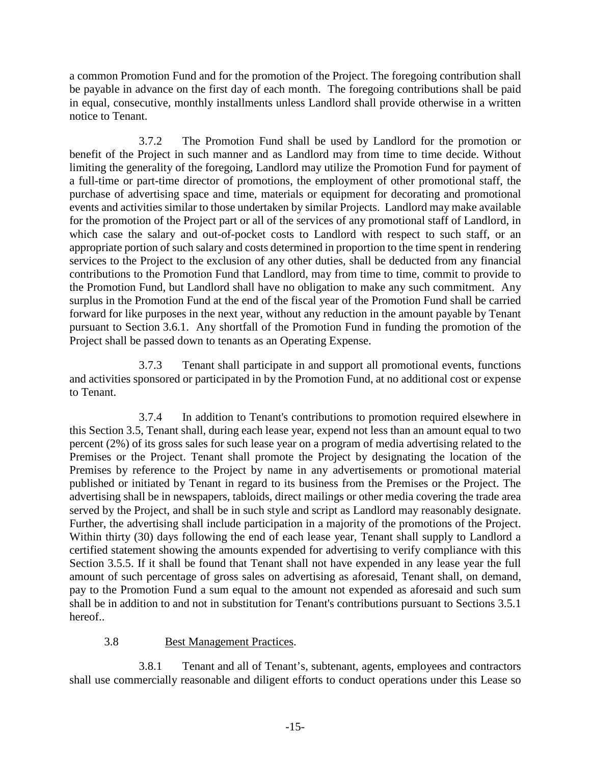a common Promotion Fund and for the promotion of the Project. The foregoing contribution shall be payable in advance on the first day of each month. The foregoing contributions shall be paid in equal, consecutive, monthly installments unless Landlord shall provide otherwise in a written notice to Tenant.

3.7.2 The Promotion Fund shall be used by Landlord for the promotion or benefit of the Project in such manner and as Landlord may from time to time decide. Without limiting the generality of the foregoing, Landlord may utilize the Promotion Fund for payment of a full-time or part-time director of promotions, the employment of other promotional staff, the purchase of advertising space and time, materials or equipment for decorating and promotional events and activities similar to those undertaken by similar Projects. Landlord may make available for the promotion of the Project part or all of the services of any promotional staff of Landlord, in which case the salary and out-of-pocket costs to Landlord with respect to such staff, or an appropriate portion of such salary and costs determined in proportion to the time spent in rendering services to the Project to the exclusion of any other duties, shall be deducted from any financial contributions to the Promotion Fund that Landlord, may from time to time, commit to provide to the Promotion Fund, but Landlord shall have no obligation to make any such commitment. Any surplus in the Promotion Fund at the end of the fiscal year of the Promotion Fund shall be carried forward for like purposes in the next year, without any reduction in the amount payable by Tenant pursuant to Section 3.6.1. Any shortfall of the Promotion Fund in funding the promotion of the Project shall be passed down to tenants as an Operating Expense.

3.7.3 Tenant shall participate in and support all promotional events, functions and activities sponsored or participated in by the Promotion Fund, at no additional cost or expense to Tenant.

3.7.4 In addition to Tenant's contributions to promotion required elsewhere in this Section 3.5, Tenant shall, during each lease year, expend not less than an amount equal to two percent (2%) of its gross sales for such lease year on a program of media advertising related to the Premises or the Project. Tenant shall promote the Project by designating the location of the Premises by reference to the Project by name in any advertisements or promotional material published or initiated by Tenant in regard to its business from the Premises or the Project. The advertising shall be in newspapers, tabloids, direct mailings or other media covering the trade area served by the Project, and shall be in such style and script as Landlord may reasonably designate. Further, the advertising shall include participation in a majority of the promotions of the Project. Within thirty (30) days following the end of each lease year, Tenant shall supply to Landlord a certified statement showing the amounts expended for advertising to verify compliance with this Section 3.5.5. If it shall be found that Tenant shall not have expended in any lease year the full amount of such percentage of gross sales on advertising as aforesaid, Tenant shall, on demand, pay to the Promotion Fund a sum equal to the amount not expended as aforesaid and such sum shall be in addition to and not in substitution for Tenant's contributions pursuant to Sections 3.5.1 hereof..

# 3.8 Best Management Practices.

3.8.1 Tenant and all of Tenant's, subtenant, agents, employees and contractors shall use commercially reasonable and diligent efforts to conduct operations under this Lease so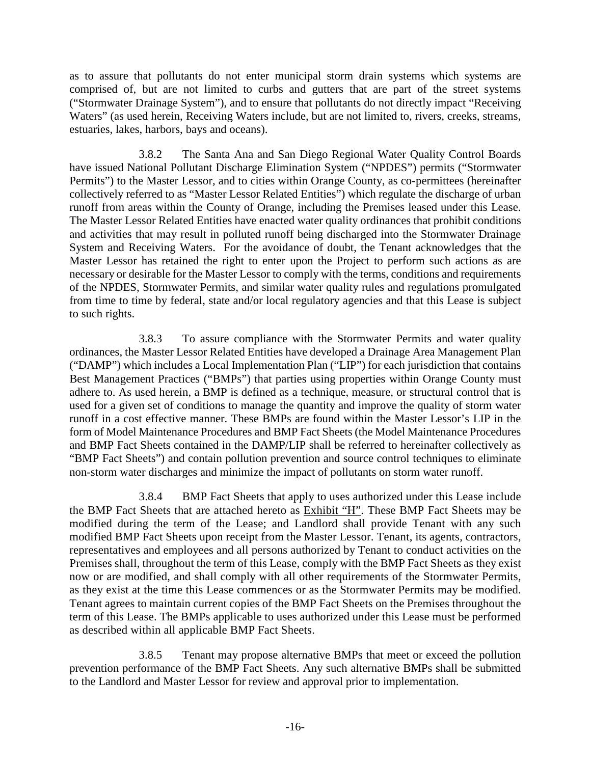as to assure that pollutants do not enter municipal storm drain systems which systems are comprised of, but are not limited to curbs and gutters that are part of the street systems ("Stormwater Drainage System"), and to ensure that pollutants do not directly impact "Receiving Waters" (as used herein, Receiving Waters include, but are not limited to, rivers, creeks, streams, estuaries, lakes, harbors, bays and oceans).

3.8.2 The Santa Ana and San Diego Regional Water Quality Control Boards have issued National Pollutant Discharge Elimination System ("NPDES") permits ("Stormwater Permits") to the Master Lessor, and to cities within Orange County, as co-permittees (hereinafter collectively referred to as "Master Lessor Related Entities") which regulate the discharge of urban runoff from areas within the County of Orange, including the Premises leased under this Lease. The Master Lessor Related Entities have enacted water quality ordinances that prohibit conditions and activities that may result in polluted runoff being discharged into the Stormwater Drainage System and Receiving Waters. For the avoidance of doubt, the Tenant acknowledges that the Master Lessor has retained the right to enter upon the Project to perform such actions as are necessary or desirable for the Master Lessor to comply with the terms, conditions and requirements of the NPDES, Stormwater Permits, and similar water quality rules and regulations promulgated from time to time by federal, state and/or local regulatory agencies and that this Lease is subject to such rights.

3.8.3 To assure compliance with the Stormwater Permits and water quality ordinances, the Master Lessor Related Entities have developed a Drainage Area Management Plan ("DAMP") which includes a Local Implementation Plan ("LIP") for each jurisdiction that contains Best Management Practices ("BMPs") that parties using properties within Orange County must adhere to. As used herein, a BMP is defined as a technique, measure, or structural control that is used for a given set of conditions to manage the quantity and improve the quality of storm water runoff in a cost effective manner. These BMPs are found within the Master Lessor's LIP in the form of Model Maintenance Procedures and BMP Fact Sheets (the Model Maintenance Procedures and BMP Fact Sheets contained in the DAMP/LIP shall be referred to hereinafter collectively as "BMP Fact Sheets") and contain pollution prevention and source control techniques to eliminate non-storm water discharges and minimize the impact of pollutants on storm water runoff.

3.8.4 BMP Fact Sheets that apply to uses authorized under this Lease include the BMP Fact Sheets that are attached hereto as Exhibit "H". These BMP Fact Sheets may be modified during the term of the Lease; and Landlord shall provide Tenant with any such modified BMP Fact Sheets upon receipt from the Master Lessor. Tenant, its agents, contractors, representatives and employees and all persons authorized by Tenant to conduct activities on the Premises shall, throughout the term of this Lease, comply with the BMP Fact Sheets as they exist now or are modified, and shall comply with all other requirements of the Stormwater Permits, as they exist at the time this Lease commences or as the Stormwater Permits may be modified. Tenant agrees to maintain current copies of the BMP Fact Sheets on the Premises throughout the term of this Lease. The BMPs applicable to uses authorized under this Lease must be performed as described within all applicable BMP Fact Sheets.

3.8.5 Tenant may propose alternative BMPs that meet or exceed the pollution prevention performance of the BMP Fact Sheets. Any such alternative BMPs shall be submitted to the Landlord and Master Lessor for review and approval prior to implementation.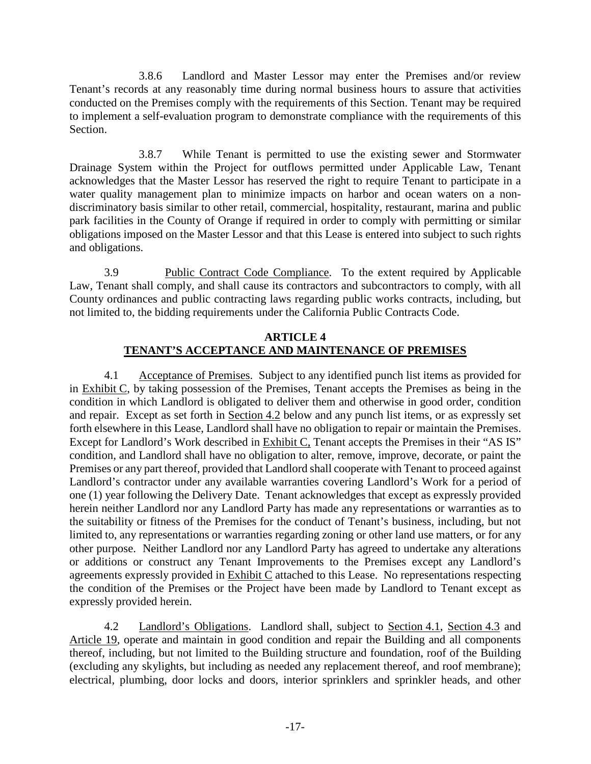3.8.6 Landlord and Master Lessor may enter the Premises and/or review Tenant's records at any reasonably time during normal business hours to assure that activities conducted on the Premises comply with the requirements of this Section. Tenant may be required to implement a self-evaluation program to demonstrate compliance with the requirements of this Section.

3.8.7 While Tenant is permitted to use the existing sewer and Stormwater Drainage System within the Project for outflows permitted under Applicable Law, Tenant acknowledges that the Master Lessor has reserved the right to require Tenant to participate in a water quality management plan to minimize impacts on harbor and ocean waters on a nondiscriminatory basis similar to other retail, commercial, hospitality, restaurant, marina and public park facilities in the County of Orange if required in order to comply with permitting or similar obligations imposed on the Master Lessor and that this Lease is entered into subject to such rights and obligations.

3.9 Public Contract Code Compliance. To the extent required by Applicable Law, Tenant shall comply, and shall cause its contractors and subcontractors to comply, with all County ordinances and public contracting laws regarding public works contracts, including, but not limited to, the bidding requirements under the California Public Contracts Code.

# **ARTICLE 4 TENANT'S ACCEPTANCE AND MAINTENANCE OF PREMISES**

4.1 Acceptance of Premises. Subject to any identified punch list items as provided for in Exhibit C, by taking possession of the Premises, Tenant accepts the Premises as being in the condition in which Landlord is obligated to deliver them and otherwise in good order, condition and repair. Except as set forth in Section 4.2 below and any punch list items, or as expressly set forth elsewhere in this Lease, Landlord shall have no obligation to repair or maintain the Premises. Except for Landlord's Work described in Exhibit C, Tenant accepts the Premises in their "AS IS" condition, and Landlord shall have no obligation to alter, remove, improve, decorate, or paint the Premises or any part thereof, provided that Landlord shall cooperate with Tenant to proceed against Landlord's contractor under any available warranties covering Landlord's Work for a period of one (1) year following the Delivery Date. Tenant acknowledges that except as expressly provided herein neither Landlord nor any Landlord Party has made any representations or warranties as to the suitability or fitness of the Premises for the conduct of Tenant's business, including, but not limited to, any representations or warranties regarding zoning or other land use matters, or for any other purpose. Neither Landlord nor any Landlord Party has agreed to undertake any alterations or additions or construct any Tenant Improvements to the Premises except any Landlord's agreements expressly provided in Exhibit C attached to this Lease. No representations respecting the condition of the Premises or the Project have been made by Landlord to Tenant except as expressly provided herein.

4.2 Landlord's Obligations. Landlord shall, subject to Section 4.1, Section 4.3 and Article 19, operate and maintain in good condition and repair the Building and all components thereof, including, but not limited to the Building structure and foundation, roof of the Building (excluding any skylights, but including as needed any replacement thereof, and roof membrane); electrical, plumbing, door locks and doors, interior sprinklers and sprinkler heads, and other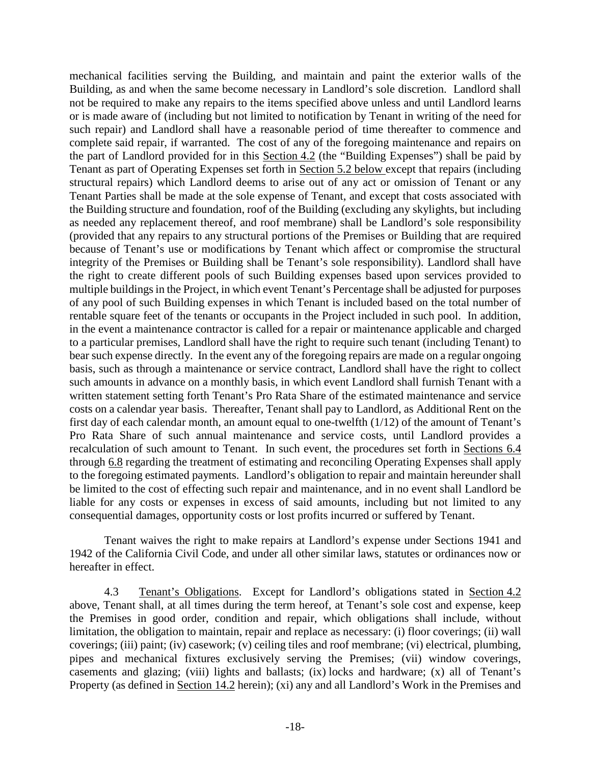mechanical facilities serving the Building, and maintain and paint the exterior walls of the Building, as and when the same become necessary in Landlord's sole discretion. Landlord shall not be required to make any repairs to the items specified above unless and until Landlord learns or is made aware of (including but not limited to notification by Tenant in writing of the need for such repair) and Landlord shall have a reasonable period of time thereafter to commence and complete said repair, if warranted. The cost of any of the foregoing maintenance and repairs on the part of Landlord provided for in this Section 4.2 (the "Building Expenses") shall be paid by Tenant as part of Operating Expenses set forth in Section 5.2 below except that repairs (including structural repairs) which Landlord deems to arise out of any act or omission of Tenant or any Tenant Parties shall be made at the sole expense of Tenant, and except that costs associated with the Building structure and foundation, roof of the Building (excluding any skylights, but including as needed any replacement thereof, and roof membrane) shall be Landlord's sole responsibility (provided that any repairs to any structural portions of the Premises or Building that are required because of Tenant's use or modifications by Tenant which affect or compromise the structural integrity of the Premises or Building shall be Tenant's sole responsibility). Landlord shall have the right to create different pools of such Building expenses based upon services provided to multiple buildings in the Project, in which event Tenant's Percentage shall be adjusted for purposes of any pool of such Building expenses in which Tenant is included based on the total number of rentable square feet of the tenants or occupants in the Project included in such pool. In addition, in the event a maintenance contractor is called for a repair or maintenance applicable and charged to a particular premises, Landlord shall have the right to require such tenant (including Tenant) to bear such expense directly. In the event any of the foregoing repairs are made on a regular ongoing basis, such as through a maintenance or service contract, Landlord shall have the right to collect such amounts in advance on a monthly basis, in which event Landlord shall furnish Tenant with a written statement setting forth Tenant's Pro Rata Share of the estimated maintenance and service costs on a calendar year basis. Thereafter, Tenant shall pay to Landlord, as Additional Rent on the first day of each calendar month, an amount equal to one-twelfth (1/12) of the amount of Tenant's Pro Rata Share of such annual maintenance and service costs, until Landlord provides a recalculation of such amount to Tenant. In such event, the procedures set forth in Sections 6.4 through 6.8 regarding the treatment of estimating and reconciling Operating Expenses shall apply to the foregoing estimated payments. Landlord's obligation to repair and maintain hereunder shall be limited to the cost of effecting such repair and maintenance, and in no event shall Landlord be liable for any costs or expenses in excess of said amounts, including but not limited to any consequential damages, opportunity costs or lost profits incurred or suffered by Tenant.

Tenant waives the right to make repairs at Landlord's expense under Sections 1941 and 1942 of the California Civil Code, and under all other similar laws, statutes or ordinances now or hereafter in effect.

4.3 Tenant's Obligations. Except for Landlord's obligations stated in Section 4.2 above, Tenant shall, at all times during the term hereof, at Tenant's sole cost and expense, keep the Premises in good order, condition and repair, which obligations shall include, without limitation, the obligation to maintain, repair and replace as necessary: (i) floor coverings; (ii) wall coverings; (iii) paint; (iv) casework; (v) ceiling tiles and roof membrane; (vi) electrical, plumbing, pipes and mechanical fixtures exclusively serving the Premises; (vii) window coverings, casements and glazing; (viii) lights and ballasts; (ix) locks and hardware; (x) all of Tenant's Property (as defined in Section 14.2 herein); (xi) any and all Landlord's Work in the Premises and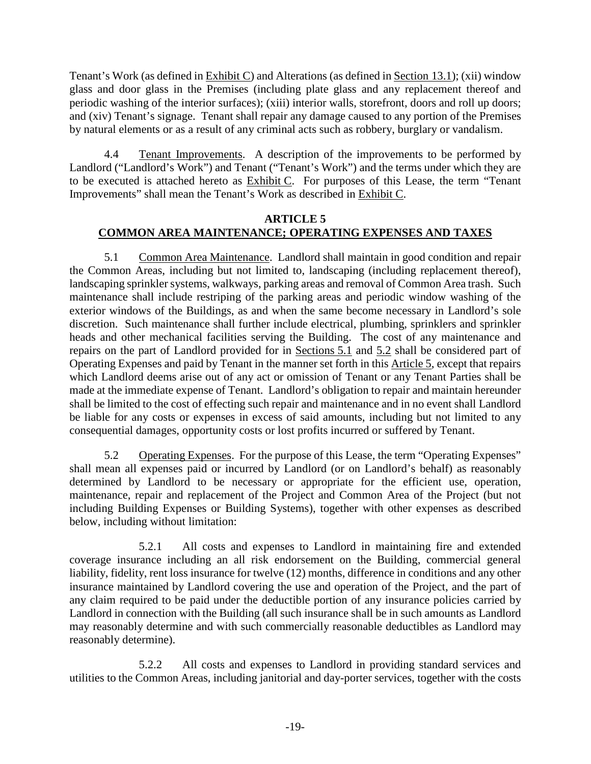Tenant's Work (as defined in Exhibit C) and Alterations (as defined in Section 13.1); (xii) window glass and door glass in the Premises (including plate glass and any replacement thereof and periodic washing of the interior surfaces); (xiii) interior walls, storefront, doors and roll up doors; and (xiv) Tenant's signage. Tenant shall repair any damage caused to any portion of the Premises by natural elements or as a result of any criminal acts such as robbery, burglary or vandalism.

4.4 Tenant Improvements. A description of the improvements to be performed by Landlord ("Landlord's Work") and Tenant ("Tenant's Work") and the terms under which they are to be executed is attached hereto as Exhibit C. For purposes of this Lease, the term "Tenant Improvements" shall mean the Tenant's Work as described in Exhibit C.

### **ARTICLE 5 COMMON AREA MAINTENANCE; OPERATING EXPENSES AND TAXES**

5.1 Common Area Maintenance. Landlord shall maintain in good condition and repair the Common Areas, including but not limited to, landscaping (including replacement thereof), landscaping sprinkler systems, walkways, parking areas and removal of Common Area trash. Such maintenance shall include restriping of the parking areas and periodic window washing of the exterior windows of the Buildings, as and when the same become necessary in Landlord's sole discretion. Such maintenance shall further include electrical, plumbing, sprinklers and sprinkler heads and other mechanical facilities serving the Building. The cost of any maintenance and repairs on the part of Landlord provided for in Sections 5.1 and 5.2 shall be considered part of Operating Expenses and paid by Tenant in the manner set forth in this Article 5, except that repairs which Landlord deems arise out of any act or omission of Tenant or any Tenant Parties shall be made at the immediate expense of Tenant. Landlord's obligation to repair and maintain hereunder shall be limited to the cost of effecting such repair and maintenance and in no event shall Landlord be liable for any costs or expenses in excess of said amounts, including but not limited to any consequential damages, opportunity costs or lost profits incurred or suffered by Tenant.

5.2 Operating Expenses. For the purpose of this Lease, the term "Operating Expenses" shall mean all expenses paid or incurred by Landlord (or on Landlord's behalf) as reasonably determined by Landlord to be necessary or appropriate for the efficient use, operation, maintenance, repair and replacement of the Project and Common Area of the Project (but not including Building Expenses or Building Systems), together with other expenses as described below, including without limitation:

5.2.1 All costs and expenses to Landlord in maintaining fire and extended coverage insurance including an all risk endorsement on the Building, commercial general liability, fidelity, rent loss insurance for twelve (12) months, difference in conditions and any other insurance maintained by Landlord covering the use and operation of the Project, and the part of any claim required to be paid under the deductible portion of any insurance policies carried by Landlord in connection with the Building (all such insurance shall be in such amounts as Landlord may reasonably determine and with such commercially reasonable deductibles as Landlord may reasonably determine).

5.2.2 All costs and expenses to Landlord in providing standard services and utilities to the Common Areas, including janitorial and day-porter services, together with the costs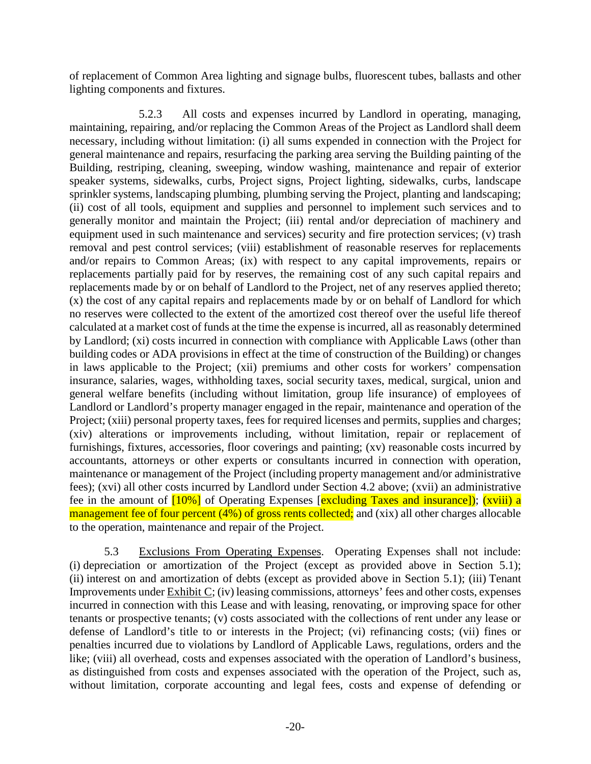of replacement of Common Area lighting and signage bulbs, fluorescent tubes, ballasts and other lighting components and fixtures.

5.2.3 All costs and expenses incurred by Landlord in operating, managing, maintaining, repairing, and/or replacing the Common Areas of the Project as Landlord shall deem necessary, including without limitation: (i) all sums expended in connection with the Project for general maintenance and repairs, resurfacing the parking area serving the Building painting of the Building, restriping, cleaning, sweeping, window washing, maintenance and repair of exterior speaker systems, sidewalks, curbs, Project signs, Project lighting, sidewalks, curbs, landscape sprinkler systems, landscaping plumbing, plumbing serving the Project, planting and landscaping; (ii) cost of all tools, equipment and supplies and personnel to implement such services and to generally monitor and maintain the Project; (iii) rental and/or depreciation of machinery and equipment used in such maintenance and services) security and fire protection services; (v) trash removal and pest control services; (viii) establishment of reasonable reserves for replacements and/or repairs to Common Areas; (ix) with respect to any capital improvements, repairs or replacements partially paid for by reserves, the remaining cost of any such capital repairs and replacements made by or on behalf of Landlord to the Project, net of any reserves applied thereto; (x) the cost of any capital repairs and replacements made by or on behalf of Landlord for which no reserves were collected to the extent of the amortized cost thereof over the useful life thereof calculated at a market cost of funds at the time the expense is incurred, all as reasonably determined by Landlord; (xi) costs incurred in connection with compliance with Applicable Laws (other than building codes or ADA provisions in effect at the time of construction of the Building) or changes in laws applicable to the Project; (xii) premiums and other costs for workers' compensation insurance, salaries, wages, withholding taxes, social security taxes, medical, surgical, union and general welfare benefits (including without limitation, group life insurance) of employees of Landlord or Landlord's property manager engaged in the repair, maintenance and operation of the Project; (xiii) personal property taxes, fees for required licenses and permits, supplies and charges; (xiv) alterations or improvements including, without limitation, repair or replacement of furnishings, fixtures, accessories, floor coverings and painting; (xv) reasonable costs incurred by accountants, attorneys or other experts or consultants incurred in connection with operation, maintenance or management of the Project (including property management and/or administrative fees); (xvi) all other costs incurred by Landlord under Section 4.2 above; (xvii) an administrative fee in the amount of [10%] of Operating Expenses [excluding Taxes and insurance]); (xviii) a management fee of four percent (4%) of gross rents collected; and (xix) all other charges allocable to the operation, maintenance and repair of the Project.

5.3 Exclusions From Operating Expenses. Operating Expenses shall not include: (i) depreciation or amortization of the Project (except as provided above in Section 5.1); (ii) interest on and amortization of debts (except as provided above in Section 5.1); (iii) Tenant Improvements under Exhibit C; (iv) leasing commissions, attorneys' fees and other costs, expenses incurred in connection with this Lease and with leasing, renovating, or improving space for other tenants or prospective tenants; (v) costs associated with the collections of rent under any lease or defense of Landlord's title to or interests in the Project; (vi) refinancing costs; (vii) fines or penalties incurred due to violations by Landlord of Applicable Laws, regulations, orders and the like; (viii) all overhead, costs and expenses associated with the operation of Landlord's business, as distinguished from costs and expenses associated with the operation of the Project, such as, without limitation, corporate accounting and legal fees, costs and expense of defending or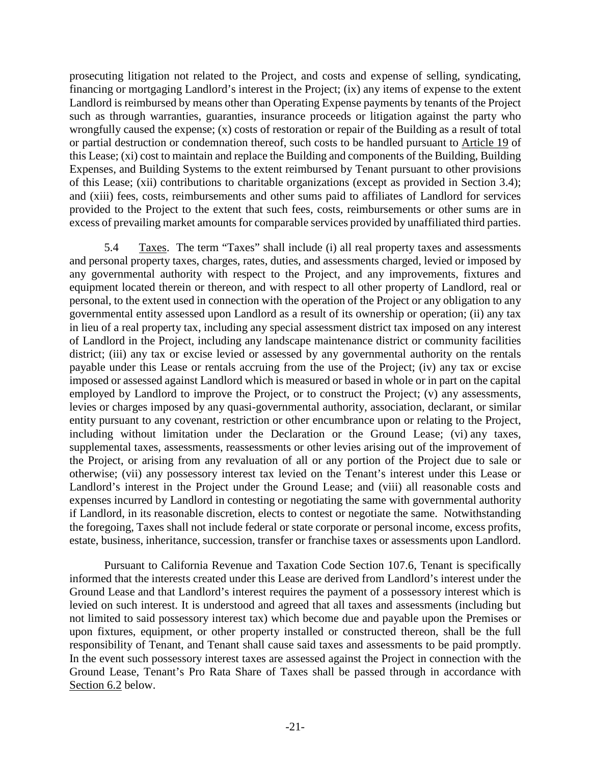prosecuting litigation not related to the Project, and costs and expense of selling, syndicating, financing or mortgaging Landlord's interest in the Project; (ix) any items of expense to the extent Landlord is reimbursed by means other than Operating Expense payments by tenants of the Project such as through warranties, guaranties, insurance proceeds or litigation against the party who wrongfully caused the expense; (x) costs of restoration or repair of the Building as a result of total or partial destruction or condemnation thereof, such costs to be handled pursuant to Article 19 of this Lease; (xi) cost to maintain and replace the Building and components of the Building, Building Expenses, and Building Systems to the extent reimbursed by Tenant pursuant to other provisions of this Lease; (xii) contributions to charitable organizations (except as provided in Section 3.4); and (xiii) fees, costs, reimbursements and other sums paid to affiliates of Landlord for services provided to the Project to the extent that such fees, costs, reimbursements or other sums are in excess of prevailing market amounts for comparable services provided by unaffiliated third parties.

5.4 Taxes. The term "Taxes" shall include (i) all real property taxes and assessments and personal property taxes, charges, rates, duties, and assessments charged, levied or imposed by any governmental authority with respect to the Project, and any improvements, fixtures and equipment located therein or thereon, and with respect to all other property of Landlord, real or personal, to the extent used in connection with the operation of the Project or any obligation to any governmental entity assessed upon Landlord as a result of its ownership or operation; (ii) any tax in lieu of a real property tax, including any special assessment district tax imposed on any interest of Landlord in the Project, including any landscape maintenance district or community facilities district; (iii) any tax or excise levied or assessed by any governmental authority on the rentals payable under this Lease or rentals accruing from the use of the Project; (iv) any tax or excise imposed or assessed against Landlord which is measured or based in whole or in part on the capital employed by Landlord to improve the Project, or to construct the Project; (v) any assessments, levies or charges imposed by any quasi-governmental authority, association, declarant, or similar entity pursuant to any covenant, restriction or other encumbrance upon or relating to the Project, including without limitation under the Declaration or the Ground Lease; (vi) any taxes, supplemental taxes, assessments, reassessments or other levies arising out of the improvement of the Project, or arising from any revaluation of all or any portion of the Project due to sale or otherwise; (vii) any possessory interest tax levied on the Tenant's interest under this Lease or Landlord's interest in the Project under the Ground Lease; and (viii) all reasonable costs and expenses incurred by Landlord in contesting or negotiating the same with governmental authority if Landlord, in its reasonable discretion, elects to contest or negotiate the same. Notwithstanding the foregoing, Taxes shall not include federal or state corporate or personal income, excess profits, estate, business, inheritance, succession, transfer or franchise taxes or assessments upon Landlord.

Pursuant to California Revenue and Taxation Code Section 107.6, Tenant is specifically informed that the interests created under this Lease are derived from Landlord's interest under the Ground Lease and that Landlord's interest requires the payment of a possessory interest which is levied on such interest. It is understood and agreed that all taxes and assessments (including but not limited to said possessory interest tax) which become due and payable upon the Premises or upon fixtures, equipment, or other property installed or constructed thereon, shall be the full responsibility of Tenant, and Tenant shall cause said taxes and assessments to be paid promptly. In the event such possessory interest taxes are assessed against the Project in connection with the Ground Lease, Tenant's Pro Rata Share of Taxes shall be passed through in accordance with Section 6.2 below.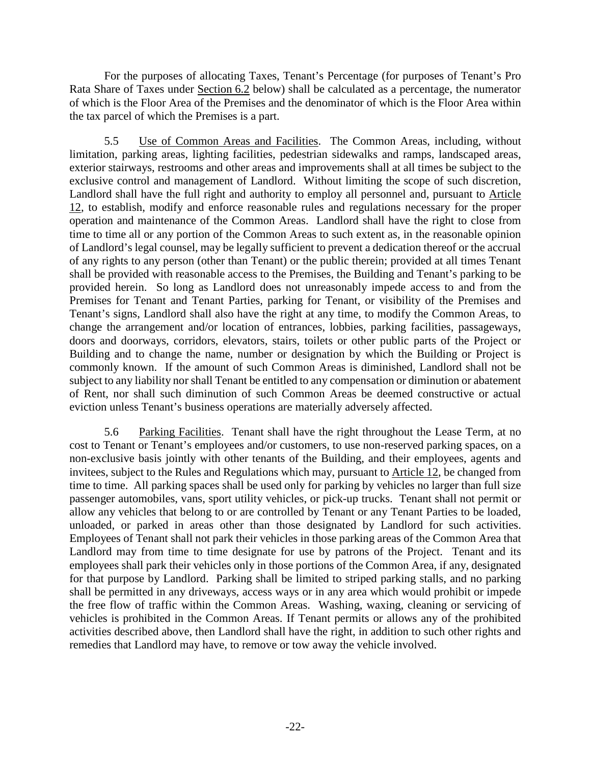For the purposes of allocating Taxes, Tenant's Percentage (for purposes of Tenant's Pro Rata Share of Taxes under Section 6.2 below) shall be calculated as a percentage, the numerator of which is the Floor Area of the Premises and the denominator of which is the Floor Area within the tax parcel of which the Premises is a part.

5.5 Use of Common Areas and Facilities. The Common Areas, including, without limitation, parking areas, lighting facilities, pedestrian sidewalks and ramps, landscaped areas, exterior stairways, restrooms and other areas and improvements shall at all times be subject to the exclusive control and management of Landlord. Without limiting the scope of such discretion, Landlord shall have the full right and authority to employ all personnel and, pursuant to Article 12, to establish, modify and enforce reasonable rules and regulations necessary for the proper operation and maintenance of the Common Areas. Landlord shall have the right to close from time to time all or any portion of the Common Areas to such extent as, in the reasonable opinion of Landlord's legal counsel, may be legally sufficient to prevent a dedication thereof or the accrual of any rights to any person (other than Tenant) or the public therein; provided at all times Tenant shall be provided with reasonable access to the Premises, the Building and Tenant's parking to be provided herein. So long as Landlord does not unreasonably impede access to and from the Premises for Tenant and Tenant Parties, parking for Tenant, or visibility of the Premises and Tenant's signs, Landlord shall also have the right at any time, to modify the Common Areas, to change the arrangement and/or location of entrances, lobbies, parking facilities, passageways, doors and doorways, corridors, elevators, stairs, toilets or other public parts of the Project or Building and to change the name, number or designation by which the Building or Project is commonly known. If the amount of such Common Areas is diminished, Landlord shall not be subject to any liability nor shall Tenant be entitled to any compensation or diminution or abatement of Rent, nor shall such diminution of such Common Areas be deemed constructive or actual eviction unless Tenant's business operations are materially adversely affected.

5.6 Parking Facilities. Tenant shall have the right throughout the Lease Term, at no cost to Tenant or Tenant's employees and/or customers, to use non-reserved parking spaces, on a non-exclusive basis jointly with other tenants of the Building, and their employees, agents and invitees, subject to the Rules and Regulations which may, pursuant to Article 12, be changed from time to time. All parking spaces shall be used only for parking by vehicles no larger than full size passenger automobiles, vans, sport utility vehicles, or pick-up trucks. Tenant shall not permit or allow any vehicles that belong to or are controlled by Tenant or any Tenant Parties to be loaded, unloaded, or parked in areas other than those designated by Landlord for such activities. Employees of Tenant shall not park their vehicles in those parking areas of the Common Area that Landlord may from time to time designate for use by patrons of the Project. Tenant and its employees shall park their vehicles only in those portions of the Common Area, if any, designated for that purpose by Landlord. Parking shall be limited to striped parking stalls, and no parking shall be permitted in any driveways, access ways or in any area which would prohibit or impede the free flow of traffic within the Common Areas. Washing, waxing, cleaning or servicing of vehicles is prohibited in the Common Areas. If Tenant permits or allows any of the prohibited activities described above, then Landlord shall have the right, in addition to such other rights and remedies that Landlord may have, to remove or tow away the vehicle involved.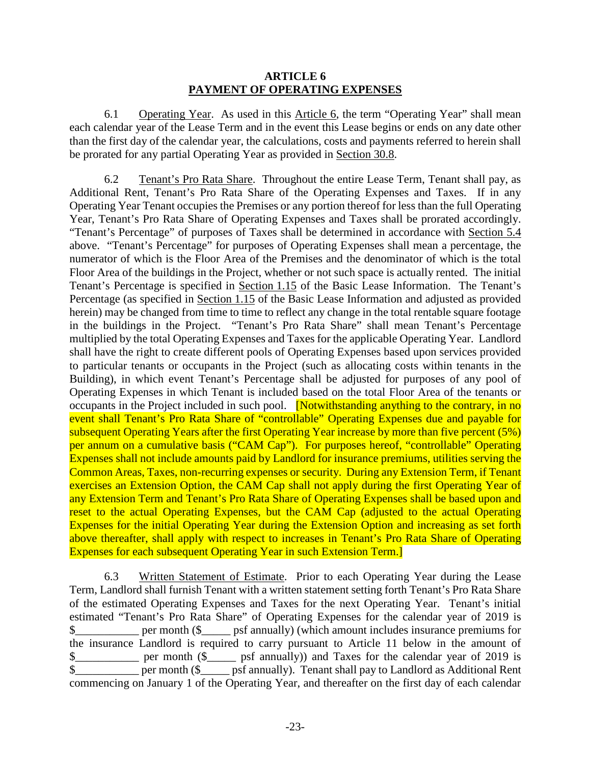#### **ARTICLE 6 PAYMENT OF OPERATING EXPENSES**

6.1 Operating Year. As used in this Article 6, the term "Operating Year" shall mean each calendar year of the Lease Term and in the event this Lease begins or ends on any date other than the first day of the calendar year, the calculations, costs and payments referred to herein shall be prorated for any partial Operating Year as provided in Section 30.8.

6.2 Tenant's Pro Rata Share. Throughout the entire Lease Term, Tenant shall pay, as Additional Rent, Tenant's Pro Rata Share of the Operating Expenses and Taxes. If in any Operating Year Tenant occupies the Premises or any portion thereof for less than the full Operating Year, Tenant's Pro Rata Share of Operating Expenses and Taxes shall be prorated accordingly. "Tenant's Percentage" of purposes of Taxes shall be determined in accordance with Section 5.4 above. "Tenant's Percentage" for purposes of Operating Expenses shall mean a percentage, the numerator of which is the Floor Area of the Premises and the denominator of which is the total Floor Area of the buildings in the Project, whether or not such space is actually rented. The initial Tenant's Percentage is specified in Section 1.15 of the Basic Lease Information. The Tenant's Percentage (as specified in Section 1.15 of the Basic Lease Information and adjusted as provided herein) may be changed from time to time to reflect any change in the total rentable square footage in the buildings in the Project. "Tenant's Pro Rata Share" shall mean Tenant's Percentage multiplied by the total Operating Expenses and Taxes for the applicable Operating Year. Landlord shall have the right to create different pools of Operating Expenses based upon services provided to particular tenants or occupants in the Project (such as allocating costs within tenants in the Building), in which event Tenant's Percentage shall be adjusted for purposes of any pool of Operating Expenses in which Tenant is included based on the total Floor Area of the tenants or occupants in the Project included in such pool. [Notwithstanding anything to the contrary, in no event shall Tenant's Pro Rata Share of "controllable" Operating Expenses due and payable for subsequent Operating Years after the first Operating Year increase by more than five percent (5%) per annum on a cumulative basis ("CAM Cap"). For purposes hereof, "controllable" Operating Expenses shall not include amounts paid by Landlord for insurance premiums, utilities serving the Common Areas, Taxes, non-recurring expenses or security. During any Extension Term, if Tenant exercises an Extension Option, the CAM Cap shall not apply during the first Operating Year of any Extension Term and Tenant's Pro Rata Share of Operating Expenses shall be based upon and reset to the actual Operating Expenses, but the CAM Cap (adjusted to the actual Operating Expenses for the initial Operating Year during the Extension Option and increasing as set forth above thereafter, shall apply with respect to increases in Tenant's Pro Rata Share of Operating Expenses for each subsequent Operating Year in such Extension Term.]

6.3 Written Statement of Estimate. Prior to each Operating Year during the Lease Term, Landlord shall furnish Tenant with a written statement setting forth Tenant's Pro Rata Share of the estimated Operating Expenses and Taxes for the next Operating Year. Tenant's initial estimated "Tenant's Pro Rata Share" of Operating Expenses for the calendar year of 2019 is \$\_\_\_\_\_\_\_\_\_\_\_ per month (\$\_\_\_\_\_ psf annually) (which amount includes insurance premiums for the insurance Landlord is required to carry pursuant to Article 11 below in the amount of \$ \$\_\_\_\_\_\_\_\_\_\_\_ per month (\$\_\_\_\_\_ psf annually). Tenant shall pay to Landlord as Additional Rent commencing on January 1 of the Operating Year, and thereafter on the first day of each calendar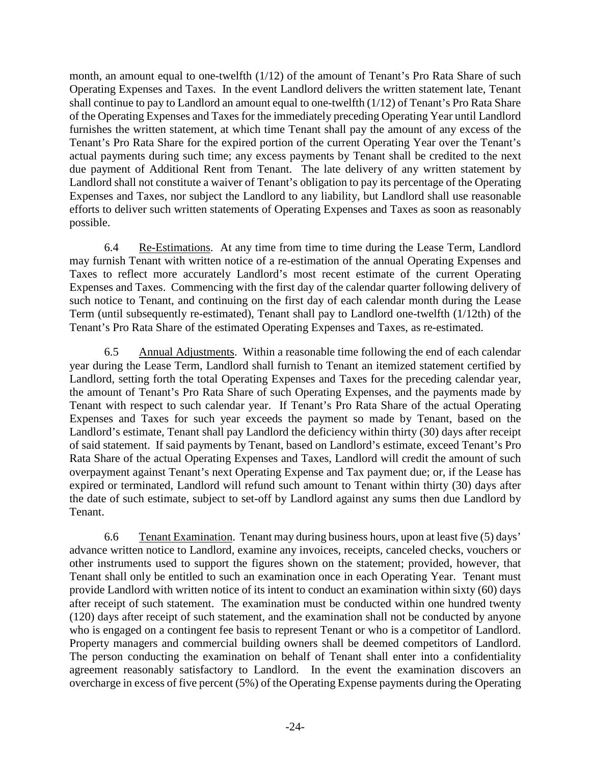month, an amount equal to one-twelfth (1/12) of the amount of Tenant's Pro Rata Share of such Operating Expenses and Taxes. In the event Landlord delivers the written statement late, Tenant shall continue to pay to Landlord an amount equal to one-twelfth (1/12) of Tenant's Pro Rata Share of the Operating Expenses and Taxes for the immediately preceding Operating Year until Landlord furnishes the written statement, at which time Tenant shall pay the amount of any excess of the Tenant's Pro Rata Share for the expired portion of the current Operating Year over the Tenant's actual payments during such time; any excess payments by Tenant shall be credited to the next due payment of Additional Rent from Tenant. The late delivery of any written statement by Landlord shall not constitute a waiver of Tenant's obligation to pay its percentage of the Operating Expenses and Taxes, nor subject the Landlord to any liability, but Landlord shall use reasonable efforts to deliver such written statements of Operating Expenses and Taxes as soon as reasonably possible.

6.4 Re-Estimations. At any time from time to time during the Lease Term, Landlord may furnish Tenant with written notice of a re-estimation of the annual Operating Expenses and Taxes to reflect more accurately Landlord's most recent estimate of the current Operating Expenses and Taxes. Commencing with the first day of the calendar quarter following delivery of such notice to Tenant, and continuing on the first day of each calendar month during the Lease Term (until subsequently re-estimated), Tenant shall pay to Landlord one-twelfth (1/12th) of the Tenant's Pro Rata Share of the estimated Operating Expenses and Taxes, as re-estimated.

6.5 Annual Adjustments. Within a reasonable time following the end of each calendar year during the Lease Term, Landlord shall furnish to Tenant an itemized statement certified by Landlord, setting forth the total Operating Expenses and Taxes for the preceding calendar year, the amount of Tenant's Pro Rata Share of such Operating Expenses, and the payments made by Tenant with respect to such calendar year. If Tenant's Pro Rata Share of the actual Operating Expenses and Taxes for such year exceeds the payment so made by Tenant, based on the Landlord's estimate, Tenant shall pay Landlord the deficiency within thirty (30) days after receipt of said statement. If said payments by Tenant, based on Landlord's estimate, exceed Tenant's Pro Rata Share of the actual Operating Expenses and Taxes, Landlord will credit the amount of such overpayment against Tenant's next Operating Expense and Tax payment due; or, if the Lease has expired or terminated, Landlord will refund such amount to Tenant within thirty (30) days after the date of such estimate, subject to set-off by Landlord against any sums then due Landlord by Tenant.

6.6 Tenant Examination. Tenant may during business hours, upon at least five (5) days' advance written notice to Landlord, examine any invoices, receipts, canceled checks, vouchers or other instruments used to support the figures shown on the statement; provided, however, that Tenant shall only be entitled to such an examination once in each Operating Year. Tenant must provide Landlord with written notice of its intent to conduct an examination within sixty (60) days after receipt of such statement. The examination must be conducted within one hundred twenty (120) days after receipt of such statement, and the examination shall not be conducted by anyone who is engaged on a contingent fee basis to represent Tenant or who is a competitor of Landlord. Property managers and commercial building owners shall be deemed competitors of Landlord. The person conducting the examination on behalf of Tenant shall enter into a confidentiality agreement reasonably satisfactory to Landlord. In the event the examination discovers an overcharge in excess of five percent (5%) of the Operating Expense payments during the Operating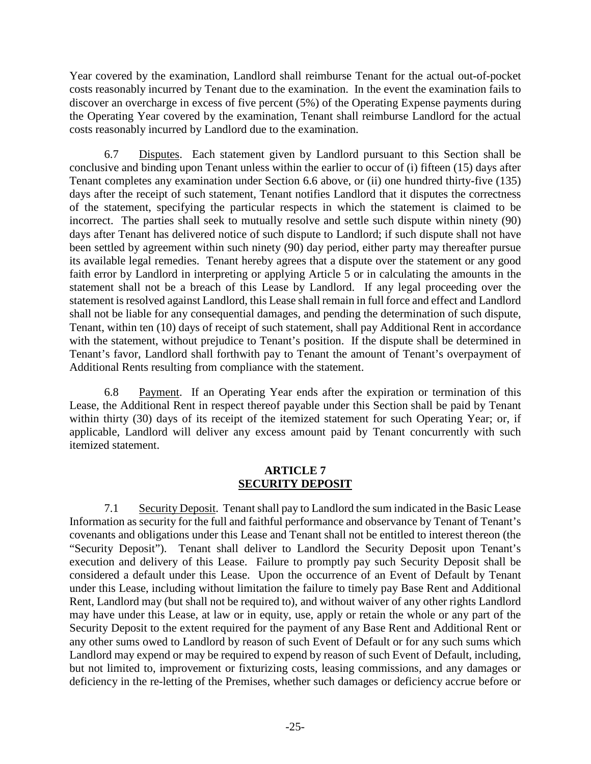Year covered by the examination, Landlord shall reimburse Tenant for the actual out-of-pocket costs reasonably incurred by Tenant due to the examination. In the event the examination fails to discover an overcharge in excess of five percent (5%) of the Operating Expense payments during the Operating Year covered by the examination, Tenant shall reimburse Landlord for the actual costs reasonably incurred by Landlord due to the examination.

6.7 Disputes. Each statement given by Landlord pursuant to this Section shall be conclusive and binding upon Tenant unless within the earlier to occur of (i) fifteen (15) days after Tenant completes any examination under Section 6.6 above, or (ii) one hundred thirty-five (135) days after the receipt of such statement, Tenant notifies Landlord that it disputes the correctness of the statement, specifying the particular respects in which the statement is claimed to be incorrect. The parties shall seek to mutually resolve and settle such dispute within ninety (90) days after Tenant has delivered notice of such dispute to Landlord; if such dispute shall not have been settled by agreement within such ninety (90) day period, either party may thereafter pursue its available legal remedies. Tenant hereby agrees that a dispute over the statement or any good faith error by Landlord in interpreting or applying Article 5 or in calculating the amounts in the statement shall not be a breach of this Lease by Landlord. If any legal proceeding over the statement is resolved against Landlord, this Lease shall remain in full force and effect and Landlord shall not be liable for any consequential damages, and pending the determination of such dispute, Tenant, within ten (10) days of receipt of such statement, shall pay Additional Rent in accordance with the statement, without prejudice to Tenant's position. If the dispute shall be determined in Tenant's favor, Landlord shall forthwith pay to Tenant the amount of Tenant's overpayment of Additional Rents resulting from compliance with the statement.

6.8 Payment. If an Operating Year ends after the expiration or termination of this Lease, the Additional Rent in respect thereof payable under this Section shall be paid by Tenant within thirty (30) days of its receipt of the itemized statement for such Operating Year; or, if applicable, Landlord will deliver any excess amount paid by Tenant concurrently with such itemized statement.

### **ARTICLE 7 SECURITY DEPOSIT**

7.1 Security Deposit. Tenant shall pay to Landlord the sum indicated in the Basic Lease Information as security for the full and faithful performance and observance by Tenant of Tenant's covenants and obligations under this Lease and Tenant shall not be entitled to interest thereon (the "Security Deposit"). Tenant shall deliver to Landlord the Security Deposit upon Tenant's execution and delivery of this Lease. Failure to promptly pay such Security Deposit shall be considered a default under this Lease. Upon the occurrence of an Event of Default by Tenant under this Lease, including without limitation the failure to timely pay Base Rent and Additional Rent, Landlord may (but shall not be required to), and without waiver of any other rights Landlord may have under this Lease, at law or in equity, use, apply or retain the whole or any part of the Security Deposit to the extent required for the payment of any Base Rent and Additional Rent or any other sums owed to Landlord by reason of such Event of Default or for any such sums which Landlord may expend or may be required to expend by reason of such Event of Default, including, but not limited to, improvement or fixturizing costs, leasing commissions, and any damages or deficiency in the re-letting of the Premises, whether such damages or deficiency accrue before or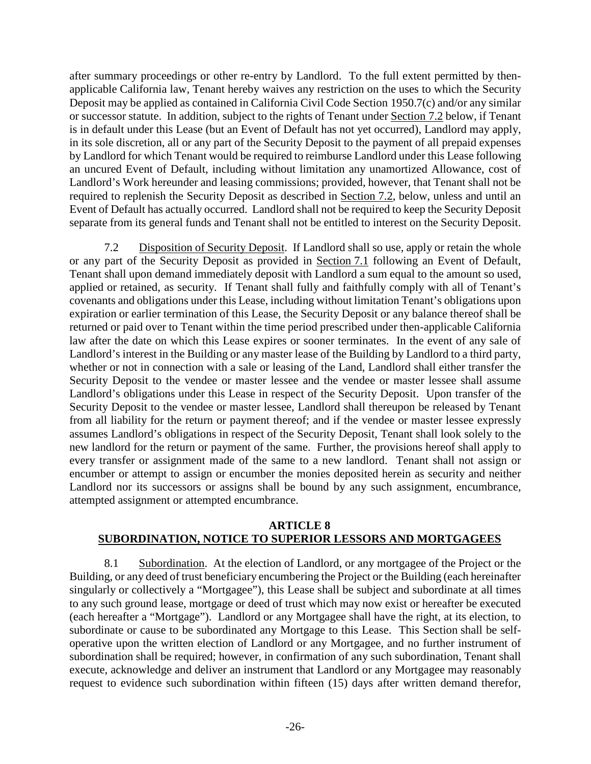after summary proceedings or other re-entry by Landlord. To the full extent permitted by thenapplicable California law, Tenant hereby waives any restriction on the uses to which the Security Deposit may be applied as contained in California Civil Code Section 1950.7(c) and/or any similar or successor statute. In addition, subject to the rights of Tenant under Section 7.2 below, if Tenant is in default under this Lease (but an Event of Default has not yet occurred), Landlord may apply, in its sole discretion, all or any part of the Security Deposit to the payment of all prepaid expenses by Landlord for which Tenant would be required to reimburse Landlord under this Lease following an uncured Event of Default, including without limitation any unamortized Allowance, cost of Landlord's Work hereunder and leasing commissions; provided, however, that Tenant shall not be required to replenish the Security Deposit as described in Section 7.2, below, unless and until an Event of Default has actually occurred. Landlord shall not be required to keep the Security Deposit separate from its general funds and Tenant shall not be entitled to interest on the Security Deposit.

7.2 Disposition of Security Deposit. If Landlord shall so use, apply or retain the whole or any part of the Security Deposit as provided in Section 7.1 following an Event of Default, Tenant shall upon demand immediately deposit with Landlord a sum equal to the amount so used, applied or retained, as security. If Tenant shall fully and faithfully comply with all of Tenant's covenants and obligations under this Lease, including without limitation Tenant's obligations upon expiration or earlier termination of this Lease, the Security Deposit or any balance thereof shall be returned or paid over to Tenant within the time period prescribed under then-applicable California law after the date on which this Lease expires or sooner terminates. In the event of any sale of Landlord's interest in the Building or any master lease of the Building by Landlord to a third party, whether or not in connection with a sale or leasing of the Land, Landlord shall either transfer the Security Deposit to the vendee or master lessee and the vendee or master lessee shall assume Landlord's obligations under this Lease in respect of the Security Deposit. Upon transfer of the Security Deposit to the vendee or master lessee, Landlord shall thereupon be released by Tenant from all liability for the return or payment thereof; and if the vendee or master lessee expressly assumes Landlord's obligations in respect of the Security Deposit, Tenant shall look solely to the new landlord for the return or payment of the same. Further, the provisions hereof shall apply to every transfer or assignment made of the same to a new landlord. Tenant shall not assign or encumber or attempt to assign or encumber the monies deposited herein as security and neither Landlord nor its successors or assigns shall be bound by any such assignment, encumbrance, attempted assignment or attempted encumbrance.

# **ARTICLE 8 SUBORDINATION, NOTICE TO SUPERIOR LESSORS AND MORTGAGEES**

8.1 Subordination. At the election of Landlord, or any mortgagee of the Project or the Building, or any deed of trust beneficiary encumbering the Project or the Building (each hereinafter singularly or collectively a "Mortgagee"), this Lease shall be subject and subordinate at all times to any such ground lease, mortgage or deed of trust which may now exist or hereafter be executed (each hereafter a "Mortgage"). Landlord or any Mortgagee shall have the right, at its election, to subordinate or cause to be subordinated any Mortgage to this Lease. This Section shall be selfoperative upon the written election of Landlord or any Mortgagee, and no further instrument of subordination shall be required; however, in confirmation of any such subordination, Tenant shall execute, acknowledge and deliver an instrument that Landlord or any Mortgagee may reasonably request to evidence such subordination within fifteen (15) days after written demand therefor,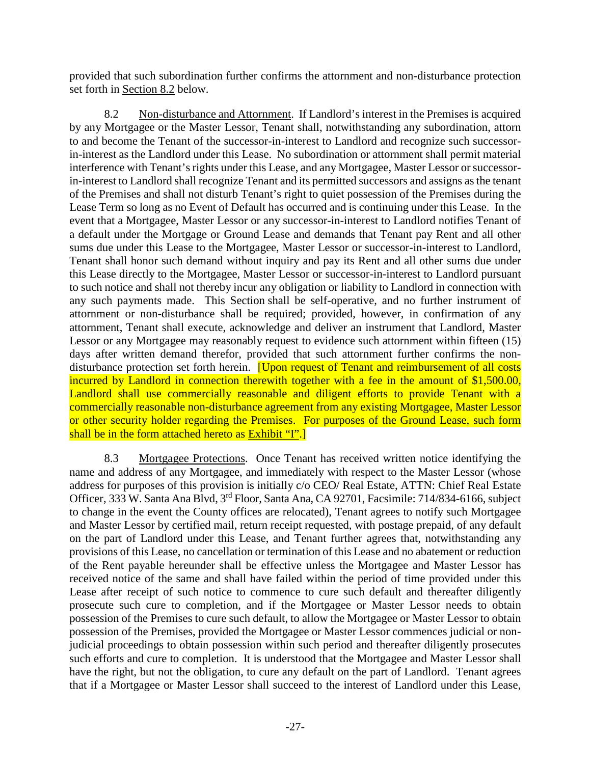provided that such subordination further confirms the attornment and non-disturbance protection set forth in Section 8.2 below.

8.2 Non-disturbance and Attornment. If Landlord's interest in the Premises is acquired by any Mortgagee or the Master Lessor, Tenant shall, notwithstanding any subordination, attorn to and become the Tenant of the successor-in-interest to Landlord and recognize such successorin-interest as the Landlord under this Lease. No subordination or attornment shall permit material interference with Tenant's rights under this Lease, and any Mortgagee, Master Lessor or successorin-interest to Landlord shall recognize Tenant and its permitted successors and assigns as the tenant of the Premises and shall not disturb Tenant's right to quiet possession of the Premises during the Lease Term so long as no Event of Default has occurred and is continuing under this Lease. In the event that a Mortgagee, Master Lessor or any successor-in-interest to Landlord notifies Tenant of a default under the Mortgage or Ground Lease and demands that Tenant pay Rent and all other sums due under this Lease to the Mortgagee, Master Lessor or successor-in-interest to Landlord, Tenant shall honor such demand without inquiry and pay its Rent and all other sums due under this Lease directly to the Mortgagee, Master Lessor or successor-in-interest to Landlord pursuant to such notice and shall not thereby incur any obligation or liability to Landlord in connection with any such payments made. This Section shall be self-operative, and no further instrument of attornment or non-disturbance shall be required; provided, however, in confirmation of any attornment, Tenant shall execute, acknowledge and deliver an instrument that Landlord, Master Lessor or any Mortgagee may reasonably request to evidence such attornment within fifteen (15) days after written demand therefor, provided that such attornment further confirms the nondisturbance protection set forth herein. **[Upon request of Tenant and reimbursement of all costs** incurred by Landlord in connection therewith together with a fee in the amount of \$1,500.00, Landlord shall use commercially reasonable and diligent efforts to provide Tenant with a commercially reasonable non-disturbance agreement from any existing Mortgagee, Master Lessor or other security holder regarding the Premises. For purposes of the Ground Lease, such form shall be in the form attached hereto as Exhibit "I".]

8.3 Mortgagee Protections. Once Tenant has received written notice identifying the name and address of any Mortgagee, and immediately with respect to the Master Lessor (whose address for purposes of this provision is initially c/o CEO/ Real Estate, ATTN: Chief Real Estate Officer, 333 W. Santa Ana Blvd, 3rd Floor, Santa Ana, CA 92701, Facsimile: 714/834-6166, subject to change in the event the County offices are relocated), Tenant agrees to notify such Mortgagee and Master Lessor by certified mail, return receipt requested, with postage prepaid, of any default on the part of Landlord under this Lease, and Tenant further agrees that, notwithstanding any provisions of this Lease, no cancellation or termination of this Lease and no abatement or reduction of the Rent payable hereunder shall be effective unless the Mortgagee and Master Lessor has received notice of the same and shall have failed within the period of time provided under this Lease after receipt of such notice to commence to cure such default and thereafter diligently prosecute such cure to completion, and if the Mortgagee or Master Lessor needs to obtain possession of the Premises to cure such default, to allow the Mortgagee or Master Lessor to obtain possession of the Premises, provided the Mortgagee or Master Lessor commences judicial or nonjudicial proceedings to obtain possession within such period and thereafter diligently prosecutes such efforts and cure to completion. It is understood that the Mortgagee and Master Lessor shall have the right, but not the obligation, to cure any default on the part of Landlord. Tenant agrees that if a Mortgagee or Master Lessor shall succeed to the interest of Landlord under this Lease,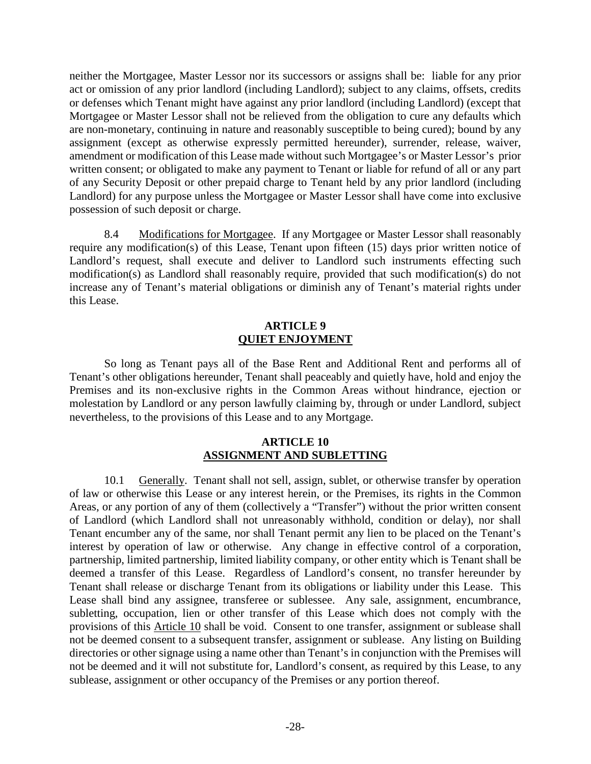neither the Mortgagee, Master Lessor nor its successors or assigns shall be: liable for any prior act or omission of any prior landlord (including Landlord); subject to any claims, offsets, credits or defenses which Tenant might have against any prior landlord (including Landlord) (except that Mortgagee or Master Lessor shall not be relieved from the obligation to cure any defaults which are non-monetary, continuing in nature and reasonably susceptible to being cured); bound by any assignment (except as otherwise expressly permitted hereunder), surrender, release, waiver, amendment or modification of this Lease made without such Mortgagee's or Master Lessor's prior written consent; or obligated to make any payment to Tenant or liable for refund of all or any part of any Security Deposit or other prepaid charge to Tenant held by any prior landlord (including Landlord) for any purpose unless the Mortgagee or Master Lessor shall have come into exclusive possession of such deposit or charge.

8.4 Modifications for Mortgagee. If any Mortgagee or Master Lessor shall reasonably require any modification(s) of this Lease, Tenant upon fifteen (15) days prior written notice of Landlord's request, shall execute and deliver to Landlord such instruments effecting such modification(s) as Landlord shall reasonably require, provided that such modification(s) do not increase any of Tenant's material obligations or diminish any of Tenant's material rights under this Lease.

#### **ARTICLE 9 QUIET ENJOYMENT**

So long as Tenant pays all of the Base Rent and Additional Rent and performs all of Tenant's other obligations hereunder, Tenant shall peaceably and quietly have, hold and enjoy the Premises and its non-exclusive rights in the Common Areas without hindrance, ejection or molestation by Landlord or any person lawfully claiming by, through or under Landlord, subject nevertheless, to the provisions of this Lease and to any Mortgage.

# **ARTICLE 10 ASSIGNMENT AND SUBLETTING**

10.1 Generally. Tenant shall not sell, assign, sublet, or otherwise transfer by operation of law or otherwise this Lease or any interest herein, or the Premises, its rights in the Common Areas, or any portion of any of them (collectively a "Transfer") without the prior written consent of Landlord (which Landlord shall not unreasonably withhold, condition or delay), nor shall Tenant encumber any of the same, nor shall Tenant permit any lien to be placed on the Tenant's interest by operation of law or otherwise. Any change in effective control of a corporation, partnership, limited partnership, limited liability company, or other entity which is Tenant shall be deemed a transfer of this Lease. Regardless of Landlord's consent, no transfer hereunder by Tenant shall release or discharge Tenant from its obligations or liability under this Lease. This Lease shall bind any assignee, transferee or sublessee. Any sale, assignment, encumbrance, subletting, occupation, lien or other transfer of this Lease which does not comply with the provisions of this Article 10 shall be void. Consent to one transfer, assignment or sublease shall not be deemed consent to a subsequent transfer, assignment or sublease. Any listing on Building directories or other signage using a name other than Tenant's in conjunction with the Premises will not be deemed and it will not substitute for, Landlord's consent, as required by this Lease, to any sublease, assignment or other occupancy of the Premises or any portion thereof.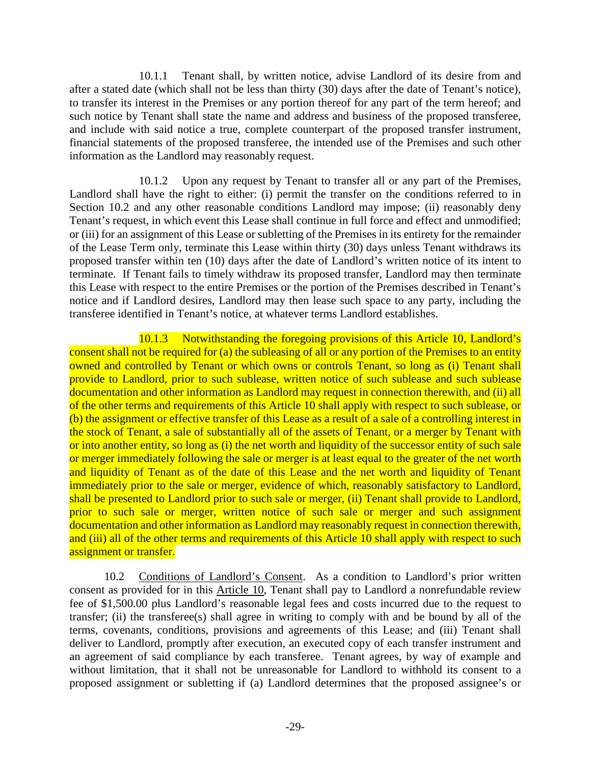10.1.1 Tenant shall, by written notice, advise Landlord of its desire from and after a stated date (which shall not be less than thirty (30) days after the date of Tenant's notice), to transfer its interest in the Premises or any portion thereof for any part of the term hereof; and such notice by Tenant shall state the name and address and business of the proposed transferee, and include with said notice a true, complete counterpart of the proposed transfer instrument, financial statements of the proposed transferee, the intended use of the Premises and such other information as the Landlord may reasonably request.

10.1.2 Upon any request by Tenant to transfer all or any part of the Premises, Landlord shall have the right to either: (i) permit the transfer on the conditions referred to in Section 10.2 and any other reasonable conditions Landlord may impose; (ii) reasonably deny Tenant's request, in which event this Lease shall continue in full force and effect and unmodified; or (iii) for an assignment of this Lease or subletting of the Premises in its entirety for the remainder of the Lease Term only, terminate this Lease within thirty (30) days unless Tenant withdraws its proposed transfer within ten (10) days after the date of Landlord's written notice of its intent to terminate. If Tenant fails to timely withdraw its proposed transfer, Landlord may then terminate this Lease with respect to the entire Premises or the portion of the Premises described in Tenant's notice and if Landlord desires, Landlord may then lease such space to any party, including the transferee identified in Tenant's notice, at whatever terms Landlord establishes.

10.1.3 Notwithstanding the foregoing provisions of this Article 10, Landlord's consent shall not be required for (a) the subleasing of all or any portion of the Premises to an entity owned and controlled by Tenant or which owns or controls Tenant, so long as (i) Tenant shall provide to Landlord, prior to such sublease, written notice of such sublease and such sublease documentation and other information as Landlord may request in connection therewith, and (ii) all of the other terms and requirements of this Article 10 shall apply with respect to such sublease, or (b) the assignment or effective transfer of this Lease as a result of a sale of a controlling interest in the stock of Tenant, a sale of substantially all of the assets of Tenant, or a merger by Tenant with or into another entity, so long as (i) the net worth and liquidity of the successor entity of such sale or merger immediately following the sale or merger is at least equal to the greater of the net worth and liquidity of Tenant as of the date of this Lease and the net worth and liquidity of Tenant immediately prior to the sale or merger, evidence of which, reasonably satisfactory to Landlord, shall be presented to Landlord prior to such sale or merger, (ii) Tenant shall provide to Landlord, prior to such sale or merger, written notice of such sale or merger and such assignment documentation and other information as Landlord may reasonably request in connection therewith, and (iii) all of the other terms and requirements of this Article 10 shall apply with respect to such assignment or transfer.

10.2 Conditions of Landlord's Consent. As a condition to Landlord's prior written consent as provided for in this Article 10, Tenant shall pay to Landlord a nonrefundable review fee of \$1,500.00 plus Landlord's reasonable legal fees and costs incurred due to the request to transfer; (ii) the transferee(s) shall agree in writing to comply with and be bound by all of the terms, covenants, conditions, provisions and agreements of this Lease; and (iii) Tenant shall deliver to Landlord, promptly after execution, an executed copy of each transfer instrument and an agreement of said compliance by each transferee. Tenant agrees, by way of example and without limitation, that it shall not be unreasonable for Landlord to withhold its consent to a proposed assignment or subletting if (a) Landlord determines that the proposed assignee's or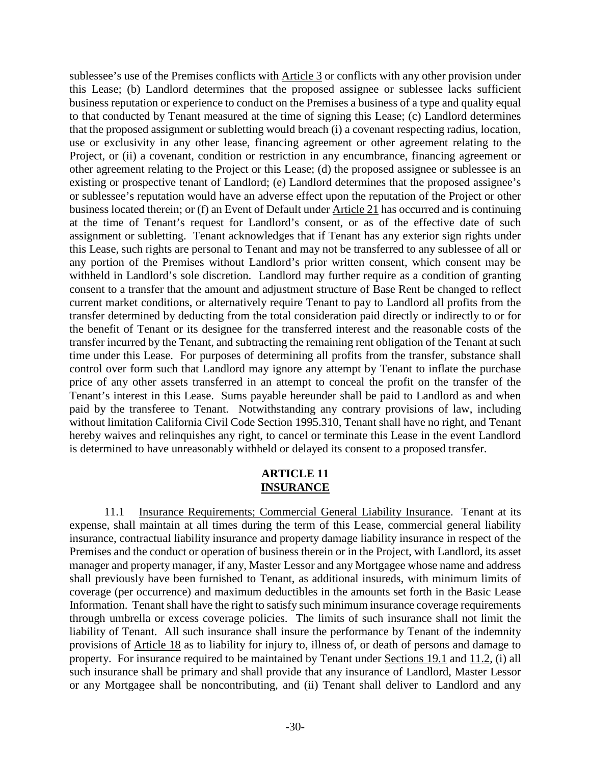sublessee's use of the Premises conflicts with Article 3 or conflicts with any other provision under this Lease; (b) Landlord determines that the proposed assignee or sublessee lacks sufficient business reputation or experience to conduct on the Premises a business of a type and quality equal to that conducted by Tenant measured at the time of signing this Lease; (c) Landlord determines that the proposed assignment or subletting would breach (i) a covenant respecting radius, location, use or exclusivity in any other lease, financing agreement or other agreement relating to the Project, or (ii) a covenant, condition or restriction in any encumbrance, financing agreement or other agreement relating to the Project or this Lease; (d) the proposed assignee or sublessee is an existing or prospective tenant of Landlord; (e) Landlord determines that the proposed assignee's or sublessee's reputation would have an adverse effect upon the reputation of the Project or other business located therein; or (f) an Event of Default under Article 21 has occurred and is continuing at the time of Tenant's request for Landlord's consent, or as of the effective date of such assignment or subletting. Tenant acknowledges that if Tenant has any exterior sign rights under this Lease, such rights are personal to Tenant and may not be transferred to any sublessee of all or any portion of the Premises without Landlord's prior written consent, which consent may be withheld in Landlord's sole discretion. Landlord may further require as a condition of granting consent to a transfer that the amount and adjustment structure of Base Rent be changed to reflect current market conditions, or alternatively require Tenant to pay to Landlord all profits from the transfer determined by deducting from the total consideration paid directly or indirectly to or for the benefit of Tenant or its designee for the transferred interest and the reasonable costs of the transfer incurred by the Tenant, and subtracting the remaining rent obligation of the Tenant at such time under this Lease. For purposes of determining all profits from the transfer, substance shall control over form such that Landlord may ignore any attempt by Tenant to inflate the purchase price of any other assets transferred in an attempt to conceal the profit on the transfer of the Tenant's interest in this Lease. Sums payable hereunder shall be paid to Landlord as and when paid by the transferee to Tenant. Notwithstanding any contrary provisions of law, including without limitation California Civil Code Section 1995.310, Tenant shall have no right, and Tenant hereby waives and relinquishes any right, to cancel or terminate this Lease in the event Landlord is determined to have unreasonably withheld or delayed its consent to a proposed transfer.

#### **ARTICLE 11 INSURANCE**

11.1 Insurance Requirements; Commercial General Liability Insurance. Tenant at its expense, shall maintain at all times during the term of this Lease, commercial general liability insurance, contractual liability insurance and property damage liability insurance in respect of the Premises and the conduct or operation of business therein or in the Project, with Landlord, its asset manager and property manager, if any, Master Lessor and any Mortgagee whose name and address shall previously have been furnished to Tenant, as additional insureds, with minimum limits of coverage (per occurrence) and maximum deductibles in the amounts set forth in the Basic Lease Information. Tenant shall have the right to satisfy such minimum insurance coverage requirements through umbrella or excess coverage policies. The limits of such insurance shall not limit the liability of Tenant. All such insurance shall insure the performance by Tenant of the indemnity provisions of Article 18 as to liability for injury to, illness of, or death of persons and damage to property. For insurance required to be maintained by Tenant under Sections 19.1 and 11.2, (i) all such insurance shall be primary and shall provide that any insurance of Landlord, Master Lessor or any Mortgagee shall be noncontributing, and (ii) Tenant shall deliver to Landlord and any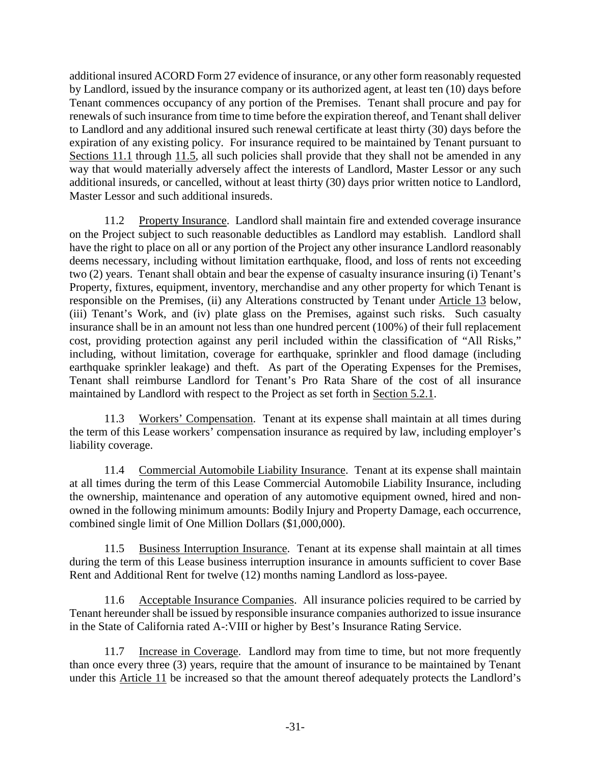additional insured ACORD Form 27 evidence of insurance, or any other form reasonably requested by Landlord, issued by the insurance company or its authorized agent, at least ten (10) days before Tenant commences occupancy of any portion of the Premises. Tenant shall procure and pay for renewals of such insurance from time to time before the expiration thereof, and Tenant shall deliver to Landlord and any additional insured such renewal certificate at least thirty (30) days before the expiration of any existing policy. For insurance required to be maintained by Tenant pursuant to Sections 11.1 through 11.5, all such policies shall provide that they shall not be amended in any way that would materially adversely affect the interests of Landlord, Master Lessor or any such additional insureds, or cancelled, without at least thirty (30) days prior written notice to Landlord, Master Lessor and such additional insureds.

11.2 Property Insurance. Landlord shall maintain fire and extended coverage insurance on the Project subject to such reasonable deductibles as Landlord may establish. Landlord shall have the right to place on all or any portion of the Project any other insurance Landlord reasonably deems necessary, including without limitation earthquake, flood, and loss of rents not exceeding two (2) years. Tenant shall obtain and bear the expense of casualty insurance insuring (i) Tenant's Property, fixtures, equipment, inventory, merchandise and any other property for which Tenant is responsible on the Premises, (ii) any Alterations constructed by Tenant under Article 13 below, (iii) Tenant's Work, and (iv) plate glass on the Premises, against such risks. Such casualty insurance shall be in an amount not less than one hundred percent (100%) of their full replacement cost, providing protection against any peril included within the classification of "All Risks," including, without limitation, coverage for earthquake, sprinkler and flood damage (including earthquake sprinkler leakage) and theft. As part of the Operating Expenses for the Premises, Tenant shall reimburse Landlord for Tenant's Pro Rata Share of the cost of all insurance maintained by Landlord with respect to the Project as set forth in Section 5.2.1.

11.3 Workers' Compensation. Tenant at its expense shall maintain at all times during the term of this Lease workers' compensation insurance as required by law, including employer's liability coverage.

11.4 Commercial Automobile Liability Insurance. Tenant at its expense shall maintain at all times during the term of this Lease Commercial Automobile Liability Insurance, including the ownership, maintenance and operation of any automotive equipment owned, hired and nonowned in the following minimum amounts: Bodily Injury and Property Damage, each occurrence, combined single limit of One Million Dollars (\$1,000,000).

11.5 Business Interruption Insurance. Tenant at its expense shall maintain at all times during the term of this Lease business interruption insurance in amounts sufficient to cover Base Rent and Additional Rent for twelve (12) months naming Landlord as loss-payee.

11.6 Acceptable Insurance Companies. All insurance policies required to be carried by Tenant hereunder shall be issued by responsible insurance companies authorized to issue insurance in the State of California rated A-:VIII or higher by Best's Insurance Rating Service.

11.7 Increase in Coverage. Landlord may from time to time, but not more frequently than once every three (3) years, require that the amount of insurance to be maintained by Tenant under this Article 11 be increased so that the amount thereof adequately protects the Landlord's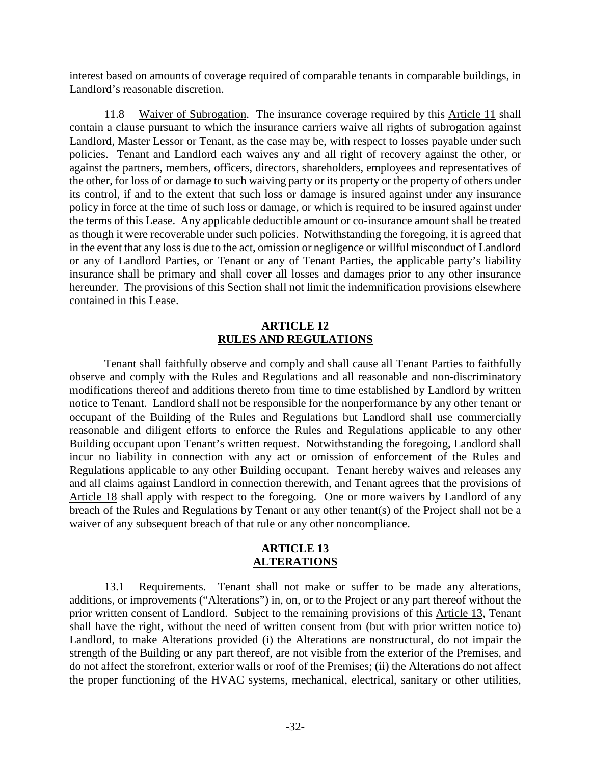interest based on amounts of coverage required of comparable tenants in comparable buildings, in Landlord's reasonable discretion.

11.8 Waiver of Subrogation. The insurance coverage required by this Article 11 shall contain a clause pursuant to which the insurance carriers waive all rights of subrogation against Landlord, Master Lessor or Tenant, as the case may be, with respect to losses payable under such policies. Tenant and Landlord each waives any and all right of recovery against the other, or against the partners, members, officers, directors, shareholders, employees and representatives of the other, for loss of or damage to such waiving party or its property or the property of others under its control, if and to the extent that such loss or damage is insured against under any insurance policy in force at the time of such loss or damage, or which is required to be insured against under the terms of this Lease. Any applicable deductible amount or co-insurance amount shall be treated as though it were recoverable under such policies. Notwithstanding the foregoing, it is agreed that in the event that any loss is due to the act, omission or negligence or willful misconduct of Landlord or any of Landlord Parties, or Tenant or any of Tenant Parties, the applicable party's liability insurance shall be primary and shall cover all losses and damages prior to any other insurance hereunder. The provisions of this Section shall not limit the indemnification provisions elsewhere contained in this Lease.

### **ARTICLE 12 RULES AND REGULATIONS**

Tenant shall faithfully observe and comply and shall cause all Tenant Parties to faithfully observe and comply with the Rules and Regulations and all reasonable and non-discriminatory modifications thereof and additions thereto from time to time established by Landlord by written notice to Tenant. Landlord shall not be responsible for the nonperformance by any other tenant or occupant of the Building of the Rules and Regulations but Landlord shall use commercially reasonable and diligent efforts to enforce the Rules and Regulations applicable to any other Building occupant upon Tenant's written request. Notwithstanding the foregoing, Landlord shall incur no liability in connection with any act or omission of enforcement of the Rules and Regulations applicable to any other Building occupant. Tenant hereby waives and releases any and all claims against Landlord in connection therewith, and Tenant agrees that the provisions of Article 18 shall apply with respect to the foregoing. One or more waivers by Landlord of any breach of the Rules and Regulations by Tenant or any other tenant(s) of the Project shall not be a waiver of any subsequent breach of that rule or any other noncompliance.

### **ARTICLE 13 ALTERATIONS**

13.1 Requirements. Tenant shall not make or suffer to be made any alterations, additions, or improvements ("Alterations") in, on, or to the Project or any part thereof without the prior written consent of Landlord. Subject to the remaining provisions of this Article 13, Tenant shall have the right, without the need of written consent from (but with prior written notice to) Landlord, to make Alterations provided (i) the Alterations are nonstructural, do not impair the strength of the Building or any part thereof, are not visible from the exterior of the Premises, and do not affect the storefront, exterior walls or roof of the Premises; (ii) the Alterations do not affect the proper functioning of the HVAC systems, mechanical, electrical, sanitary or other utilities,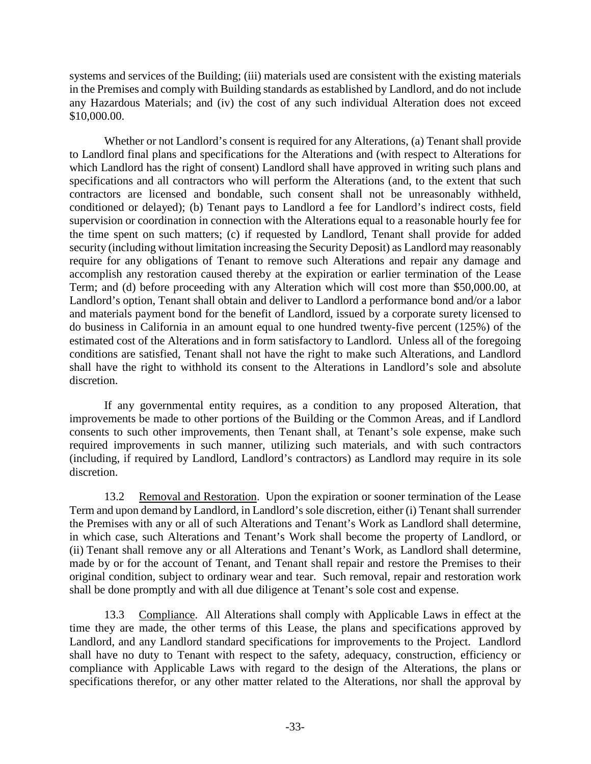systems and services of the Building; (iii) materials used are consistent with the existing materials in the Premises and comply with Building standards as established by Landlord, and do not include any Hazardous Materials; and (iv) the cost of any such individual Alteration does not exceed \$10,000.00.

Whether or not Landlord's consent is required for any Alterations, (a) Tenant shall provide to Landlord final plans and specifications for the Alterations and (with respect to Alterations for which Landlord has the right of consent) Landlord shall have approved in writing such plans and specifications and all contractors who will perform the Alterations (and, to the extent that such contractors are licensed and bondable, such consent shall not be unreasonably withheld, conditioned or delayed); (b) Tenant pays to Landlord a fee for Landlord's indirect costs, field supervision or coordination in connection with the Alterations equal to a reasonable hourly fee for the time spent on such matters; (c) if requested by Landlord, Tenant shall provide for added security (including without limitation increasing the Security Deposit) as Landlord may reasonably require for any obligations of Tenant to remove such Alterations and repair any damage and accomplish any restoration caused thereby at the expiration or earlier termination of the Lease Term; and (d) before proceeding with any Alteration which will cost more than \$50,000.00, at Landlord's option, Tenant shall obtain and deliver to Landlord a performance bond and/or a labor and materials payment bond for the benefit of Landlord, issued by a corporate surety licensed to do business in California in an amount equal to one hundred twenty-five percent (125%) of the estimated cost of the Alterations and in form satisfactory to Landlord. Unless all of the foregoing conditions are satisfied, Tenant shall not have the right to make such Alterations, and Landlord shall have the right to withhold its consent to the Alterations in Landlord's sole and absolute discretion.

If any governmental entity requires, as a condition to any proposed Alteration, that improvements be made to other portions of the Building or the Common Areas, and if Landlord consents to such other improvements, then Tenant shall, at Tenant's sole expense, make such required improvements in such manner, utilizing such materials, and with such contractors (including, if required by Landlord, Landlord's contractors) as Landlord may require in its sole discretion.

13.2 Removal and Restoration. Upon the expiration or sooner termination of the Lease Term and upon demand by Landlord, in Landlord's sole discretion, either (i) Tenant shall surrender the Premises with any or all of such Alterations and Tenant's Work as Landlord shall determine, in which case, such Alterations and Tenant's Work shall become the property of Landlord, or (ii) Tenant shall remove any or all Alterations and Tenant's Work, as Landlord shall determine, made by or for the account of Tenant, and Tenant shall repair and restore the Premises to their original condition, subject to ordinary wear and tear. Such removal, repair and restoration work shall be done promptly and with all due diligence at Tenant's sole cost and expense.

13.3 Compliance. All Alterations shall comply with Applicable Laws in effect at the time they are made, the other terms of this Lease, the plans and specifications approved by Landlord, and any Landlord standard specifications for improvements to the Project. Landlord shall have no duty to Tenant with respect to the safety, adequacy, construction, efficiency or compliance with Applicable Laws with regard to the design of the Alterations, the plans or specifications therefor, or any other matter related to the Alterations, nor shall the approval by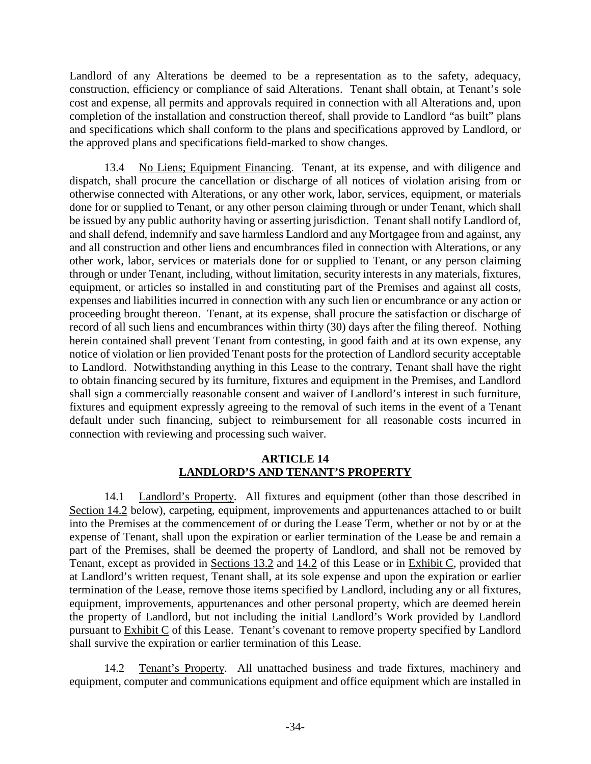Landlord of any Alterations be deemed to be a representation as to the safety, adequacy, construction, efficiency or compliance of said Alterations. Tenant shall obtain, at Tenant's sole cost and expense, all permits and approvals required in connection with all Alterations and, upon completion of the installation and construction thereof, shall provide to Landlord "as built" plans and specifications which shall conform to the plans and specifications approved by Landlord, or the approved plans and specifications field-marked to show changes.

13.4 No Liens; Equipment Financing. Tenant, at its expense, and with diligence and dispatch, shall procure the cancellation or discharge of all notices of violation arising from or otherwise connected with Alterations, or any other work, labor, services, equipment, or materials done for or supplied to Tenant, or any other person claiming through or under Tenant, which shall be issued by any public authority having or asserting jurisdiction. Tenant shall notify Landlord of, and shall defend, indemnify and save harmless Landlord and any Mortgagee from and against, any and all construction and other liens and encumbrances filed in connection with Alterations, or any other work, labor, services or materials done for or supplied to Tenant, or any person claiming through or under Tenant, including, without limitation, security interests in any materials, fixtures, equipment, or articles so installed in and constituting part of the Premises and against all costs, expenses and liabilities incurred in connection with any such lien or encumbrance or any action or proceeding brought thereon. Tenant, at its expense, shall procure the satisfaction or discharge of record of all such liens and encumbrances within thirty (30) days after the filing thereof. Nothing herein contained shall prevent Tenant from contesting, in good faith and at its own expense, any notice of violation or lien provided Tenant posts for the protection of Landlord security acceptable to Landlord. Notwithstanding anything in this Lease to the contrary, Tenant shall have the right to obtain financing secured by its furniture, fixtures and equipment in the Premises, and Landlord shall sign a commercially reasonable consent and waiver of Landlord's interest in such furniture, fixtures and equipment expressly agreeing to the removal of such items in the event of a Tenant default under such financing, subject to reimbursement for all reasonable costs incurred in connection with reviewing and processing such waiver.

# **ARTICLE 14 LANDLORD'S AND TENANT'S PROPERTY**

14.1 Landlord's Property. All fixtures and equipment (other than those described in Section 14.2 below), carpeting, equipment, improvements and appurtenances attached to or built into the Premises at the commencement of or during the Lease Term, whether or not by or at the expense of Tenant, shall upon the expiration or earlier termination of the Lease be and remain a part of the Premises, shall be deemed the property of Landlord, and shall not be removed by Tenant, except as provided in Sections 13.2 and 14.2 of this Lease or in Exhibit C, provided that at Landlord's written request, Tenant shall, at its sole expense and upon the expiration or earlier termination of the Lease, remove those items specified by Landlord, including any or all fixtures, equipment, improvements, appurtenances and other personal property, which are deemed herein the property of Landlord, but not including the initial Landlord's Work provided by Landlord pursuant to Exhibit C of this Lease. Tenant's covenant to remove property specified by Landlord shall survive the expiration or earlier termination of this Lease.

14.2 Tenant's Property. All unattached business and trade fixtures, machinery and equipment, computer and communications equipment and office equipment which are installed in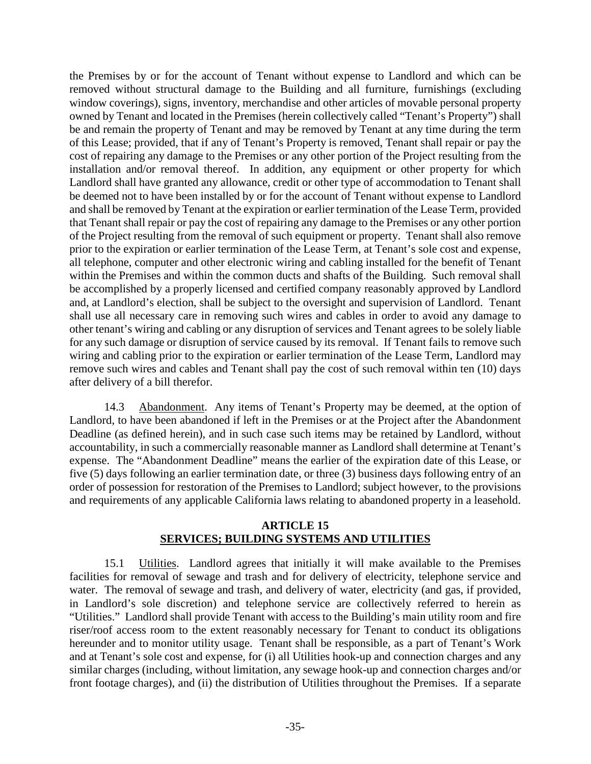the Premises by or for the account of Tenant without expense to Landlord and which can be removed without structural damage to the Building and all furniture, furnishings (excluding window coverings), signs, inventory, merchandise and other articles of movable personal property owned by Tenant and located in the Premises (herein collectively called "Tenant's Property") shall be and remain the property of Tenant and may be removed by Tenant at any time during the term of this Lease; provided, that if any of Tenant's Property is removed, Tenant shall repair or pay the cost of repairing any damage to the Premises or any other portion of the Project resulting from the installation and/or removal thereof. In addition, any equipment or other property for which Landlord shall have granted any allowance, credit or other type of accommodation to Tenant shall be deemed not to have been installed by or for the account of Tenant without expense to Landlord and shall be removed by Tenant at the expiration or earlier termination of the Lease Term, provided that Tenant shall repair or pay the cost of repairing any damage to the Premises or any other portion of the Project resulting from the removal of such equipment or property. Tenant shall also remove prior to the expiration or earlier termination of the Lease Term, at Tenant's sole cost and expense, all telephone, computer and other electronic wiring and cabling installed for the benefit of Tenant within the Premises and within the common ducts and shafts of the Building. Such removal shall be accomplished by a properly licensed and certified company reasonably approved by Landlord and, at Landlord's election, shall be subject to the oversight and supervision of Landlord. Tenant shall use all necessary care in removing such wires and cables in order to avoid any damage to other tenant's wiring and cabling or any disruption of services and Tenant agrees to be solely liable for any such damage or disruption of service caused by its removal. If Tenant fails to remove such wiring and cabling prior to the expiration or earlier termination of the Lease Term, Landlord may remove such wires and cables and Tenant shall pay the cost of such removal within ten (10) days after delivery of a bill therefor.

14.3 Abandonment. Any items of Tenant's Property may be deemed, at the option of Landlord, to have been abandoned if left in the Premises or at the Project after the Abandonment Deadline (as defined herein), and in such case such items may be retained by Landlord, without accountability, in such a commercially reasonable manner as Landlord shall determine at Tenant's expense. The "Abandonment Deadline" means the earlier of the expiration date of this Lease, or five (5) days following an earlier termination date, or three (3) business days following entry of an order of possession for restoration of the Premises to Landlord; subject however, to the provisions and requirements of any applicable California laws relating to abandoned property in a leasehold.

#### **ARTICLE 15 SERVICES; BUILDING SYSTEMS AND UTILITIES**

15.1 Utilities. Landlord agrees that initially it will make available to the Premises facilities for removal of sewage and trash and for delivery of electricity, telephone service and water. The removal of sewage and trash, and delivery of water, electricity (and gas, if provided, in Landlord's sole discretion) and telephone service are collectively referred to herein as "Utilities." Landlord shall provide Tenant with access to the Building's main utility room and fire riser/roof access room to the extent reasonably necessary for Tenant to conduct its obligations hereunder and to monitor utility usage. Tenant shall be responsible, as a part of Tenant's Work and at Tenant's sole cost and expense, for (i) all Utilities hook-up and connection charges and any similar charges (including, without limitation, any sewage hook-up and connection charges and/or front footage charges), and (ii) the distribution of Utilities throughout the Premises. If a separate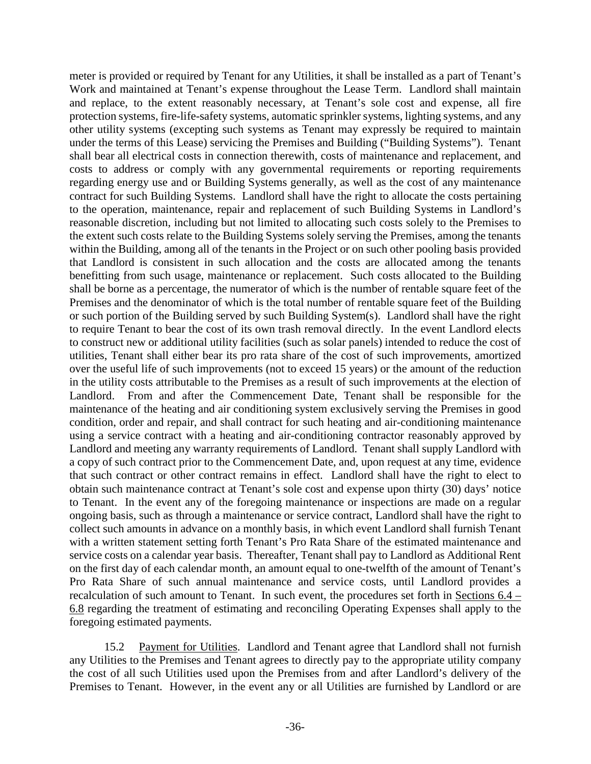meter is provided or required by Tenant for any Utilities, it shall be installed as a part of Tenant's Work and maintained at Tenant's expense throughout the Lease Term. Landlord shall maintain and replace, to the extent reasonably necessary, at Tenant's sole cost and expense, all fire protection systems, fire-life-safety systems, automatic sprinkler systems, lighting systems, and any other utility systems (excepting such systems as Tenant may expressly be required to maintain under the terms of this Lease) servicing the Premises and Building ("Building Systems"). Tenant shall bear all electrical costs in connection therewith, costs of maintenance and replacement, and costs to address or comply with any governmental requirements or reporting requirements regarding energy use and or Building Systems generally, as well as the cost of any maintenance contract for such Building Systems. Landlord shall have the right to allocate the costs pertaining to the operation, maintenance, repair and replacement of such Building Systems in Landlord's reasonable discretion, including but not limited to allocating such costs solely to the Premises to the extent such costs relate to the Building Systems solely serving the Premises, among the tenants within the Building, among all of the tenants in the Project or on such other pooling basis provided that Landlord is consistent in such allocation and the costs are allocated among the tenants benefitting from such usage, maintenance or replacement. Such costs allocated to the Building shall be borne as a percentage, the numerator of which is the number of rentable square feet of the Premises and the denominator of which is the total number of rentable square feet of the Building or such portion of the Building served by such Building System(s). Landlord shall have the right to require Tenant to bear the cost of its own trash removal directly. In the event Landlord elects to construct new or additional utility facilities (such as solar panels) intended to reduce the cost of utilities, Tenant shall either bear its pro rata share of the cost of such improvements, amortized over the useful life of such improvements (not to exceed 15 years) or the amount of the reduction in the utility costs attributable to the Premises as a result of such improvements at the election of Landlord. From and after the Commencement Date, Tenant shall be responsible for the maintenance of the heating and air conditioning system exclusively serving the Premises in good condition, order and repair, and shall contract for such heating and air-conditioning maintenance using a service contract with a heating and air-conditioning contractor reasonably approved by Landlord and meeting any warranty requirements of Landlord. Tenant shall supply Landlord with a copy of such contract prior to the Commencement Date, and, upon request at any time, evidence that such contract or other contract remains in effect. Landlord shall have the right to elect to obtain such maintenance contract at Tenant's sole cost and expense upon thirty (30) days' notice to Tenant. In the event any of the foregoing maintenance or inspections are made on a regular ongoing basis, such as through a maintenance or service contract, Landlord shall have the right to collect such amounts in advance on a monthly basis, in which event Landlord shall furnish Tenant with a written statement setting forth Tenant's Pro Rata Share of the estimated maintenance and service costs on a calendar year basis. Thereafter, Tenant shall pay to Landlord as Additional Rent on the first day of each calendar month, an amount equal to one-twelfth of the amount of Tenant's Pro Rata Share of such annual maintenance and service costs, until Landlord provides a recalculation of such amount to Tenant. In such event, the procedures set forth in Sections 6.4 – 6.8 regarding the treatment of estimating and reconciling Operating Expenses shall apply to the foregoing estimated payments.

15.2 Payment for Utilities. Landlord and Tenant agree that Landlord shall not furnish any Utilities to the Premises and Tenant agrees to directly pay to the appropriate utility company the cost of all such Utilities used upon the Premises from and after Landlord's delivery of the Premises to Tenant. However, in the event any or all Utilities are furnished by Landlord or are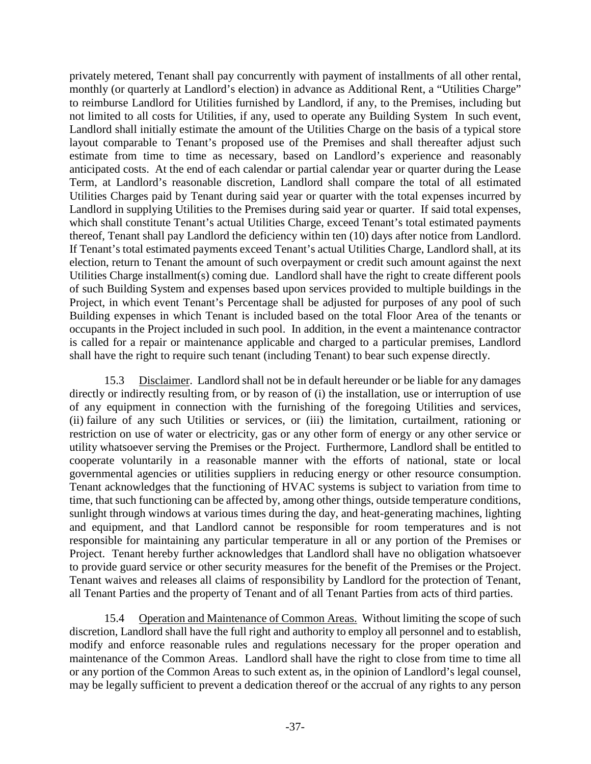privately metered, Tenant shall pay concurrently with payment of installments of all other rental, monthly (or quarterly at Landlord's election) in advance as Additional Rent, a "Utilities Charge" to reimburse Landlord for Utilities furnished by Landlord, if any, to the Premises, including but not limited to all costs for Utilities, if any, used to operate any Building System In such event, Landlord shall initially estimate the amount of the Utilities Charge on the basis of a typical store layout comparable to Tenant's proposed use of the Premises and shall thereafter adjust such estimate from time to time as necessary, based on Landlord's experience and reasonably anticipated costs. At the end of each calendar or partial calendar year or quarter during the Lease Term, at Landlord's reasonable discretion, Landlord shall compare the total of all estimated Utilities Charges paid by Tenant during said year or quarter with the total expenses incurred by Landlord in supplying Utilities to the Premises during said year or quarter. If said total expenses, which shall constitute Tenant's actual Utilities Charge, exceed Tenant's total estimated payments thereof, Tenant shall pay Landlord the deficiency within ten (10) days after notice from Landlord. If Tenant's total estimated payments exceed Tenant's actual Utilities Charge, Landlord shall, at its election, return to Tenant the amount of such overpayment or credit such amount against the next Utilities Charge installment(s) coming due. Landlord shall have the right to create different pools of such Building System and expenses based upon services provided to multiple buildings in the Project, in which event Tenant's Percentage shall be adjusted for purposes of any pool of such Building expenses in which Tenant is included based on the total Floor Area of the tenants or occupants in the Project included in such pool. In addition, in the event a maintenance contractor is called for a repair or maintenance applicable and charged to a particular premises, Landlord shall have the right to require such tenant (including Tenant) to bear such expense directly.

15.3 Disclaimer. Landlord shall not be in default hereunder or be liable for any damages directly or indirectly resulting from, or by reason of (i) the installation, use or interruption of use of any equipment in connection with the furnishing of the foregoing Utilities and services, (ii) failure of any such Utilities or services, or (iii) the limitation, curtailment, rationing or restriction on use of water or electricity, gas or any other form of energy or any other service or utility whatsoever serving the Premises or the Project. Furthermore, Landlord shall be entitled to cooperate voluntarily in a reasonable manner with the efforts of national, state or local governmental agencies or utilities suppliers in reducing energy or other resource consumption. Tenant acknowledges that the functioning of HVAC systems is subject to variation from time to time, that such functioning can be affected by, among other things, outside temperature conditions, sunlight through windows at various times during the day, and heat-generating machines, lighting and equipment, and that Landlord cannot be responsible for room temperatures and is not responsible for maintaining any particular temperature in all or any portion of the Premises or Project. Tenant hereby further acknowledges that Landlord shall have no obligation whatsoever to provide guard service or other security measures for the benefit of the Premises or the Project. Tenant waives and releases all claims of responsibility by Landlord for the protection of Tenant, all Tenant Parties and the property of Tenant and of all Tenant Parties from acts of third parties.

15.4 Operation and Maintenance of Common Areas. Without limiting the scope of such discretion, Landlord shall have the full right and authority to employ all personnel and to establish, modify and enforce reasonable rules and regulations necessary for the proper operation and maintenance of the Common Areas. Landlord shall have the right to close from time to time all or any portion of the Common Areas to such extent as, in the opinion of Landlord's legal counsel, may be legally sufficient to prevent a dedication thereof or the accrual of any rights to any person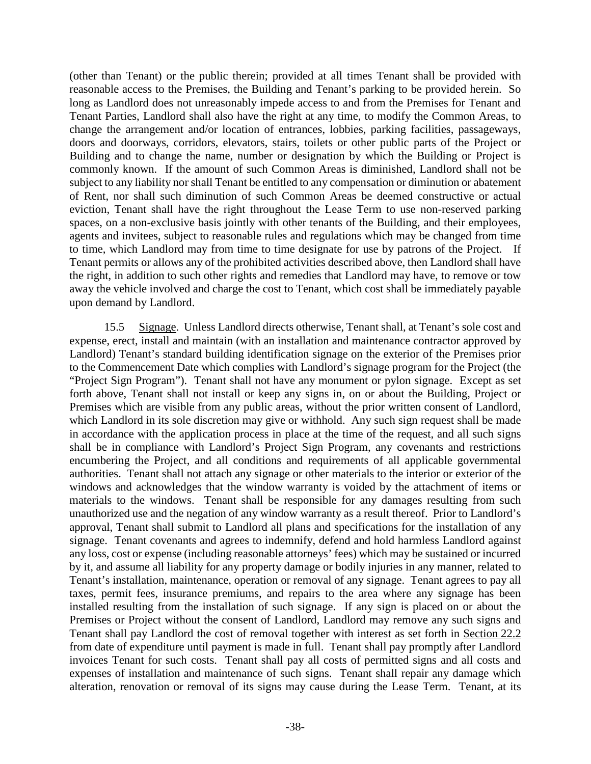(other than Tenant) or the public therein; provided at all times Tenant shall be provided with reasonable access to the Premises, the Building and Tenant's parking to be provided herein. So long as Landlord does not unreasonably impede access to and from the Premises for Tenant and Tenant Parties, Landlord shall also have the right at any time, to modify the Common Areas, to change the arrangement and/or location of entrances, lobbies, parking facilities, passageways, doors and doorways, corridors, elevators, stairs, toilets or other public parts of the Project or Building and to change the name, number or designation by which the Building or Project is commonly known. If the amount of such Common Areas is diminished, Landlord shall not be subject to any liability nor shall Tenant be entitled to any compensation or diminution or abatement of Rent, nor shall such diminution of such Common Areas be deemed constructive or actual eviction, Tenant shall have the right throughout the Lease Term to use non-reserved parking spaces, on a non-exclusive basis jointly with other tenants of the Building, and their employees, agents and invitees, subject to reasonable rules and regulations which may be changed from time to time, which Landlord may from time to time designate for use by patrons of the Project. If Tenant permits or allows any of the prohibited activities described above, then Landlord shall have the right, in addition to such other rights and remedies that Landlord may have, to remove or tow away the vehicle involved and charge the cost to Tenant, which cost shall be immediately payable upon demand by Landlord.

15.5 Signage. Unless Landlord directs otherwise, Tenant shall, at Tenant's sole cost and expense, erect, install and maintain (with an installation and maintenance contractor approved by Landlord) Tenant's standard building identification signage on the exterior of the Premises prior to the Commencement Date which complies with Landlord's signage program for the Project (the "Project Sign Program"). Tenant shall not have any monument or pylon signage. Except as set forth above, Tenant shall not install or keep any signs in, on or about the Building, Project or Premises which are visible from any public areas, without the prior written consent of Landlord, which Landlord in its sole discretion may give or withhold. Any such sign request shall be made in accordance with the application process in place at the time of the request, and all such signs shall be in compliance with Landlord's Project Sign Program, any covenants and restrictions encumbering the Project, and all conditions and requirements of all applicable governmental authorities. Tenant shall not attach any signage or other materials to the interior or exterior of the windows and acknowledges that the window warranty is voided by the attachment of items or materials to the windows. Tenant shall be responsible for any damages resulting from such unauthorized use and the negation of any window warranty as a result thereof. Prior to Landlord's approval, Tenant shall submit to Landlord all plans and specifications for the installation of any signage. Tenant covenants and agrees to indemnify, defend and hold harmless Landlord against any loss, cost or expense (including reasonable attorneys' fees) which may be sustained or incurred by it, and assume all liability for any property damage or bodily injuries in any manner, related to Tenant's installation, maintenance, operation or removal of any signage. Tenant agrees to pay all taxes, permit fees, insurance premiums, and repairs to the area where any signage has been installed resulting from the installation of such signage. If any sign is placed on or about the Premises or Project without the consent of Landlord, Landlord may remove any such signs and Tenant shall pay Landlord the cost of removal together with interest as set forth in Section 22.2 from date of expenditure until payment is made in full. Tenant shall pay promptly after Landlord invoices Tenant for such costs. Tenant shall pay all costs of permitted signs and all costs and expenses of installation and maintenance of such signs. Tenant shall repair any damage which alteration, renovation or removal of its signs may cause during the Lease Term. Tenant, at its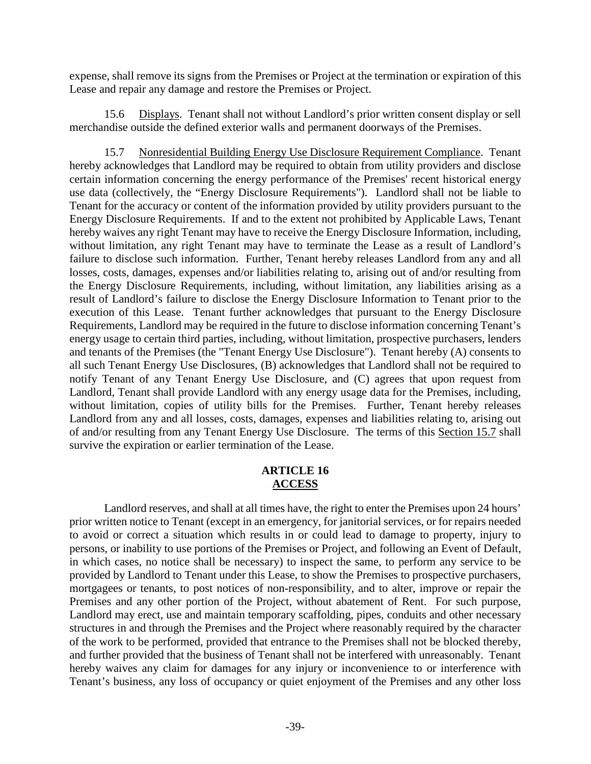expense, shall remove its signs from the Premises or Project at the termination or expiration of this Lease and repair any damage and restore the Premises or Project.

15.6 Displays. Tenant shall not without Landlord's prior written consent display or sell merchandise outside the defined exterior walls and permanent doorways of the Premises.

15.7 Nonresidential Building Energy Use Disclosure Requirement Compliance. Tenant hereby acknowledges that Landlord may be required to obtain from utility providers and disclose certain information concerning the energy performance of the Premises' recent historical energy use data (collectively, the "Energy Disclosure Requirements"). Landlord shall not be liable to Tenant for the accuracy or content of the information provided by utility providers pursuant to the Energy Disclosure Requirements. If and to the extent not prohibited by Applicable Laws, Tenant hereby waives any right Tenant may have to receive the Energy Disclosure Information, including, without limitation, any right Tenant may have to terminate the Lease as a result of Landlord's failure to disclose such information. Further, Tenant hereby releases Landlord from any and all losses, costs, damages, expenses and/or liabilities relating to, arising out of and/or resulting from the Energy Disclosure Requirements, including, without limitation, any liabilities arising as a result of Landlord's failure to disclose the Energy Disclosure Information to Tenant prior to the execution of this Lease. Tenant further acknowledges that pursuant to the Energy Disclosure Requirements, Landlord may be required in the future to disclose information concerning Tenant's energy usage to certain third parties, including, without limitation, prospective purchasers, lenders and tenants of the Premises (the "Tenant Energy Use Disclosure"). Tenant hereby (A) consents to all such Tenant Energy Use Disclosures, (B) acknowledges that Landlord shall not be required to notify Tenant of any Tenant Energy Use Disclosure, and (C) agrees that upon request from Landlord, Tenant shall provide Landlord with any energy usage data for the Premises, including, without limitation, copies of utility bills for the Premises. Further, Tenant hereby releases Landlord from any and all losses, costs, damages, expenses and liabilities relating to, arising out of and/or resulting from any Tenant Energy Use Disclosure. The terms of this Section 15.7 shall survive the expiration or earlier termination of the Lease.

### **ARTICLE 16 ACCESS**

Landlord reserves, and shall at all times have, the right to enter the Premises upon 24 hours' prior written notice to Tenant (except in an emergency, for janitorial services, or for repairs needed to avoid or correct a situation which results in or could lead to damage to property, injury to persons, or inability to use portions of the Premises or Project, and following an Event of Default, in which cases, no notice shall be necessary) to inspect the same, to perform any service to be provided by Landlord to Tenant under this Lease, to show the Premises to prospective purchasers, mortgagees or tenants, to post notices of non-responsibility, and to alter, improve or repair the Premises and any other portion of the Project, without abatement of Rent. For such purpose, Landlord may erect, use and maintain temporary scaffolding, pipes, conduits and other necessary structures in and through the Premises and the Project where reasonably required by the character of the work to be performed, provided that entrance to the Premises shall not be blocked thereby, and further provided that the business of Tenant shall not be interfered with unreasonably. Tenant hereby waives any claim for damages for any injury or inconvenience to or interference with Tenant's business, any loss of occupancy or quiet enjoyment of the Premises and any other loss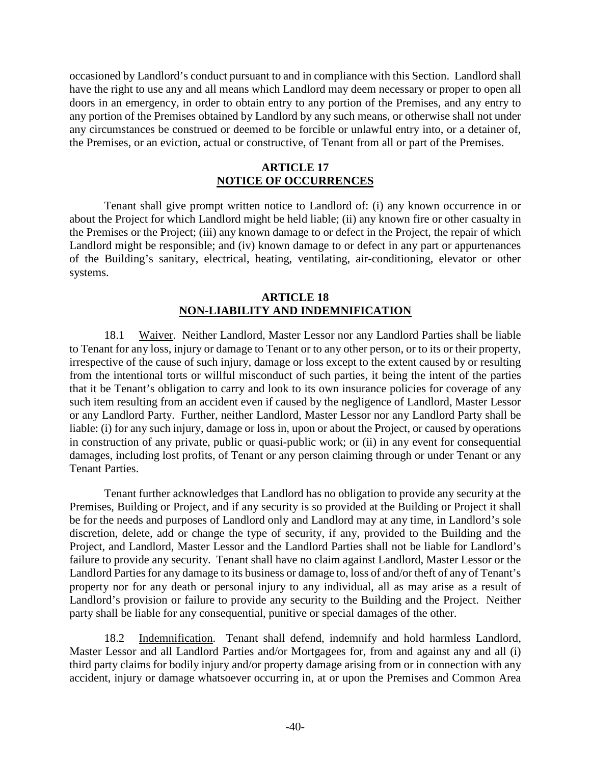occasioned by Landlord's conduct pursuant to and in compliance with this Section. Landlord shall have the right to use any and all means which Landlord may deem necessary or proper to open all doors in an emergency, in order to obtain entry to any portion of the Premises, and any entry to any portion of the Premises obtained by Landlord by any such means, or otherwise shall not under any circumstances be construed or deemed to be forcible or unlawful entry into, or a detainer of, the Premises, or an eviction, actual or constructive, of Tenant from all or part of the Premises.

### **ARTICLE 17 NOTICE OF OCCURRENCES**

Tenant shall give prompt written notice to Landlord of: (i) any known occurrence in or about the Project for which Landlord might be held liable; (ii) any known fire or other casualty in the Premises or the Project; (iii) any known damage to or defect in the Project, the repair of which Landlord might be responsible; and (iv) known damage to or defect in any part or appurtenances of the Building's sanitary, electrical, heating, ventilating, air-conditioning, elevator or other systems.

### **ARTICLE 18 NON-LIABILITY AND INDEMNIFICATION**

18.1 Waiver. Neither Landlord, Master Lessor nor any Landlord Parties shall be liable to Tenant for any loss, injury or damage to Tenant or to any other person, or to its or their property, irrespective of the cause of such injury, damage or loss except to the extent caused by or resulting from the intentional torts or willful misconduct of such parties, it being the intent of the parties that it be Tenant's obligation to carry and look to its own insurance policies for coverage of any such item resulting from an accident even if caused by the negligence of Landlord, Master Lessor or any Landlord Party. Further, neither Landlord, Master Lessor nor any Landlord Party shall be liable: (i) for any such injury, damage or loss in, upon or about the Project, or caused by operations in construction of any private, public or quasi-public work; or (ii) in any event for consequential damages, including lost profits, of Tenant or any person claiming through or under Tenant or any Tenant Parties.

Tenant further acknowledges that Landlord has no obligation to provide any security at the Premises, Building or Project, and if any security is so provided at the Building or Project it shall be for the needs and purposes of Landlord only and Landlord may at any time, in Landlord's sole discretion, delete, add or change the type of security, if any, provided to the Building and the Project, and Landlord, Master Lessor and the Landlord Parties shall not be liable for Landlord's failure to provide any security. Tenant shall have no claim against Landlord, Master Lessor or the Landlord Parties for any damage to its business or damage to, loss of and/or theft of any of Tenant's property nor for any death or personal injury to any individual, all as may arise as a result of Landlord's provision or failure to provide any security to the Building and the Project. Neither party shall be liable for any consequential, punitive or special damages of the other.

18.2 Indemnification. Tenant shall defend, indemnify and hold harmless Landlord, Master Lessor and all Landlord Parties and/or Mortgagees for, from and against any and all (i) third party claims for bodily injury and/or property damage arising from or in connection with any accident, injury or damage whatsoever occurring in, at or upon the Premises and Common Area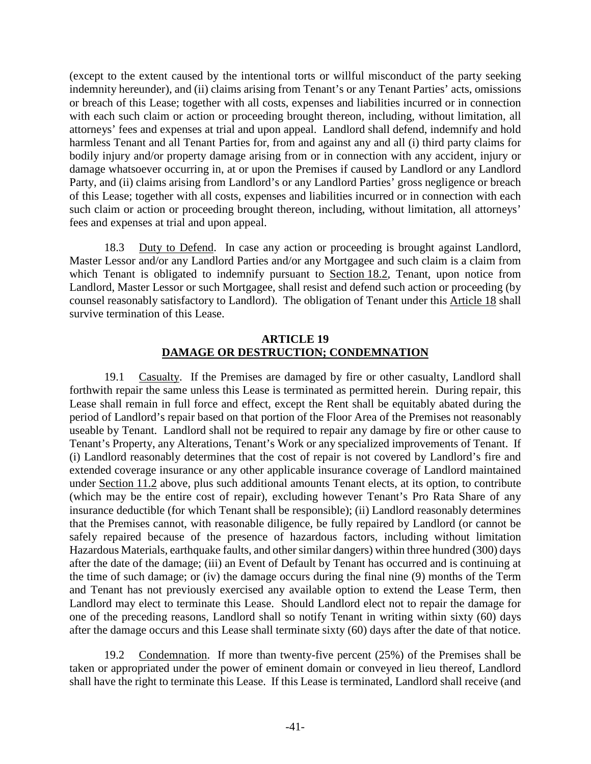(except to the extent caused by the intentional torts or willful misconduct of the party seeking indemnity hereunder), and (ii) claims arising from Tenant's or any Tenant Parties' acts, omissions or breach of this Lease; together with all costs, expenses and liabilities incurred or in connection with each such claim or action or proceeding brought thereon, including, without limitation, all attorneys' fees and expenses at trial and upon appeal. Landlord shall defend, indemnify and hold harmless Tenant and all Tenant Parties for, from and against any and all (i) third party claims for bodily injury and/or property damage arising from or in connection with any accident, injury or damage whatsoever occurring in, at or upon the Premises if caused by Landlord or any Landlord Party, and (ii) claims arising from Landlord's or any Landlord Parties' gross negligence or breach of this Lease; together with all costs, expenses and liabilities incurred or in connection with each such claim or action or proceeding brought thereon, including, without limitation, all attorneys' fees and expenses at trial and upon appeal.

18.3 Duty to Defend. In case any action or proceeding is brought against Landlord, Master Lessor and/or any Landlord Parties and/or any Mortgagee and such claim is a claim from which Tenant is obligated to indemnify pursuant to Section 18.2, Tenant, upon notice from Landlord, Master Lessor or such Mortgagee, shall resist and defend such action or proceeding (by counsel reasonably satisfactory to Landlord). The obligation of Tenant under this Article 18 shall survive termination of this Lease.

### **ARTICLE 19 DAMAGE OR DESTRUCTION; CONDEMNATION**

19.1 Casualty. If the Premises are damaged by fire or other casualty, Landlord shall forthwith repair the same unless this Lease is terminated as permitted herein. During repair, this Lease shall remain in full force and effect, except the Rent shall be equitably abated during the period of Landlord's repair based on that portion of the Floor Area of the Premises not reasonably useable by Tenant. Landlord shall not be required to repair any damage by fire or other cause to Tenant's Property, any Alterations, Tenant's Work or any specialized improvements of Tenant. If (i) Landlord reasonably determines that the cost of repair is not covered by Landlord's fire and extended coverage insurance or any other applicable insurance coverage of Landlord maintained under Section 11.2 above, plus such additional amounts Tenant elects, at its option, to contribute (which may be the entire cost of repair), excluding however Tenant's Pro Rata Share of any insurance deductible (for which Tenant shall be responsible); (ii) Landlord reasonably determines that the Premises cannot, with reasonable diligence, be fully repaired by Landlord (or cannot be safely repaired because of the presence of hazardous factors, including without limitation Hazardous Materials, earthquake faults, and other similar dangers) within three hundred (300) days after the date of the damage; (iii) an Event of Default by Tenant has occurred and is continuing at the time of such damage; or (iv) the damage occurs during the final nine (9) months of the Term and Tenant has not previously exercised any available option to extend the Lease Term, then Landlord may elect to terminate this Lease. Should Landlord elect not to repair the damage for one of the preceding reasons, Landlord shall so notify Tenant in writing within sixty (60) days after the damage occurs and this Lease shall terminate sixty (60) days after the date of that notice.

19.2 Condemnation. If more than twenty-five percent (25%) of the Premises shall be taken or appropriated under the power of eminent domain or conveyed in lieu thereof, Landlord shall have the right to terminate this Lease. If this Lease is terminated, Landlord shall receive (and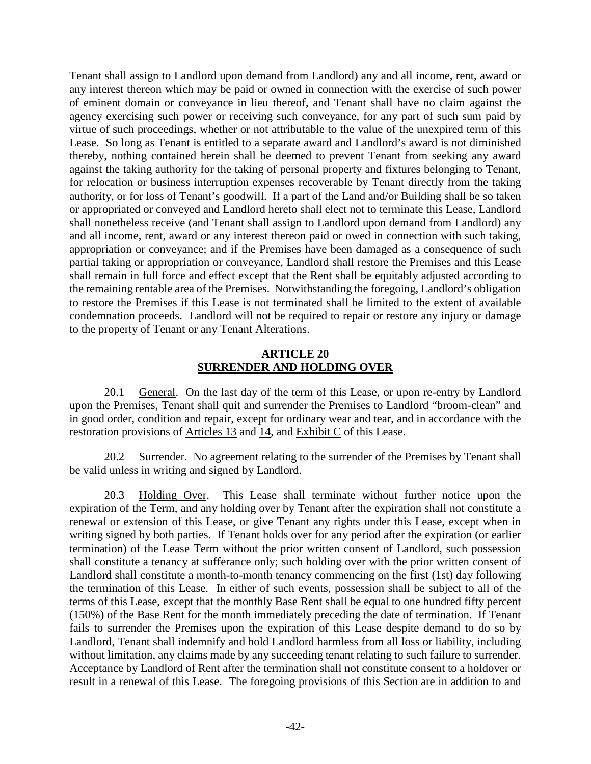Tenant shall assign to Landlord upon demand from Landlord) any and all income, rent, award or any interest thereon which may be paid or owned in connection with the exercise of such power of eminent domain or conveyance in lieu thereof, and Tenant shall have no claim against the agency exercising such power or receiving such conveyance, for any part of such sum paid by virtue of such proceedings, whether or not attributable to the value of the unexpired term of this Lease. So long as Tenant is entitled to a separate award and Landlord's award is not diminished thereby, nothing contained herein shall be deemed to prevent Tenant from seeking any award against the taking authority for the taking of personal property and fixtures belonging to Tenant, for relocation or business interruption expenses recoverable by Tenant directly from the taking authority, or for loss of Tenant's goodwill. If a part of the Land and/or Building shall be so taken or appropriated or conveyed and Landlord hereto shall elect not to terminate this Lease, Landlord shall nonetheless receive (and Tenant shall assign to Landlord upon demand from Landlord) any and all income, rent, award or any interest thereon paid or owed in connection with such taking, appropriation or conveyance; and if the Premises have been damaged as a consequence of such partial taking or appropriation or conveyance, Landlord shall restore the Premises and this Lease shall remain in full force and effect except that the Rent shall be equitably adjusted according to the remaining rentable area of the Premises. Notwithstanding the foregoing, Landlord's obligation to restore the Premises if this Lease is not terminated shall be limited to the extent of available condemnation proceeds. Landlord will not be required to repair or restore any injury or damage to the property of Tenant or any Tenant Alterations.

#### **ARTICLE 20 SURRENDER AND HOLDING OVER**

20.1 General. On the last day of the term of this Lease, or upon re-entry by Landlord upon the Premises, Tenant shall quit and surrender the Premises to Landlord "broom-clean" and in good order, condition and repair, except for ordinary wear and tear, and in accordance with the restoration provisions of Articles 13 and 14, and Exhibit C of this Lease.

20.2 Surrender. No agreement relating to the surrender of the Premises by Tenant shall be valid unless in writing and signed by Landlord.

20.3 Holding Over. This Lease shall terminate without further notice upon the expiration of the Term, and any holding over by Tenant after the expiration shall not constitute a renewal or extension of this Lease, or give Tenant any rights under this Lease, except when in writing signed by both parties. If Tenant holds over for any period after the expiration (or earlier termination) of the Lease Term without the prior written consent of Landlord, such possession shall constitute a tenancy at sufferance only; such holding over with the prior written consent of Landlord shall constitute a month-to-month tenancy commencing on the first (1st) day following the termination of this Lease. In either of such events, possession shall be subject to all of the terms of this Lease, except that the monthly Base Rent shall be equal to one hundred fifty percent (150%) of the Base Rent for the month immediately preceding the date of termination. If Tenant fails to surrender the Premises upon the expiration of this Lease despite demand to do so by Landlord, Tenant shall indemnify and hold Landlord harmless from all loss or liability, including without limitation, any claims made by any succeeding tenant relating to such failure to surrender. Acceptance by Landlord of Rent after the termination shall not constitute consent to a holdover or result in a renewal of this Lease. The foregoing provisions of this Section are in addition to and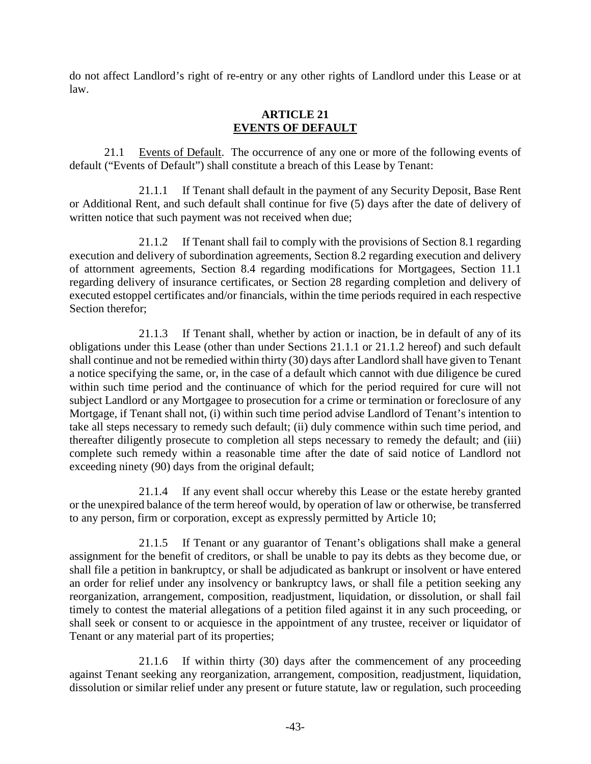do not affect Landlord's right of re-entry or any other rights of Landlord under this Lease or at law.

#### **ARTICLE 21 EVENTS OF DEFAULT**

21.1 Events of Default. The occurrence of any one or more of the following events of default ("Events of Default") shall constitute a breach of this Lease by Tenant:

21.1.1 If Tenant shall default in the payment of any Security Deposit, Base Rent or Additional Rent, and such default shall continue for five (5) days after the date of delivery of written notice that such payment was not received when due;

21.1.2 If Tenant shall fail to comply with the provisions of Section 8.1 regarding execution and delivery of subordination agreements, Section 8.2 regarding execution and delivery of attornment agreements, Section 8.4 regarding modifications for Mortgagees, Section 11.1 regarding delivery of insurance certificates, or Section 28 regarding completion and delivery of executed estoppel certificates and/or financials, within the time periods required in each respective Section therefor;

21.1.3 If Tenant shall, whether by action or inaction, be in default of any of its obligations under this Lease (other than under Sections 21.1.1 or 21.1.2 hereof) and such default shall continue and not be remedied within thirty (30) days after Landlord shall have given to Tenant a notice specifying the same, or, in the case of a default which cannot with due diligence be cured within such time period and the continuance of which for the period required for cure will not subject Landlord or any Mortgagee to prosecution for a crime or termination or foreclosure of any Mortgage, if Tenant shall not, (i) within such time period advise Landlord of Tenant's intention to take all steps necessary to remedy such default; (ii) duly commence within such time period, and thereafter diligently prosecute to completion all steps necessary to remedy the default; and (iii) complete such remedy within a reasonable time after the date of said notice of Landlord not exceeding ninety (90) days from the original default;

21.1.4 If any event shall occur whereby this Lease or the estate hereby granted or the unexpired balance of the term hereof would, by operation of law or otherwise, be transferred to any person, firm or corporation, except as expressly permitted by Article 10;

21.1.5 If Tenant or any guarantor of Tenant's obligations shall make a general assignment for the benefit of creditors, or shall be unable to pay its debts as they become due, or shall file a petition in bankruptcy, or shall be adjudicated as bankrupt or insolvent or have entered an order for relief under any insolvency or bankruptcy laws, or shall file a petition seeking any reorganization, arrangement, composition, readjustment, liquidation, or dissolution, or shall fail timely to contest the material allegations of a petition filed against it in any such proceeding, or shall seek or consent to or acquiesce in the appointment of any trustee, receiver or liquidator of Tenant or any material part of its properties;

21.1.6 If within thirty (30) days after the commencement of any proceeding against Tenant seeking any reorganization, arrangement, composition, readjustment, liquidation, dissolution or similar relief under any present or future statute, law or regulation, such proceeding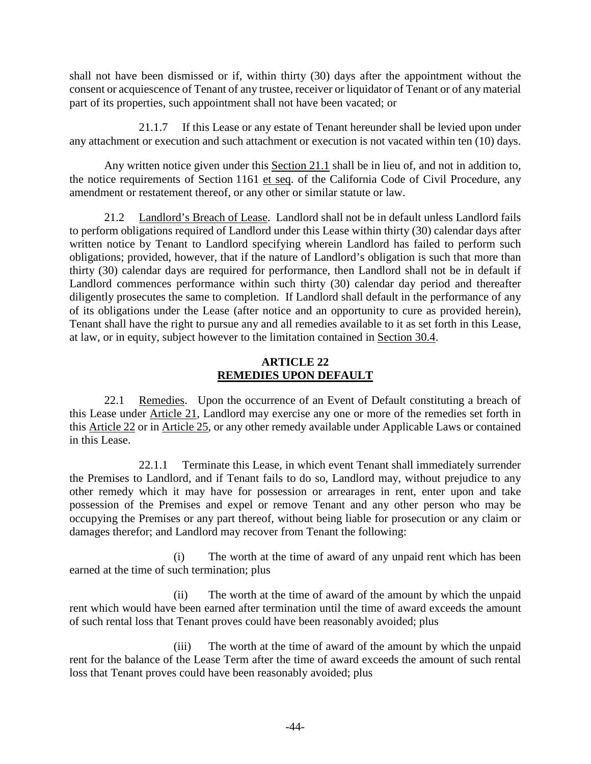shall not have been dismissed or if, within thirty (30) days after the appointment without the consent or acquiescence of Tenant of any trustee, receiver or liquidator of Tenant or of any material part of its properties, such appointment shall not have been vacated; or

21.1.7 If this Lease or any estate of Tenant hereunder shall be levied upon under any attachment or execution and such attachment or execution is not vacated within ten (10) days.

Any written notice given under this Section 21.1 shall be in lieu of, and not in addition to, the notice requirements of Section 1161 et seq. of the California Code of Civil Procedure, any amendment or restatement thereof, or any other or similar statute or law.

21.2 Landlord's Breach of Lease. Landlord shall not be in default unless Landlord fails to perform obligations required of Landlord under this Lease within thirty (30) calendar days after written notice by Tenant to Landlord specifying wherein Landlord has failed to perform such obligations; provided, however, that if the nature of Landlord's obligation is such that more than thirty (30) calendar days are required for performance, then Landlord shall not be in default if Landlord commences performance within such thirty (30) calendar day period and thereafter diligently prosecutes the same to completion. If Landlord shall default in the performance of any of its obligations under the Lease (after notice and an opportunity to cure as provided herein), Tenant shall have the right to pursue any and all remedies available to it as set forth in this Lease, at law, or in equity, subject however to the limitation contained in Section 30.4.

#### **ARTICLE 22 REMEDIES UPON DEFAULT**

22.1 Remedies. Upon the occurrence of an Event of Default constituting a breach of this Lease under Article 21, Landlord may exercise any one or more of the remedies set forth in this Article 22 or in Article 25, or any other remedy available under Applicable Laws or contained in this Lease.

22.1.1 Terminate this Lease, in which event Tenant shall immediately surrender the Premises to Landlord, and if Tenant fails to do so, Landlord may, without prejudice to any other remedy which it may have for possession or arrearages in rent, enter upon and take possession of the Premises and expel or remove Tenant and any other person who may be occupying the Premises or any part thereof, without being liable for prosecution or any claim or damages therefor; and Landlord may recover from Tenant the following:

(i) The worth at the time of award of any unpaid rent which has been earned at the time of such termination; plus

(ii) The worth at the time of award of the amount by which the unpaid rent which would have been earned after termination until the time of award exceeds the amount of such rental loss that Tenant proves could have been reasonably avoided; plus

(iii) The worth at the time of award of the amount by which the unpaid rent for the balance of the Lease Term after the time of award exceeds the amount of such rental loss that Tenant proves could have been reasonably avoided; plus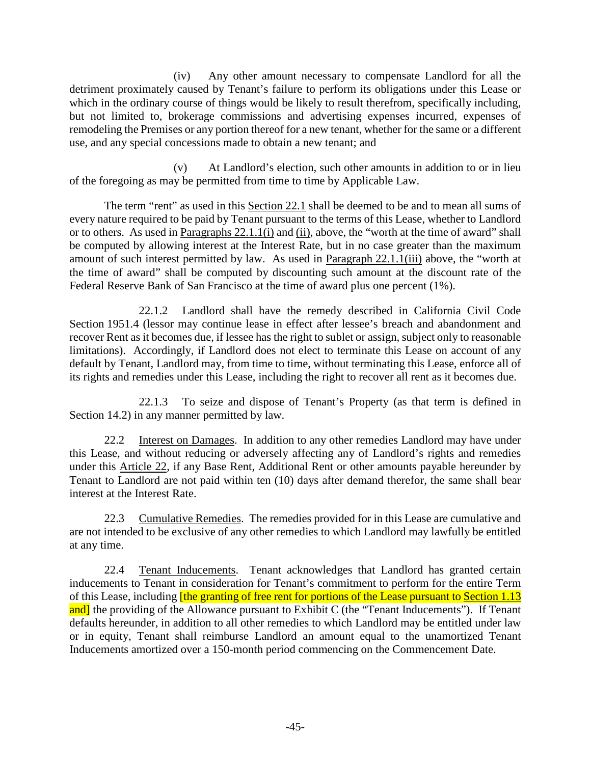(iv) Any other amount necessary to compensate Landlord for all the detriment proximately caused by Tenant's failure to perform its obligations under this Lease or which in the ordinary course of things would be likely to result therefrom, specifically including, but not limited to, brokerage commissions and advertising expenses incurred, expenses of remodeling the Premises or any portion thereof for a new tenant, whether for the same or a different use, and any special concessions made to obtain a new tenant; and

(v) At Landlord's election, such other amounts in addition to or in lieu of the foregoing as may be permitted from time to time by Applicable Law.

The term "rent" as used in this Section 22.1 shall be deemed to be and to mean all sums of every nature required to be paid by Tenant pursuant to the terms of this Lease, whether to Landlord or to others. As used in Paragraphs 22.1.1(i) and (ii), above, the "worth at the time of award" shall be computed by allowing interest at the Interest Rate, but in no case greater than the maximum amount of such interest permitted by law. As used in Paragraph 22.1.1(iii) above, the "worth at the time of award" shall be computed by discounting such amount at the discount rate of the Federal Reserve Bank of San Francisco at the time of award plus one percent (1%).

22.1.2 Landlord shall have the remedy described in California Civil Code Section 1951.4 (lessor may continue lease in effect after lessee's breach and abandonment and recover Rent as it becomes due, if lessee has the right to sublet or assign, subject only to reasonable limitations). Accordingly, if Landlord does not elect to terminate this Lease on account of any default by Tenant, Landlord may, from time to time, without terminating this Lease, enforce all of its rights and remedies under this Lease, including the right to recover all rent as it becomes due.

22.1.3 To seize and dispose of Tenant's Property (as that term is defined in Section 14.2) in any manner permitted by law.

22.2 Interest on Damages. In addition to any other remedies Landlord may have under this Lease, and without reducing or adversely affecting any of Landlord's rights and remedies under this Article 22, if any Base Rent, Additional Rent or other amounts payable hereunder by Tenant to Landlord are not paid within ten (10) days after demand therefor, the same shall bear interest at the Interest Rate.

22.3 Cumulative Remedies. The remedies provided for in this Lease are cumulative and are not intended to be exclusive of any other remedies to which Landlord may lawfully be entitled at any time.

22.4 Tenant Inducements. Tenant acknowledges that Landlord has granted certain inducements to Tenant in consideration for Tenant's commitment to perform for the entire Term of this Lease, including *[the granting of free rent for portions of the Lease pursuant to Section 1.13* and] the providing of the Allowance pursuant to  $\overline{\text{Exhibit C}}$  (the "Tenant Inducements"). If Tenant defaults hereunder, in addition to all other remedies to which Landlord may be entitled under law or in equity, Tenant shall reimburse Landlord an amount equal to the unamortized Tenant Inducements amortized over a 150-month period commencing on the Commencement Date.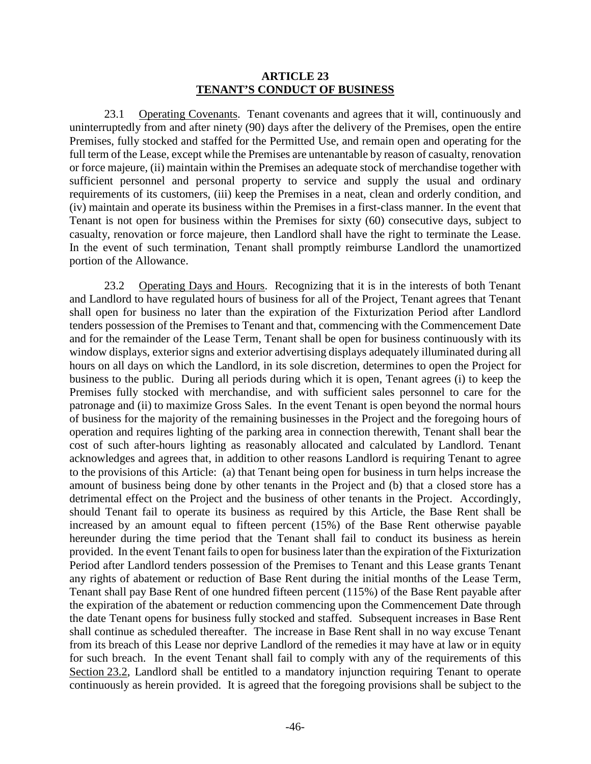#### **ARTICLE 23 TENANT'S CONDUCT OF BUSINESS**

23.1 Operating Covenants. Tenant covenants and agrees that it will, continuously and uninterruptedly from and after ninety (90) days after the delivery of the Premises, open the entire Premises, fully stocked and staffed for the Permitted Use, and remain open and operating for the full term of the Lease, except while the Premises are untenantable by reason of casualty, renovation or force majeure, (ii) maintain within the Premises an adequate stock of merchandise together with sufficient personnel and personal property to service and supply the usual and ordinary requirements of its customers, (iii) keep the Premises in a neat, clean and orderly condition, and (iv) maintain and operate its business within the Premises in a first-class manner. In the event that Tenant is not open for business within the Premises for sixty (60) consecutive days, subject to casualty, renovation or force majeure, then Landlord shall have the right to terminate the Lease. In the event of such termination, Tenant shall promptly reimburse Landlord the unamortized portion of the Allowance.

23.2 Operating Days and Hours. Recognizing that it is in the interests of both Tenant and Landlord to have regulated hours of business for all of the Project, Tenant agrees that Tenant shall open for business no later than the expiration of the Fixturization Period after Landlord tenders possession of the Premises to Tenant and that, commencing with the Commencement Date and for the remainder of the Lease Term, Tenant shall be open for business continuously with its window displays, exterior signs and exterior advertising displays adequately illuminated during all hours on all days on which the Landlord, in its sole discretion, determines to open the Project for business to the public. During all periods during which it is open, Tenant agrees (i) to keep the Premises fully stocked with merchandise, and with sufficient sales personnel to care for the patronage and (ii) to maximize Gross Sales. In the event Tenant is open beyond the normal hours of business for the majority of the remaining businesses in the Project and the foregoing hours of operation and requires lighting of the parking area in connection therewith, Tenant shall bear the cost of such after-hours lighting as reasonably allocated and calculated by Landlord. Tenant acknowledges and agrees that, in addition to other reasons Landlord is requiring Tenant to agree to the provisions of this Article: (a) that Tenant being open for business in turn helps increase the amount of business being done by other tenants in the Project and (b) that a closed store has a detrimental effect on the Project and the business of other tenants in the Project. Accordingly, should Tenant fail to operate its business as required by this Article, the Base Rent shall be increased by an amount equal to fifteen percent (15%) of the Base Rent otherwise payable hereunder during the time period that the Tenant shall fail to conduct its business as herein provided. In the event Tenant fails to open for business later than the expiration of the Fixturization Period after Landlord tenders possession of the Premises to Tenant and this Lease grants Tenant any rights of abatement or reduction of Base Rent during the initial months of the Lease Term, Tenant shall pay Base Rent of one hundred fifteen percent (115%) of the Base Rent payable after the expiration of the abatement or reduction commencing upon the Commencement Date through the date Tenant opens for business fully stocked and staffed. Subsequent increases in Base Rent shall continue as scheduled thereafter. The increase in Base Rent shall in no way excuse Tenant from its breach of this Lease nor deprive Landlord of the remedies it may have at law or in equity for such breach. In the event Tenant shall fail to comply with any of the requirements of this Section 23.2, Landlord shall be entitled to a mandatory injunction requiring Tenant to operate continuously as herein provided. It is agreed that the foregoing provisions shall be subject to the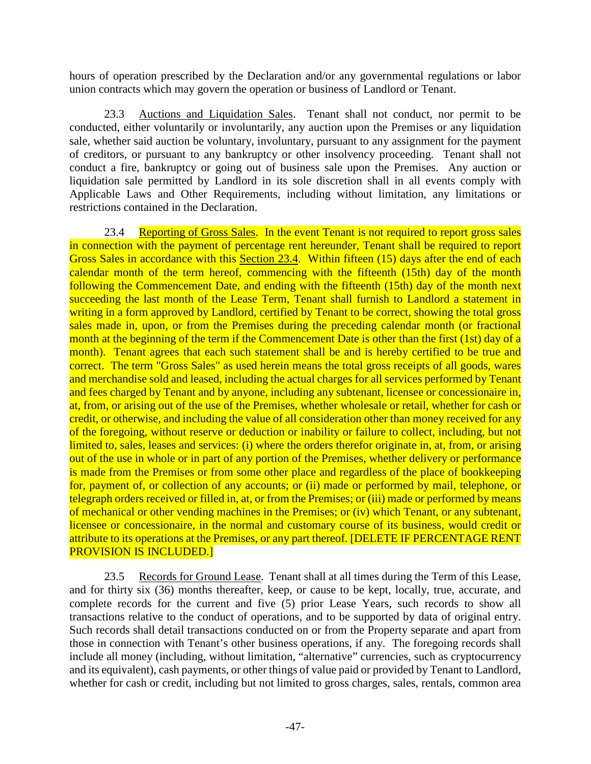hours of operation prescribed by the Declaration and/or any governmental regulations or labor union contracts which may govern the operation or business of Landlord or Tenant.

23.3 Auctions and Liquidation Sales. Tenant shall not conduct, nor permit to be conducted, either voluntarily or involuntarily, any auction upon the Premises or any liquidation sale, whether said auction be voluntary, involuntary, pursuant to any assignment for the payment of creditors, or pursuant to any bankruptcy or other insolvency proceeding. Tenant shall not conduct a fire, bankruptcy or going out of business sale upon the Premises. Any auction or liquidation sale permitted by Landlord in its sole discretion shall in all events comply with Applicable Laws and Other Requirements, including without limitation, any limitations or restrictions contained in the Declaration.

23.4 Reporting of Gross Sales. In the event Tenant is not required to report gross sales in connection with the payment of percentage rent hereunder, Tenant shall be required to report Gross Sales in accordance with this Section 23.4. Within fifteen (15) days after the end of each calendar month of the term hereof, commencing with the fifteenth (15th) day of the month following the Commencement Date, and ending with the fifteenth (15th) day of the month next succeeding the last month of the Lease Term, Tenant shall furnish to Landlord a statement in writing in a form approved by Landlord, certified by Tenant to be correct, showing the total gross sales made in, upon, or from the Premises during the preceding calendar month (or fractional month at the beginning of the term if the Commencement Date is other than the first (1st) day of a month). Tenant agrees that each such statement shall be and is hereby certified to be true and correct. The term "Gross Sales" as used herein means the total gross receipts of all goods, wares and merchandise sold and leased, including the actual charges for all services performed by Tenant and fees charged by Tenant and by anyone, including any subtenant, licensee or concessionaire in, at, from, or arising out of the use of the Premises, whether wholesale or retail, whether for cash or credit, or otherwise, and including the value of all consideration other than money received for any of the foregoing, without reserve or deduction or inability or failure to collect, including, but not limited to, sales, leases and services: (i) where the orders therefor originate in, at, from, or arising out of the use in whole or in part of any portion of the Premises, whether delivery or performance is made from the Premises or from some other place and regardless of the place of bookkeeping for, payment of, or collection of any accounts; or (ii) made or performed by mail, telephone, or telegraph orders received or filled in, at, or from the Premises; or (iii) made or performed by means of mechanical or other vending machines in the Premises; or (iv) which Tenant, or any subtenant, licensee or concessionaire, in the normal and customary course of its business, would credit or attribute to its operations at the Premises, or any part thereof. [DELETE IF PERCENTAGE RENT PROVISION IS INCLUDED.]

23.5 Records for Ground Lease. Tenant shall at all times during the Term of this Lease, and for thirty six (36) months thereafter, keep, or cause to be kept, locally, true, accurate, and complete records for the current and five (5) prior Lease Years, such records to show all transactions relative to the conduct of operations, and to be supported by data of original entry. Such records shall detail transactions conducted on or from the Property separate and apart from those in connection with Tenant's other business operations, if any. The foregoing records shall include all money (including, without limitation, "alternative" currencies, such as cryptocurrency and its equivalent), cash payments, or other things of value paid or provided by Tenant to Landlord, whether for cash or credit, including but not limited to gross charges, sales, rentals, common area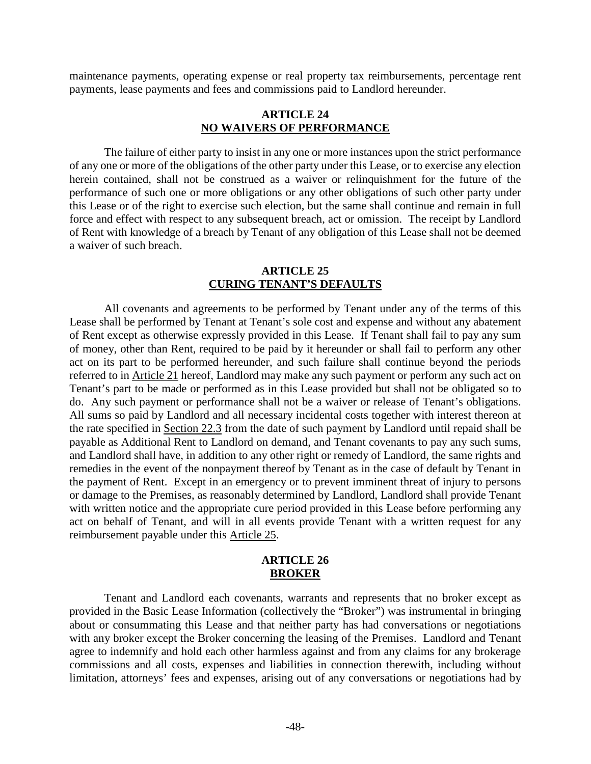maintenance payments, operating expense or real property tax reimbursements, percentage rent payments, lease payments and fees and commissions paid to Landlord hereunder.

#### **ARTICLE 24 NO WAIVERS OF PERFORMANCE**

The failure of either party to insist in any one or more instances upon the strict performance of any one or more of the obligations of the other party under this Lease, or to exercise any election herein contained, shall not be construed as a waiver or relinquishment for the future of the performance of such one or more obligations or any other obligations of such other party under this Lease or of the right to exercise such election, but the same shall continue and remain in full force and effect with respect to any subsequent breach, act or omission. The receipt by Landlord of Rent with knowledge of a breach by Tenant of any obligation of this Lease shall not be deemed a waiver of such breach.

#### **ARTICLE 25 CURING TENANT'S DEFAULTS**

All covenants and agreements to be performed by Tenant under any of the terms of this Lease shall be performed by Tenant at Tenant's sole cost and expense and without any abatement of Rent except as otherwise expressly provided in this Lease. If Tenant shall fail to pay any sum of money, other than Rent, required to be paid by it hereunder or shall fail to perform any other act on its part to be performed hereunder, and such failure shall continue beyond the periods referred to in Article 21 hereof, Landlord may make any such payment or perform any such act on Tenant's part to be made or performed as in this Lease provided but shall not be obligated so to do. Any such payment or performance shall not be a waiver or release of Tenant's obligations. All sums so paid by Landlord and all necessary incidental costs together with interest thereon at the rate specified in Section 22.3 from the date of such payment by Landlord until repaid shall be payable as Additional Rent to Landlord on demand, and Tenant covenants to pay any such sums, and Landlord shall have, in addition to any other right or remedy of Landlord, the same rights and remedies in the event of the nonpayment thereof by Tenant as in the case of default by Tenant in the payment of Rent. Except in an emergency or to prevent imminent threat of injury to persons or damage to the Premises, as reasonably determined by Landlord, Landlord shall provide Tenant with written notice and the appropriate cure period provided in this Lease before performing any act on behalf of Tenant, and will in all events provide Tenant with a written request for any reimbursement payable under this Article 25.

#### **ARTICLE 26 BROKER**

Tenant and Landlord each covenants, warrants and represents that no broker except as provided in the Basic Lease Information (collectively the "Broker") was instrumental in bringing about or consummating this Lease and that neither party has had conversations or negotiations with any broker except the Broker concerning the leasing of the Premises. Landlord and Tenant agree to indemnify and hold each other harmless against and from any claims for any brokerage commissions and all costs, expenses and liabilities in connection therewith, including without limitation, attorneys' fees and expenses, arising out of any conversations or negotiations had by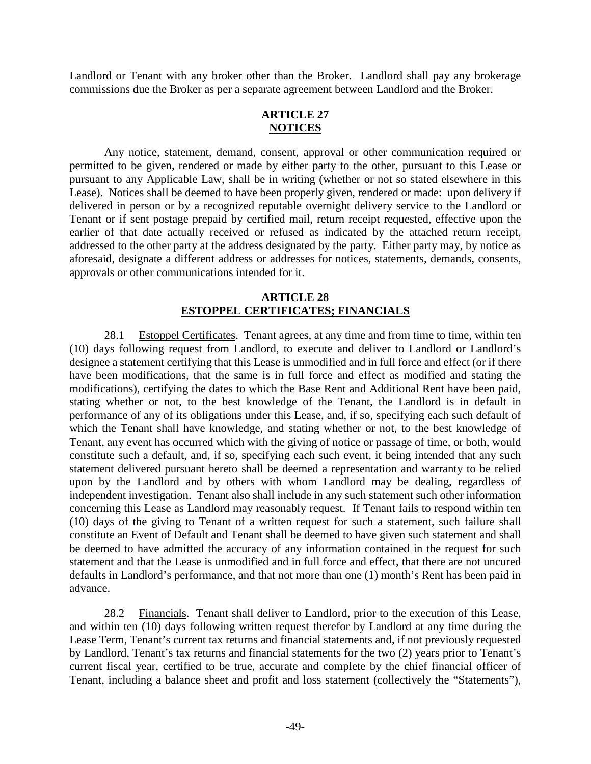Landlord or Tenant with any broker other than the Broker. Landlord shall pay any brokerage commissions due the Broker as per a separate agreement between Landlord and the Broker.

# **ARTICLE 27 NOTICES**

Any notice, statement, demand, consent, approval or other communication required or permitted to be given, rendered or made by either party to the other, pursuant to this Lease or pursuant to any Applicable Law, shall be in writing (whether or not so stated elsewhere in this Lease). Notices shall be deemed to have been properly given, rendered or made: upon delivery if delivered in person or by a recognized reputable overnight delivery service to the Landlord or Tenant or if sent postage prepaid by certified mail, return receipt requested, effective upon the earlier of that date actually received or refused as indicated by the attached return receipt, addressed to the other party at the address designated by the party. Either party may, by notice as aforesaid, designate a different address or addresses for notices, statements, demands, consents, approvals or other communications intended for it.

### **ARTICLE 28 ESTOPPEL CERTIFICATES; FINANCIALS**

28.1 Estoppel Certificates. Tenant agrees, at any time and from time to time, within ten (10) days following request from Landlord, to execute and deliver to Landlord or Landlord's designee a statement certifying that this Lease is unmodified and in full force and effect (or if there have been modifications, that the same is in full force and effect as modified and stating the modifications), certifying the dates to which the Base Rent and Additional Rent have been paid, stating whether or not, to the best knowledge of the Tenant, the Landlord is in default in performance of any of its obligations under this Lease, and, if so, specifying each such default of which the Tenant shall have knowledge, and stating whether or not, to the best knowledge of Tenant, any event has occurred which with the giving of notice or passage of time, or both, would constitute such a default, and, if so, specifying each such event, it being intended that any such statement delivered pursuant hereto shall be deemed a representation and warranty to be relied upon by the Landlord and by others with whom Landlord may be dealing, regardless of independent investigation. Tenant also shall include in any such statement such other information concerning this Lease as Landlord may reasonably request. If Tenant fails to respond within ten (10) days of the giving to Tenant of a written request for such a statement, such failure shall constitute an Event of Default and Tenant shall be deemed to have given such statement and shall be deemed to have admitted the accuracy of any information contained in the request for such statement and that the Lease is unmodified and in full force and effect, that there are not uncured defaults in Landlord's performance, and that not more than one (1) month's Rent has been paid in advance.

28.2 Financials. Tenant shall deliver to Landlord, prior to the execution of this Lease, and within ten (10) days following written request therefor by Landlord at any time during the Lease Term, Tenant's current tax returns and financial statements and, if not previously requested by Landlord, Tenant's tax returns and financial statements for the two (2) years prior to Tenant's current fiscal year, certified to be true, accurate and complete by the chief financial officer of Tenant, including a balance sheet and profit and loss statement (collectively the "Statements"),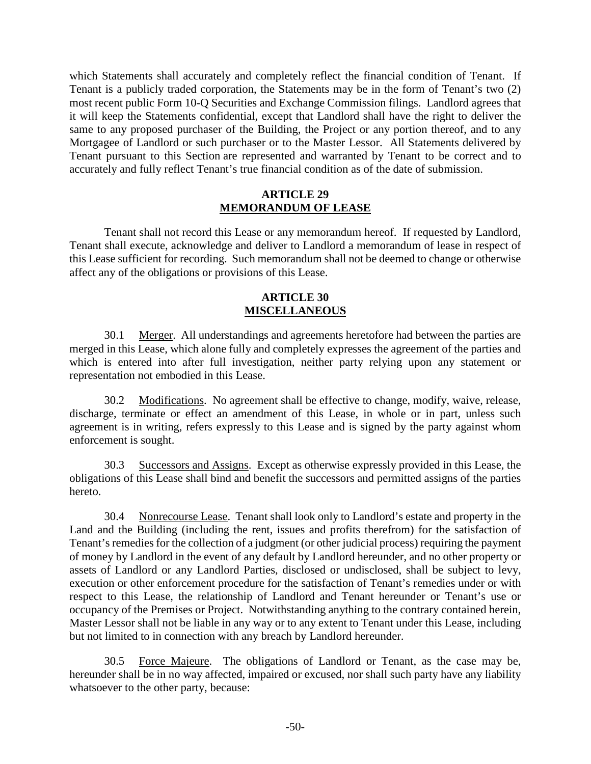which Statements shall accurately and completely reflect the financial condition of Tenant. If Tenant is a publicly traded corporation, the Statements may be in the form of Tenant's two (2) most recent public Form 10-Q Securities and Exchange Commission filings. Landlord agrees that it will keep the Statements confidential, except that Landlord shall have the right to deliver the same to any proposed purchaser of the Building, the Project or any portion thereof, and to any Mortgagee of Landlord or such purchaser or to the Master Lessor. All Statements delivered by Tenant pursuant to this Section are represented and warranted by Tenant to be correct and to accurately and fully reflect Tenant's true financial condition as of the date of submission.

#### **ARTICLE 29 MEMORANDUM OF LEASE**

Tenant shall not record this Lease or any memorandum hereof. If requested by Landlord, Tenant shall execute, acknowledge and deliver to Landlord a memorandum of lease in respect of this Lease sufficient for recording. Such memorandum shall not be deemed to change or otherwise affect any of the obligations or provisions of this Lease.

### **ARTICLE 30 MISCELLANEOUS**

30.1 Merger. All understandings and agreements heretofore had between the parties are merged in this Lease, which alone fully and completely expresses the agreement of the parties and which is entered into after full investigation, neither party relying upon any statement or representation not embodied in this Lease.

30.2 Modifications. No agreement shall be effective to change, modify, waive, release, discharge, terminate or effect an amendment of this Lease, in whole or in part, unless such agreement is in writing, refers expressly to this Lease and is signed by the party against whom enforcement is sought.

30.3 Successors and Assigns. Except as otherwise expressly provided in this Lease, the obligations of this Lease shall bind and benefit the successors and permitted assigns of the parties hereto.

30.4 Nonrecourse Lease. Tenant shall look only to Landlord's estate and property in the Land and the Building (including the rent, issues and profits therefrom) for the satisfaction of Tenant's remedies for the collection of a judgment (or other judicial process) requiring the payment of money by Landlord in the event of any default by Landlord hereunder, and no other property or assets of Landlord or any Landlord Parties, disclosed or undisclosed, shall be subject to levy, execution or other enforcement procedure for the satisfaction of Tenant's remedies under or with respect to this Lease, the relationship of Landlord and Tenant hereunder or Tenant's use or occupancy of the Premises or Project. Notwithstanding anything to the contrary contained herein, Master Lessor shall not be liable in any way or to any extent to Tenant under this Lease, including but not limited to in connection with any breach by Landlord hereunder.

30.5 Force Majeure. The obligations of Landlord or Tenant, as the case may be, hereunder shall be in no way affected, impaired or excused, nor shall such party have any liability whatsoever to the other party, because: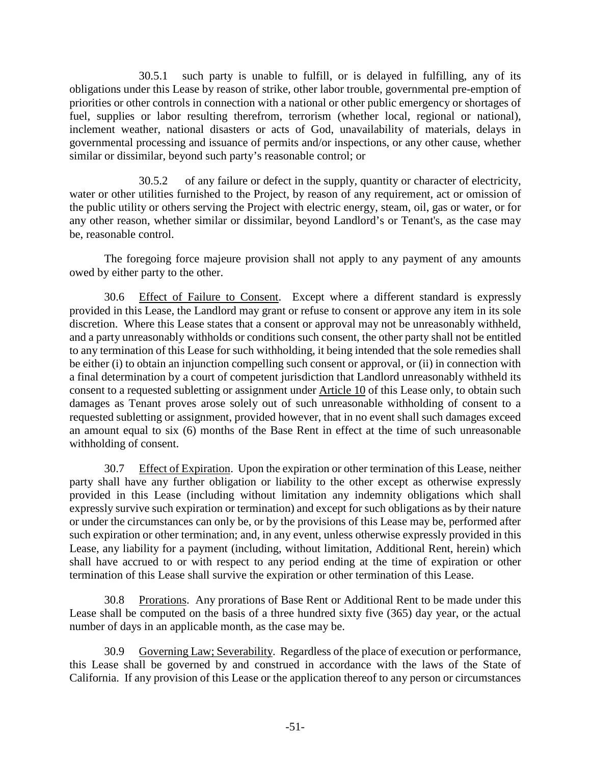30.5.1 such party is unable to fulfill, or is delayed in fulfilling, any of its obligations under this Lease by reason of strike, other labor trouble, governmental pre-emption of priorities or other controls in connection with a national or other public emergency or shortages of fuel, supplies or labor resulting therefrom, terrorism (whether local, regional or national), inclement weather, national disasters or acts of God, unavailability of materials, delays in governmental processing and issuance of permits and/or inspections, or any other cause, whether similar or dissimilar, beyond such party's reasonable control; or

30.5.2 of any failure or defect in the supply, quantity or character of electricity, water or other utilities furnished to the Project, by reason of any requirement, act or omission of the public utility or others serving the Project with electric energy, steam, oil, gas or water, or for any other reason, whether similar or dissimilar, beyond Landlord's or Tenant's, as the case may be, reasonable control.

The foregoing force majeure provision shall not apply to any payment of any amounts owed by either party to the other.

30.6 Effect of Failure to Consent. Except where a different standard is expressly provided in this Lease, the Landlord may grant or refuse to consent or approve any item in its sole discretion. Where this Lease states that a consent or approval may not be unreasonably withheld, and a party unreasonably withholds or conditions such consent, the other party shall not be entitled to any termination of this Lease for such withholding, it being intended that the sole remedies shall be either (i) to obtain an injunction compelling such consent or approval, or (ii) in connection with a final determination by a court of competent jurisdiction that Landlord unreasonably withheld its consent to a requested subletting or assignment under Article 10 of this Lease only, to obtain such damages as Tenant proves arose solely out of such unreasonable withholding of consent to a requested subletting or assignment, provided however, that in no event shall such damages exceed an amount equal to six (6) months of the Base Rent in effect at the time of such unreasonable withholding of consent.

30.7 Effect of Expiration. Upon the expiration or other termination of this Lease, neither party shall have any further obligation or liability to the other except as otherwise expressly provided in this Lease (including without limitation any indemnity obligations which shall expressly survive such expiration or termination) and except for such obligations as by their nature or under the circumstances can only be, or by the provisions of this Lease may be, performed after such expiration or other termination; and, in any event, unless otherwise expressly provided in this Lease, any liability for a payment (including, without limitation, Additional Rent, herein) which shall have accrued to or with respect to any period ending at the time of expiration or other termination of this Lease shall survive the expiration or other termination of this Lease.

30.8 Prorations. Any prorations of Base Rent or Additional Rent to be made under this Lease shall be computed on the basis of a three hundred sixty five (365) day year, or the actual number of days in an applicable month, as the case may be.

30.9 Governing Law; Severability. Regardless of the place of execution or performance, this Lease shall be governed by and construed in accordance with the laws of the State of California. If any provision of this Lease or the application thereof to any person or circumstances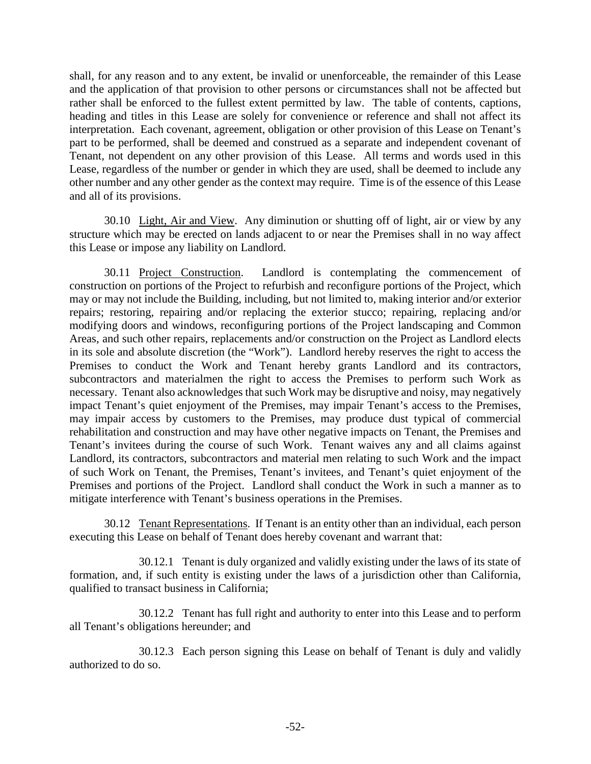shall, for any reason and to any extent, be invalid or unenforceable, the remainder of this Lease and the application of that provision to other persons or circumstances shall not be affected but rather shall be enforced to the fullest extent permitted by law. The table of contents, captions, heading and titles in this Lease are solely for convenience or reference and shall not affect its interpretation. Each covenant, agreement, obligation or other provision of this Lease on Tenant's part to be performed, shall be deemed and construed as a separate and independent covenant of Tenant, not dependent on any other provision of this Lease. All terms and words used in this Lease, regardless of the number or gender in which they are used, shall be deemed to include any other number and any other gender as the context may require. Time is of the essence of this Lease and all of its provisions.

30.10 Light, Air and View. Any diminution or shutting off of light, air or view by any structure which may be erected on lands adjacent to or near the Premises shall in no way affect this Lease or impose any liability on Landlord.

30.11 Project Construction. Landlord is contemplating the commencement of construction on portions of the Project to refurbish and reconfigure portions of the Project, which may or may not include the Building, including, but not limited to, making interior and/or exterior repairs; restoring, repairing and/or replacing the exterior stucco; repairing, replacing and/or modifying doors and windows, reconfiguring portions of the Project landscaping and Common Areas, and such other repairs, replacements and/or construction on the Project as Landlord elects in its sole and absolute discretion (the "Work"). Landlord hereby reserves the right to access the Premises to conduct the Work and Tenant hereby grants Landlord and its contractors, subcontractors and materialmen the right to access the Premises to perform such Work as necessary. Tenant also acknowledges that such Work may be disruptive and noisy, may negatively impact Tenant's quiet enjoyment of the Premises, may impair Tenant's access to the Premises, may impair access by customers to the Premises, may produce dust typical of commercial rehabilitation and construction and may have other negative impacts on Tenant, the Premises and Tenant's invitees during the course of such Work. Tenant waives any and all claims against Landlord, its contractors, subcontractors and material men relating to such Work and the impact of such Work on Tenant, the Premises, Tenant's invitees, and Tenant's quiet enjoyment of the Premises and portions of the Project. Landlord shall conduct the Work in such a manner as to mitigate interference with Tenant's business operations in the Premises.

30.12 Tenant Representations. If Tenant is an entity other than an individual, each person executing this Lease on behalf of Tenant does hereby covenant and warrant that:

30.12.1 Tenant is duly organized and validly existing under the laws of its state of formation, and, if such entity is existing under the laws of a jurisdiction other than California, qualified to transact business in California;

30.12.2 Tenant has full right and authority to enter into this Lease and to perform all Tenant's obligations hereunder; and

30.12.3 Each person signing this Lease on behalf of Tenant is duly and validly authorized to do so.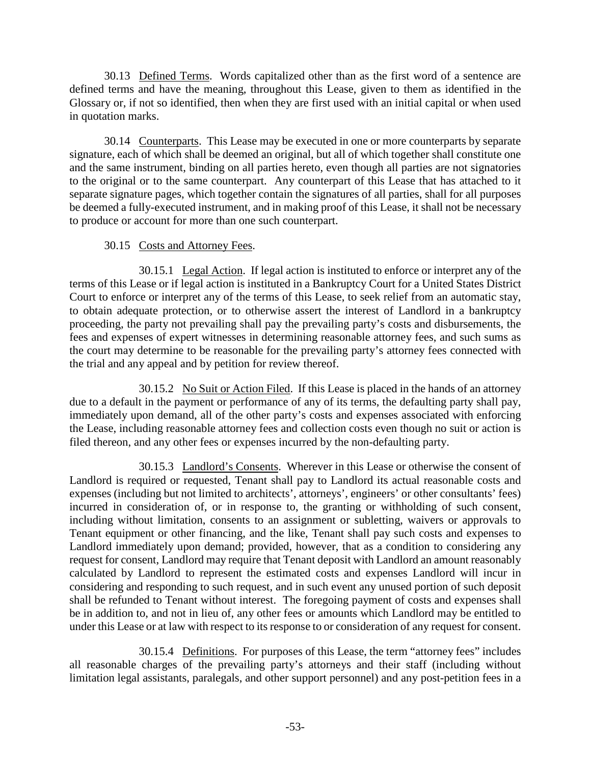30.13 Defined Terms. Words capitalized other than as the first word of a sentence are defined terms and have the meaning, throughout this Lease, given to them as identified in the Glossary or, if not so identified, then when they are first used with an initial capital or when used in quotation marks.

30.14 Counterparts. This Lease may be executed in one or more counterparts by separate signature, each of which shall be deemed an original, but all of which together shall constitute one and the same instrument, binding on all parties hereto, even though all parties are not signatories to the original or to the same counterpart. Any counterpart of this Lease that has attached to it separate signature pages, which together contain the signatures of all parties, shall for all purposes be deemed a fully-executed instrument, and in making proof of this Lease, it shall not be necessary to produce or account for more than one such counterpart.

## 30.15 Costs and Attorney Fees.

30.15.1 Legal Action. If legal action is instituted to enforce or interpret any of the terms of this Lease or if legal action is instituted in a Bankruptcy Court for a United States District Court to enforce or interpret any of the terms of this Lease, to seek relief from an automatic stay, to obtain adequate protection, or to otherwise assert the interest of Landlord in a bankruptcy proceeding, the party not prevailing shall pay the prevailing party's costs and disbursements, the fees and expenses of expert witnesses in determining reasonable attorney fees, and such sums as the court may determine to be reasonable for the prevailing party's attorney fees connected with the trial and any appeal and by petition for review thereof.

30.15.2 No Suit or Action Filed. If this Lease is placed in the hands of an attorney due to a default in the payment or performance of any of its terms, the defaulting party shall pay, immediately upon demand, all of the other party's costs and expenses associated with enforcing the Lease, including reasonable attorney fees and collection costs even though no suit or action is filed thereon, and any other fees or expenses incurred by the non-defaulting party.

30.15.3 Landlord's Consents. Wherever in this Lease or otherwise the consent of Landlord is required or requested, Tenant shall pay to Landlord its actual reasonable costs and expenses (including but not limited to architects', attorneys', engineers' or other consultants' fees) incurred in consideration of, or in response to, the granting or withholding of such consent, including without limitation, consents to an assignment or subletting, waivers or approvals to Tenant equipment or other financing, and the like, Tenant shall pay such costs and expenses to Landlord immediately upon demand; provided, however, that as a condition to considering any request for consent, Landlord may require that Tenant deposit with Landlord an amount reasonably calculated by Landlord to represent the estimated costs and expenses Landlord will incur in considering and responding to such request, and in such event any unused portion of such deposit shall be refunded to Tenant without interest. The foregoing payment of costs and expenses shall be in addition to, and not in lieu of, any other fees or amounts which Landlord may be entitled to under this Lease or at law with respect to its response to or consideration of any request for consent.

30.15.4 Definitions. For purposes of this Lease, the term "attorney fees" includes all reasonable charges of the prevailing party's attorneys and their staff (including without limitation legal assistants, paralegals, and other support personnel) and any post-petition fees in a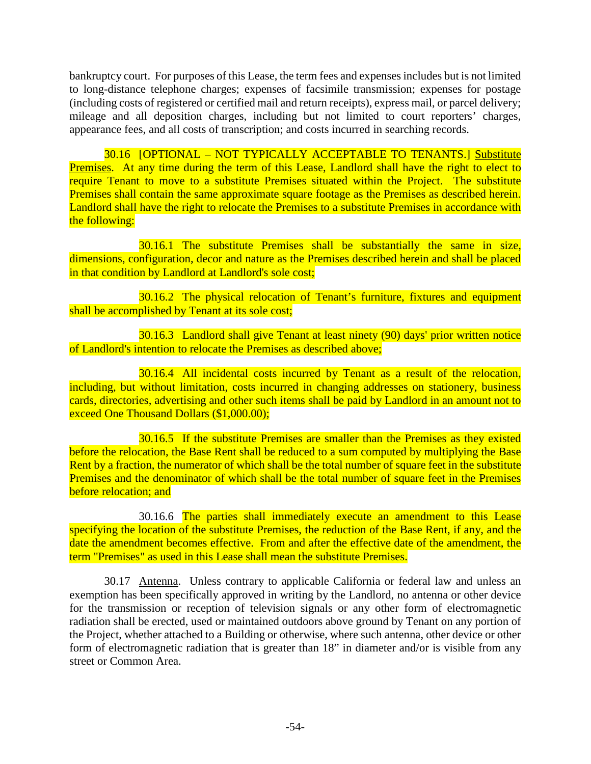bankruptcy court. For purposes of this Lease, the term fees and expenses includes but is not limited to long-distance telephone charges; expenses of facsimile transmission; expenses for postage (including costs of registered or certified mail and return receipts), express mail, or parcel delivery; mileage and all deposition charges, including but not limited to court reporters' charges, appearance fees, and all costs of transcription; and costs incurred in searching records.

30.16 [OPTIONAL – NOT TYPICALLY ACCEPTABLE TO TENANTS.] Substitute Premises. At any time during the term of this Lease, Landlord shall have the right to elect to require Tenant to move to a substitute Premises situated within the Project. The substitute Premises shall contain the same approximate square footage as the Premises as described herein. Landlord shall have the right to relocate the Premises to a substitute Premises in accordance with the following:

30.16.1 The substitute Premises shall be substantially the same in size, dimensions, configuration, decor and nature as the Premises described herein and shall be placed in that condition by Landlord at Landlord's sole cost;

30.16.2 The physical relocation of Tenant's furniture, fixtures and equipment shall be accomplished by Tenant at its sole cost;

30.16.3 Landlord shall give Tenant at least ninety (90) days' prior written notice of Landlord's intention to relocate the Premises as described above;

30.16.4 All incidental costs incurred by Tenant as a result of the relocation, including, but without limitation, costs incurred in changing addresses on stationery, business cards, directories, advertising and other such items shall be paid by Landlord in an amount not to exceed One Thousand Dollars (\$1,000.00);

30.16.5 If the substitute Premises are smaller than the Premises as they existed before the relocation, the Base Rent shall be reduced to a sum computed by multiplying the Base Rent by a fraction, the numerator of which shall be the total number of square feet in the substitute Premises and the denominator of which shall be the total number of square feet in the Premises before relocation; and

30.16.6 The parties shall immediately execute an amendment to this Lease specifying the location of the substitute Premises, the reduction of the Base Rent, if any, and the date the amendment becomes effective. From and after the effective date of the amendment, the term "Premises" as used in this Lease shall mean the substitute Premises.

30.17 Antenna. Unless contrary to applicable California or federal law and unless an exemption has been specifically approved in writing by the Landlord, no antenna or other device for the transmission or reception of television signals or any other form of electromagnetic radiation shall be erected, used or maintained outdoors above ground by Tenant on any portion of the Project, whether attached to a Building or otherwise, where such antenna, other device or other form of electromagnetic radiation that is greater than 18" in diameter and/or is visible from any street or Common Area.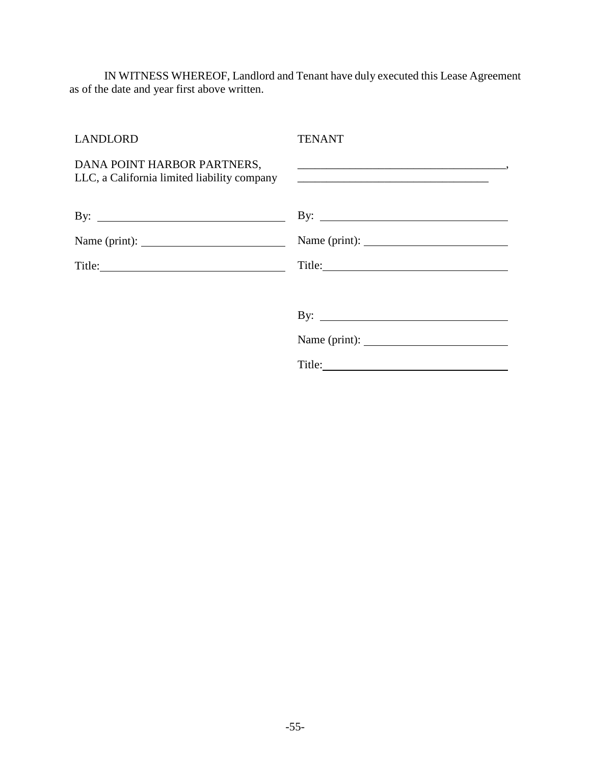IN WITNESS WHEREOF, Landlord and Tenant have duly executed this Lease Agreement as of the date and year first above written.

| <b>LANDLORD</b>                                                                                                                                                                                                                                                                                                                                                                          | <b>TENANT</b>                                                                                                                                                                                                                  |
|------------------------------------------------------------------------------------------------------------------------------------------------------------------------------------------------------------------------------------------------------------------------------------------------------------------------------------------------------------------------------------------|--------------------------------------------------------------------------------------------------------------------------------------------------------------------------------------------------------------------------------|
| DANA POINT HARBOR PARTNERS,<br>LLC, a California limited liability company                                                                                                                                                                                                                                                                                                               |                                                                                                                                                                                                                                |
| By: $\qquad \qquad$                                                                                                                                                                                                                                                                                                                                                                      | By: $\qquad \qquad$                                                                                                                                                                                                            |
| Name (print): $\frac{1}{\sqrt{1-\frac{1}{2}}}\left\{ \frac{1}{2} + \frac{1}{2} \frac{1}{2} + \frac{1}{2} \frac{1}{2} + \frac{1}{2} \frac{1}{2} + \frac{1}{2} \frac{1}{2} + \frac{1}{2} \frac{1}{2} + \frac{1}{2} \frac{1}{2} + \frac{1}{2} \frac{1}{2} + \frac{1}{2} \frac{1}{2} + \frac{1}{2} \frac{1}{2} + \frac{1}{2} \frac{1}{2} + \frac{1}{2} \frac{1}{2} + \frac{1}{2} \frac{1}{2$ |                                                                                                                                                                                                                                |
|                                                                                                                                                                                                                                                                                                                                                                                          | Title: The Commission of the Commission of the Commission of the Commission of the Commission of the Commission of the Commission of the Commission of the Commission of the Commission of the Commission of the Commission of |
|                                                                                                                                                                                                                                                                                                                                                                                          |                                                                                                                                                                                                                                |
|                                                                                                                                                                                                                                                                                                                                                                                          | By: $\overline{\phantom{a}}$                                                                                                                                                                                                   |
|                                                                                                                                                                                                                                                                                                                                                                                          | Name (print):                                                                                                                                                                                                                  |
|                                                                                                                                                                                                                                                                                                                                                                                          |                                                                                                                                                                                                                                |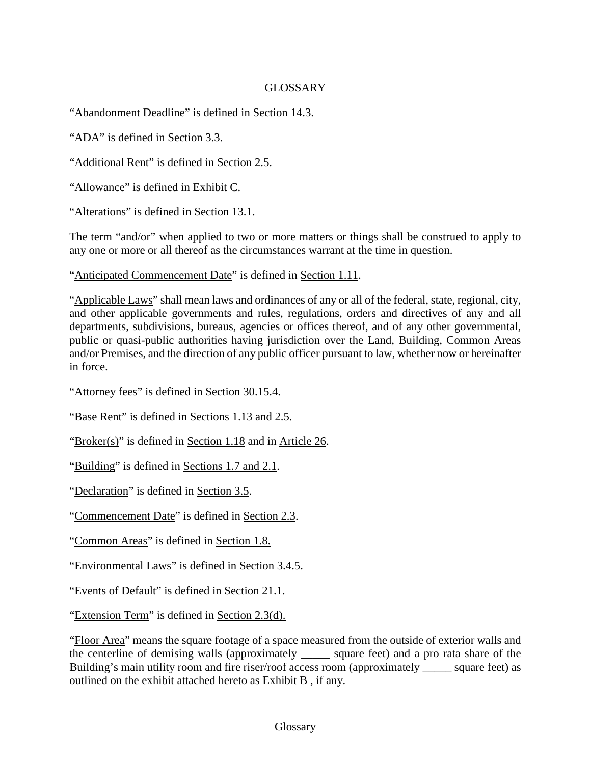# GLOSSARY

"Abandonment Deadline" is defined in Section 14.3.

"ADA" is defined in Section 3.3.

"Additional Rent" is defined in Section 2.5.

"Allowance" is defined in Exhibit C.

"Alterations" is defined in Section 13.1.

The term "and/or" when applied to two or more matters or things shall be construed to apply to any one or more or all thereof as the circumstances warrant at the time in question.

"Anticipated Commencement Date" is defined in Section 1.11.

"Applicable Laws" shall mean laws and ordinances of any or all of the federal, state, regional, city, and other applicable governments and rules, regulations, orders and directives of any and all departments, subdivisions, bureaus, agencies or offices thereof, and of any other governmental, public or quasi-public authorities having jurisdiction over the Land, Building, Common Areas and/or Premises, and the direction of any public officer pursuant to law, whether now or hereinafter in force.

"Attorney fees" is defined in Section 30.15.4.

"Base Rent" is defined in Sections 1.13 and 2.5.

"Broker(s)" is defined in Section 1.18 and in Article 26.

"Building" is defined in Sections 1.7 and 2.1.

"Declaration" is defined in Section 3.5.

"Commencement Date" is defined in Section 2.3.

"Common Areas" is defined in Section 1.8.

"Environmental Laws" is defined in Section 3.4.5.

"Events of Default" is defined in Section 21.1.

"Extension Term" is defined in Section 2.3(d).

"Floor Area" means the square footage of a space measured from the outside of exterior walls and the centerline of demising walls (approximately \_\_\_\_\_ square feet) and a pro rata share of the Building's main utility room and fire riser/roof access room (approximately \_\_\_\_\_ square feet) as outlined on the exhibit attached hereto as Exhibit B , if any.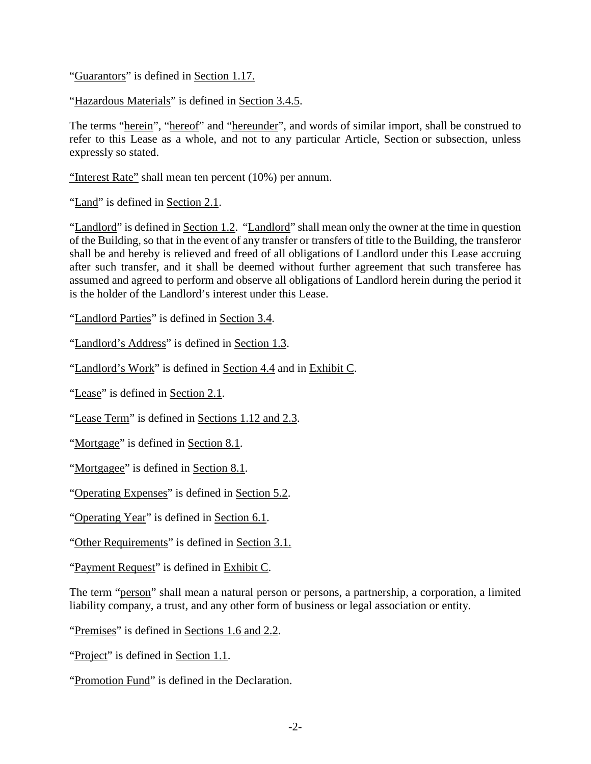"Guarantors" is defined in Section 1.17.

"Hazardous Materials" is defined in Section 3.4.5.

The terms "herein", "hereof" and "hereunder", and words of similar import, shall be construed to refer to this Lease as a whole, and not to any particular Article, Section or subsection, unless expressly so stated.

"Interest Rate" shall mean ten percent (10%) per annum.

"Land" is defined in Section 2.1.

"Landlord" is defined in Section 1.2. "Landlord" shall mean only the owner at the time in question of the Building, so that in the event of any transfer or transfers of title to the Building, the transferor shall be and hereby is relieved and freed of all obligations of Landlord under this Lease accruing after such transfer, and it shall be deemed without further agreement that such transferee has assumed and agreed to perform and observe all obligations of Landlord herein during the period it is the holder of the Landlord's interest under this Lease.

"Landlord Parties" is defined in Section 3.4.

"Landlord's Address" is defined in Section 1.3.

"Landlord's Work" is defined in Section 4.4 and in Exhibit C.

"Lease" is defined in Section 2.1.

"Lease Term" is defined in Sections 1.12 and 2.3.

"Mortgage" is defined in Section 8.1.

"Mortgagee" is defined in Section 8.1.

"Operating Expenses" is defined in Section 5.2.

"Operating Year" is defined in Section 6.1.

"Other Requirements" is defined in Section 3.1.

"Payment Request" is defined in Exhibit C.

The term "person" shall mean a natural person or persons, a partnership, a corporation, a limited liability company, a trust, and any other form of business or legal association or entity.

"Premises" is defined in Sections 1.6 and 2.2.

"Project" is defined in Section 1.1.

"Promotion Fund" is defined in the Declaration.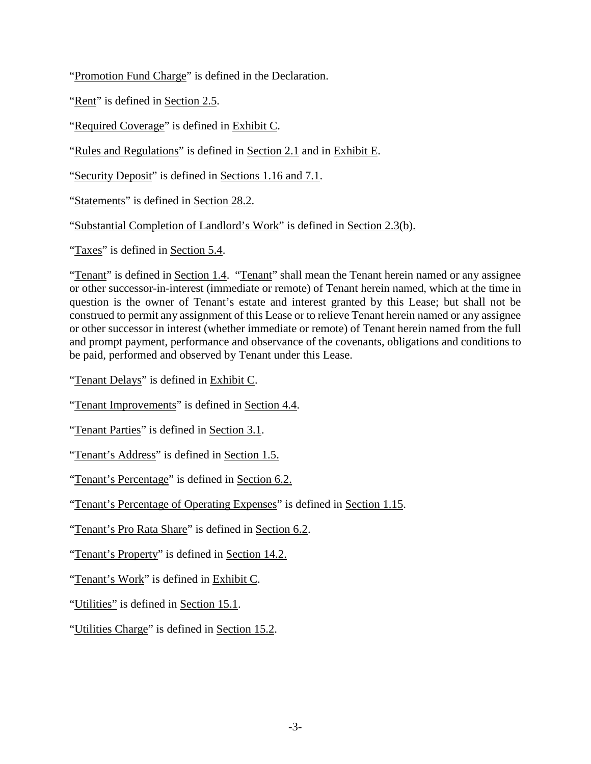"Promotion Fund Charge" is defined in the Declaration.

"Rent" is defined in Section 2.5.

"Required Coverage" is defined in Exhibit C.

"Rules and Regulations" is defined in Section 2.1 and in Exhibit E.

"Security Deposit" is defined in Sections 1.16 and 7.1.

"Statements" is defined in Section 28.2.

"Substantial Completion of Landlord's Work" is defined in Section 2.3(b).

"Taxes" is defined in Section 5.4.

"Tenant" is defined in Section 1.4. "Tenant" shall mean the Tenant herein named or any assignee or other successor-in-interest (immediate or remote) of Tenant herein named, which at the time in question is the owner of Tenant's estate and interest granted by this Lease; but shall not be construed to permit any assignment of this Lease or to relieve Tenant herein named or any assignee or other successor in interest (whether immediate or remote) of Tenant herein named from the full and prompt payment, performance and observance of the covenants, obligations and conditions to be paid, performed and observed by Tenant under this Lease.

"Tenant Delays" is defined in Exhibit C.

"Tenant Improvements" is defined in Section 4.4.

"Tenant Parties" is defined in Section 3.1.

"Tenant's Address" is defined in Section 1.5.

"Tenant's Percentage" is defined in Section 6.2.

"Tenant's Percentage of Operating Expenses" is defined in Section 1.15.

"Tenant's Pro Rata Share" is defined in Section 6.2.

"Tenant's Property" is defined in Section 14.2.

"Tenant's Work" is defined in Exhibit C.

"Utilities" is defined in Section 15.1.

"Utilities Charge" is defined in Section 15.2.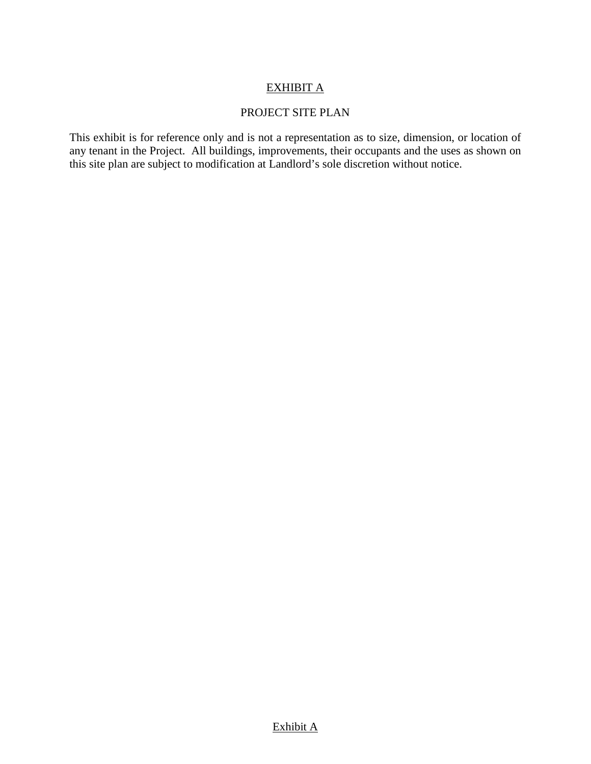# EXHIBIT A

## PROJECT SITE PLAN

This exhibit is for reference only and is not a representation as to size, dimension, or location of any tenant in the Project. All buildings, improvements, their occupants and the uses as shown on this site plan are subject to modification at Landlord's sole discretion without notice.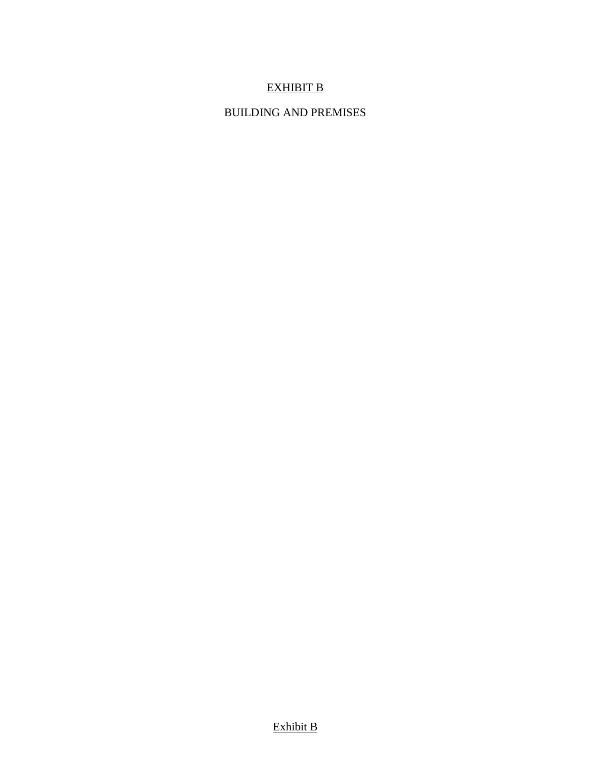# EXHIBIT B

# BUILDING AND PREMISES

Exhibit B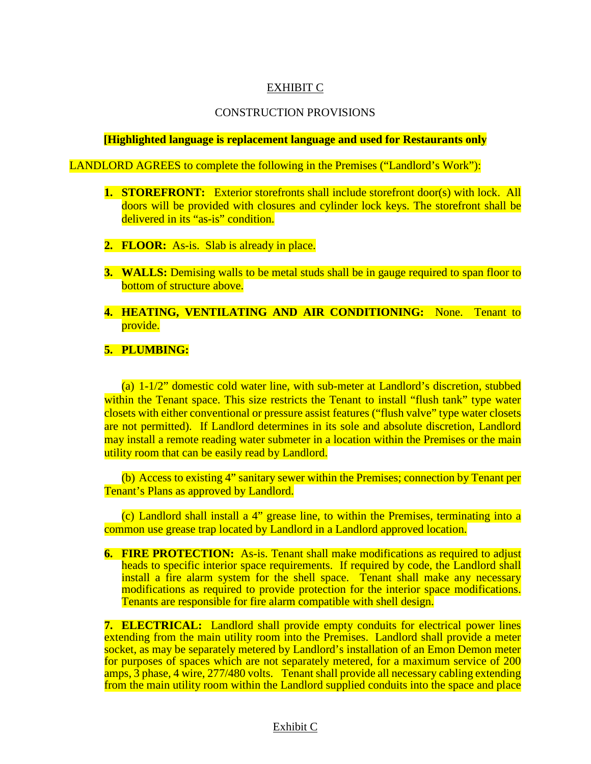### EXHIBIT C

#### CONSTRUCTION PROVISIONS

#### **[Highlighted language is replacement language and used for Restaurants only**

LANDLORD AGREES to complete the following in the Premises ("Landlord's Work"):

- **1. STOREFRONT:** Exterior storefronts shall include storefront door(s) with lock. All doors will be provided with closures and cylinder lock keys. The storefront shall be delivered in its "as-is" condition.
- **2. FLOOR:** As-is. Slab is already in place.
- **3. WALLS:** Demising walls to be metal studs shall be in gauge required to span floor to bottom of structure above.
- **4. HEATING, VENTILATING AND AIR CONDITIONING:** None. Tenant to provide.

#### **5. PLUMBING:**

(a) 1-1/2" domestic cold water line, with sub-meter at Landlord's discretion, stubbed within the Tenant space. This size restricts the Tenant to install "flush tank" type water closets with either conventional or pressure assist features ("flush valve" type water closets are not permitted). If Landlord determines in its sole and absolute discretion, Landlord may install a remote reading water submeter in a location within the Premises or the main utility room that can be easily read by Landlord.

(b) Access to existing 4" sanitary sewer within the Premises; connection by Tenant per Tenant's Plans as approved by Landlord.

(c) Landlord shall install a 4" grease line, to within the Premises, terminating into a common use grease trap located by Landlord in a Landlord approved location.

**6. FIRE PROTECTION:** As-is. Tenant shall make modifications as required to adjust heads to specific interior space requirements. If required by code, the Landlord shall install a fire alarm system for the shell space. Tenant shall make any necessary modifications as required to provide protection for the interior space modifications. Tenants are responsible for fire alarm compatible with shell design.

**7. ELECTRICAL:** Landlord shall provide empty conduits for electrical power lines extending from the main utility room into the Premises. Landlord shall provide a meter socket, as may be separately metered by Landlord's installation of an Emon Demon meter for purposes of spaces which are not separately metered, for a maximum service of 200  $\frac{1}{2}$  amps, 3 phase, 4 wire, 277/480 volts. Tenant shall provide all necessary cabling extending from the main utility room within the Landlord supplied conduits into the space and place

#### Exhibit C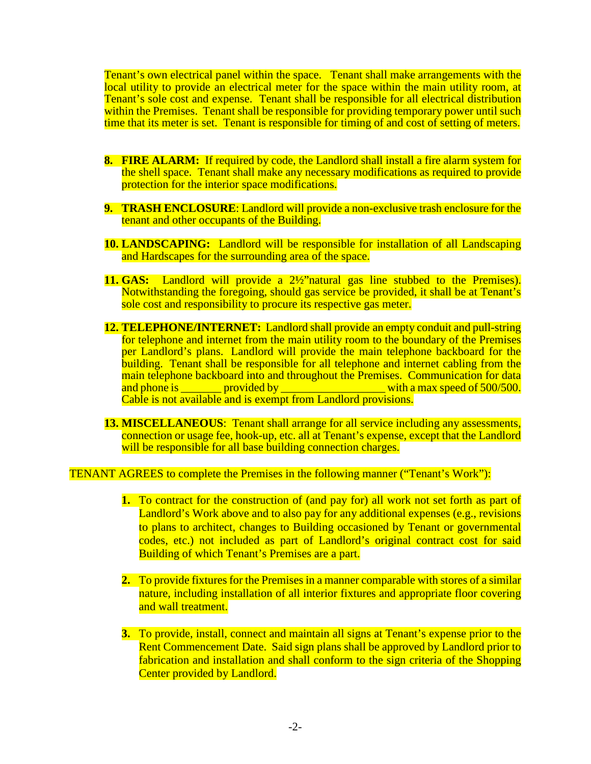Tenant's own electrical panel within the space. Tenant shall make arrangements with the local utility to provide an electrical meter for the space within the main utility room, at Tenant's sole cost and expense. Tenant shall be responsible for all electrical distribution within the Premises. Tenant shall be responsible for providing temporary power until such time that its meter is set. Tenant is responsible for timing of and cost of setting of meters.

- **8. FIRE ALARM:** If required by code, the Landlord shall install a fire alarm system for the shell space. Tenant shall make any necessary modifications as required to provide protection for the interior space modifications.
- **9. TRASH ENCLOSURE**: Landlord will provide a non-exclusive trash enclosure for the tenant and other occupants of the Building.
- **10. LANDSCAPING:** Landlord will be responsible for installation of all Landscaping and Hardscapes for the surrounding area of the space.
- **11. GAS:** Landlord will provide a 2½"natural gas line stubbed to the Premises). Notwithstanding the foregoing, should gas service be provided, it shall be at Tenant's sole cost and responsibility to procure its respective gas meter.
- **12. TELEPHONE/INTERNET:** Landlord shall provide an empty conduit and pull-string for telephone and internet from the main utility room to the boundary of the Premises per Landlord's plans. Landlord will provide the main telephone backboard for the building. Tenant shall be responsible for all telephone and internet cabling from the main telephone backboard into and throughout the Premises. Communication for data and phone is \_\_\_\_\_\_\_ provided by \_\_\_\_\_\_\_\_\_\_\_\_\_\_\_\_\_\_\_\_\_ with a max speed of 500/500. Cable is not available and is exempt from Landlord provisions.
- **13. MISCELLANEOUS**: Tenant shall arrange for all service including any assessments, connection or usage fee, hook-up, etc. all at Tenant's expense, except that the Landlord will be responsible for all base building connection charges.

TENANT AGREES to complete the Premises in the following manner ("Tenant's Work"):

- **1.** To contract for the construction of (and pay for) all work not set forth as part of Landlord's Work above and to also pay for any additional expenses (e.g., revisions to plans to architect, changes to Building occasioned by Tenant or governmental codes, etc.) not included as part of Landlord's original contract cost for said Building of which Tenant's Premises are a part.
- **2.** To provide fixtures for the Premises in a manner comparable with stores of a similar nature, including installation of all interior fixtures and appropriate floor covering and wall treatment.
- **3.** To provide, install, connect and maintain all signs at Tenant's expense prior to the Rent Commencement Date. Said sign plans shall be approved by Landlord prior to fabrication and installation and shall conform to the sign criteria of the Shopping Center provided by Landlord.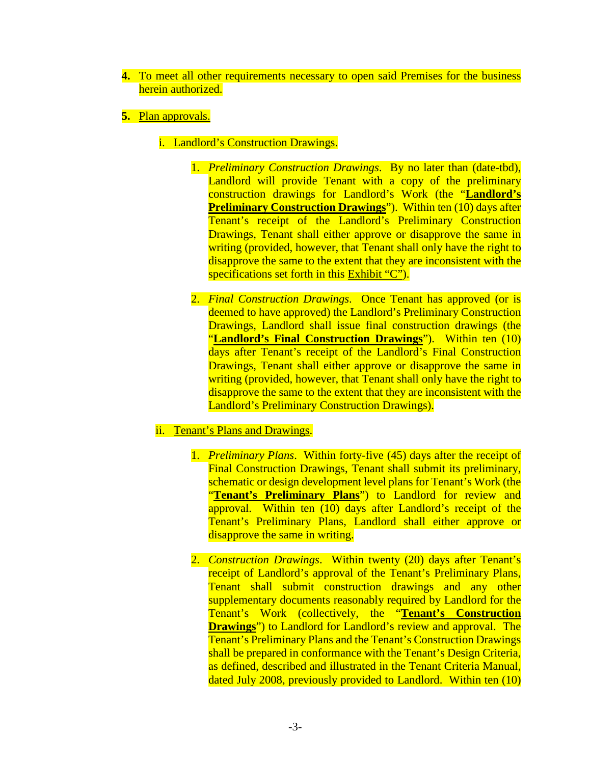- **4.** To meet all other requirements necessary to open said Premises for the business herein authorized.
- **5.** Plan approvals.
	- i. Landlord's Construction Drawings.
		- 1. *Preliminary Construction Drawings*. By no later than (date-tbd), Landlord will provide Tenant with a copy of the preliminary construction drawings for Landlord's Work (the "**Landlord's Preliminary Construction Drawings**"). Within ten (10) days after Tenant's receipt of the Landlord's Preliminary Construction Drawings, Tenant shall either approve or disapprove the same in writing (provided, however, that Tenant shall only have the right to disapprove the same to the extent that they are inconsistent with the specifications set forth in this Exhibit "C").
		- 2. *Final Construction Drawings*. Once Tenant has approved (or is deemed to have approved) the Landlord's Preliminary Construction Drawings, Landlord shall issue final construction drawings (the "**Landlord's Final Construction Drawings**"). Within ten (10) days after Tenant's receipt of the Landlord's Final Construction Drawings, Tenant shall either approve or disapprove the same in writing (provided, however, that Tenant shall only have the right to disapprove the same to the extent that they are inconsistent with the Landlord's Preliminary Construction Drawings).

## ii. Tenant's Plans and Drawings.

- 1. *Preliminary Plans*. Within forty-five (45) days after the receipt of Final Construction Drawings, Tenant shall submit its preliminary, schematic or design development level plans for Tenant's Work (the "**Tenant's Preliminary Plans**") to Landlord for review and approval. Within ten (10) days after Landlord's receipt of the Tenant's Preliminary Plans, Landlord shall either approve or disapprove the same in writing.
- 2. *Construction Drawings*. Within twenty (20) days after Tenant's receipt of Landlord's approval of the Tenant's Preliminary Plans, Tenant shall submit construction drawings and any other supplementary documents reasonably required by Landlord for the Tenant's Work (collectively, the "**Tenant's Construction Drawings**") to Landlord for Landlord's review and approval. The Tenant's Preliminary Plans and the Tenant's Construction Drawings shall be prepared in conformance with the Tenant's Design Criteria, as defined, described and illustrated in the Tenant Criteria Manual, dated July 2008, previously provided to Landlord. Within ten (10)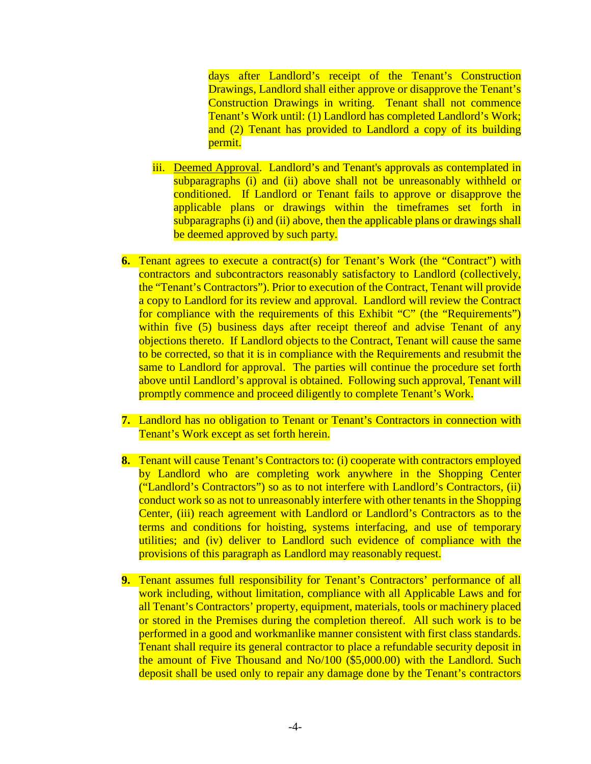days after Landlord's receipt of the Tenant's Construction Drawings, Landlord shall either approve or disapprove the Tenant's Construction Drawings in writing. Tenant shall not commence Tenant's Work until: (1) Landlord has completed Landlord's Work; and (2) Tenant has provided to Landlord a copy of its building permit.

- iii. Deemed Approval. Landlord's and Tenant's approvals as contemplated in subparagraphs (i) and (ii) above shall not be unreasonably withheld or conditioned. If Landlord or Tenant fails to approve or disapprove the applicable plans or drawings within the timeframes set forth in subparagraphs (i) and (ii) above, then the applicable plans or drawings shall be deemed approved by such party.
- **6.** Tenant agrees to execute a contract(s) for Tenant's Work (the "Contract") with contractors and subcontractors reasonably satisfactory to Landlord (collectively, the "Tenant's Contractors"). Prior to execution of the Contract, Tenant will provide a copy to Landlord for its review and approval. Landlord will review the Contract for compliance with the requirements of this Exhibit "C" (the "Requirements") within five (5) business days after receipt thereof and advise Tenant of any objections thereto. If Landlord objects to the Contract, Tenant will cause the same to be corrected, so that it is in compliance with the Requirements and resubmit the same to Landlord for approval. The parties will continue the procedure set forth above until Landlord's approval is obtained. Following such approval, Tenant will promptly commence and proceed diligently to complete Tenant's Work.
- **7.** Landlord has no obligation to Tenant or Tenant's Contractors in connection with Tenant's Work except as set forth herein.
- **8.** Tenant will cause Tenant's Contractors to: (i) cooperate with contractors employed by Landlord who are completing work anywhere in the Shopping Center ("Landlord's Contractors") so as to not interfere with Landlord's Contractors, (ii) conduct work so as not to unreasonably interfere with other tenants in the Shopping Center, (iii) reach agreement with Landlord or Landlord's Contractors as to the terms and conditions for hoisting, systems interfacing, and use of temporary utilities; and (iv) deliver to Landlord such evidence of compliance with the provisions of this paragraph as Landlord may reasonably request.
- **9.** Tenant assumes full responsibility for Tenant's Contractors' performance of all work including, without limitation, compliance with all Applicable Laws and for all Tenant's Contractors' property, equipment, materials, tools or machinery placed or stored in the Premises during the completion thereof. All such work is to be performed in a good and workmanlike manner consistent with first class standards. Tenant shall require its general contractor to place a refundable security deposit in the amount of Five Thousand and No/100 (\$5,000.00) with the Landlord. Such deposit shall be used only to repair any damage done by the Tenant's contractors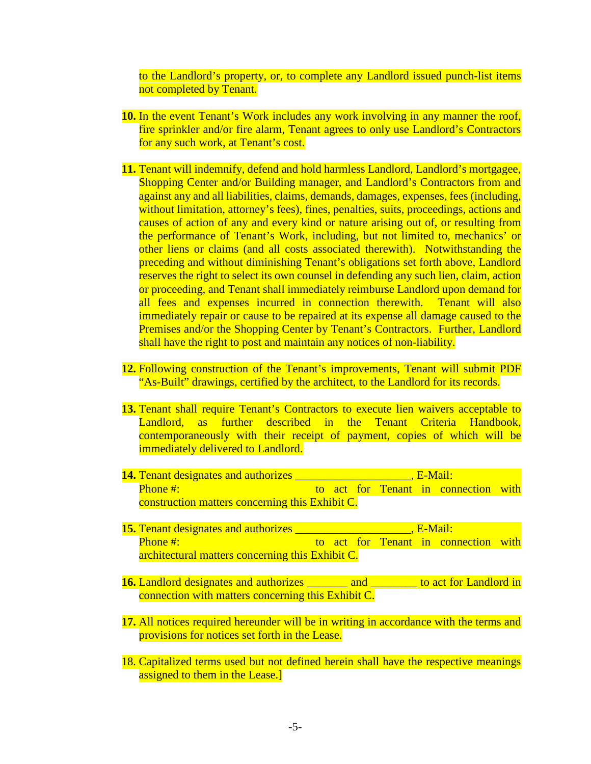to the Landlord's property, or, to complete any Landlord issued punch-list items not completed by Tenant.

- **10.** In the event Tenant's Work includes any work involving in any manner the roof, fire sprinkler and/or fire alarm, Tenant agrees to only use Landlord's Contractors for any such work, at Tenant's cost.
- **11.** Tenant will indemnify, defend and hold harmless Landlord, Landlord's mortgagee, Shopping Center and/or Building manager, and Landlord's Contractors from and against any and all liabilities, claims, demands, damages, expenses, fees (including, without limitation, attorney's fees), fines, penalties, suits, proceedings, actions and causes of action of any and every kind or nature arising out of, or resulting from the performance of Tenant's Work, including, but not limited to, mechanics' or other liens or claims (and all costs associated therewith). Notwithstanding the preceding and without diminishing Tenant's obligations set forth above, Landlord reserves the right to select its own counsel in defending any such lien, claim, action or proceeding, and Tenant shall immediately reimburse Landlord upon demand for all fees and expenses incurred in connection therewith. Tenant will also immediately repair or cause to be repaired at its expense all damage caused to the Premises and/or the Shopping Center by Tenant's Contractors. Further, Landlord shall have the right to post and maintain any notices of non-liability.
- **12.** Following construction of the Tenant's improvements, Tenant will submit PDF "As-Built" drawings, certified by the architect, to the Landlord for its records.
- **13.** Tenant shall require Tenant's Contractors to execute lien waivers acceptable to Landlord, as further described in the Tenant Criteria Handbook, contemporaneously with their receipt of payment, copies of which will be immediately delivered to Landlord.
- **14.** Tenant designates and authorizes \_\_\_\_\_\_\_\_\_\_\_\_\_\_\_\_\_\_\_\_, E-Mail: Phone #: to act for Tenant in connection with construction matters concerning this Exhibit C.
- **15.** Tenant designates and authorizes **and authorizes 15.** Tenant designates and authorizes Phone #: to act for Tenant in connection with architectural matters concerning this Exhibit C.
- **16.** Landlord designates and authorizes \_\_\_\_\_\_\_ and \_\_\_\_\_\_\_\_ to act for Landlord in connection with matters concerning this Exhibit C.
- **17.** All notices required hereunder will be in writing in accordance with the terms and provisions for notices set forth in the Lease.
- 18. Capitalized terms used but not defined herein shall have the respective meanings assigned to them in the Lease.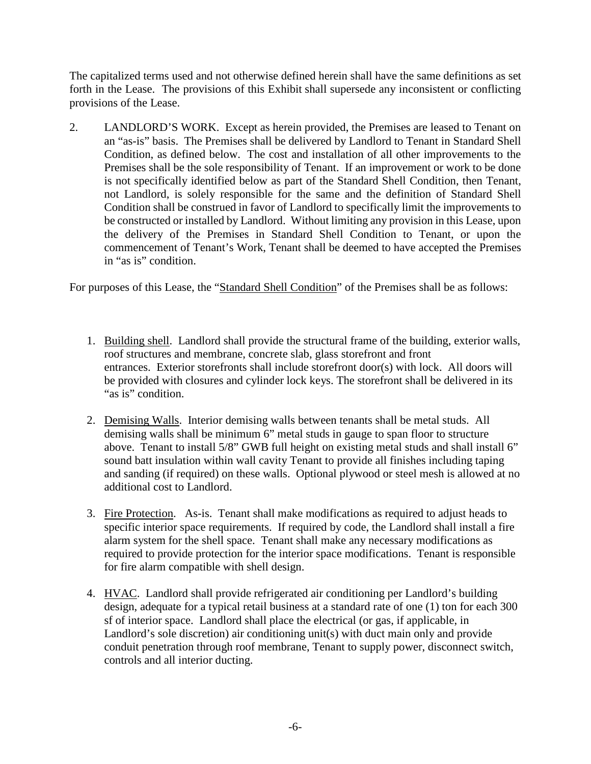The capitalized terms used and not otherwise defined herein shall have the same definitions as set forth in the Lease. The provisions of this Exhibit shall supersede any inconsistent or conflicting provisions of the Lease.

2. LANDLORD'S WORK. Except as herein provided, the Premises are leased to Tenant on an "as-is" basis. The Premises shall be delivered by Landlord to Tenant in Standard Shell Condition, as defined below. The cost and installation of all other improvements to the Premises shall be the sole responsibility of Tenant. If an improvement or work to be done is not specifically identified below as part of the Standard Shell Condition, then Tenant, not Landlord, is solely responsible for the same and the definition of Standard Shell Condition shall be construed in favor of Landlord to specifically limit the improvements to be constructed or installed by Landlord. Without limiting any provision in this Lease, upon the delivery of the Premises in Standard Shell Condition to Tenant, or upon the commencement of Tenant's Work, Tenant shall be deemed to have accepted the Premises in "as is" condition.

For purposes of this Lease, the "Standard Shell Condition" of the Premises shall be as follows:

- 1. Building shell. Landlord shall provide the structural frame of the building, exterior walls, roof structures and membrane, concrete slab, glass storefront and front entrances. Exterior storefronts shall include storefront door(s) with lock. All doors will be provided with closures and cylinder lock keys. The storefront shall be delivered in its "as is" condition.
- 2. Demising Walls. Interior demising walls between tenants shall be metal studs. All demising walls shall be minimum 6" metal studs in gauge to span floor to structure above. Tenant to install 5/8" GWB full height on existing metal studs and shall install 6" sound batt insulation within wall cavity Tenant to provide all finishes including taping and sanding (if required) on these walls. Optional plywood or steel mesh is allowed at no additional cost to Landlord.
- 3. Fire Protection. As-is. Tenant shall make modifications as required to adjust heads to specific interior space requirements. If required by code, the Landlord shall install a fire alarm system for the shell space. Tenant shall make any necessary modifications as required to provide protection for the interior space modifications. Tenant is responsible for fire alarm compatible with shell design.
- 4. HVAC. Landlord shall provide refrigerated air conditioning per Landlord's building design, adequate for a typical retail business at a standard rate of one (1) ton for each 300 sf of interior space. Landlord shall place the electrical (or gas, if applicable, in Landlord's sole discretion) air conditioning unit(s) with duct main only and provide conduit penetration through roof membrane, Tenant to supply power, disconnect switch, controls and all interior ducting.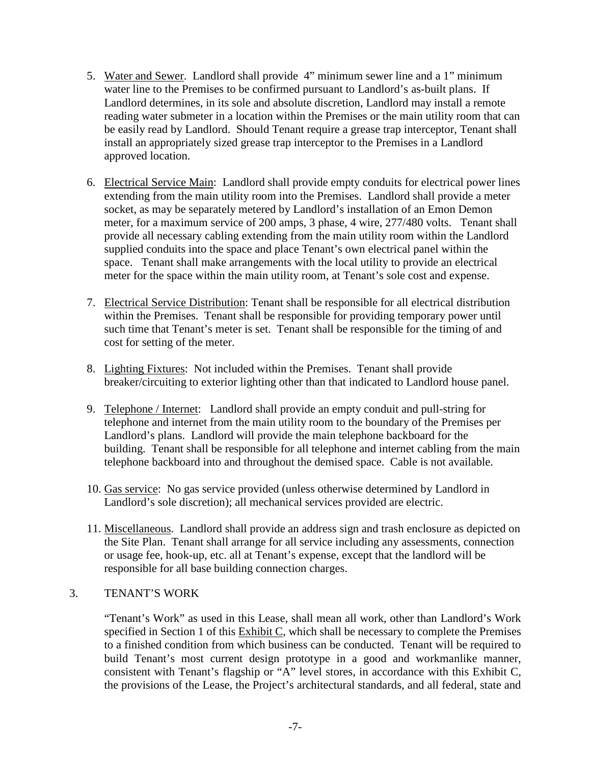- 5. Water and Sewer. Landlord shall provide 4" minimum sewer line and a 1" minimum water line to the Premises to be confirmed pursuant to Landlord's as-built plans. If Landlord determines, in its sole and absolute discretion, Landlord may install a remote reading water submeter in a location within the Premises or the main utility room that can be easily read by Landlord. Should Tenant require a grease trap interceptor, Tenant shall install an appropriately sized grease trap interceptor to the Premises in a Landlord approved location.
- 6. Electrical Service Main: Landlord shall provide empty conduits for electrical power lines extending from the main utility room into the Premises. Landlord shall provide a meter socket, as may be separately metered by Landlord's installation of an Emon Demon meter, for a maximum service of 200 amps, 3 phase, 4 wire, 277/480 volts. Tenant shall provide all necessary cabling extending from the main utility room within the Landlord supplied conduits into the space and place Tenant's own electrical panel within the space. Tenant shall make arrangements with the local utility to provide an electrical meter for the space within the main utility room, at Tenant's sole cost and expense.
- 7. Electrical Service Distribution: Tenant shall be responsible for all electrical distribution within the Premises. Tenant shall be responsible for providing temporary power until such time that Tenant's meter is set. Tenant shall be responsible for the timing of and cost for setting of the meter.
- 8. Lighting Fixtures: Not included within the Premises. Tenant shall provide breaker/circuiting to exterior lighting other than that indicated to Landlord house panel.
- 9. Telephone / Internet: Landlord shall provide an empty conduit and pull-string for telephone and internet from the main utility room to the boundary of the Premises per Landlord's plans. Landlord will provide the main telephone backboard for the building. Tenant shall be responsible for all telephone and internet cabling from the main telephone backboard into and throughout the demised space. Cable is not available.
- 10. Gas service: No gas service provided (unless otherwise determined by Landlord in Landlord's sole discretion); all mechanical services provided are electric.
- 11. Miscellaneous. Landlord shall provide an address sign and trash enclosure as depicted on the Site Plan. Tenant shall arrange for all service including any assessments, connection or usage fee, hook-up, etc. all at Tenant's expense, except that the landlord will be responsible for all base building connection charges.

## 3. TENANT'S WORK

"Tenant's Work" as used in this Lease, shall mean all work, other than Landlord's Work specified in Section 1 of this Exhibit C, which shall be necessary to complete the Premises to a finished condition from which business can be conducted. Tenant will be required to build Tenant's most current design prototype in a good and workmanlike manner, consistent with Tenant's flagship or "A" level stores, in accordance with this Exhibit C, the provisions of the Lease, the Project's architectural standards, and all federal, state and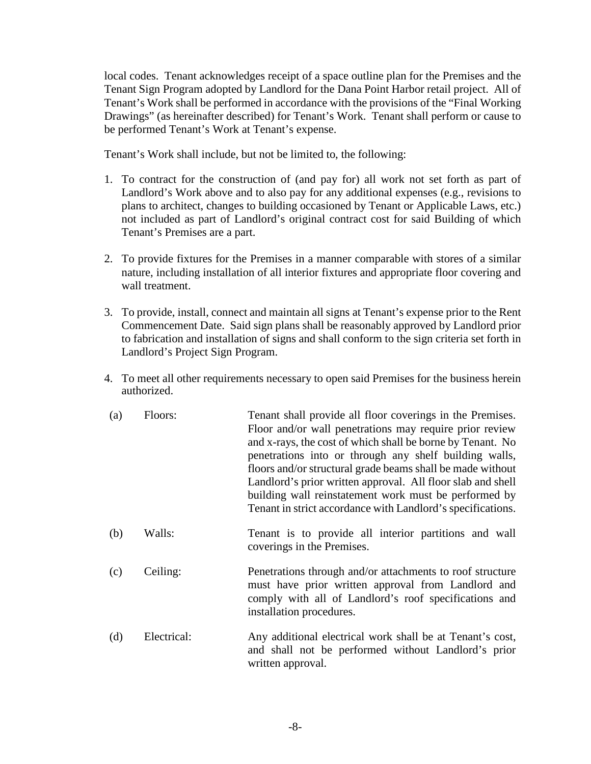local codes. Tenant acknowledges receipt of a space outline plan for the Premises and the Tenant Sign Program adopted by Landlord for the Dana Point Harbor retail project. All of Tenant's Work shall be performed in accordance with the provisions of the "Final Working Drawings" (as hereinafter described) for Tenant's Work. Tenant shall perform or cause to be performed Tenant's Work at Tenant's expense.

Tenant's Work shall include, but not be limited to, the following:

- 1. To contract for the construction of (and pay for) all work not set forth as part of Landlord's Work above and to also pay for any additional expenses (e.g., revisions to plans to architect, changes to building occasioned by Tenant or Applicable Laws, etc.) not included as part of Landlord's original contract cost for said Building of which Tenant's Premises are a part.
- 2. To provide fixtures for the Premises in a manner comparable with stores of a similar nature, including installation of all interior fixtures and appropriate floor covering and wall treatment.
- 3. To provide, install, connect and maintain all signs at Tenant's expense prior to the Rent Commencement Date. Said sign plans shall be reasonably approved by Landlord prior to fabrication and installation of signs and shall conform to the sign criteria set forth in Landlord's Project Sign Program.
- 4. To meet all other requirements necessary to open said Premises for the business herein authorized.

| (a) | Floors:     | Tenant shall provide all floor coverings in the Premises.<br>Floor and/or wall penetrations may require prior review<br>and x-rays, the cost of which shall be borne by Tenant. No<br>penetrations into or through any shelf building walls,<br>floors and/or structural grade beams shall be made without<br>Landlord's prior written approval. All floor slab and shell<br>building wall reinstatement work must be performed by<br>Tenant in strict accordance with Landlord's specifications. |
|-----|-------------|---------------------------------------------------------------------------------------------------------------------------------------------------------------------------------------------------------------------------------------------------------------------------------------------------------------------------------------------------------------------------------------------------------------------------------------------------------------------------------------------------|
| (b) | Walls:      | Tenant is to provide all interior partitions and wall<br>coverings in the Premises.                                                                                                                                                                                                                                                                                                                                                                                                               |
| (c) | Ceiling:    | Penetrations through and/or attachments to roof structure<br>must have prior written approval from Landlord and<br>comply with all of Landlord's roof specifications and<br>installation procedures.                                                                                                                                                                                                                                                                                              |
| (d) | Electrical: | Any additional electrical work shall be at Tenant's cost,<br>and shall not be performed without Landlord's prior<br>written approval.                                                                                                                                                                                                                                                                                                                                                             |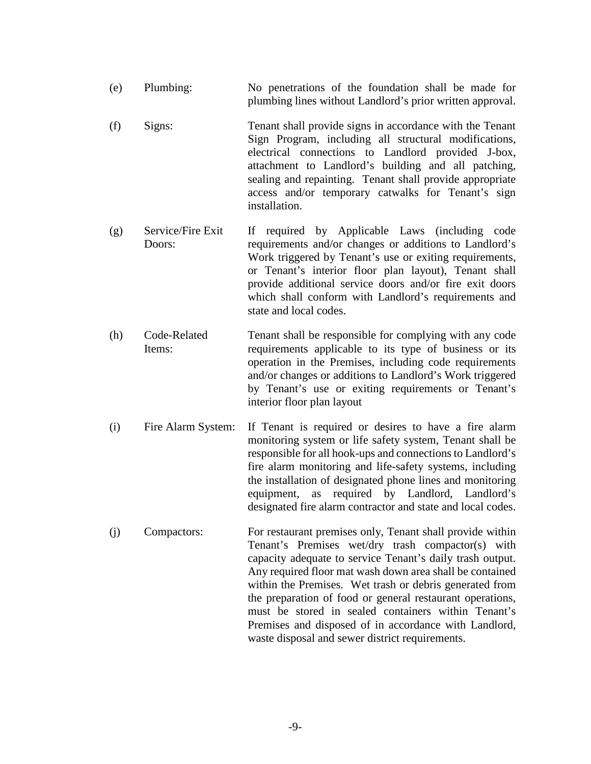- (e) Plumbing: No penetrations of the foundation shall be made for plumbing lines without Landlord's prior written approval.
- (f) Signs: Tenant shall provide signs in accordance with the Tenant Sign Program, including all structural modifications, electrical connections to Landlord provided J-box, attachment to Landlord's building and all patching, sealing and repainting. Tenant shall provide appropriate access and/or temporary catwalks for Tenant's sign installation.
- (g) Service/Fire Exit Doors: If required by Applicable Laws (including code requirements and/or changes or additions to Landlord's Work triggered by Tenant's use or exiting requirements, or Tenant's interior floor plan layout), Tenant shall provide additional service doors and/or fire exit doors which shall conform with Landlord's requirements and state and local codes.
- (h) Code-Related Items: Tenant shall be responsible for complying with any code requirements applicable to its type of business or its operation in the Premises, including code requirements and/or changes or additions to Landlord's Work triggered by Tenant's use or exiting requirements or Tenant's interior floor plan layout
- (i) Fire Alarm System: If Tenant is required or desires to have a fire alarm monitoring system or life safety system, Tenant shall be responsible for all hook-ups and connections to Landlord's fire alarm monitoring and life-safety systems, including the installation of designated phone lines and monitoring equipment, as required by Landlord, Landlord's designated fire alarm contractor and state and local codes.
- (j) Compactors: For restaurant premises only, Tenant shall provide within Tenant's Premises wet/dry trash compactor(s) with capacity adequate to service Tenant's daily trash output. Any required floor mat wash down area shall be contained within the Premises. Wet trash or debris generated from the preparation of food or general restaurant operations, must be stored in sealed containers within Tenant's Premises and disposed of in accordance with Landlord, waste disposal and sewer district requirements.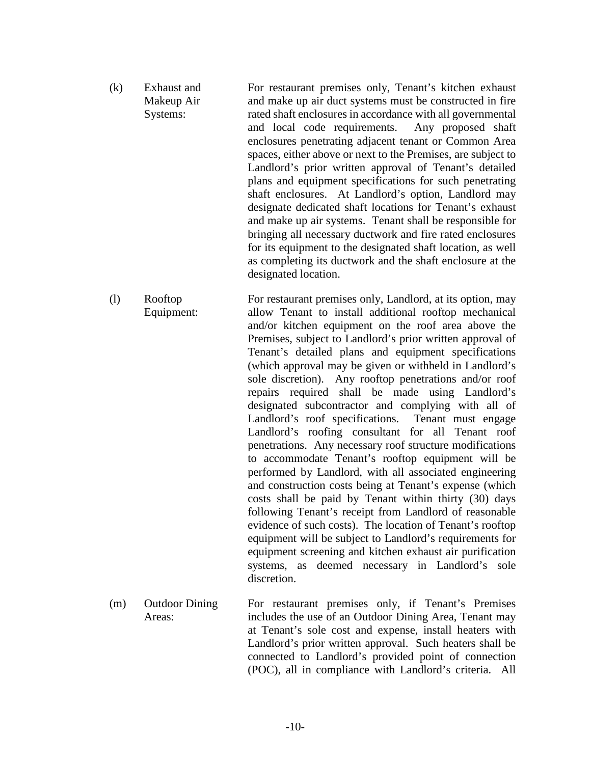| (k) | Exhaust and | For restaurant premises only, Tenant's kitchen exhaust       |
|-----|-------------|--------------------------------------------------------------|
|     | Makeup Air  | and make up air duct systems must be constructed in fire     |
|     | Systems:    | rated shaft enclosures in accordance with all governmental   |
|     |             | and local code requirements. Any proposed shaft              |
|     |             | enclosures penetrating adjacent tenant or Common Area        |
|     |             | spaces, either above or next to the Premises, are subject to |
|     |             | Landlord's prior written approval of Tenant's detailed       |
|     |             | plans and equipment specifications for such penetrating      |
|     |             | shaft enclosures. At Landlord's option, Landlord may         |
|     |             | designate dedicated shaft locations for Tenant's exhaust     |
|     |             | and make up air systems. Tenant shall be responsible for     |
|     |             | bringing all necessary ductwork and fire rated enclosures    |
|     |             | for its equipment to the designated shaft location, as well  |
|     |             | as completing its ductwork and the shaft enclosure at the    |
|     |             | designated location.                                         |
|     |             |                                                              |

- (l) Rooftop Equipment: For restaurant premises only, Landlord, at its option, may allow Tenant to install additional rooftop mechanical and/or kitchen equipment on the roof area above the Premises, subject to Landlord's prior written approval of Tenant's detailed plans and equipment specifications (which approval may be given or withheld in Landlord's sole discretion). Any rooftop penetrations and/or roof repairs required shall be made using Landlord's designated subcontractor and complying with all of Landlord's roof specifications. Tenant must engage Landlord's roofing consultant for all Tenant roof penetrations. Any necessary roof structure modifications to accommodate Tenant's rooftop equipment will be performed by Landlord, with all associated engineering and construction costs being at Tenant's expense (which costs shall be paid by Tenant within thirty (30) days following Tenant's receipt from Landlord of reasonable evidence of such costs). The location of Tenant's rooftop equipment will be subject to Landlord's requirements for equipment screening and kitchen exhaust air purification systems, as deemed necessary in Landlord's sole discretion.
- (m) Outdoor Dining Areas: For restaurant premises only, if Tenant's Premises includes the use of an Outdoor Dining Area, Tenant may at Tenant's sole cost and expense, install heaters with Landlord's prior written approval. Such heaters shall be connected to Landlord's provided point of connection (POC), all in compliance with Landlord's criteria. All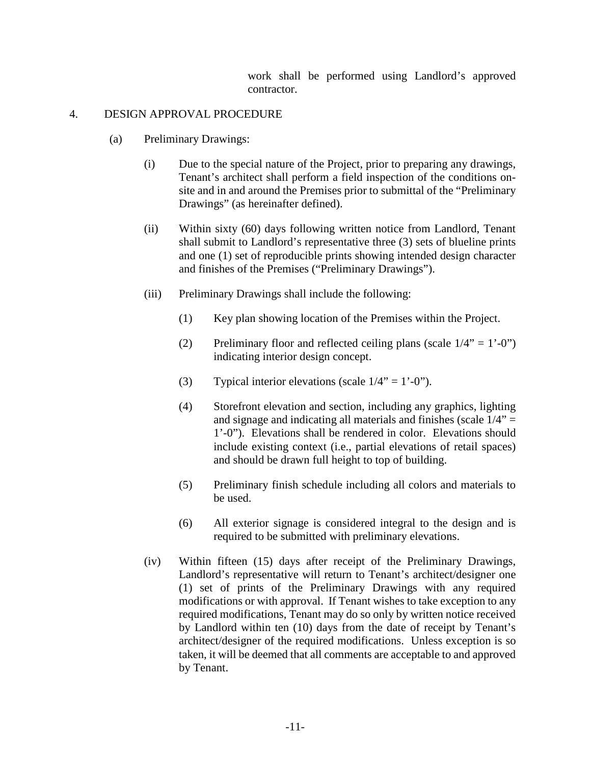work shall be performed using Landlord's approved contractor.

# 4. DESIGN APPROVAL PROCEDURE

- (a) Preliminary Drawings:
	- (i) Due to the special nature of the Project, prior to preparing any drawings, Tenant's architect shall perform a field inspection of the conditions onsite and in and around the Premises prior to submittal of the "Preliminary Drawings" (as hereinafter defined).
	- (ii) Within sixty (60) days following written notice from Landlord, Tenant shall submit to Landlord's representative three (3) sets of blueline prints and one (1) set of reproducible prints showing intended design character and finishes of the Premises ("Preliminary Drawings").
	- (iii) Preliminary Drawings shall include the following:
		- (1) Key plan showing location of the Premises within the Project.
		- (2) Preliminary floor and reflected ceiling plans (scale  $1/4$ " =  $1^{\circ}$ -0") indicating interior design concept.
		- (3) Typical interior elevations (scale  $1/4$ " = 1'-0").
		- (4) Storefront elevation and section, including any graphics, lighting and signage and indicating all materials and finishes (scale  $1/4$ " = 1'-0"). Elevations shall be rendered in color. Elevations should include existing context (i.e., partial elevations of retail spaces) and should be drawn full height to top of building.
		- (5) Preliminary finish schedule including all colors and materials to be used.
		- (6) All exterior signage is considered integral to the design and is required to be submitted with preliminary elevations.
	- (iv) Within fifteen (15) days after receipt of the Preliminary Drawings, Landlord's representative will return to Tenant's architect/designer one (1) set of prints of the Preliminary Drawings with any required modifications or with approval. If Tenant wishes to take exception to any required modifications, Tenant may do so only by written notice received by Landlord within ten (10) days from the date of receipt by Tenant's architect/designer of the required modifications. Unless exception is so taken, it will be deemed that all comments are acceptable to and approved by Tenant.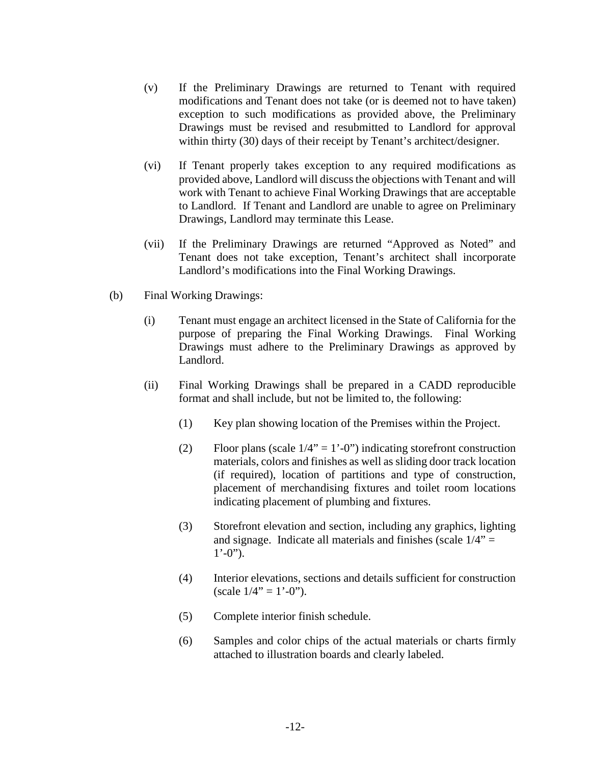- (v) If the Preliminary Drawings are returned to Tenant with required modifications and Tenant does not take (or is deemed not to have taken) exception to such modifications as provided above, the Preliminary Drawings must be revised and resubmitted to Landlord for approval within thirty (30) days of their receipt by Tenant's architect/designer.
- (vi) If Tenant properly takes exception to any required modifications as provided above, Landlord will discuss the objections with Tenant and will work with Tenant to achieve Final Working Drawings that are acceptable to Landlord. If Tenant and Landlord are unable to agree on Preliminary Drawings, Landlord may terminate this Lease.
- (vii) If the Preliminary Drawings are returned "Approved as Noted" and Tenant does not take exception, Tenant's architect shall incorporate Landlord's modifications into the Final Working Drawings.
- (b) Final Working Drawings:
	- (i) Tenant must engage an architect licensed in the State of California for the purpose of preparing the Final Working Drawings. Final Working Drawings must adhere to the Preliminary Drawings as approved by Landlord.
	- (ii) Final Working Drawings shall be prepared in a CADD reproducible format and shall include, but not be limited to, the following:
		- (1) Key plan showing location of the Premises within the Project.
		- (2) Floor plans (scale  $1/4$ " = 1'-0") indicating storefront construction materials, colors and finishes as well as sliding door track location (if required), location of partitions and type of construction, placement of merchandising fixtures and toilet room locations indicating placement of plumbing and fixtures.
		- (3) Storefront elevation and section, including any graphics, lighting and signage. Indicate all materials and finishes (scale  $1/4$ " =  $1^{\prime}$ -0").
		- (4) Interior elevations, sections and details sufficient for construction (scale  $1/4$ " = 1'-0").
		- (5) Complete interior finish schedule.
		- (6) Samples and color chips of the actual materials or charts firmly attached to illustration boards and clearly labeled.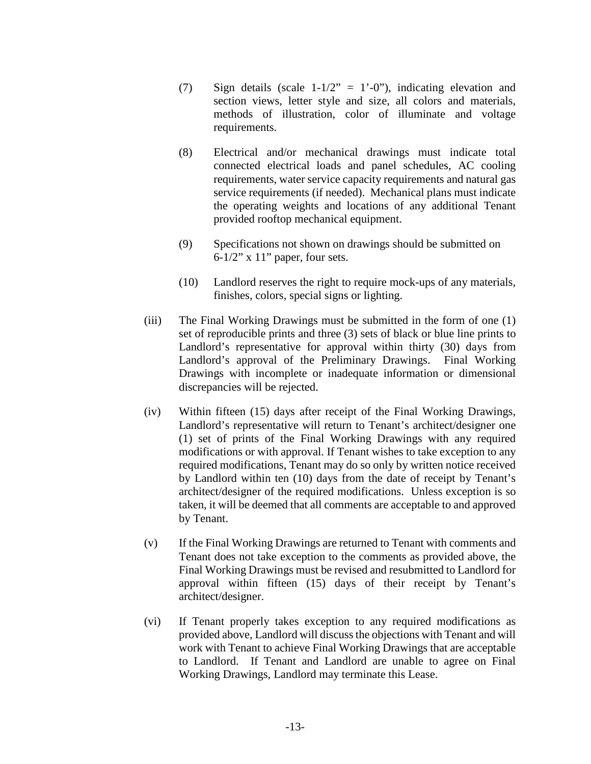- (7) Sign details (scale  $1-1/2$ " = 1'-0"), indicating elevation and section views, letter style and size, all colors and materials, methods of illustration, color of illuminate and voltage requirements.
- (8) Electrical and/or mechanical drawings must indicate total connected electrical loads and panel schedules, AC cooling requirements, water service capacity requirements and natural gas service requirements (if needed). Mechanical plans must indicate the operating weights and locations of any additional Tenant provided rooftop mechanical equipment.
- (9) Specifications not shown on drawings should be submitted on  $6-1/2$ " x 11" paper, four sets.
- (10) Landlord reserves the right to require mock-ups of any materials, finishes, colors, special signs or lighting.
- (iii) The Final Working Drawings must be submitted in the form of one (1) set of reproducible prints and three (3) sets of black or blue line prints to Landlord's representative for approval within thirty (30) days from Landlord's approval of the Preliminary Drawings. Final Working Drawings with incomplete or inadequate information or dimensional discrepancies will be rejected.
- (iv) Within fifteen (15) days after receipt of the Final Working Drawings, Landlord's representative will return to Tenant's architect/designer one (1) set of prints of the Final Working Drawings with any required modifications or with approval. If Tenant wishes to take exception to any required modifications, Tenant may do so only by written notice received by Landlord within ten (10) days from the date of receipt by Tenant's architect/designer of the required modifications. Unless exception is so taken, it will be deemed that all comments are acceptable to and approved by Tenant.
- (v) If the Final Working Drawings are returned to Tenant with comments and Tenant does not take exception to the comments as provided above, the Final Working Drawings must be revised and resubmitted to Landlord for approval within fifteen (15) days of their receipt by Tenant's architect/designer.
- (vi) If Tenant properly takes exception to any required modifications as provided above, Landlord will discuss the objections with Tenant and will work with Tenant to achieve Final Working Drawings that are acceptable to Landlord. If Tenant and Landlord are unable to agree on Final Working Drawings, Landlord may terminate this Lease.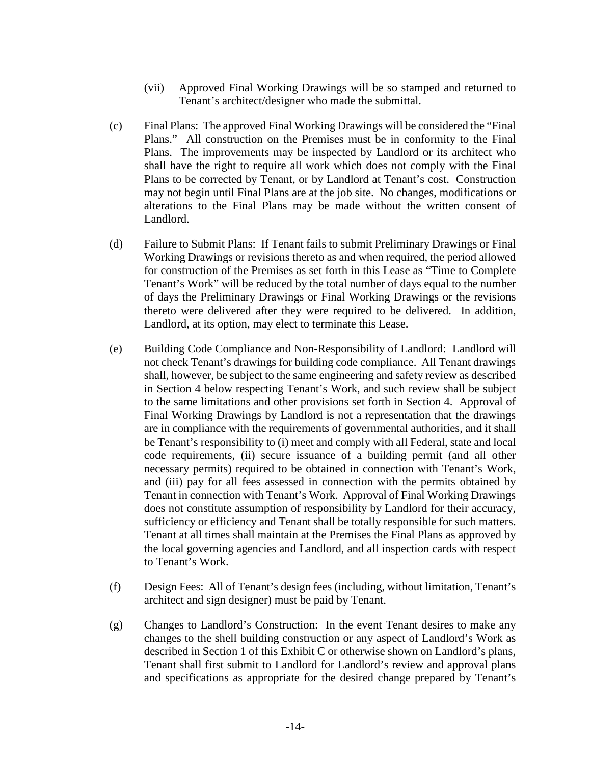- (vii) Approved Final Working Drawings will be so stamped and returned to Tenant's architect/designer who made the submittal.
- (c) Final Plans: The approved Final Working Drawings will be considered the "Final Plans." All construction on the Premises must be in conformity to the Final Plans. The improvements may be inspected by Landlord or its architect who shall have the right to require all work which does not comply with the Final Plans to be corrected by Tenant, or by Landlord at Tenant's cost. Construction may not begin until Final Plans are at the job site. No changes, modifications or alterations to the Final Plans may be made without the written consent of Landlord.
- (d) Failure to Submit Plans: If Tenant fails to submit Preliminary Drawings or Final Working Drawings or revisions thereto as and when required, the period allowed for construction of the Premises as set forth in this Lease as "Time to Complete Tenant's Work" will be reduced by the total number of days equal to the number of days the Preliminary Drawings or Final Working Drawings or the revisions thereto were delivered after they were required to be delivered. In addition, Landlord, at its option, may elect to terminate this Lease.
- (e) Building Code Compliance and Non-Responsibility of Landlord: Landlord will not check Tenant's drawings for building code compliance. All Tenant drawings shall, however, be subject to the same engineering and safety review as described in Section 4 below respecting Tenant's Work, and such review shall be subject to the same limitations and other provisions set forth in Section 4. Approval of Final Working Drawings by Landlord is not a representation that the drawings are in compliance with the requirements of governmental authorities, and it shall be Tenant's responsibility to (i) meet and comply with all Federal, state and local code requirements, (ii) secure issuance of a building permit (and all other necessary permits) required to be obtained in connection with Tenant's Work, and (iii) pay for all fees assessed in connection with the permits obtained by Tenant in connection with Tenant's Work. Approval of Final Working Drawings does not constitute assumption of responsibility by Landlord for their accuracy, sufficiency or efficiency and Tenant shall be totally responsible for such matters. Tenant at all times shall maintain at the Premises the Final Plans as approved by the local governing agencies and Landlord, and all inspection cards with respect to Tenant's Work.
- (f) Design Fees: All of Tenant's design fees (including, without limitation, Tenant's architect and sign designer) must be paid by Tenant.
- (g) Changes to Landlord's Construction: In the event Tenant desires to make any changes to the shell building construction or any aspect of Landlord's Work as described in Section 1 of this Exhibit C or otherwise shown on Landlord's plans, Tenant shall first submit to Landlord for Landlord's review and approval plans and specifications as appropriate for the desired change prepared by Tenant's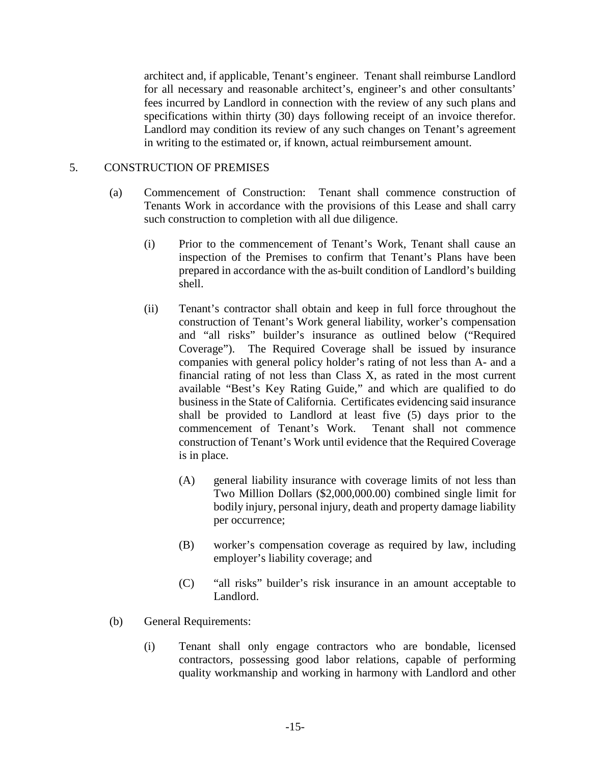architect and, if applicable, Tenant's engineer. Tenant shall reimburse Landlord for all necessary and reasonable architect's, engineer's and other consultants' fees incurred by Landlord in connection with the review of any such plans and specifications within thirty (30) days following receipt of an invoice therefor. Landlord may condition its review of any such changes on Tenant's agreement in writing to the estimated or, if known, actual reimbursement amount.

#### 5. CONSTRUCTION OF PREMISES

- (a) Commencement of Construction: Tenant shall commence construction of Tenants Work in accordance with the provisions of this Lease and shall carry such construction to completion with all due diligence.
	- (i) Prior to the commencement of Tenant's Work, Tenant shall cause an inspection of the Premises to confirm that Tenant's Plans have been prepared in accordance with the as-built condition of Landlord's building shell.
	- (ii) Tenant's contractor shall obtain and keep in full force throughout the construction of Tenant's Work general liability, worker's compensation and "all risks" builder's insurance as outlined below ("Required Coverage"). The Required Coverage shall be issued by insurance companies with general policy holder's rating of not less than A- and a financial rating of not less than Class X, as rated in the most current available "Best's Key Rating Guide," and which are qualified to do business in the State of California. Certificates evidencing said insurance shall be provided to Landlord at least five (5) days prior to the commencement of Tenant's Work. Tenant shall not commence construction of Tenant's Work until evidence that the Required Coverage is in place.
		- (A) general liability insurance with coverage limits of not less than Two Million Dollars (\$2,000,000.00) combined single limit for bodily injury, personal injury, death and property damage liability per occurrence;
		- (B) worker's compensation coverage as required by law, including employer's liability coverage; and
		- (C) "all risks" builder's risk insurance in an amount acceptable to Landlord.
- (b) General Requirements:
	- (i) Tenant shall only engage contractors who are bondable, licensed contractors, possessing good labor relations, capable of performing quality workmanship and working in harmony with Landlord and other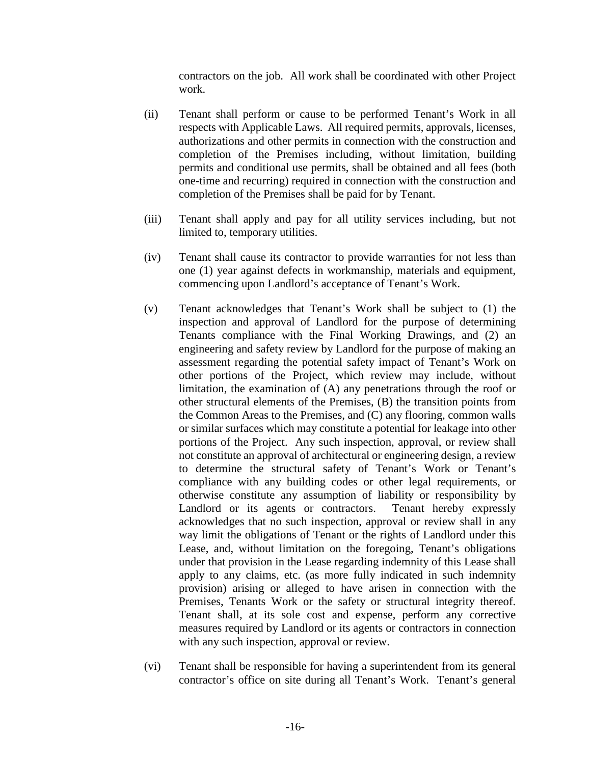contractors on the job. All work shall be coordinated with other Project work.

- (ii) Tenant shall perform or cause to be performed Tenant's Work in all respects with Applicable Laws. All required permits, approvals, licenses, authorizations and other permits in connection with the construction and completion of the Premises including, without limitation, building permits and conditional use permits, shall be obtained and all fees (both one-time and recurring) required in connection with the construction and completion of the Premises shall be paid for by Tenant.
- (iii) Tenant shall apply and pay for all utility services including, but not limited to, temporary utilities.
- (iv) Tenant shall cause its contractor to provide warranties for not less than one (1) year against defects in workmanship, materials and equipment, commencing upon Landlord's acceptance of Tenant's Work.
- (v) Tenant acknowledges that Tenant's Work shall be subject to (1) the inspection and approval of Landlord for the purpose of determining Tenants compliance with the Final Working Drawings, and (2) an engineering and safety review by Landlord for the purpose of making an assessment regarding the potential safety impact of Tenant's Work on other portions of the Project, which review may include, without limitation, the examination of (A) any penetrations through the roof or other structural elements of the Premises, (B) the transition points from the Common Areas to the Premises, and (C) any flooring, common walls or similar surfaces which may constitute a potential for leakage into other portions of the Project. Any such inspection, approval, or review shall not constitute an approval of architectural or engineering design, a review to determine the structural safety of Tenant's Work or Tenant's compliance with any building codes or other legal requirements, or otherwise constitute any assumption of liability or responsibility by Landlord or its agents or contractors. Tenant hereby expressly acknowledges that no such inspection, approval or review shall in any way limit the obligations of Tenant or the rights of Landlord under this Lease, and, without limitation on the foregoing, Tenant's obligations under that provision in the Lease regarding indemnity of this Lease shall apply to any claims, etc. (as more fully indicated in such indemnity provision) arising or alleged to have arisen in connection with the Premises, Tenants Work or the safety or structural integrity thereof. Tenant shall, at its sole cost and expense, perform any corrective measures required by Landlord or its agents or contractors in connection with any such inspection, approval or review.
- (vi) Tenant shall be responsible for having a superintendent from its general contractor's office on site during all Tenant's Work. Tenant's general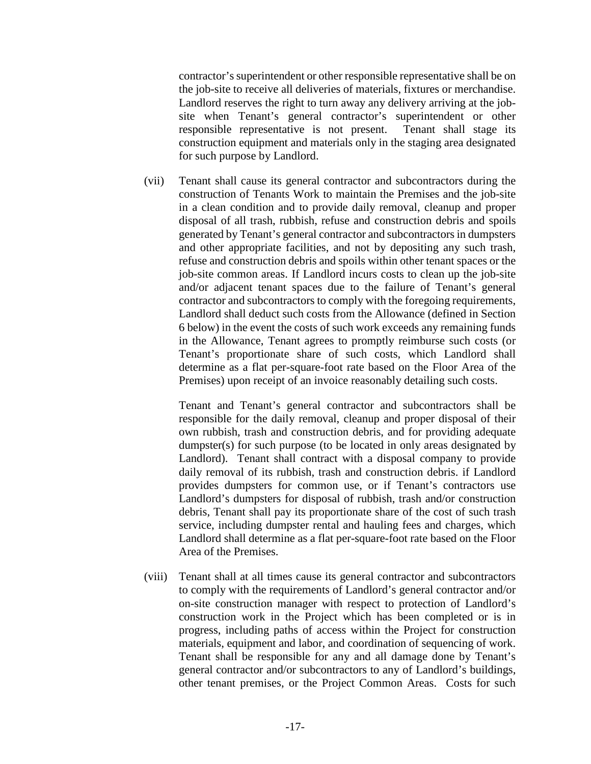contractor's superintendent or other responsible representative shall be on the job-site to receive all deliveries of materials, fixtures or merchandise. Landlord reserves the right to turn away any delivery arriving at the jobsite when Tenant's general contractor's superintendent or other responsible representative is not present. Tenant shall stage its construction equipment and materials only in the staging area designated for such purpose by Landlord.

(vii) Tenant shall cause its general contractor and subcontractors during the construction of Tenants Work to maintain the Premises and the job-site in a clean condition and to provide daily removal, cleanup and proper disposal of all trash, rubbish, refuse and construction debris and spoils generated by Tenant's general contractor and subcontractors in dumpsters and other appropriate facilities, and not by depositing any such trash, refuse and construction debris and spoils within other tenant spaces or the job-site common areas. If Landlord incurs costs to clean up the job-site and/or adjacent tenant spaces due to the failure of Tenant's general contractor and subcontractors to comply with the foregoing requirements, Landlord shall deduct such costs from the Allowance (defined in Section 6 below) in the event the costs of such work exceeds any remaining funds in the Allowance, Tenant agrees to promptly reimburse such costs (or Tenant's proportionate share of such costs, which Landlord shall determine as a flat per-square-foot rate based on the Floor Area of the Premises) upon receipt of an invoice reasonably detailing such costs.

Tenant and Tenant's general contractor and subcontractors shall be responsible for the daily removal, cleanup and proper disposal of their own rubbish, trash and construction debris, and for providing adequate dumpster(s) for such purpose (to be located in only areas designated by Landlord). Tenant shall contract with a disposal company to provide daily removal of its rubbish, trash and construction debris. if Landlord provides dumpsters for common use, or if Tenant's contractors use Landlord's dumpsters for disposal of rubbish, trash and/or construction debris, Tenant shall pay its proportionate share of the cost of such trash service, including dumpster rental and hauling fees and charges, which Landlord shall determine as a flat per-square-foot rate based on the Floor Area of the Premises.

(viii) Tenant shall at all times cause its general contractor and subcontractors to comply with the requirements of Landlord's general contractor and/or on-site construction manager with respect to protection of Landlord's construction work in the Project which has been completed or is in progress, including paths of access within the Project for construction materials, equipment and labor, and coordination of sequencing of work. Tenant shall be responsible for any and all damage done by Tenant's general contractor and/or subcontractors to any of Landlord's buildings, other tenant premises, or the Project Common Areas. Costs for such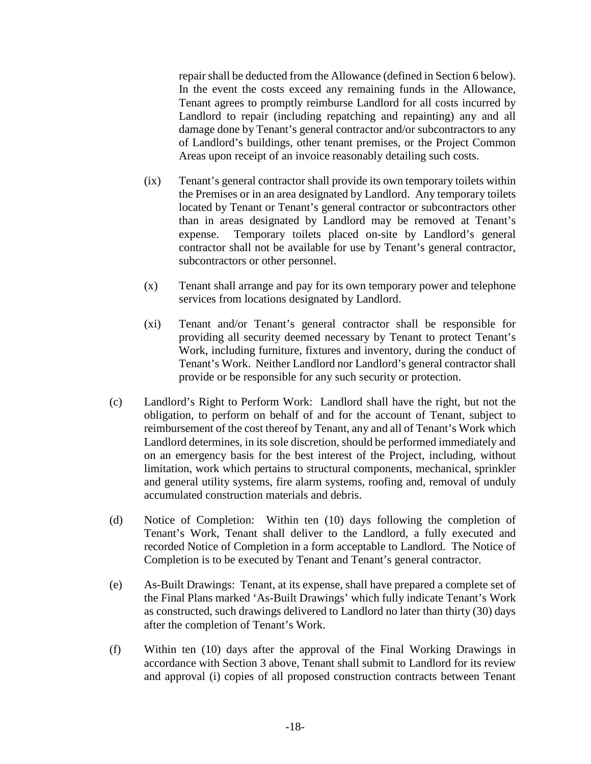repair shall be deducted from the Allowance (defined in Section 6 below). In the event the costs exceed any remaining funds in the Allowance, Tenant agrees to promptly reimburse Landlord for all costs incurred by Landlord to repair (including repatching and repainting) any and all damage done by Tenant's general contractor and/or subcontractors to any of Landlord's buildings, other tenant premises, or the Project Common Areas upon receipt of an invoice reasonably detailing such costs.

- (ix) Tenant's general contractor shall provide its own temporary toilets within the Premises or in an area designated by Landlord. Any temporary toilets located by Tenant or Tenant's general contractor or subcontractors other than in areas designated by Landlord may be removed at Tenant's expense. Temporary toilets placed on-site by Landlord's general contractor shall not be available for use by Tenant's general contractor, subcontractors or other personnel.
- (x) Tenant shall arrange and pay for its own temporary power and telephone services from locations designated by Landlord.
- (xi) Tenant and/or Tenant's general contractor shall be responsible for providing all security deemed necessary by Tenant to protect Tenant's Work, including furniture, fixtures and inventory, during the conduct of Tenant's Work. Neither Landlord nor Landlord's general contractor shall provide or be responsible for any such security or protection.
- (c) Landlord's Right to Perform Work: Landlord shall have the right, but not the obligation, to perform on behalf of and for the account of Tenant, subject to reimbursement of the cost thereof by Tenant, any and all of Tenant's Work which Landlord determines, in its sole discretion, should be performed immediately and on an emergency basis for the best interest of the Project, including, without limitation, work which pertains to structural components, mechanical, sprinkler and general utility systems, fire alarm systems, roofing and, removal of unduly accumulated construction materials and debris.
- (d) Notice of Completion: Within ten (10) days following the completion of Tenant's Work, Tenant shall deliver to the Landlord, a fully executed and recorded Notice of Completion in a form acceptable to Landlord. The Notice of Completion is to be executed by Tenant and Tenant's general contractor.
- (e) As-Built Drawings: Tenant, at its expense, shall have prepared a complete set of the Final Plans marked 'As-Built Drawings' which fully indicate Tenant's Work as constructed, such drawings delivered to Landlord no later than thirty (30) days after the completion of Tenant's Work.
- (f) Within ten (10) days after the approval of the Final Working Drawings in accordance with Section 3 above, Tenant shall submit to Landlord for its review and approval (i) copies of all proposed construction contracts between Tenant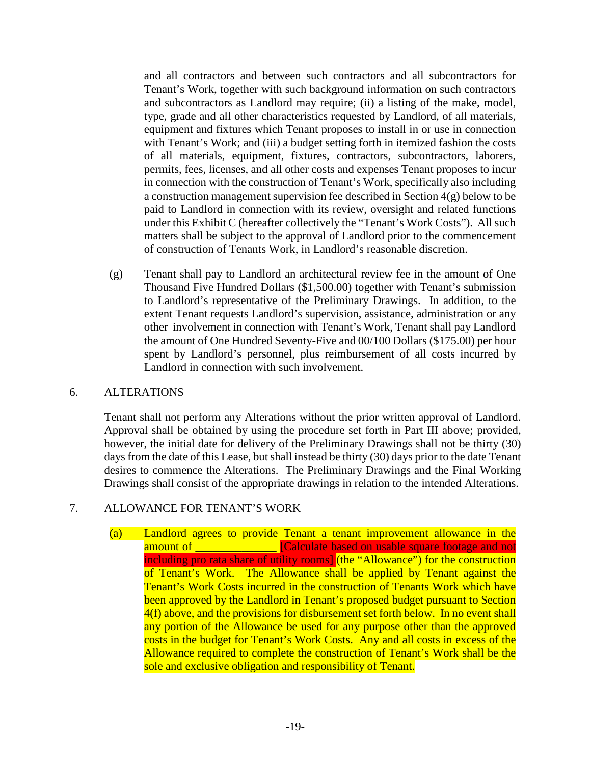and all contractors and between such contractors and all subcontractors for Tenant's Work, together with such background information on such contractors and subcontractors as Landlord may require; (ii) a listing of the make, model, type, grade and all other characteristics requested by Landlord, of all materials, equipment and fixtures which Tenant proposes to install in or use in connection with Tenant's Work; and (iii) a budget setting forth in itemized fashion the costs of all materials, equipment, fixtures, contractors, subcontractors, laborers, permits, fees, licenses, and all other costs and expenses Tenant proposes to incur in connection with the construction of Tenant's Work, specifically also including a construction management supervision fee described in Section 4(g) below to be paid to Landlord in connection with its review, oversight and related functions under this  $Exhibit C$  (hereafter collectively the "Tenant's Work Costs"). All such matters shall be subject to the approval of Landlord prior to the commencement of construction of Tenants Work, in Landlord's reasonable discretion.

(g) Tenant shall pay to Landlord an architectural review fee in the amount of One Thousand Five Hundred Dollars (\$1,500.00) together with Tenant's submission to Landlord's representative of the Preliminary Drawings. In addition, to the extent Tenant requests Landlord's supervision, assistance, administration or any other involvement in connection with Tenant's Work, Tenant shall pay Landlord the amount of One Hundred Seventy-Five and 00/100 Dollars (\$175.00) per hour spent by Landlord's personnel, plus reimbursement of all costs incurred by Landlord in connection with such involvement.

#### 6. ALTERATIONS

Tenant shall not perform any Alterations without the prior written approval of Landlord. Approval shall be obtained by using the procedure set forth in Part III above; provided, however, the initial date for delivery of the Preliminary Drawings shall not be thirty (30) days from the date of this Lease, but shall instead be thirty (30) days prior to the date Tenant desires to commence the Alterations. The Preliminary Drawings and the Final Working Drawings shall consist of the appropriate drawings in relation to the intended Alterations.

### 7. ALLOWANCE FOR TENANT'S WORK

(a) Landlord agrees to provide Tenant a tenant improvement allowance in the amount of **EXECULARE Calculate based on usable square footage and not** including pro rata share of utility rooms] (the "Allowance") for the construction of Tenant's Work. The Allowance shall be applied by Tenant against the Tenant's Work Costs incurred in the construction of Tenants Work which have been approved by the Landlord in Tenant's proposed budget pursuant to Section 4(f) above, and the provisions for disbursement set forth below. In no event shall any portion of the Allowance be used for any purpose other than the approved costs in the budget for Tenant's Work Costs. Any and all costs in excess of the Allowance required to complete the construction of Tenant's Work shall be the sole and exclusive obligation and responsibility of Tenant.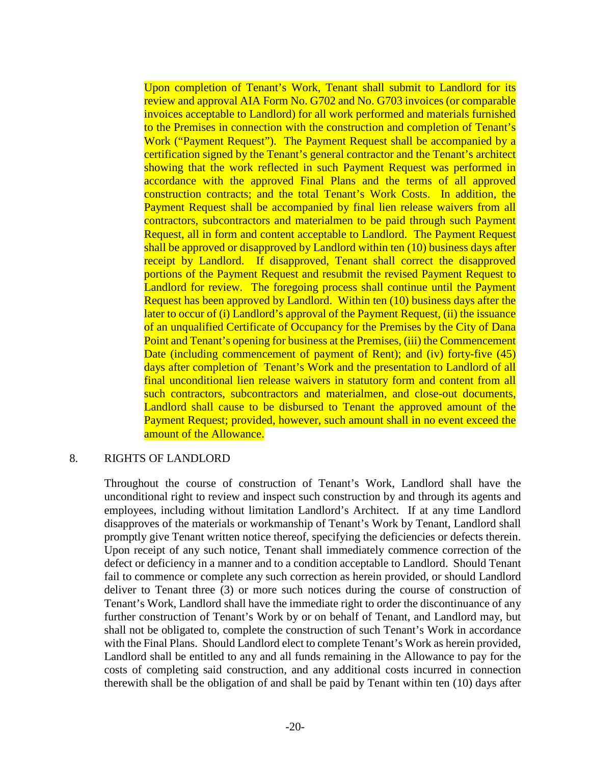Upon completion of Tenant's Work, Tenant shall submit to Landlord for its review and approval AIA Form No. G702 and No. G703 invoices (or comparable invoices acceptable to Landlord) for all work performed and materials furnished to the Premises in connection with the construction and completion of Tenant's Work ("Payment Request"). The Payment Request shall be accompanied by a certification signed by the Tenant's general contractor and the Tenant's architect showing that the work reflected in such Payment Request was performed in accordance with the approved Final Plans and the terms of all approved construction contracts; and the total Tenant's Work Costs. In addition, the Payment Request shall be accompanied by final lien release waivers from all contractors, subcontractors and materialmen to be paid through such Payment Request, all in form and content acceptable to Landlord. The Payment Request shall be approved or disapproved by Landlord within ten (10) business days after receipt by Landlord. If disapproved, Tenant shall correct the disapproved portions of the Payment Request and resubmit the revised Payment Request to Landlord for review. The foregoing process shall continue until the Payment Request has been approved by Landlord. Within ten (10) business days after the later to occur of (i) Landlord's approval of the Payment Request, (ii) the issuance of an unqualified Certificate of Occupancy for the Premises by the City of Dana Point and Tenant's opening for business at the Premises, (iii) the Commencement Date (including commencement of payment of Rent); and (iv) forty-five (45) days after completion of Tenant's Work and the presentation to Landlord of all final unconditional lien release waivers in statutory form and content from all such contractors, subcontractors and materialmen, and close-out documents, Landlord shall cause to be disbursed to Tenant the approved amount of the Payment Request; provided, however, such amount shall in no event exceed the amount of the Allowance.

#### 8. RIGHTS OF LANDLORD

Throughout the course of construction of Tenant's Work, Landlord shall have the unconditional right to review and inspect such construction by and through its agents and employees, including without limitation Landlord's Architect. If at any time Landlord disapproves of the materials or workmanship of Tenant's Work by Tenant, Landlord shall promptly give Tenant written notice thereof, specifying the deficiencies or defects therein. Upon receipt of any such notice, Tenant shall immediately commence correction of the defect or deficiency in a manner and to a condition acceptable to Landlord. Should Tenant fail to commence or complete any such correction as herein provided, or should Landlord deliver to Tenant three (3) or more such notices during the course of construction of Tenant's Work, Landlord shall have the immediate right to order the discontinuance of any further construction of Tenant's Work by or on behalf of Tenant, and Landlord may, but shall not be obligated to, complete the construction of such Tenant's Work in accordance with the Final Plans. Should Landlord elect to complete Tenant's Work as herein provided, Landlord shall be entitled to any and all funds remaining in the Allowance to pay for the costs of completing said construction, and any additional costs incurred in connection therewith shall be the obligation of and shall be paid by Tenant within ten (10) days after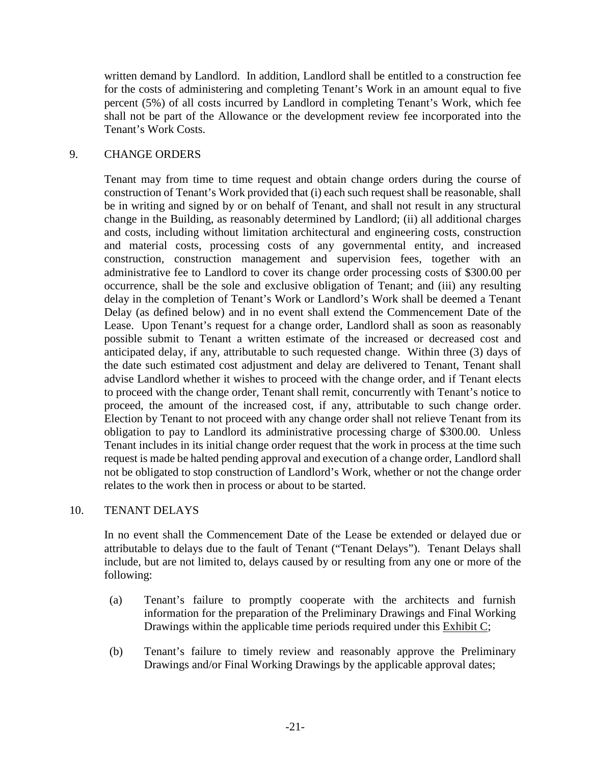written demand by Landlord. In addition, Landlord shall be entitled to a construction fee for the costs of administering and completing Tenant's Work in an amount equal to five percent (5%) of all costs incurred by Landlord in completing Tenant's Work, which fee shall not be part of the Allowance or the development review fee incorporated into the Tenant's Work Costs.

#### 9. CHANGE ORDERS

Tenant may from time to time request and obtain change orders during the course of construction of Tenant's Work provided that (i) each such request shall be reasonable, shall be in writing and signed by or on behalf of Tenant, and shall not result in any structural change in the Building, as reasonably determined by Landlord; (ii) all additional charges and costs, including without limitation architectural and engineering costs, construction and material costs, processing costs of any governmental entity, and increased construction, construction management and supervision fees, together with an administrative fee to Landlord to cover its change order processing costs of \$300.00 per occurrence, shall be the sole and exclusive obligation of Tenant; and (iii) any resulting delay in the completion of Tenant's Work or Landlord's Work shall be deemed a Tenant Delay (as defined below) and in no event shall extend the Commencement Date of the Lease. Upon Tenant's request for a change order, Landlord shall as soon as reasonably possible submit to Tenant a written estimate of the increased or decreased cost and anticipated delay, if any, attributable to such requested change. Within three (3) days of the date such estimated cost adjustment and delay are delivered to Tenant, Tenant shall advise Landlord whether it wishes to proceed with the change order, and if Tenant elects to proceed with the change order, Tenant shall remit, concurrently with Tenant's notice to proceed, the amount of the increased cost, if any, attributable to such change order. Election by Tenant to not proceed with any change order shall not relieve Tenant from its obligation to pay to Landlord its administrative processing charge of \$300.00. Unless Tenant includes in its initial change order request that the work in process at the time such request is made be halted pending approval and execution of a change order, Landlord shall not be obligated to stop construction of Landlord's Work, whether or not the change order relates to the work then in process or about to be started.

#### 10. TENANT DELAYS

In no event shall the Commencement Date of the Lease be extended or delayed due or attributable to delays due to the fault of Tenant ("Tenant Delays"). Tenant Delays shall include, but are not limited to, delays caused by or resulting from any one or more of the following:

- (a) Tenant's failure to promptly cooperate with the architects and furnish information for the preparation of the Preliminary Drawings and Final Working Drawings within the applicable time periods required under this Exhibit C;
- (b) Tenant's failure to timely review and reasonably approve the Preliminary Drawings and/or Final Working Drawings by the applicable approval dates;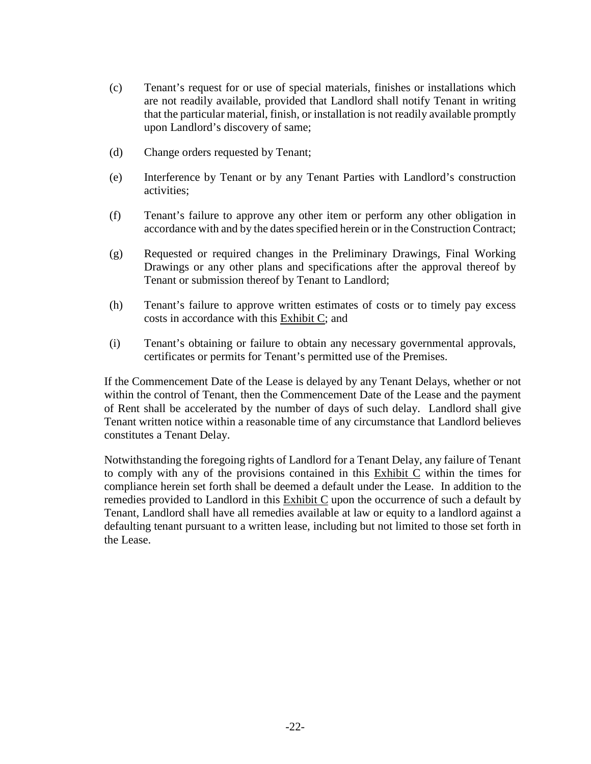- (c) Tenant's request for or use of special materials, finishes or installations which are not readily available, provided that Landlord shall notify Tenant in writing that the particular material, finish, or installation is not readily available promptly upon Landlord's discovery of same;
- (d) Change orders requested by Tenant;
- (e) Interference by Tenant or by any Tenant Parties with Landlord's construction activities;
- (f) Tenant's failure to approve any other item or perform any other obligation in accordance with and by the dates specified herein or in the Construction Contract;
- (g) Requested or required changes in the Preliminary Drawings, Final Working Drawings or any other plans and specifications after the approval thereof by Tenant or submission thereof by Tenant to Landlord;
- (h) Tenant's failure to approve written estimates of costs or to timely pay excess costs in accordance with this Exhibit C; and
- (i) Tenant's obtaining or failure to obtain any necessary governmental approvals, certificates or permits for Tenant's permitted use of the Premises.

If the Commencement Date of the Lease is delayed by any Tenant Delays, whether or not within the control of Tenant, then the Commencement Date of the Lease and the payment of Rent shall be accelerated by the number of days of such delay. Landlord shall give Tenant written notice within a reasonable time of any circumstance that Landlord believes constitutes a Tenant Delay.

Notwithstanding the foregoing rights of Landlord for a Tenant Delay, any failure of Tenant to comply with any of the provisions contained in this Exhibit C within the times for compliance herein set forth shall be deemed a default under the Lease. In addition to the remedies provided to Landlord in this Exhibit C upon the occurrence of such a default by Tenant, Landlord shall have all remedies available at law or equity to a landlord against a defaulting tenant pursuant to a written lease, including but not limited to those set forth in the Lease.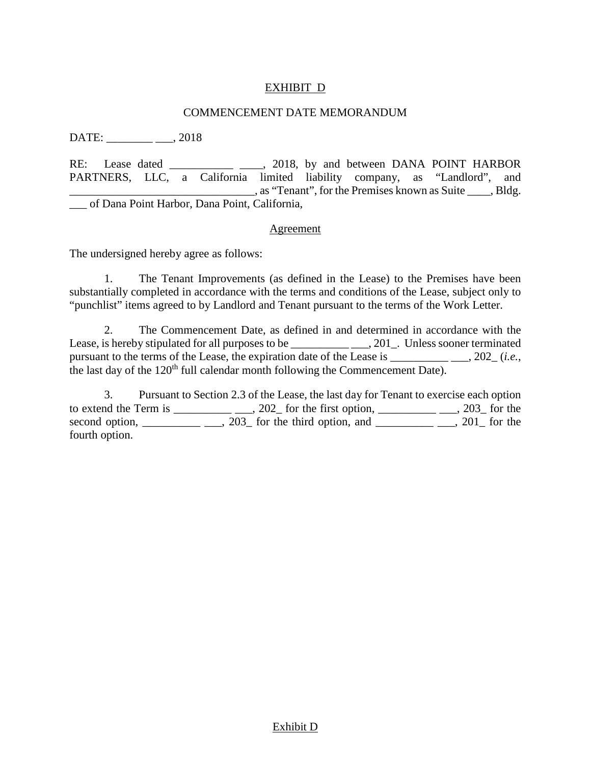### EXHIBIT D

#### COMMENCEMENT DATE MEMORANDUM

DATE: \_\_\_\_\_\_\_\_ \_\_\_, 2018

RE: Lease dated \_\_\_\_\_\_\_\_\_\_\_\_\_\_\_\_\_\_, 2018, by and between DANA POINT HARBOR PARTNERS, LLC, a California limited liability company, as "Landlord", and \_\_\_\_\_\_\_\_\_\_\_\_\_\_\_\_\_\_\_\_\_\_\_\_\_\_\_\_\_\_\_\_, as "Tenant", for the Premises known as Suite \_\_\_\_, Bldg. \_\_\_ of Dana Point Harbor, Dana Point, California,

#### Agreement

The undersigned hereby agree as follows:

1. The Tenant Improvements (as defined in the Lease) to the Premises have been substantially completed in accordance with the terms and conditions of the Lease, subject only to "punchlist" items agreed to by Landlord and Tenant pursuant to the terms of the Work Letter.

2. The Commencement Date, as defined in and determined in accordance with the Lease, is hereby stipulated for all purposes to be \_\_\_\_\_\_\_\_\_\_\_\_\_\_\_\_\_, 201\_. Unless sooner terminated pursuant to the terms of the Lease, the expiration date of the Lease is \_\_\_\_\_\_\_\_\_\_ \_\_\_, 202\_ (*i.e.*, the last day of the  $120<sup>th</sup>$  full calendar month following the Commencement Date).

3. Pursuant to Section 2.3 of the Lease, the last day for Tenant to exercise each option to extend the Term is  $\frac{1}{\sqrt{2}}$ , 202 for the first option,  $\frac{1}{\sqrt{2}}$ , 203 for the second option, \_\_\_\_\_\_\_\_\_\_\_,  $203$  for the third option, and \_\_\_\_\_\_\_\_\_\_,  $201$  for the fourth option.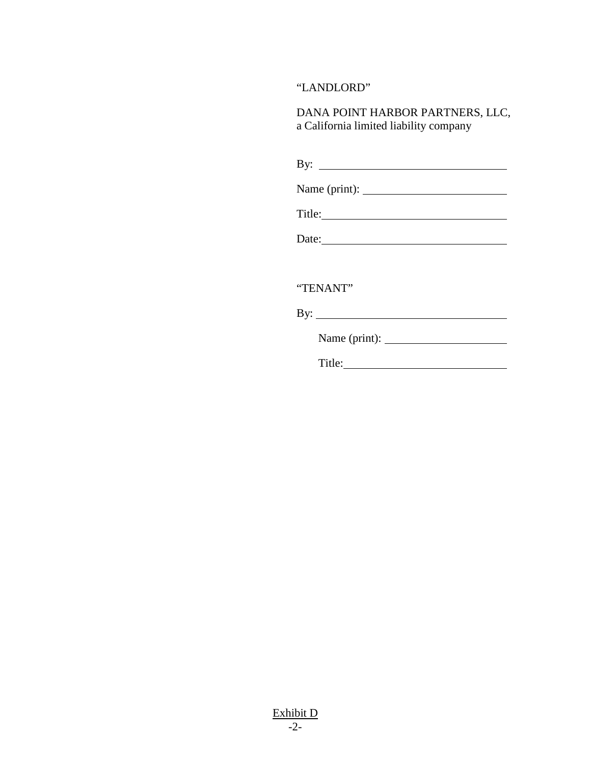"LANDLORD"

DANA POINT HARBOR PARTNERS, LLC, a California limited liability company

By:

Name (print):

Title: The contract of the contract of the contract of the contract of the contract of the contract of the contract of the contract of the contract of the contract of the contract of the contract of the contract of the con

Date:

"TENANT"

By:

Name (print):

Title: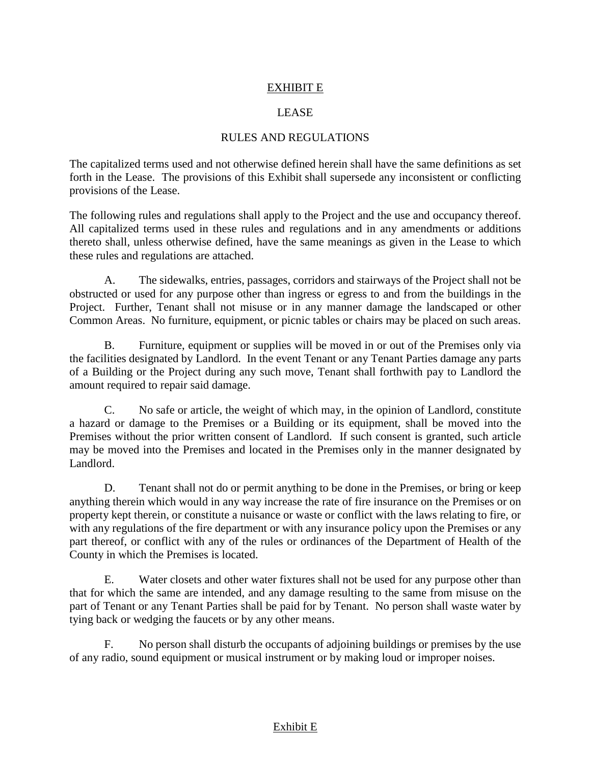### EXHIBIT E

#### LEASE

#### RULES AND REGULATIONS

The capitalized terms used and not otherwise defined herein shall have the same definitions as set forth in the Lease. The provisions of this Exhibit shall supersede any inconsistent or conflicting provisions of the Lease.

The following rules and regulations shall apply to the Project and the use and occupancy thereof. All capitalized terms used in these rules and regulations and in any amendments or additions thereto shall, unless otherwise defined, have the same meanings as given in the Lease to which these rules and regulations are attached.

A. The sidewalks, entries, passages, corridors and stairways of the Project shall not be obstructed or used for any purpose other than ingress or egress to and from the buildings in the Project. Further, Tenant shall not misuse or in any manner damage the landscaped or other Common Areas. No furniture, equipment, or picnic tables or chairs may be placed on such areas.

B. Furniture, equipment or supplies will be moved in or out of the Premises only via the facilities designated by Landlord. In the event Tenant or any Tenant Parties damage any parts of a Building or the Project during any such move, Tenant shall forthwith pay to Landlord the amount required to repair said damage.

C. No safe or article, the weight of which may, in the opinion of Landlord, constitute a hazard or damage to the Premises or a Building or its equipment, shall be moved into the Premises without the prior written consent of Landlord. If such consent is granted, such article may be moved into the Premises and located in the Premises only in the manner designated by Landlord.

D. Tenant shall not do or permit anything to be done in the Premises, or bring or keep anything therein which would in any way increase the rate of fire insurance on the Premises or on property kept therein, or constitute a nuisance or waste or conflict with the laws relating to fire, or with any regulations of the fire department or with any insurance policy upon the Premises or any part thereof, or conflict with any of the rules or ordinances of the Department of Health of the County in which the Premises is located.

E. Water closets and other water fixtures shall not be used for any purpose other than that for which the same are intended, and any damage resulting to the same from misuse on the part of Tenant or any Tenant Parties shall be paid for by Tenant. No person shall waste water by tying back or wedging the faucets or by any other means.

F. No person shall disturb the occupants of adjoining buildings or premises by the use of any radio, sound equipment or musical instrument or by making loud or improper noises.

#### Exhibit E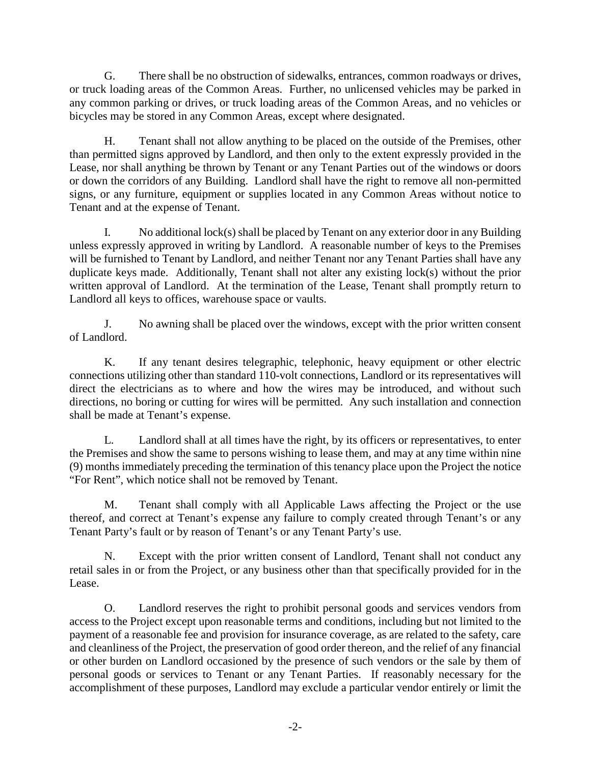G. There shall be no obstruction of sidewalks, entrances, common roadways or drives, or truck loading areas of the Common Areas. Further, no unlicensed vehicles may be parked in any common parking or drives, or truck loading areas of the Common Areas, and no vehicles or bicycles may be stored in any Common Areas, except where designated.

H. Tenant shall not allow anything to be placed on the outside of the Premises, other than permitted signs approved by Landlord, and then only to the extent expressly provided in the Lease, nor shall anything be thrown by Tenant or any Tenant Parties out of the windows or doors or down the corridors of any Building. Landlord shall have the right to remove all non-permitted signs, or any furniture, equipment or supplies located in any Common Areas without notice to Tenant and at the expense of Tenant.

I. No additional  $lock(s)$  shall be placed by Tenant on any exterior door in any Building unless expressly approved in writing by Landlord. A reasonable number of keys to the Premises will be furnished to Tenant by Landlord, and neither Tenant nor any Tenant Parties shall have any duplicate keys made. Additionally, Tenant shall not alter any existing lock(s) without the prior written approval of Landlord. At the termination of the Lease, Tenant shall promptly return to Landlord all keys to offices, warehouse space or vaults.

J. No awning shall be placed over the windows, except with the prior written consent of Landlord.

K. If any tenant desires telegraphic, telephonic, heavy equipment or other electric connections utilizing other than standard 110-volt connections, Landlord or its representatives will direct the electricians as to where and how the wires may be introduced, and without such directions, no boring or cutting for wires will be permitted. Any such installation and connection shall be made at Tenant's expense.

L. Landlord shall at all times have the right, by its officers or representatives, to enter the Premises and show the same to persons wishing to lease them, and may at any time within nine (9) months immediately preceding the termination of this tenancy place upon the Project the notice "For Rent", which notice shall not be removed by Tenant.

M. Tenant shall comply with all Applicable Laws affecting the Project or the use thereof, and correct at Tenant's expense any failure to comply created through Tenant's or any Tenant Party's fault or by reason of Tenant's or any Tenant Party's use.

N. Except with the prior written consent of Landlord, Tenant shall not conduct any retail sales in or from the Project, or any business other than that specifically provided for in the Lease.

O. Landlord reserves the right to prohibit personal goods and services vendors from access to the Project except upon reasonable terms and conditions, including but not limited to the payment of a reasonable fee and provision for insurance coverage, as are related to the safety, care and cleanliness of the Project, the preservation of good order thereon, and the relief of any financial or other burden on Landlord occasioned by the presence of such vendors or the sale by them of personal goods or services to Tenant or any Tenant Parties. If reasonably necessary for the accomplishment of these purposes, Landlord may exclude a particular vendor entirely or limit the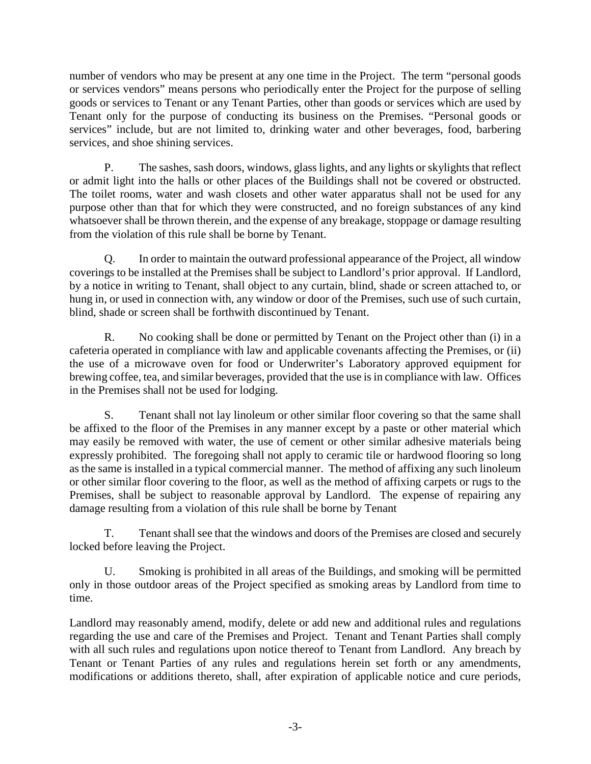number of vendors who may be present at any one time in the Project. The term "personal goods or services vendors" means persons who periodically enter the Project for the purpose of selling goods or services to Tenant or any Tenant Parties, other than goods or services which are used by Tenant only for the purpose of conducting its business on the Premises. "Personal goods or services" include, but are not limited to, drinking water and other beverages, food, barbering services, and shoe shining services.

P. The sashes, sash doors, windows, glass lights, and any lights or skylights that reflect or admit light into the halls or other places of the Buildings shall not be covered or obstructed. The toilet rooms, water and wash closets and other water apparatus shall not be used for any purpose other than that for which they were constructed, and no foreign substances of any kind whatsoever shall be thrown therein, and the expense of any breakage, stoppage or damage resulting from the violation of this rule shall be borne by Tenant.

Q. In order to maintain the outward professional appearance of the Project, all window coverings to be installed at the Premises shall be subject to Landlord's prior approval. If Landlord, by a notice in writing to Tenant, shall object to any curtain, blind, shade or screen attached to, or hung in, or used in connection with, any window or door of the Premises, such use of such curtain, blind, shade or screen shall be forthwith discontinued by Tenant.

R. No cooking shall be done or permitted by Tenant on the Project other than (i) in a cafeteria operated in compliance with law and applicable covenants affecting the Premises, or (ii) the use of a microwave oven for food or Underwriter's Laboratory approved equipment for brewing coffee, tea, and similar beverages, provided that the use is in compliance with law. Offices in the Premises shall not be used for lodging.

S. Tenant shall not lay linoleum or other similar floor covering so that the same shall be affixed to the floor of the Premises in any manner except by a paste or other material which may easily be removed with water, the use of cement or other similar adhesive materials being expressly prohibited. The foregoing shall not apply to ceramic tile or hardwood flooring so long as the same is installed in a typical commercial manner. The method of affixing any such linoleum or other similar floor covering to the floor, as well as the method of affixing carpets or rugs to the Premises, shall be subject to reasonable approval by Landlord. The expense of repairing any damage resulting from a violation of this rule shall be borne by Tenant

T. Tenant shall see that the windows and doors of the Premises are closed and securely locked before leaving the Project.

U. Smoking is prohibited in all areas of the Buildings, and smoking will be permitted only in those outdoor areas of the Project specified as smoking areas by Landlord from time to time.

Landlord may reasonably amend, modify, delete or add new and additional rules and regulations regarding the use and care of the Premises and Project. Tenant and Tenant Parties shall comply with all such rules and regulations upon notice thereof to Tenant from Landlord. Any breach by Tenant or Tenant Parties of any rules and regulations herein set forth or any amendments, modifications or additions thereto, shall, after expiration of applicable notice and cure periods,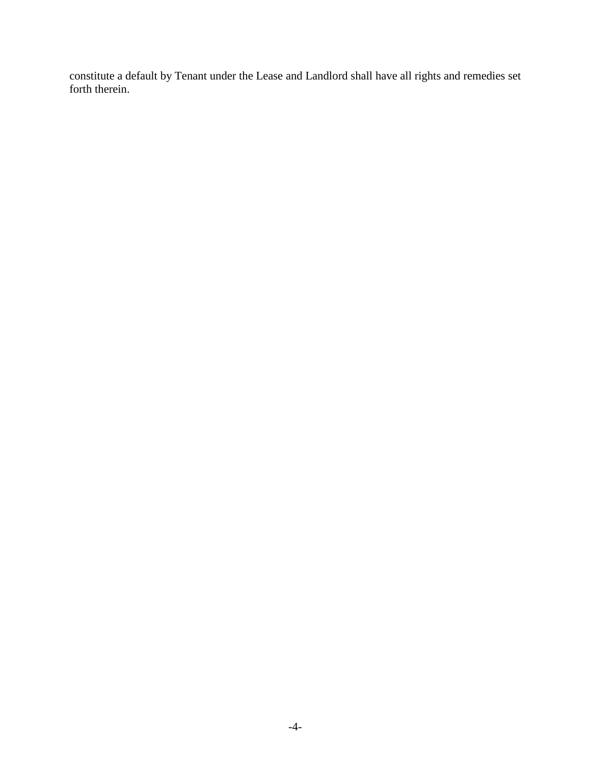constitute a default by Tenant under the Lease and Landlord shall have all rights and remedies set forth therein.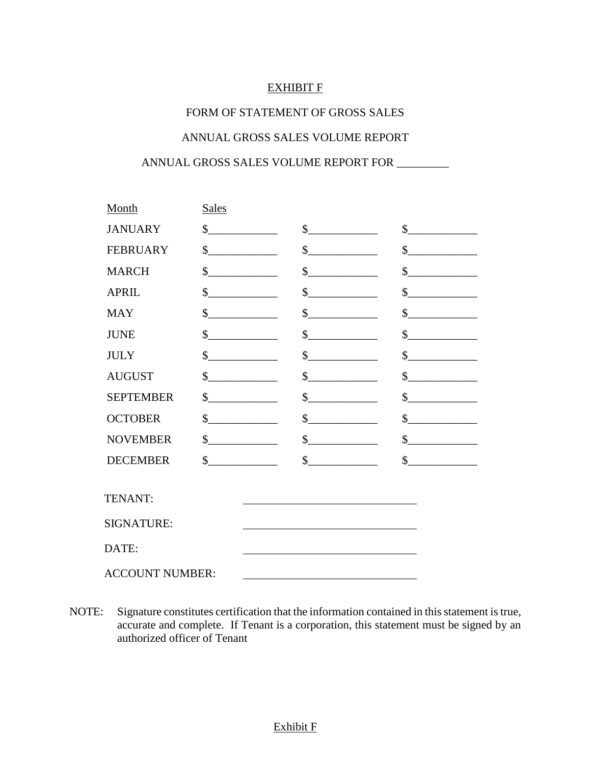#### EXHIBIT F

# FORM OF STATEMENT OF GROSS SALES ANNUAL GROSS SALES VOLUME REPORT ANNUAL GROSS SALES VOLUME REPORT FOR \_\_\_\_\_\_\_\_\_

| Month                  | <b>Sales</b>                                        |                                                                                                                                                                                                                                                                                                                                                                                               |                    |
|------------------------|-----------------------------------------------------|-----------------------------------------------------------------------------------------------------------------------------------------------------------------------------------------------------------------------------------------------------------------------------------------------------------------------------------------------------------------------------------------------|--------------------|
| <b>JANUARY</b>         | \$                                                  | \$                                                                                                                                                                                                                                                                                                                                                                                            | \$                 |
| <b>FEBRUARY</b>        | \$<br><u> 1999 - John Barnett, fransk politiker</u> | \$                                                                                                                                                                                                                                                                                                                                                                                            | \$                 |
| <b>MARCH</b>           | \$                                                  | \$                                                                                                                                                                                                                                                                                                                                                                                            | \$                 |
| <b>APRIL</b>           | $\mathbf{\hat{S}}$                                  | \$                                                                                                                                                                                                                                                                                                                                                                                            | \$                 |
| <b>MAY</b>             | \$                                                  | \$                                                                                                                                                                                                                                                                                                                                                                                            | \$                 |
| <b>JUNE</b>            | $\frac{1}{2}$                                       | $\frac{1}{2}$                                                                                                                                                                                                                                                                                                                                                                                 | $\sim$             |
| <b>JULY</b>            | $\frac{1}{2}$                                       | $\frac{1}{2}$                                                                                                                                                                                                                                                                                                                                                                                 | $\sim$             |
| <b>AUGUST</b>          | \$                                                  | $\frac{1}{2}$                                                                                                                                                                                                                                                                                                                                                                                 | $\sim$             |
| <b>SEPTEMBER</b>       | \$                                                  | $\mathbf{\hat{S}}$                                                                                                                                                                                                                                                                                                                                                                            | \$                 |
| <b>OCTOBER</b>         | \$                                                  | \$                                                                                                                                                                                                                                                                                                                                                                                            | $\mathbf{\hat{S}}$ |
| <b>NOVEMBER</b>        | \$                                                  | \$                                                                                                                                                                                                                                                                                                                                                                                            | \$                 |
| <b>DECEMBER</b>        | \$                                                  | \$<br>$\label{eq:2} \mathcal{L} = \left\{ \begin{aligned} \mathcal{L}^{(1)}(x) &= \mathcal{L}^{(1)}(x) \mathcal{L}^{(1)}(x) \mathcal{L}^{(1)}(x) \\ &= \mathcal{L}^{(1)}(x) \mathcal{L}^{(1)}(x) \mathcal{L}^{(1)}(x) \mathcal{L}^{(1)}(x) \mathcal{L}^{(1)}(x) \mathcal{L}^{(1)}(x) \mathcal{L}^{(1)}(x) \mathcal{L}^{(1)}(x) \mathcal{L}^{(1)}(x) \mathcal{L}^{(1)}(x) \mathcal{L}^{(1)}(x$ | $\frac{1}{2}$      |
| TENANT:                |                                                     |                                                                                                                                                                                                                                                                                                                                                                                               |                    |
| <b>SIGNATURE:</b>      |                                                     |                                                                                                                                                                                                                                                                                                                                                                                               |                    |
| DATE:                  |                                                     |                                                                                                                                                                                                                                                                                                                                                                                               |                    |
| <b>ACCOUNT NUMBER:</b> |                                                     | <u> 1989 - Johann Barn, amerikansk politiker (d. 1989)</u>                                                                                                                                                                                                                                                                                                                                    |                    |

NOTE: Signature constitutes certification that the information contained in this statement is true, accurate and complete. If Tenant is a corporation, this statement must be signed by an authorized officer of Tenant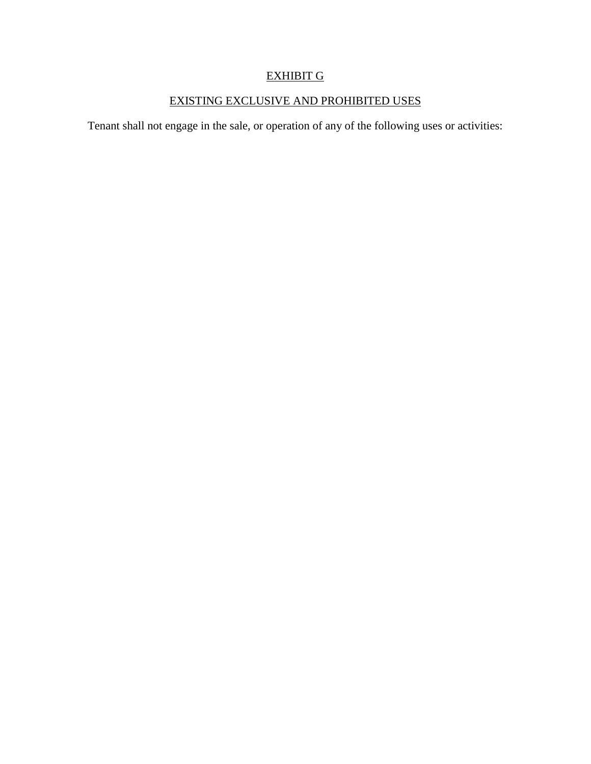# EXHIBIT G

# EXISTING EXCLUSIVE AND PROHIBITED USES

Tenant shall not engage in the sale, or operation of any of the following uses or activities: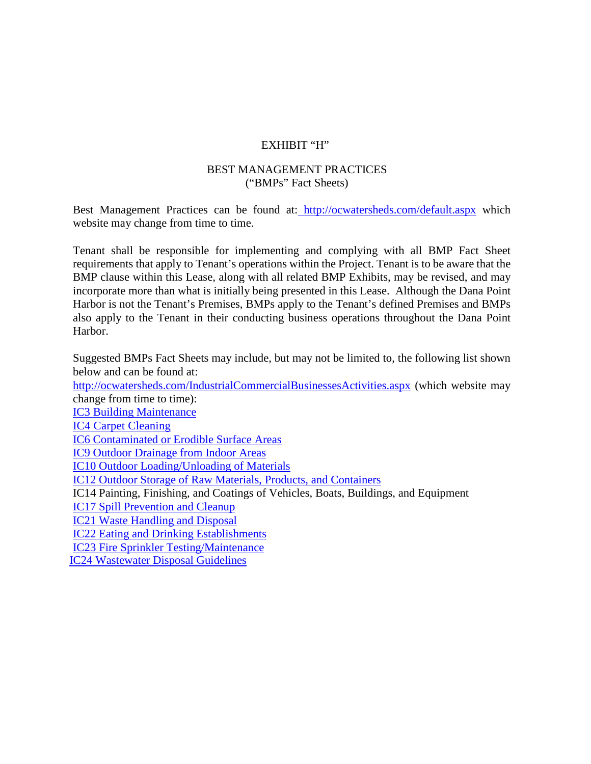#### EXHIBIT "H"

#### BEST MANAGEMENT PRACTICES ("BMPs" Fact Sheets)

Best Management Practices can be found at: <http://ocwatersheds.com/default.aspx> which website may change from time to time.

Tenant shall be responsible for implementing and complying with all BMP Fact Sheet requirements that apply to Tenant's operations within the Project. Tenant is to be aware that the BMP clause within this Lease, along with all related BMP Exhibits, may be revised, and may incorporate more than what is initially being presented in this Lease. Although the Dana Point Harbor is not the Tenant's Premises, BMPs apply to the Tenant's defined Premises and BMPs also apply to the Tenant in their conducting business operations throughout the Dana Point Harbor.

Suggested BMPs Fact Sheets may include, but may not be limited to, the following list shown below and can be found at: <http://ocwatersheds.com/IndustrialCommercialBusinessesActivities.aspx> (which website may change from time to time): IC3 Building Maintenance IC4 Carpet Cleaning IC6 Contaminated or Erodible Surface Areas IC9 Outdoor Drainage from Indoor Areas IC10 Outdoor Loading/Unloading of Materials IC12 Outdoor Storage of Raw Materials, Products, and Containers IC14 Painting, Finishing, and Coatings of Vehicles, Boats, Buildings, and Equipment IC17 Spill Prevention and Cleanup IC21 Waste Handling and Disposal IC22 Eating and Drinking Establishments IC23 Fire Sprinkler Testing/Maintenance IC24 Wastewater Disposal Guidelines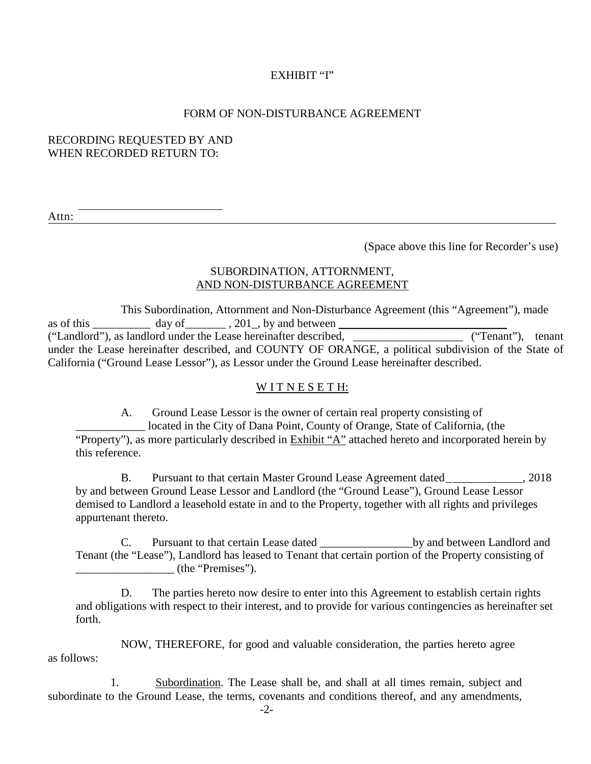# EXHIBIT "I"

#### FORM OF NON-DISTURBANCE AGREEMENT

#### RECORDING REQUESTED BY AND WHEN RECORDED RETURN TO:

Attn:

(Space above this line for Recorder's use)

#### SUBORDINATION, ATTORNMENT, AND NON-DISTURBANCE AGREEMENT

This Subordination, Attornment and Non-Disturbance Agreement (this "Agreement"), made as of this  $\_\_\_\_\_\_\_\_\$  day of  $\_\_\_\_$ , 201 $\_\_$ , by and between  $\_\_\_\_\_\_\_\_\_\_\_\_\_\_$ ("Landlord"), as landlord under the Lease hereinafter described, \_\_\_\_\_\_\_\_\_\_\_\_\_\_\_\_\_\_\_ ("Tenant"), tenant under the Lease hereinafter described, and COUNTY OF ORANGE, a political subdivision of the State of California ("Ground Lease Lessor"), as Lessor under the Ground Lease hereinafter described.

#### WITNESETH:

A. Ground Lease Lessor is the owner of certain real property consisting of located in the City of Dana Point, County of Orange, State of California, (the "Property"), as more particularly described in Exhibit "A" attached hereto and incorporated herein by this reference.

B. Pursuant to that certain Master Ground Lease Agreement dated\_ \_\_\_\_\_\_\_\_\_\_\_\_, 2018 by and between Ground Lease Lessor and Landlord (the "Ground Lease"), Ground Lease Lessor demised to Landlord a leasehold estate in and to the Property, together with all rights and privileges appurtenant thereto.

C. Pursuant to that certain Lease dated \_\_\_\_\_\_\_\_\_\_\_\_\_\_\_\_by and between Landlord and Tenant (the "Lease"), Landlord has leased to Tenant that certain portion of the Property consisting of  $\qquad \qquad$  (the "Premises").

D. The parties hereto now desire to enter into this Agreement to establish certain rights and obligations with respect to their interest, and to provide for various contingencies as hereinafter set forth.

NOW, THEREFORE, for good and valuable consideration, the parties hereto agree as follows:

1. Subordination. The Lease shall be, and shall at all times remain, subject and subordinate to the Ground Lease, the terms, covenants and conditions thereof, and any amendments,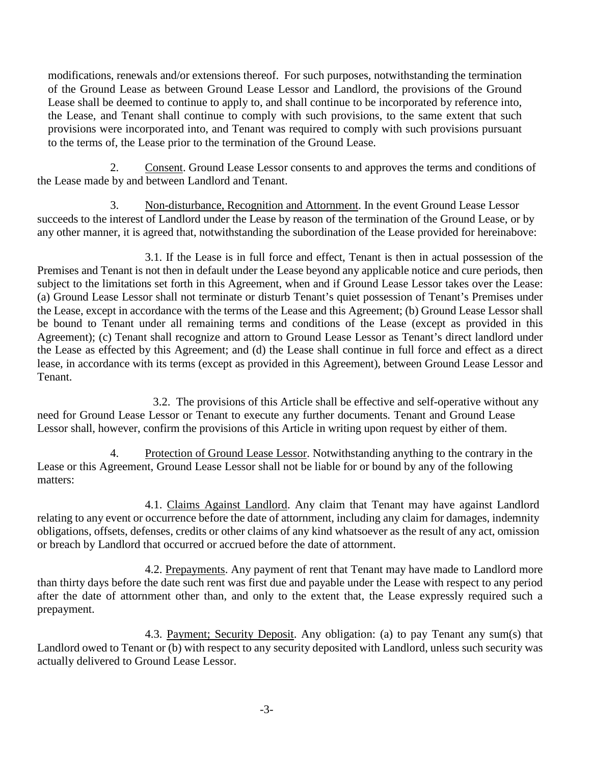modifications, renewals and/or extensions thereof. For such purposes, notwithstanding the termination of the Ground Lease as between Ground Lease Lessor and Landlord, the provisions of the Ground Lease shall be deemed to continue to apply to, and shall continue to be incorporated by reference into, the Lease, and Tenant shall continue to comply with such provisions, to the same extent that such provisions were incorporated into, and Tenant was required to comply with such provisions pursuant to the terms of, the Lease prior to the termination of the Ground Lease.

2. Consent. Ground Lease Lessor consents to and approves the terms and conditions of the Lease made by and between Landlord and Tenant.

3. Non-disturbance, Recognition and Attornment. In the event Ground Lease Lessor succeeds to the interest of Landlord under the Lease by reason of the termination of the Ground Lease, or by any other manner, it is agreed that, notwithstanding the subordination of the Lease provided for hereinabove:

3.1. If the Lease is in full force and effect, Tenant is then in actual possession of the Premises and Tenant is not then in default under the Lease beyond any applicable notice and cure periods, then subject to the limitations set forth in this Agreement, when and if Ground Lease Lessor takes over the Lease: (a) Ground Lease Lessor shall not terminate or disturb Tenant's quiet possession of Tenant's Premises under the Lease, except in accordance with the terms of the Lease and this Agreement; (b) Ground Lease Lessor shall be bound to Tenant under all remaining terms and conditions of the Lease (except as provided in this Agreement); (c) Tenant shall recognize and attorn to Ground Lease Lessor as Tenant's direct landlord under the Lease as effected by this Agreement; and (d) the Lease shall continue in full force and effect as a direct lease, in accordance with its terms (except as provided in this Agreement), between Ground Lease Lessor and Tenant.

3.2. The provisions of this Article shall be effective and self-operative without any need for Ground Lease Lessor or Tenant to execute any further documents. Tenant and Ground Lease Lessor shall, however, confirm the provisions of this Article in writing upon request by either of them.

4. Protection of Ground Lease Lessor. Notwithstanding anything to the contrary in the Lease or this Agreement, Ground Lease Lessor shall not be liable for or bound by any of the following matters:

4.1. Claims Against Landlord. Any claim that Tenant may have against Landlord relating to any event or occurrence before the date of attornment, including any claim for damages, indemnity obligations, offsets, defenses, credits or other claims of any kind whatsoever as the result of any act, omission or breach by Landlord that occurred or accrued before the date of attornment.

4.2. Prepayments. Any payment of rent that Tenant may have made to Landlord more than thirty days before the date such rent was first due and payable under the Lease with respect to any period after the date of attornment other than, and only to the extent that, the Lease expressly required such a prepayment.

4.3. Payment; Security Deposit. Any obligation: (a) to pay Tenant any sum(s) that Landlord owed to Tenant or (b) with respect to any security deposited with Landlord, unless such security was actually delivered to Ground Lease Lessor.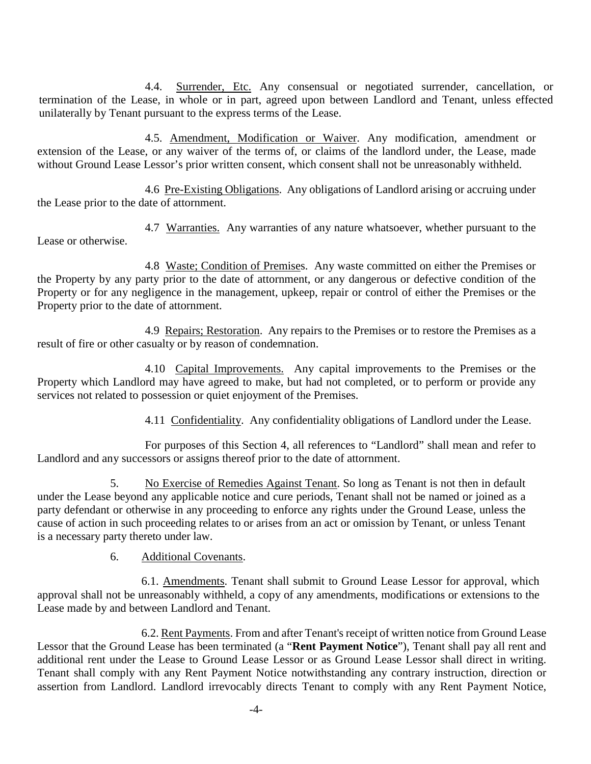4.4. Surrender, Etc. Any consensual or negotiated surrender, cancellation, or termination of the Lease, in whole or in part, agreed upon between Landlord and Tenant, unless effected unilaterally by Tenant pursuant to the express terms of the Lease.

4.5. Amendment, Modification or Waiver. Any modification, amendment or extension of the Lease, or any waiver of the terms of, or claims of the landlord under, the Lease, made without Ground Lease Lessor's prior written consent, which consent shall not be unreasonably withheld.

4.6 Pre-Existing Obligations. Any obligations of Landlord arising or accruing under the Lease prior to the date of attornment.

4.7 Warranties. Any warranties of any nature whatsoever, whether pursuant to the Lease or otherwise.

4.8 Waste; Condition of Premises. Any waste committed on either the Premises or the Property by any party prior to the date of attornment, or any dangerous or defective condition of the Property or for any negligence in the management, upkeep, repair or control of either the Premises or the Property prior to the date of attornment.

4.9 Repairs; Restoration. Any repairs to the Premises or to restore the Premises as a result of fire or other casualty or by reason of condemnation.

4.10 Capital Improvements. Any capital improvements to the Premises or the Property which Landlord may have agreed to make, but had not completed, or to perform or provide any services not related to possession or quiet enjoyment of the Premises.

4.11 Confidentiality. Any confidentiality obligations of Landlord under the Lease.

For purposes of this Section 4, all references to "Landlord" shall mean and refer to Landlord and any successors or assigns thereof prior to the date of attornment.

5. No Exercise of Remedies Against Tenant. So long as Tenant is not then in default under the Lease beyond any applicable notice and cure periods, Tenant shall not be named or joined as a party defendant or otherwise in any proceeding to enforce any rights under the Ground Lease, unless the cause of action in such proceeding relates to or arises from an act or omission by Tenant, or unless Tenant is a necessary party thereto under law.

6. Additional Covenants.

6.1. Amendments. Tenant shall submit to Ground Lease Lessor for approval, which approval shall not be unreasonably withheld, a copy of any amendments, modifications or extensions to the Lease made by and between Landlord and Tenant.

6.2. Rent Payments. From and after Tenant's receipt of written notice from Ground Lease Lessor that the Ground Lease has been terminated (a "**Rent Payment Notice**"), Tenant shall pay all rent and additional rent under the Lease to Ground Lease Lessor or as Ground Lease Lessor shall direct in writing. Tenant shall comply with any Rent Payment Notice notwithstanding any contrary instruction, direction or assertion from Landlord. Landlord irrevocably directs Tenant to comply with any Rent Payment Notice,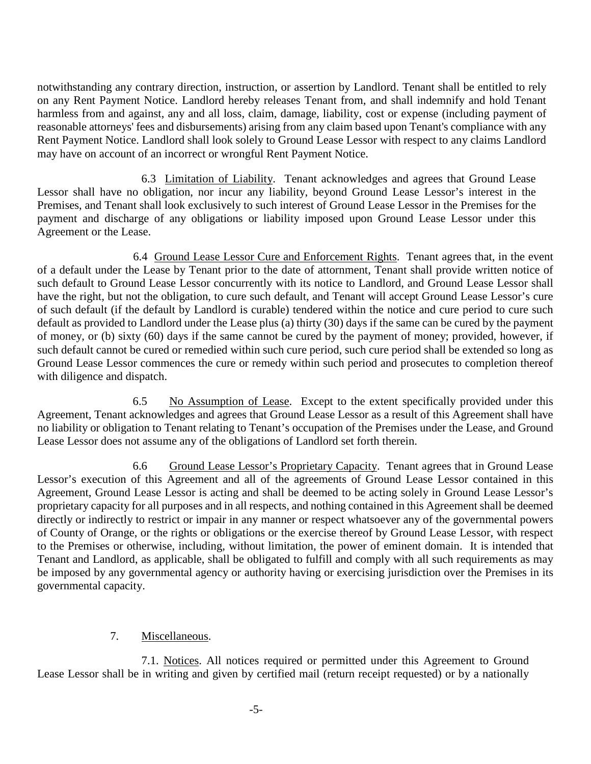notwithstanding any contrary direction, instruction, or assertion by Landlord. Tenant shall be entitled to rely on any Rent Payment Notice. Landlord hereby releases Tenant from, and shall indemnify and hold Tenant harmless from and against, any and all loss, claim, damage, liability, cost or expense (including payment of reasonable attorneys' fees and disbursements) arising from any claim based upon Tenant's compliance with any Rent Payment Notice. Landlord shall look solely to Ground Lease Lessor with respect to any claims Landlord may have on account of an incorrect or wrongful Rent Payment Notice.

6.3 Limitation of Liability. Tenant acknowledges and agrees that Ground Lease Lessor shall have no obligation, nor incur any liability, beyond Ground Lease Lessor's interest in the Premises, and Tenant shall look exclusively to such interest of Ground Lease Lessor in the Premises for the payment and discharge of any obligations or liability imposed upon Ground Lease Lessor under this Agreement or the Lease.

6.4 Ground Lease Lessor Cure and Enforcement Rights. Tenant agrees that, in the event of a default under the Lease by Tenant prior to the date of attornment, Tenant shall provide written notice of such default to Ground Lease Lessor concurrently with its notice to Landlord, and Ground Lease Lessor shall have the right, but not the obligation, to cure such default, and Tenant will accept Ground Lease Lessor's cure of such default (if the default by Landlord is curable) tendered within the notice and cure period to cure such default as provided to Landlord under the Lease plus (a) thirty (30) days if the same can be cured by the payment of money, or (b) sixty (60) days if the same cannot be cured by the payment of money; provided, however, if such default cannot be cured or remedied within such cure period, such cure period shall be extended so long as Ground Lease Lessor commences the cure or remedy within such period and prosecutes to completion thereof with diligence and dispatch.

6.5 No Assumption of Lease. Except to the extent specifically provided under this Agreement, Tenant acknowledges and agrees that Ground Lease Lessor as a result of this Agreement shall have no liability or obligation to Tenant relating to Tenant's occupation of the Premises under the Lease, and Ground Lease Lessor does not assume any of the obligations of Landlord set forth therein.

6.6 Ground Lease Lessor's Proprietary Capacity. Tenant agrees that in Ground Lease Lessor's execution of this Agreement and all of the agreements of Ground Lease Lessor contained in this Agreement, Ground Lease Lessor is acting and shall be deemed to be acting solely in Ground Lease Lessor's proprietary capacity for all purposes and in all respects, and nothing contained in this Agreement shall be deemed directly or indirectly to restrict or impair in any manner or respect whatsoever any of the governmental powers of County of Orange, or the rights or obligations or the exercise thereof by Ground Lease Lessor, with respect to the Premises or otherwise, including, without limitation, the power of eminent domain. It is intended that Tenant and Landlord, as applicable, shall be obligated to fulfill and comply with all such requirements as may be imposed by any governmental agency or authority having or exercising jurisdiction over the Premises in its governmental capacity.

### 7. Miscellaneous.

7.1. Notices. All notices required or permitted under this Agreement to Ground Lease Lessor shall be in writing and given by certified mail (return receipt requested) or by a nationally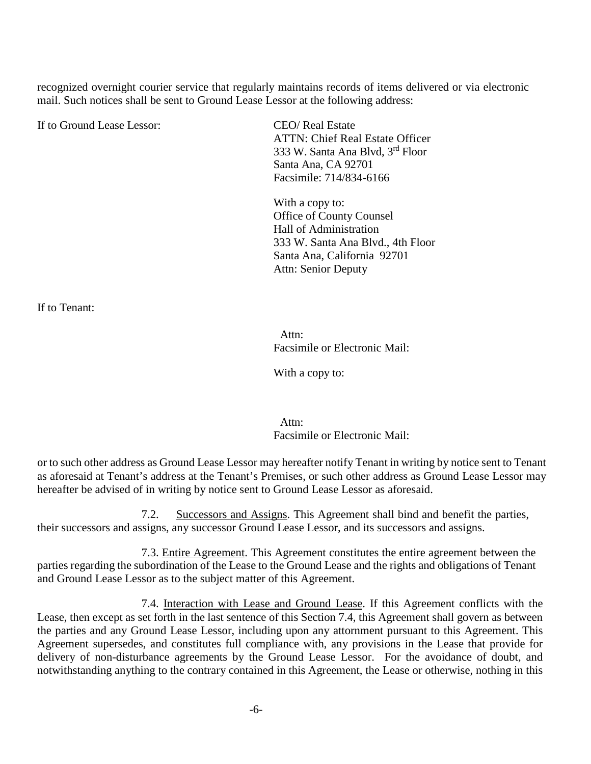recognized overnight courier service that regularly maintains records of items delivered or via electronic mail. Such notices shall be sent to Ground Lease Lessor at the following address:

If to Ground Lease Lessor: CEO/ Real Estate

ATTN: Chief Real Estate Officer 333 W. Santa Ana Blvd, 3rd Floor Santa Ana, CA 92701 Facsimile: 714/834-6166

With a copy to: Office of County Counsel Hall of Administration 333 W. Santa Ana Blvd., 4th Floor Santa Ana, California 92701 Attn: Senior Deputy

If to Tenant:

Attn: Facsimile or Electronic Mail:

With a copy to:

Attn: Facsimile or Electronic Mail:

or to such other address as Ground Lease Lessor may hereafter notify Tenant in writing by notice sent to Tenant as aforesaid at Tenant's address at the Tenant's Premises, or such other address as Ground Lease Lessor may hereafter be advised of in writing by notice sent to Ground Lease Lessor as aforesaid.

7.2. Successors and Assigns. This Agreement shall bind and benefit the parties, their successors and assigns, any successor Ground Lease Lessor, and its successors and assigns.

7.3. Entire Agreement. This Agreement constitutes the entire agreement between the parties regarding the subordination of the Lease to the Ground Lease and the rights and obligations of Tenant and Ground Lease Lessor as to the subject matter of this Agreement.

7.4. Interaction with Lease and Ground Lease. If this Agreement conflicts with the Lease, then except as set forth in the last sentence of this Section 7.4, this Agreement shall govern as between the parties and any Ground Lease Lessor, including upon any attornment pursuant to this Agreement. This Agreement supersedes, and constitutes full compliance with, any provisions in the Lease that provide for delivery of non-disturbance agreements by the Ground Lease Lessor. For the avoidance of doubt, and notwithstanding anything to the contrary contained in this Agreement, the Lease or otherwise, nothing in this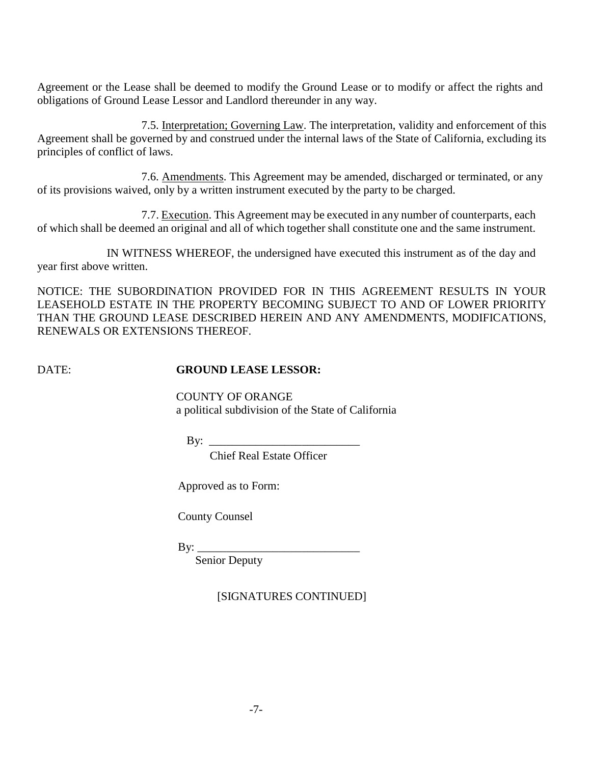Agreement or the Lease shall be deemed to modify the Ground Lease or to modify or affect the rights and obligations of Ground Lease Lessor and Landlord thereunder in any way.

7.5. Interpretation; Governing Law. The interpretation, validity and enforcement of this Agreement shall be governed by and construed under the internal laws of the State of California, excluding its principles of conflict of laws.

7.6. Amendments. This Agreement may be amended, discharged or terminated, or any of its provisions waived, only by a written instrument executed by the party to be charged.

7.7. Execution. This Agreement may be executed in any number of counterparts, each of which shall be deemed an original and all of which together shall constitute one and the same instrument.

IN WITNESS WHEREOF, the undersigned have executed this instrument as of the day and year first above written.

NOTICE: THE SUBORDINATION PROVIDED FOR IN THIS AGREEMENT RESULTS IN YOUR LEASEHOLD ESTATE IN THE PROPERTY BECOMING SUBJECT TO AND OF LOWER PRIORITY THAN THE GROUND LEASE DESCRIBED HEREIN AND ANY AMENDMENTS, MODIFICATIONS, RENEWALS OR EXTENSIONS THEREOF.

# DATE: **GROUND LEASE LESSOR:**

COUNTY OF ORANGE a political subdivision of the State of California

By:  $\Box$ 

Chief Real Estate Officer

Approved as to Form:

County Counsel

By: \_\_\_\_\_\_\_\_\_\_\_\_\_\_\_\_\_\_\_\_\_\_\_\_\_\_\_\_

Senior Deputy

[SIGNATURES CONTINUED]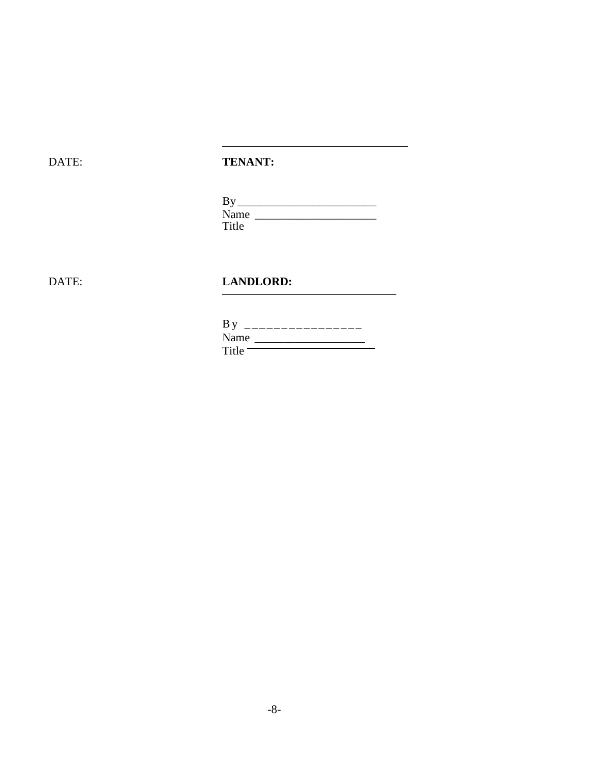# DATE: **TENANT:**

| By    |  |  |
|-------|--|--|
| Name  |  |  |
| Title |  |  |

# DATE: **LANDLORD:**

| B y       |  |
|-----------|--|
| Name      |  |
| Title $-$ |  |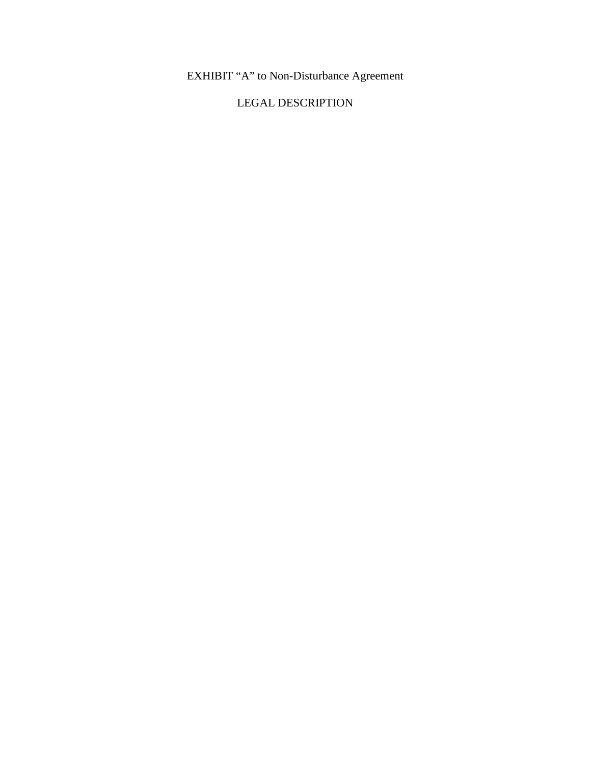EXHIBIT "A" to Non-Disturbance Agreement

# LEGAL DESCRIPTION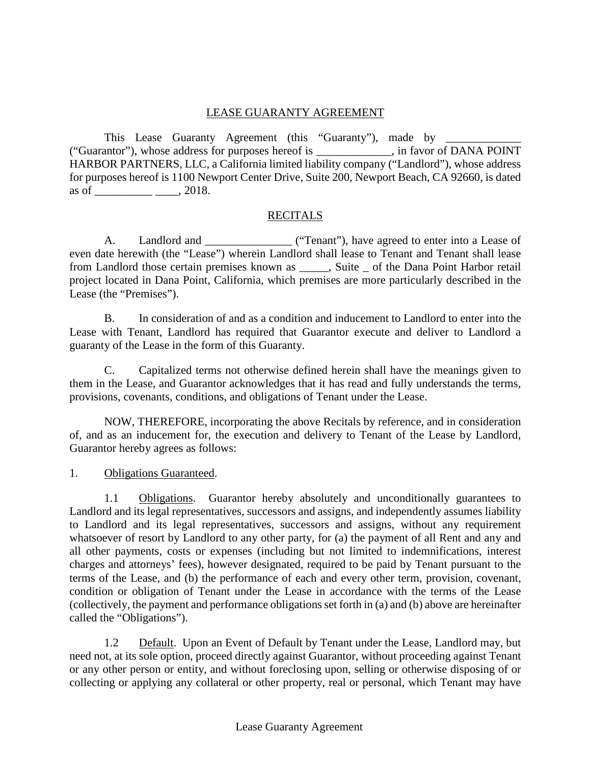#### LEASE GUARANTY AGREEMENT

This Lease Guaranty Agreement (this "Guaranty"), made by ("Guarantor"), whose address for purposes hereof is \_\_\_\_\_\_\_\_\_\_\_\_\_, in favor of DANA POINT HARBOR PARTNERS, LLC, a California limited liability company ("Landlord"), whose address for purposes hereof is 1100 Newport Center Drive, Suite 200, Newport Beach, CA 92660, is dated as of \_\_\_\_\_\_\_\_\_\_ \_\_\_\_, 2018.

#### RECITALS

A. Landlord and \_\_\_\_\_\_\_\_\_\_\_\_\_\_\_ ("Tenant"), have agreed to enter into a Lease of even date herewith (the "Lease") wherein Landlord shall lease to Tenant and Tenant shall lease from Landlord those certain premises known as \_\_\_\_\_, Suite \_ of the Dana Point Harbor retail project located in Dana Point, California, which premises are more particularly described in the Lease (the "Premises").

B. In consideration of and as a condition and inducement to Landlord to enter into the Lease with Tenant, Landlord has required that Guarantor execute and deliver to Landlord a guaranty of the Lease in the form of this Guaranty.

C. Capitalized terms not otherwise defined herein shall have the meanings given to them in the Lease, and Guarantor acknowledges that it has read and fully understands the terms, provisions, covenants, conditions, and obligations of Tenant under the Lease.

NOW, THEREFORE, incorporating the above Recitals by reference, and in consideration of, and as an inducement for, the execution and delivery to Tenant of the Lease by Landlord, Guarantor hereby agrees as follows:

1. Obligations Guaranteed.

1.1 Obligations. Guarantor hereby absolutely and unconditionally guarantees to Landlord and its legal representatives, successors and assigns, and independently assumes liability to Landlord and its legal representatives, successors and assigns, without any requirement whatsoever of resort by Landlord to any other party, for (a) the payment of all Rent and any and all other payments, costs or expenses (including but not limited to indemnifications, interest charges and attorneys' fees), however designated, required to be paid by Tenant pursuant to the terms of the Lease, and (b) the performance of each and every other term, provision, covenant, condition or obligation of Tenant under the Lease in accordance with the terms of the Lease (collectively, the payment and performance obligations set forth in (a) and (b) above are hereinafter called the "Obligations").

1.2 Default. Upon an Event of Default by Tenant under the Lease, Landlord may, but need not, at its sole option, proceed directly against Guarantor, without proceeding against Tenant or any other person or entity, and without foreclosing upon, selling or otherwise disposing of or collecting or applying any collateral or other property, real or personal, which Tenant may have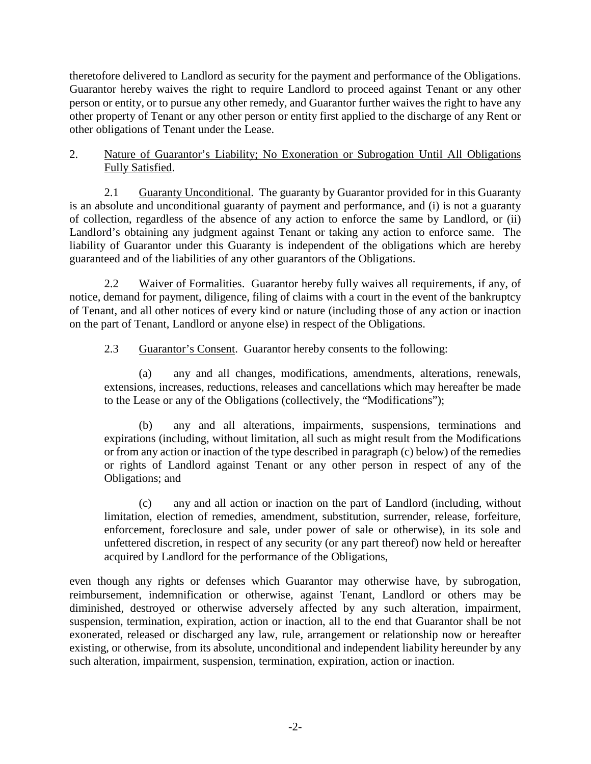theretofore delivered to Landlord as security for the payment and performance of the Obligations. Guarantor hereby waives the right to require Landlord to proceed against Tenant or any other person or entity, or to pursue any other remedy, and Guarantor further waives the right to have any other property of Tenant or any other person or entity first applied to the discharge of any Rent or other obligations of Tenant under the Lease.

### 2. Nature of Guarantor's Liability; No Exoneration or Subrogation Until All Obligations Fully Satisfied.

2.1 Guaranty Unconditional. The guaranty by Guarantor provided for in this Guaranty is an absolute and unconditional guaranty of payment and performance, and (i) is not a guaranty of collection, regardless of the absence of any action to enforce the same by Landlord, or (ii) Landlord's obtaining any judgment against Tenant or taking any action to enforce same. The liability of Guarantor under this Guaranty is independent of the obligations which are hereby guaranteed and of the liabilities of any other guarantors of the Obligations.

2.2 Waiver of Formalities. Guarantor hereby fully waives all requirements, if any, of notice, demand for payment, diligence, filing of claims with a court in the event of the bankruptcy of Tenant, and all other notices of every kind or nature (including those of any action or inaction on the part of Tenant, Landlord or anyone else) in respect of the Obligations.

# 2.3 Guarantor's Consent. Guarantor hereby consents to the following:

(a) any and all changes, modifications, amendments, alterations, renewals, extensions, increases, reductions, releases and cancellations which may hereafter be made to the Lease or any of the Obligations (collectively, the "Modifications");

(b) any and all alterations, impairments, suspensions, terminations and expirations (including, without limitation, all such as might result from the Modifications or from any action or inaction of the type described in paragraph (c) below) of the remedies or rights of Landlord against Tenant or any other person in respect of any of the Obligations; and

(c) any and all action or inaction on the part of Landlord (including, without limitation, election of remedies, amendment, substitution, surrender, release, forfeiture, enforcement, foreclosure and sale, under power of sale or otherwise), in its sole and unfettered discretion, in respect of any security (or any part thereof) now held or hereafter acquired by Landlord for the performance of the Obligations,

even though any rights or defenses which Guarantor may otherwise have, by subrogation, reimbursement, indemnification or otherwise, against Tenant, Landlord or others may be diminished, destroyed or otherwise adversely affected by any such alteration, impairment, suspension, termination, expiration, action or inaction, all to the end that Guarantor shall be not exonerated, released or discharged any law, rule, arrangement or relationship now or hereafter existing, or otherwise, from its absolute, unconditional and independent liability hereunder by any such alteration, impairment, suspension, termination, expiration, action or inaction.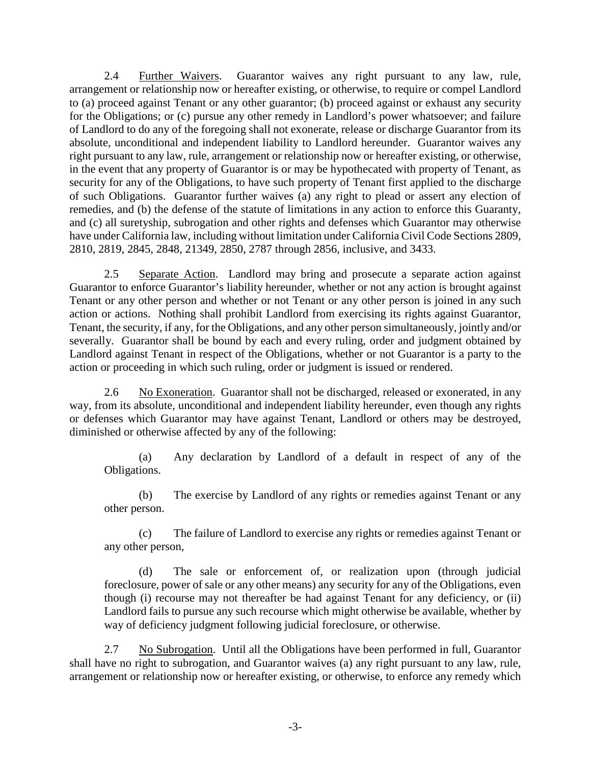2.4 Further Waivers. Guarantor waives any right pursuant to any law, rule, arrangement or relationship now or hereafter existing, or otherwise, to require or compel Landlord to (a) proceed against Tenant or any other guarantor; (b) proceed against or exhaust any security for the Obligations; or (c) pursue any other remedy in Landlord's power whatsoever; and failure of Landlord to do any of the foregoing shall not exonerate, release or discharge Guarantor from its absolute, unconditional and independent liability to Landlord hereunder. Guarantor waives any right pursuant to any law, rule, arrangement or relationship now or hereafter existing, or otherwise, in the event that any property of Guarantor is or may be hypothecated with property of Tenant, as security for any of the Obligations, to have such property of Tenant first applied to the discharge of such Obligations. Guarantor further waives (a) any right to plead or assert any election of remedies, and (b) the defense of the statute of limitations in any action to enforce this Guaranty, and (c) all suretyship, subrogation and other rights and defenses which Guarantor may otherwise have under California law, including without limitation under California Civil Code Sections 2809, 2810, 2819, 2845, 2848, 21349, 2850, 2787 through 2856, inclusive, and 3433.

2.5 Separate Action. Landlord may bring and prosecute a separate action against Guarantor to enforce Guarantor's liability hereunder, whether or not any action is brought against Tenant or any other person and whether or not Tenant or any other person is joined in any such action or actions. Nothing shall prohibit Landlord from exercising its rights against Guarantor, Tenant, the security, if any, for the Obligations, and any other person simultaneously, jointly and/or severally. Guarantor shall be bound by each and every ruling, order and judgment obtained by Landlord against Tenant in respect of the Obligations, whether or not Guarantor is a party to the action or proceeding in which such ruling, order or judgment is issued or rendered.

2.6 No Exoneration. Guarantor shall not be discharged, released or exonerated, in any way, from its absolute, unconditional and independent liability hereunder, even though any rights or defenses which Guarantor may have against Tenant, Landlord or others may be destroyed, diminished or otherwise affected by any of the following:

(a) Any declaration by Landlord of a default in respect of any of the Obligations.

(b) The exercise by Landlord of any rights or remedies against Tenant or any other person.

(c) The failure of Landlord to exercise any rights or remedies against Tenant or any other person,

(d) The sale or enforcement of, or realization upon (through judicial foreclosure, power of sale or any other means) any security for any of the Obligations, even though (i) recourse may not thereafter be had against Tenant for any deficiency, or (ii) Landlord fails to pursue any such recourse which might otherwise be available, whether by way of deficiency judgment following judicial foreclosure, or otherwise.

2.7 No Subrogation. Until all the Obligations have been performed in full, Guarantor shall have no right to subrogation, and Guarantor waives (a) any right pursuant to any law, rule, arrangement or relationship now or hereafter existing, or otherwise, to enforce any remedy which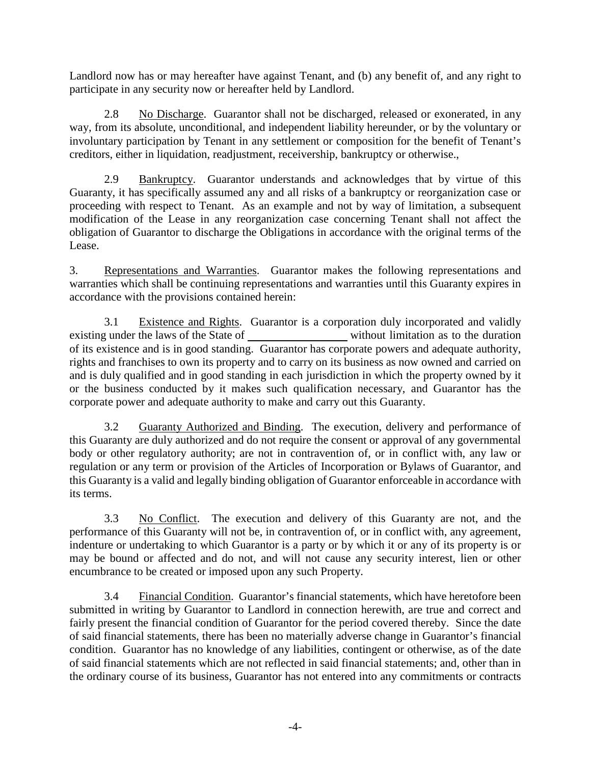Landlord now has or may hereafter have against Tenant, and (b) any benefit of, and any right to participate in any security now or hereafter held by Landlord.

2.8 No Discharge. Guarantor shall not be discharged, released or exonerated, in any way, from its absolute, unconditional, and independent liability hereunder, or by the voluntary or involuntary participation by Tenant in any settlement or composition for the benefit of Tenant's creditors, either in liquidation, readjustment, receivership, bankruptcy or otherwise.,

2.9 Bankruptcy. Guarantor understands and acknowledges that by virtue of this Guaranty, it has specifically assumed any and all risks of a bankruptcy or reorganization case or proceeding with respect to Tenant. As an example and not by way of limitation, a subsequent modification of the Lease in any reorganization case concerning Tenant shall not affect the obligation of Guarantor to discharge the Obligations in accordance with the original terms of the Lease.

3. Representations and Warranties. Guarantor makes the following representations and warranties which shall be continuing representations and warranties until this Guaranty expires in accordance with the provisions contained herein:

3.1 Existence and Rights. Guarantor is a corporation duly incorporated and validly existing under the laws of the State of without limitation as to the duration of its existence and is in good standing. Guarantor has corporate powers and adequate authority, rights and franchises to own its property and to carry on its business as now owned and carried on and is duly qualified and in good standing in each jurisdiction in which the property owned by it or the business conducted by it makes such qualification necessary, and Guarantor has the corporate power and adequate authority to make and carry out this Guaranty.

3.2 Guaranty Authorized and Binding. The execution, delivery and performance of this Guaranty are duly authorized and do not require the consent or approval of any governmental body or other regulatory authority; are not in contravention of, or in conflict with, any law or regulation or any term or provision of the Articles of Incorporation or Bylaws of Guarantor, and this Guaranty is a valid and legally binding obligation of Guarantor enforceable in accordance with its terms.

3.3 No Conflict. The execution and delivery of this Guaranty are not, and the performance of this Guaranty will not be, in contravention of, or in conflict with, any agreement, indenture or undertaking to which Guarantor is a party or by which it or any of its property is or may be bound or affected and do not, and will not cause any security interest, lien or other encumbrance to be created or imposed upon any such Property.

3.4 Financial Condition. Guarantor's financial statements, which have heretofore been submitted in writing by Guarantor to Landlord in connection herewith, are true and correct and fairly present the financial condition of Guarantor for the period covered thereby. Since the date of said financial statements, there has been no materially adverse change in Guarantor's financial condition. Guarantor has no knowledge of any liabilities, contingent or otherwise, as of the date of said financial statements which are not reflected in said financial statements; and, other than in the ordinary course of its business, Guarantor has not entered into any commitments or contracts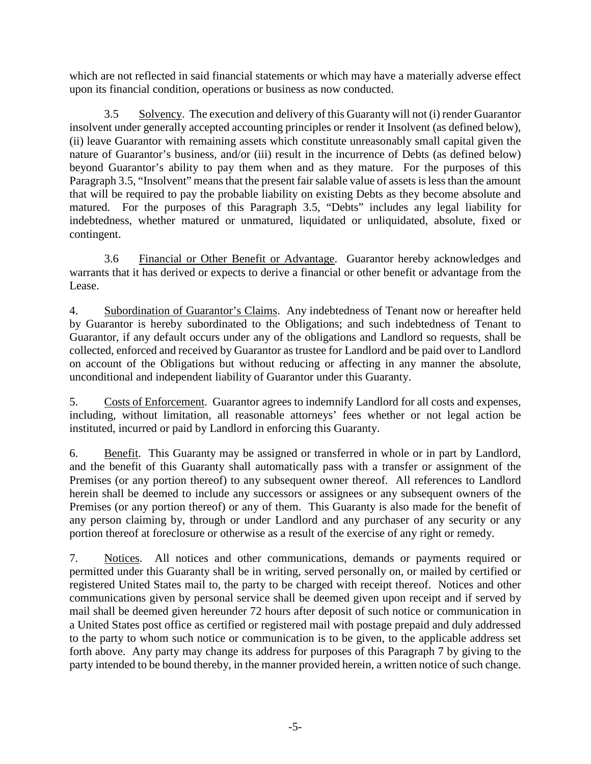which are not reflected in said financial statements or which may have a materially adverse effect upon its financial condition, operations or business as now conducted.

3.5 Solvency. The execution and delivery of this Guaranty will not (i) render Guarantor insolvent under generally accepted accounting principles or render it Insolvent (as defined below), (ii) leave Guarantor with remaining assets which constitute unreasonably small capital given the nature of Guarantor's business, and/or (iii) result in the incurrence of Debts (as defined below) beyond Guarantor's ability to pay them when and as they mature. For the purposes of this Paragraph 3.5, "Insolvent" means that the present fair salable value of assets is less than the amount that will be required to pay the probable liability on existing Debts as they become absolute and matured. For the purposes of this Paragraph 3.5, "Debts" includes any legal liability for indebtedness, whether matured or unmatured, liquidated or unliquidated, absolute, fixed or contingent.

3.6 Financial or Other Benefit or Advantage. Guarantor hereby acknowledges and warrants that it has derived or expects to derive a financial or other benefit or advantage from the Lease.

4. Subordination of Guarantor's Claims. Any indebtedness of Tenant now or hereafter held by Guarantor is hereby subordinated to the Obligations; and such indebtedness of Tenant to Guarantor, if any default occurs under any of the obligations and Landlord so requests, shall be collected, enforced and received by Guarantor as trustee for Landlord and be paid over to Landlord on account of the Obligations but without reducing or affecting in any manner the absolute, unconditional and independent liability of Guarantor under this Guaranty.

5. Costs of Enforcement. Guarantor agrees to indemnify Landlord for all costs and expenses, including, without limitation, all reasonable attorneys' fees whether or not legal action be instituted, incurred or paid by Landlord in enforcing this Guaranty.

6. Benefit. This Guaranty may be assigned or transferred in whole or in part by Landlord, and the benefit of this Guaranty shall automatically pass with a transfer or assignment of the Premises (or any portion thereof) to any subsequent owner thereof. All references to Landlord herein shall be deemed to include any successors or assignees or any subsequent owners of the Premises (or any portion thereof) or any of them. This Guaranty is also made for the benefit of any person claiming by, through or under Landlord and any purchaser of any security or any portion thereof at foreclosure or otherwise as a result of the exercise of any right or remedy.

7. Notices. All notices and other communications, demands or payments required or permitted under this Guaranty shall be in writing, served personally on, or mailed by certified or registered United States mail to, the party to be charged with receipt thereof. Notices and other communications given by personal service shall be deemed given upon receipt and if served by mail shall be deemed given hereunder 72 hours after deposit of such notice or communication in a United States post office as certified or registered mail with postage prepaid and duly addressed to the party to whom such notice or communication is to be given, to the applicable address set forth above. Any party may change its address for purposes of this Paragraph 7 by giving to the party intended to be bound thereby, in the manner provided herein, a written notice of such change.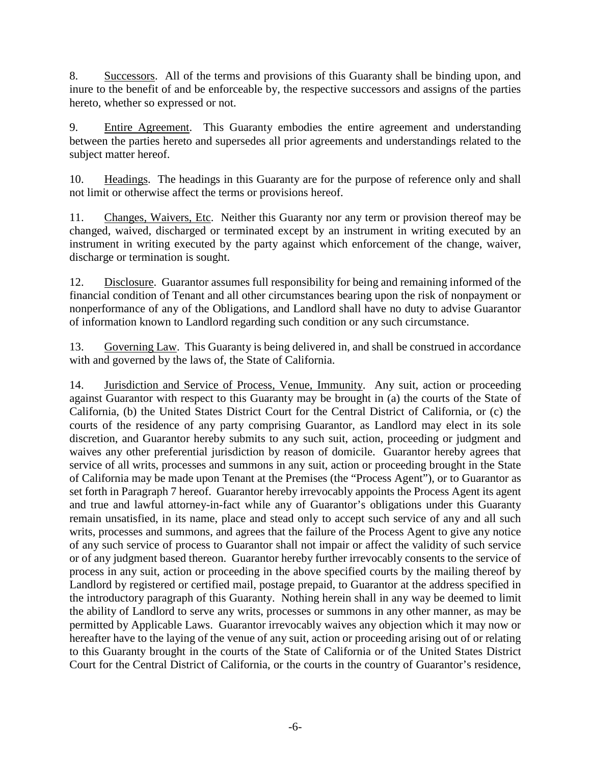8. Successors. All of the terms and provisions of this Guaranty shall be binding upon, and inure to the benefit of and be enforceable by, the respective successors and assigns of the parties hereto, whether so expressed or not.

9. Entire Agreement. This Guaranty embodies the entire agreement and understanding between the parties hereto and supersedes all prior agreements and understandings related to the subject matter hereof.

10. Headings. The headings in this Guaranty are for the purpose of reference only and shall not limit or otherwise affect the terms or provisions hereof.

11. Changes, Waivers, Etc. Neither this Guaranty nor any term or provision thereof may be changed, waived, discharged or terminated except by an instrument in writing executed by an instrument in writing executed by the party against which enforcement of the change, waiver, discharge or termination is sought.

12. Disclosure. Guarantor assumes full responsibility for being and remaining informed of the financial condition of Tenant and all other circumstances bearing upon the risk of nonpayment or nonperformance of any of the Obligations, and Landlord shall have no duty to advise Guarantor of information known to Landlord regarding such condition or any such circumstance.

13. Governing Law. This Guaranty is being delivered in, and shall be construed in accordance with and governed by the laws of, the State of California.

14. Jurisdiction and Service of Process, Venue, Immunity. Any suit, action or proceeding against Guarantor with respect to this Guaranty may be brought in (a) the courts of the State of California, (b) the United States District Court for the Central District of California, or (c) the courts of the residence of any party comprising Guarantor, as Landlord may elect in its sole discretion, and Guarantor hereby submits to any such suit, action, proceeding or judgment and waives any other preferential jurisdiction by reason of domicile. Guarantor hereby agrees that service of all writs, processes and summons in any suit, action or proceeding brought in the State of California may be made upon Tenant at the Premises (the "Process Agent"), or to Guarantor as set forth in Paragraph 7 hereof. Guarantor hereby irrevocably appoints the Process Agent its agent and true and lawful attorney-in-fact while any of Guarantor's obligations under this Guaranty remain unsatisfied, in its name, place and stead only to accept such service of any and all such writs, processes and summons, and agrees that the failure of the Process Agent to give any notice of any such service of process to Guarantor shall not impair or affect the validity of such service or of any judgment based thereon. Guarantor hereby further irrevocably consents to the service of process in any suit, action or proceeding in the above specified courts by the mailing thereof by Landlord by registered or certified mail, postage prepaid, to Guarantor at the address specified in the introductory paragraph of this Guaranty. Nothing herein shall in any way be deemed to limit the ability of Landlord to serve any writs, processes or summons in any other manner, as may be permitted by Applicable Laws. Guarantor irrevocably waives any objection which it may now or hereafter have to the laying of the venue of any suit, action or proceeding arising out of or relating to this Guaranty brought in the courts of the State of California or of the United States District Court for the Central District of California, or the courts in the country of Guarantor's residence,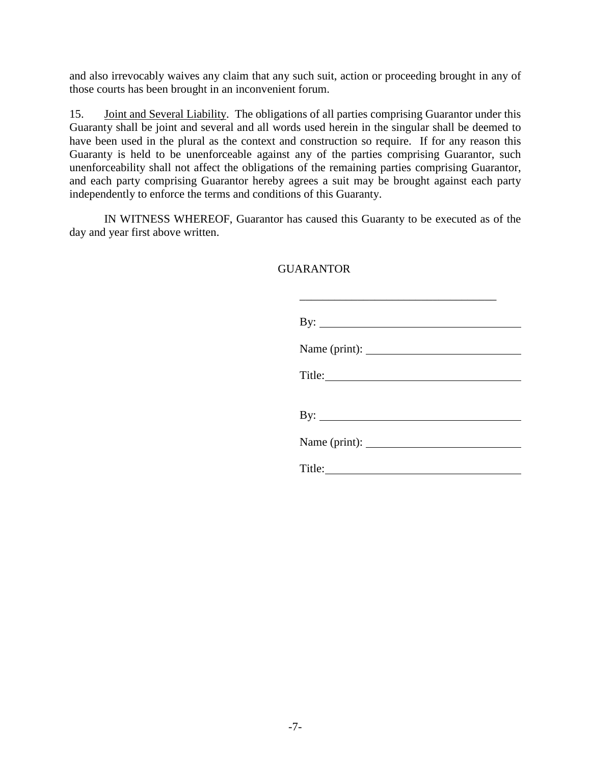and also irrevocably waives any claim that any such suit, action or proceeding brought in any of those courts has been brought in an inconvenient forum.

15. Joint and Several Liability. The obligations of all parties comprising Guarantor under this Guaranty shall be joint and several and all words used herein in the singular shall be deemed to have been used in the plural as the context and construction so require. If for any reason this Guaranty is held to be unenforceable against any of the parties comprising Guarantor, such unenforceability shall not affect the obligations of the remaining parties comprising Guarantor, and each party comprising Guarantor hereby agrees a suit may be brought against each party independently to enforce the terms and conditions of this Guaranty.

IN WITNESS WHEREOF, Guarantor has caused this Guaranty to be executed as of the day and year first above written.

| By: $\qquad \qquad$ |
|---------------------|
| Name (print):       |
|                     |
|                     |
| By: $\qquad \qquad$ |
| Name (print):       |
|                     |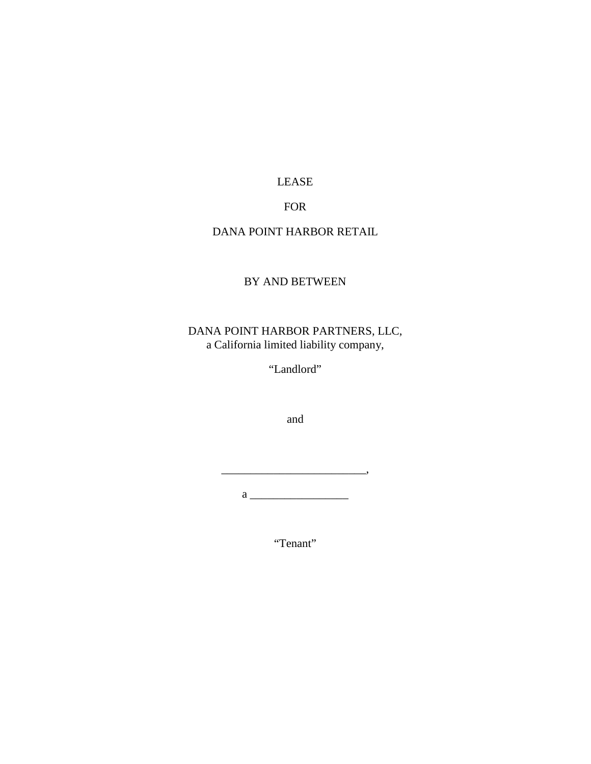LEASE

# FOR

# DANA POINT HARBOR RETAIL

#### BY AND BETWEEN

# DANA POINT HARBOR PARTNERS, LLC, a California limited liability company,

"Landlord"

and

 $a \overline{\qquad \qquad }$ 

\_\_\_\_\_\_\_\_\_\_\_\_\_\_\_\_\_\_\_\_\_\_\_\_\_,

"Tenant"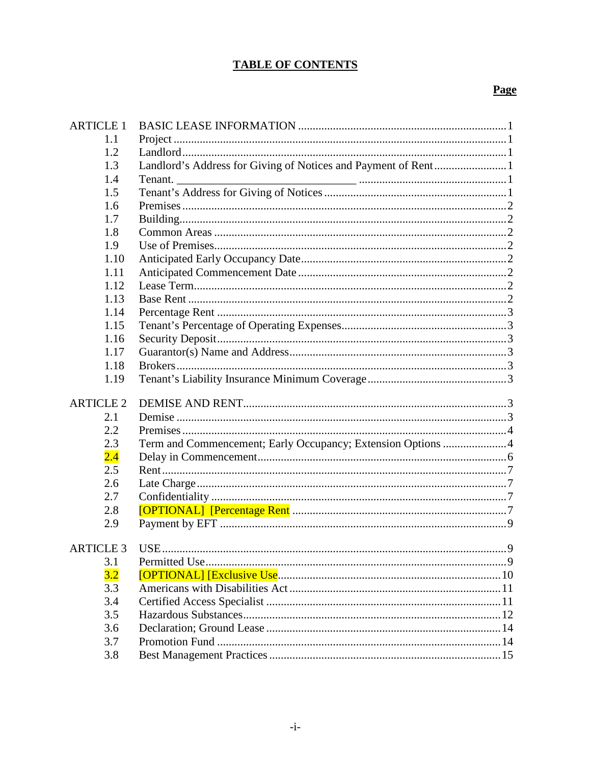# **TABLE OF CONTENTS**

# **Page**

| <b>ARTICLE 1</b>     |                                                             |  |
|----------------------|-------------------------------------------------------------|--|
| 1.1                  |                                                             |  |
| 1.2                  |                                                             |  |
| 1.3                  |                                                             |  |
| 1.4                  | Tenant.                                                     |  |
| 1.5                  |                                                             |  |
| 1.6                  |                                                             |  |
| 1.7                  |                                                             |  |
| 1.8                  |                                                             |  |
| 1.9                  |                                                             |  |
| 1.10                 |                                                             |  |
| 1.11                 |                                                             |  |
| 1.12                 |                                                             |  |
| 1.13                 |                                                             |  |
| 1.14                 |                                                             |  |
| 1.15                 |                                                             |  |
| 1.16                 |                                                             |  |
| 1.17                 |                                                             |  |
| 1.18                 |                                                             |  |
| 1.19                 |                                                             |  |
|                      |                                                             |  |
|                      |                                                             |  |
| <b>ARTICLE 2</b>     |                                                             |  |
| 2.1                  |                                                             |  |
| 2.2                  |                                                             |  |
| 2.3                  | Term and Commencement; Early Occupancy; Extension Options 4 |  |
| 2.4<br>2.5           |                                                             |  |
| 2.6                  |                                                             |  |
|                      |                                                             |  |
| 2.7<br>2.8           |                                                             |  |
| 2.9                  |                                                             |  |
|                      |                                                             |  |
| <b>ARTICLE 3 USE</b> |                                                             |  |
| 3.1                  |                                                             |  |
| 3.2                  |                                                             |  |
| 3.3                  |                                                             |  |
| 3.4                  |                                                             |  |
| 3.5                  |                                                             |  |
| 3.6                  |                                                             |  |
| 3.7<br>3.8           |                                                             |  |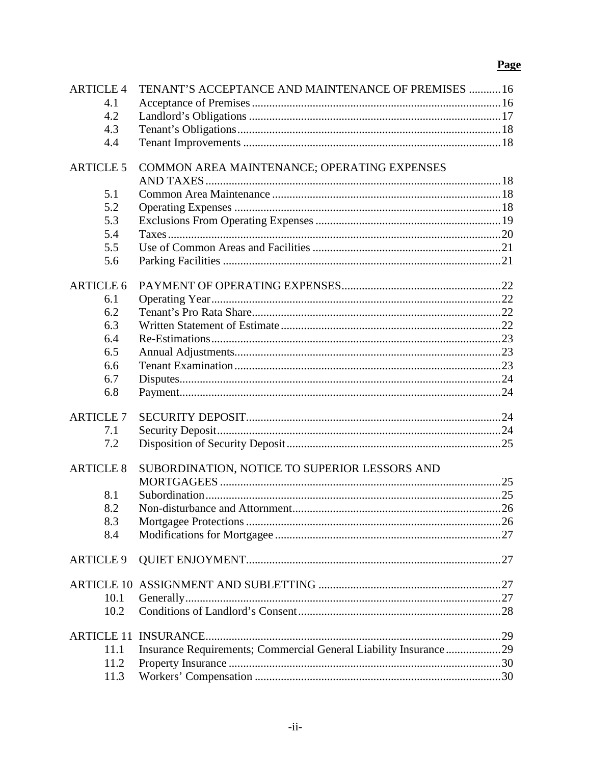| <b>ARTICLE 4</b>  | TENANT'S ACCEPTANCE AND MAINTENANCE OF PREMISES  16              |  |
|-------------------|------------------------------------------------------------------|--|
| 4.1               |                                                                  |  |
| 4.2               |                                                                  |  |
| 4.3               |                                                                  |  |
| 4.4               |                                                                  |  |
|                   |                                                                  |  |
| <b>ARTICLE 5</b>  | COMMON AREA MAINTENANCE; OPERATING EXPENSES                      |  |
|                   |                                                                  |  |
| 5.1               |                                                                  |  |
| 5.2               |                                                                  |  |
| 5.3               |                                                                  |  |
| 5.4               |                                                                  |  |
| 5.5               |                                                                  |  |
| 5.6               |                                                                  |  |
| <b>ARTICLE 6</b>  |                                                                  |  |
| 6.1               |                                                                  |  |
| 6.2               |                                                                  |  |
| 6.3               |                                                                  |  |
| 6.4               |                                                                  |  |
| 6.5               |                                                                  |  |
| 6.6               |                                                                  |  |
| 6.7               |                                                                  |  |
| 6.8               |                                                                  |  |
|                   |                                                                  |  |
| <b>ARTICLE 7</b>  |                                                                  |  |
| 7.1               |                                                                  |  |
| 7.2               |                                                                  |  |
| <b>ARTICLE 8</b>  | SUBORDINATION, NOTICE TO SUPERIOR LESSORS AND                    |  |
|                   |                                                                  |  |
| 8.1               |                                                                  |  |
| 8.2               |                                                                  |  |
| 8.3               |                                                                  |  |
| 8.4               |                                                                  |  |
|                   |                                                                  |  |
| <b>ARTICLE 9</b>  |                                                                  |  |
|                   |                                                                  |  |
| <b>ARTICLE 10</b> |                                                                  |  |
| 10.1              |                                                                  |  |
| 10.2              |                                                                  |  |
| <b>ARTICLE 11</b> |                                                                  |  |
| 11.1              | Insurance Requirements; Commercial General Liability Insurance29 |  |
| 11.2              |                                                                  |  |
| 11.3              |                                                                  |  |
|                   |                                                                  |  |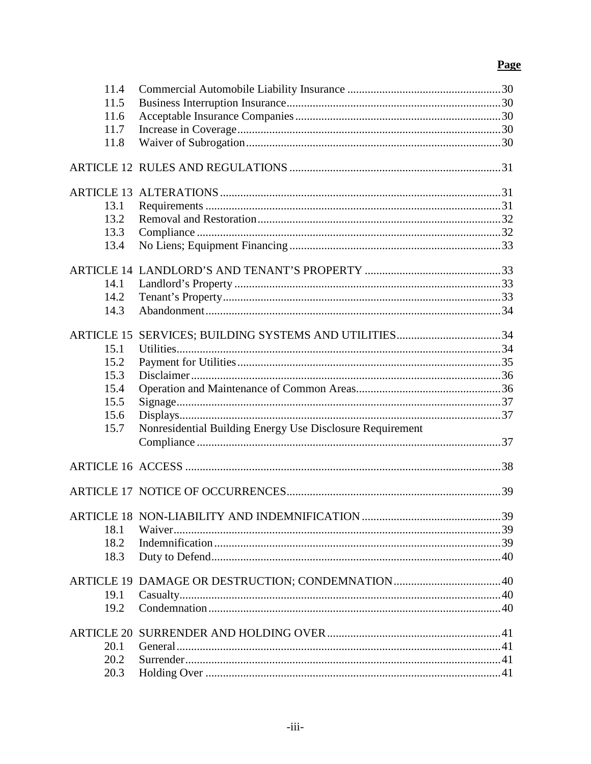| 11.4              |                                                           |  |
|-------------------|-----------------------------------------------------------|--|
| 11.5              |                                                           |  |
| 11.6              |                                                           |  |
| 11.7              |                                                           |  |
| 11.8              |                                                           |  |
|                   |                                                           |  |
|                   |                                                           |  |
| 13.1              |                                                           |  |
| 13.2              |                                                           |  |
| 13.3              |                                                           |  |
| 13.4              |                                                           |  |
|                   |                                                           |  |
| 14.1              |                                                           |  |
| 14.2              |                                                           |  |
| 14.3              |                                                           |  |
|                   |                                                           |  |
| <b>ARTICLE 15</b> |                                                           |  |
| 15.1              |                                                           |  |
| 15.2              |                                                           |  |
| 15.3              |                                                           |  |
| 15.4              |                                                           |  |
| 15.5              |                                                           |  |
| 15.6              |                                                           |  |
| 15.7              | Nonresidential Building Energy Use Disclosure Requirement |  |
|                   |                                                           |  |
|                   |                                                           |  |
|                   |                                                           |  |
|                   |                                                           |  |
|                   |                                                           |  |
| 18.1              |                                                           |  |
| 18.2              |                                                           |  |
| 18.3              |                                                           |  |
|                   |                                                           |  |
| 19.1              |                                                           |  |
| 19.2              |                                                           |  |
| <b>ARTICLE 20</b> |                                                           |  |
| 20.1              |                                                           |  |
| 20.2              |                                                           |  |
| 20.3              |                                                           |  |
|                   |                                                           |  |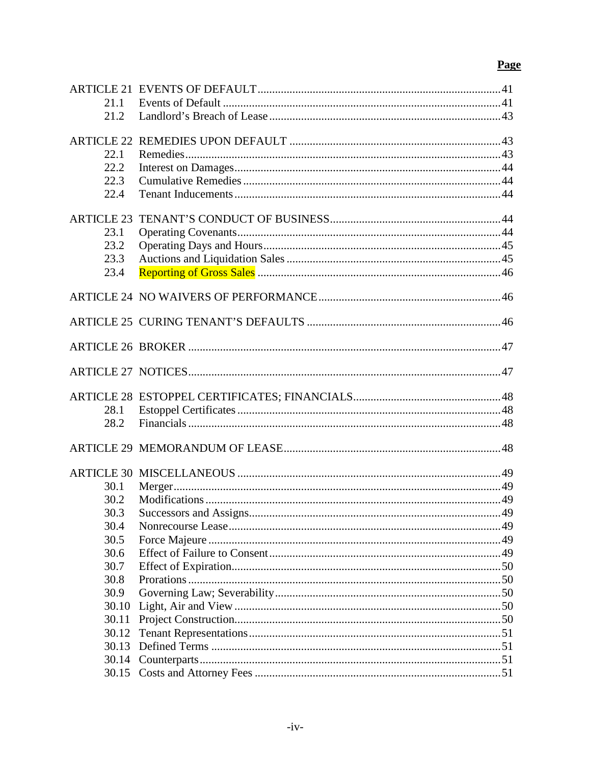| 21.1<br>21.2<br>22.1<br>22.2<br>22.3<br>22.4<br>23.1<br>23.2<br>23.3<br>23.4<br>28.1<br>28.2<br>30.1<br>30.2<br>30.3<br>30.4<br>30.5<br>30.6<br>30.7<br>30.8<br>30.9<br>30.10 | <b>ARTICLE 23</b><br>30.11<br>30.12<br>30.13 |  |  |
|-------------------------------------------------------------------------------------------------------------------------------------------------------------------------------|----------------------------------------------|--|--|
|                                                                                                                                                                               |                                              |  |  |
|                                                                                                                                                                               |                                              |  |  |
|                                                                                                                                                                               |                                              |  |  |
|                                                                                                                                                                               |                                              |  |  |
|                                                                                                                                                                               |                                              |  |  |
|                                                                                                                                                                               |                                              |  |  |
|                                                                                                                                                                               |                                              |  |  |
|                                                                                                                                                                               |                                              |  |  |
|                                                                                                                                                                               |                                              |  |  |
|                                                                                                                                                                               |                                              |  |  |
|                                                                                                                                                                               |                                              |  |  |
|                                                                                                                                                                               |                                              |  |  |
|                                                                                                                                                                               |                                              |  |  |
|                                                                                                                                                                               |                                              |  |  |
|                                                                                                                                                                               |                                              |  |  |
|                                                                                                                                                                               |                                              |  |  |
|                                                                                                                                                                               |                                              |  |  |
|                                                                                                                                                                               |                                              |  |  |
|                                                                                                                                                                               |                                              |  |  |
|                                                                                                                                                                               |                                              |  |  |
|                                                                                                                                                                               |                                              |  |  |
|                                                                                                                                                                               |                                              |  |  |
|                                                                                                                                                                               |                                              |  |  |
|                                                                                                                                                                               |                                              |  |  |
|                                                                                                                                                                               |                                              |  |  |
|                                                                                                                                                                               |                                              |  |  |
|                                                                                                                                                                               |                                              |  |  |
|                                                                                                                                                                               |                                              |  |  |
|                                                                                                                                                                               |                                              |  |  |
|                                                                                                                                                                               |                                              |  |  |
|                                                                                                                                                                               |                                              |  |  |
|                                                                                                                                                                               |                                              |  |  |
|                                                                                                                                                                               |                                              |  |  |
|                                                                                                                                                                               |                                              |  |  |
|                                                                                                                                                                               |                                              |  |  |
|                                                                                                                                                                               |                                              |  |  |
|                                                                                                                                                                               |                                              |  |  |
|                                                                                                                                                                               |                                              |  |  |
|                                                                                                                                                                               |                                              |  |  |
|                                                                                                                                                                               |                                              |  |  |
|                                                                                                                                                                               |                                              |  |  |
|                                                                                                                                                                               |                                              |  |  |
|                                                                                                                                                                               |                                              |  |  |